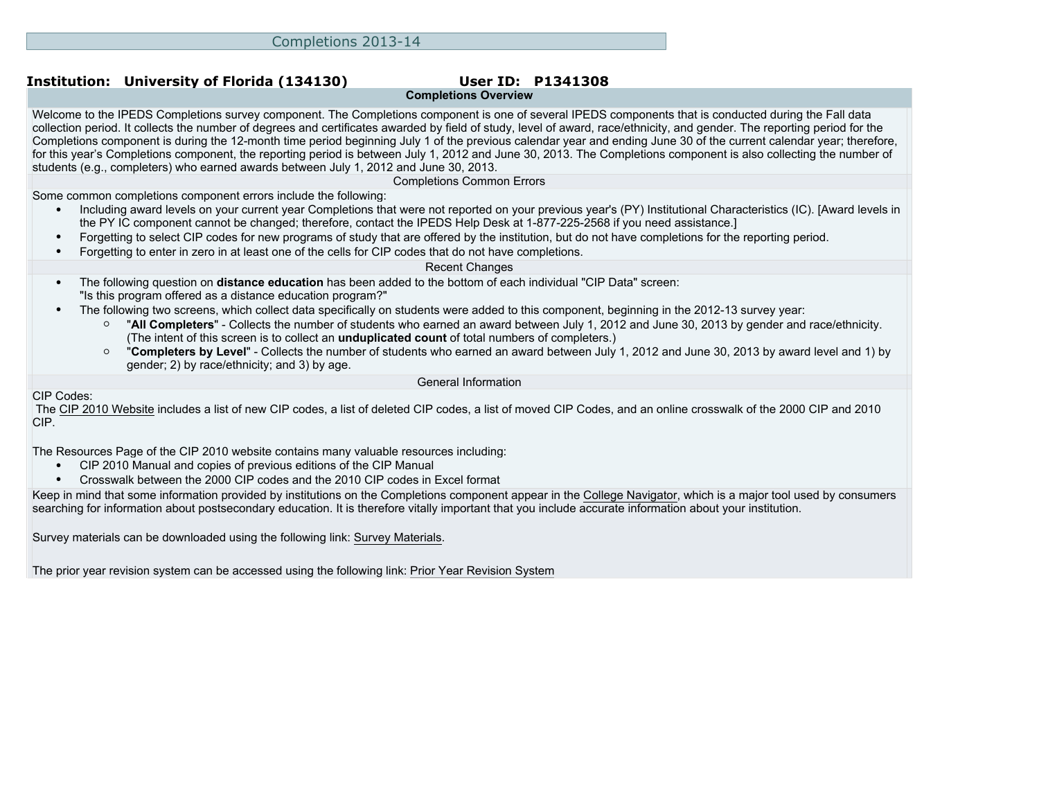# **Completions Overview**

Welcome to the IPEDS Completions survey component. The Completions component is one of several IPEDS components that is conducted during the Fall data collection period. It collects the number of degrees and certificates awarded by field of study, level of award, race/ethnicity, and gender. The reporting period for the Completions component is during the 12-month time period beginning July 1 of the previous calendar year and ending June 30 of the current calendar year; therefore, for this year's Completions component, the reporting period is between July 1, 2012 and June 30, 2013. The Completions component is also collecting the number of students (e.g., completers) who earned awards between July 1, 2012 and June 30, 2013.

Completions Common Errors

Some common completions component errors include the following:

• Including award levels on your current year Completions that were not reported on your previous year's (PY) Institutional Characteristics (IC). [Award levels in the PY IC component cannot be changed; therefore, contact the IPEDS Help Desk at 1-877-225-2568 if you need assistance.]

- Forgetting to select CIP codes for new programs of study that are offered by the institution, but do not have completions for the reporting period.
- Forgetting to enter in zero in at least one of the cells for CIP codes that do not have completions.

#### Recent Changes

- The following question on **distance education** has been added to the bottom of each individual "CIP Data" screen: "Is this program offered as a distance education program?"
- The following two screens, which collect data specifically on students were added to this component, beginning in the 2012-13 survey year:
	- "**All Completers**" Collects the number of students who earned an award between July 1, 2012 and June 30, 2013 by gender and race/ethnicity. (The intent of this screen is to collect an **unduplicated count** of total numbers of completers.)
	- "**Completers by Level**" Collects the number of students who earned an award between July 1, 2012 and June 30, 2013 by award level and 1) by gender; 2) by race/ethnicity; and 3) by age.

General Information

CIP Codes:

 The [CIP 2010 Website](http://nces.ed.gov/ipeds/cip2011) includes a list of new CIP codes, a list of deleted CIP codes, a list of moved CIP Codes, and an online crosswalk of the 2000 CIP and 2010 CIP.

The [Resources Page](http://nces.ed.gov/ipeds/cipcode/resources.aspx?y=55) of the CIP 2010 website contains many valuable resources including:

- CIP 2010 Manual and copies of previous editions of the CIP Manual
- Crosswalk between the 2000 CIP codes and the 2010 CIP codes in Excel format

Keep in mind that some information provided by institutions on the Completions component appear in the [College Navigator](http://collegenavigator.ed.gov), which is a major tool used by consumers searching for information about postsecondary education. It is therefore vitally important that you include accurate information about your institution.

Survey materials can be downloaded using the following link: [Survey Materials.](https://surveys.nces.ed.gov/ipeds/VisIndex.aspx)

The prior year revision system can be accessed using the following link: [Prior Year Revision System](https://surveys.nces.ed.gov/IPEDS/PriorYearDataRedirect.aspx?survey_id=10)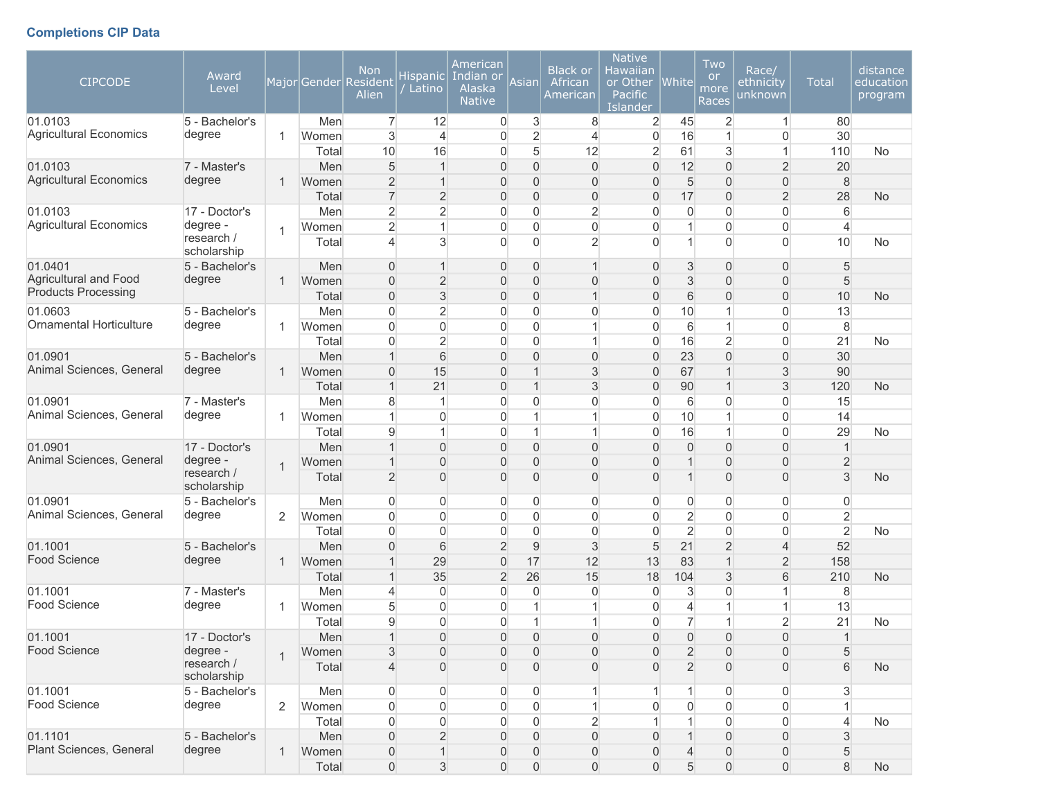## **Completions CIP Data**

| <b>CIPCODE</b>                                      | Award<br>Level            |                |                | <b>Non</b><br>Major Gender Resident<br>Alien | Hispanic<br>Latino             | American<br>Indian or<br>Alaska<br><b>Native</b> | Asian                         | <b>Black or</b><br>African<br>American | <b>Native</b><br>Hawaiian<br>or Other<br><b>Pacific</b><br><b>Islander</b> | White               | Two<br><b>or</b><br>more<br>Races | Race/<br>ethnicity<br>unknown    | <b>Total</b>           | distance<br>education<br>program |
|-----------------------------------------------------|---------------------------|----------------|----------------|----------------------------------------------|--------------------------------|--------------------------------------------------|-------------------------------|----------------------------------------|----------------------------------------------------------------------------|---------------------|-----------------------------------|----------------------------------|------------------------|----------------------------------|
| 01.0103                                             | 5 - Bachelor's            |                | Men            | $\overline{7}$                               | 12                             | $\overline{0}$                                   | 3                             | 8                                      | $\overline{2}$                                                             | 45                  | $\overline{2}$                    | $\mathbf{1}$                     | 80                     |                                  |
| <b>Agricultural Economics</b>                       | degree                    | $\mathbf{1}$   | Women          | $\mathbf{3}$                                 | $\overline{4}$                 | $\overline{0}$                                   | $\overline{2}$                | 4                                      | $\mathbf 0$                                                                | 16                  | 1                                 | $\overline{0}$                   | 30                     |                                  |
|                                                     |                           |                | Total          | 10                                           | 16                             | $\overline{0}$                                   | 5                             | 12                                     | $\overline{2}$                                                             | 61                  | 3                                 | $\mathbf{1}$                     | 110                    | <b>No</b>                        |
| 01.0103                                             | 7 - Master's              |                | Men            | 5                                            | $\overline{1}$                 | $\mathbf{0}$                                     | $\overline{0}$                | 0                                      | $\overline{0}$                                                             | 12                  | $\overline{0}$                    | $\overline{2}$                   | 20                     |                                  |
| <b>Agricultural Economics</b>                       | degree                    | $\mathbf 1$    | Women          | $\overline{2}$                               | $\mathbf 1$                    | $\overline{0}$                                   | $\overline{0}$                | $\overline{0}$                         | $\overline{0}$                                                             | 5                   | $\overline{0}$                    | $\overline{0}$                   | 8                      |                                  |
|                                                     |                           |                | Total          | $\overline{7}$                               | $\overline{2}$                 | $\overline{0}$                                   | $\overline{0}$                | $\overline{0}$                         | $\overline{0}$                                                             | 17                  | $\overline{0}$                    | $\overline{2}$                   | 28                     | No                               |
| 01.0103<br><b>Agricultural Economics</b>            | 17 - Doctor's             |                | Men            | $\overline{2}$                               | $\overline{2}$                 | $\overline{0}$                                   | $\mathbf 0$                   | $\overline{2}$                         | $\overline{0}$                                                             | 0                   | $\mathbf{0}$                      | $\overline{0}$                   | 6                      |                                  |
|                                                     | degree -<br>research /    | $\overline{1}$ | Women          | $\overline{2}$                               | 1                              | $\overline{0}$                                   | $\overline{0}$                | 0                                      | $\overline{0}$                                                             | $\mathbf{1}$        | $\mathbf{0}$                      | $\overline{0}$                   | $\overline{4}$         |                                  |
|                                                     | scholarship               |                | Total          | $\overline{4}$                               | 3                              | $\Omega$                                         | $\overline{0}$                | $\overline{2}$                         | $\Omega$                                                                   | $\mathbf{1}$        | $\mathbf{0}$                      | $\overline{0}$                   | 10                     | No                               |
| 01.0401                                             | 5 - Bachelor's            |                | Men            | $\Omega$                                     | $\mathbf 1$                    | $\mathbf{0}$                                     | $\overline{0}$                | $\mathbf 1$                            | $\mathbf{0}$                                                               | 3                   | $\overline{0}$                    | $\overline{0}$                   | 5                      |                                  |
| Agricultural and Food<br><b>Products Processing</b> | degree                    | $\mathbf{1}$   | Women          | $\overline{0}$                               | $\overline{2}$                 | 0                                                | $\overline{0}$                | $\overline{0}$                         | $\mathbf{0}$                                                               | 3                   | $\overline{0}$                    | $\overline{0}$                   | 5                      |                                  |
|                                                     |                           |                | Total          | $\overline{0}$                               | $\mathsf 3$                    | $\overline{0}$                                   | $\overline{0}$                | $\mathbf{1}$                           | $\overline{0}$                                                             | $\,$ 6 $\,$         | $\overline{0}$                    | $\overline{0}$                   | 10                     | <b>No</b>                        |
| 01.0603<br>Ornamental Horticulture                  | 5 - Bachelor's            |                | Men            | $\overline{0}$                               | $\overline{2}$                 | $\overline{0}$                                   | $\overline{0}$                | 0                                      | $\overline{0}$                                                             | 10                  | 1                                 | $\overline{0}$                   | 13                     |                                  |
|                                                     | degree                    | $\mathbf{1}$   | Women<br>Total | $\overline{0}$<br>$\Omega$                   | $\mathbf{0}$<br>$\overline{2}$ | $\overline{0}$<br>$\overline{0}$                 | $\mathbf 0$<br>$\overline{0}$ | 1<br>1                                 | $\overline{0}$<br>$\overline{0}$                                           | 6<br>16             | 1                                 | $\overline{0}$<br>$\overline{0}$ | $\boldsymbol{8}$<br>21 | <b>No</b>                        |
| 01.0901                                             | 5 - Bachelor's            |                | Men            | 1                                            | 6                              | 0                                                | $\overline{0}$                | $\overline{0}$                         | $\overline{0}$                                                             | 23                  | $\overline{2}$<br>$\overline{0}$  | $\overline{0}$                   | 30                     |                                  |
| Animal Sciences, General                            | degree                    | $\mathbf{1}$   | Women          | $\overline{0}$                               | 15                             | $\overline{0}$                                   | $\mathbf{1}$                  | 3                                      | $\overline{0}$                                                             | 67                  | 1                                 | 3                                | 90                     |                                  |
|                                                     |                           |                | Total          | $\mathbf{1}$                                 | 21                             | $\overline{0}$                                   | $\mathbf{1}$                  | 3                                      | $\overline{0}$                                                             | 90                  | $\mathbf 1$                       | 3                                | 120                    | <b>No</b>                        |
| 01.0901                                             | 7 - Master's              |                | Men            | 8                                            | 1                              | $\Omega$                                         | 0                             | 0                                      | $\overline{0}$                                                             | 6                   | 0                                 | $\overline{0}$                   | 15                     |                                  |
| Animal Sciences, General                            | degree                    | $\mathbf{1}$   | Women          | 1                                            | $\mathbf{0}$                   | $\overline{0}$                                   | $\mathbf{1}$                  | 1                                      | $\overline{0}$                                                             | 10                  | 1                                 | $\overline{0}$                   | 14                     |                                  |
|                                                     |                           |                | Total          | $\overline{9}$                               | 1                              | $\overline{0}$                                   | $\mathbf{1}$                  | 1                                      | $\overline{0}$                                                             | 16                  | 1                                 | $\mathbf 0$                      | 29                     | No                               |
| 01.0901                                             | 17 - Doctor's             |                | Men            |                                              | $\overline{0}$                 | $\overline{0}$                                   | $\overline{0}$                | $\overline{0}$                         | $\overline{0}$                                                             | $\overline{0}$      | $\overline{0}$                    | $\overline{0}$                   | $\mathbf{1}$           |                                  |
| Animal Sciences, General                            | degree -                  | $\mathbf{1}$   | Women          |                                              | $\overline{0}$                 | 0                                                | $\mathbf 0$                   | $\overline{0}$                         | $\overline{0}$                                                             | $\mathbf{1}$        | $\overline{0}$                    | $\mathsf{O}\xspace$              | $\overline{2}$         |                                  |
|                                                     | research /<br>scholarship |                | Total          | $\overline{2}$                               | $\overline{0}$                 | $\overline{0}$                                   | $\mathbf 0$                   | $\overline{0}$                         | $\Omega$                                                                   | $\mathbf{1}$        | $\overline{0}$                    | $\overline{0}$                   | 3                      | <b>No</b>                        |
| 01.0901                                             | 5 - Bachelor's            |                | Men            | $\overline{0}$                               | 0                              | $\overline{0}$                                   | $\overline{0}$                | 0                                      | $\overline{0}$                                                             | $\overline{0}$      | 0                                 | 0                                | 0                      |                                  |
| Animal Sciences, General                            | degree                    | $\overline{2}$ | Women          | $\overline{0}$                               | $\mathbf{0}$                   | $\overline{0}$                                   | $\overline{0}$                | 0                                      | $\overline{0}$                                                             | $\overline{2}$      | $\overline{0}$                    | $\overline{0}$                   | $\overline{c}$         |                                  |
|                                                     |                           |                | Total          | $\overline{0}$                               | $\mathbf{0}$                   | $\overline{0}$                                   | $\overline{0}$                | 0                                      | $\boldsymbol{0}$                                                           | $\overline{2}$      | $\overline{0}$                    | 0                                | $\overline{2}$         | No                               |
| 01.1001                                             | 5 - Bachelor's            |                | Men            | $\overline{0}$                               | 6                              | $\overline{2}$                                   | $\mathsf g$                   | 3                                      | $\sqrt{5}$                                                                 | 21                  | $\overline{2}$                    | $\overline{4}$                   | 52                     |                                  |
| <b>Food Science</b>                                 | degree                    | $\mathbf{1}$   | Women          |                                              | 29                             | $\mathbf 0$                                      | 17                            | 12                                     | 13                                                                         | 83                  | $\mathbf 1$                       | $\overline{2}$                   | 158                    |                                  |
|                                                     |                           |                | Total          | $\mathbf{1}$                                 | 35                             | $\overline{2}$                                   | 26                            | 15                                     | 18                                                                         | 104                 | 3                                 | 6                                | 210                    | <b>No</b>                        |
| 01.1001                                             | 7 - Master's              |                | Men            | $\overline{4}$                               | 0                              | $\overline{0}$                                   | $\overline{0}$                | 0                                      | $\overline{0}$                                                             | 3                   | $\overline{0}$                    | $\mathbf{1}$                     | 8                      |                                  |
| Food Science                                        | degree                    | -1             | Women          | 5                                            | $\mathbf{0}$                   | $\overline{0}$                                   | $\mathbf{1}$                  | 1                                      | 0                                                                          | 4                   |                                   | $\mathbf{1}$                     | 13                     |                                  |
|                                                     |                           |                | Total          | $\overline{9}$                               | $\Omega$                       | 0                                                | $\mathbf{1}$                  | 1                                      | $\overline{0}$                                                             | $\overline{7}$      | 1                                 | $\overline{2}$                   | 21                     | No                               |
| 01.1001                                             | 17 - Doctor's             |                | Men            |                                              | $\Omega$                       | $\Omega$                                         | $\Omega$                      | $\Omega$                               | $\Omega$                                                                   | $\Omega$            | $\Omega$                          | $\Omega$                         | $\mathbf{1}$           |                                  |
| <b>Food Science</b>                                 | degree -<br>research /    | $\overline{1}$ | Women          | 3                                            | $\overline{0}$                 | $\overline{0}$                                   | $\mathbf{0}$                  | 0                                      | $\mathbf 0$                                                                | $\overline{2}$      | $\overline{0}$                    | $\overline{0}$                   | 5                      |                                  |
|                                                     | scholarship               |                | Total          | $\overline{4}$                               | $\overline{0}$                 | $\overline{0}$                                   | $\boldsymbol{0}$              | 0                                      | $\Omega$                                                                   | $\overline{2}$      | $\mathbf 0$                       | 0                                | 6                      | <b>No</b>                        |
| 01.1001                                             | 5 - Bachelor's            |                | Men            | $\overline{0}$                               | $\mathbf{0}$                   | $\overline{0}$                                   | 0                             | 1                                      |                                                                            | $\mathbf{1}$        | $\overline{0}$                    | $\overline{0}$                   | $\mathbf{3}$           |                                  |
| Food Science                                        | degree                    | 2              | Women          | $\overline{0}$                               | $\mathbf 0$                    | $\overline{0}$                                   | $\mathsf{O}\xspace$           | $\mathbf{1}$                           | $\overline{0}$                                                             | $\mathsf{O}\xspace$ | 0                                 | $\overline{0}$                   | $\mathbf{1}$           |                                  |
|                                                     |                           |                | Total          | $\overline{0}$                               | $\boldsymbol{0}$               | $\overline{0}$                                   | $\overline{0}$                | $\overline{2}$                         |                                                                            | $\mathbf{1}$        | 0                                 | $\overline{0}$                   | $\overline{4}$         | <b>No</b>                        |
| 01.1101                                             | 5 - Bachelor's            |                | Men            | $\boldsymbol{0}$                             | $\overline{2}$                 | $\overline{0}$                                   | $\boldsymbol{0}$              | $\mathsf{O}\xspace$                    | $\overline{0}$                                                             | $\mathbf{1}$        | $\overline{0}$                    | 0                                | $\sqrt{3}$             |                                  |
| Plant Sciences, General                             | degree                    | $\mathbf{1}$   | Women          | $\mathsf{O}\xspace$                          | $\mathbf{1}$                   | 0                                                | 0                             | 0                                      | $\mathbf{0}$                                                               | $\overline{4}$      | $\mathbf 0$                       | $\mathsf{O}\xspace$              | $\sqrt{5}$             |                                  |
|                                                     |                           |                | Total          | $\boldsymbol{0}$                             | $\sqrt{3}$                     | $\mathsf{O}\xspace$                              | $\mathsf{O}\xspace$           | $\mathsf{O}\xspace$                    | $\mathsf{O}\xspace$                                                        | 5                   | $\boldsymbol{0}$                  | $\mathsf{O}\xspace$              | $\,8\,$                | No                               |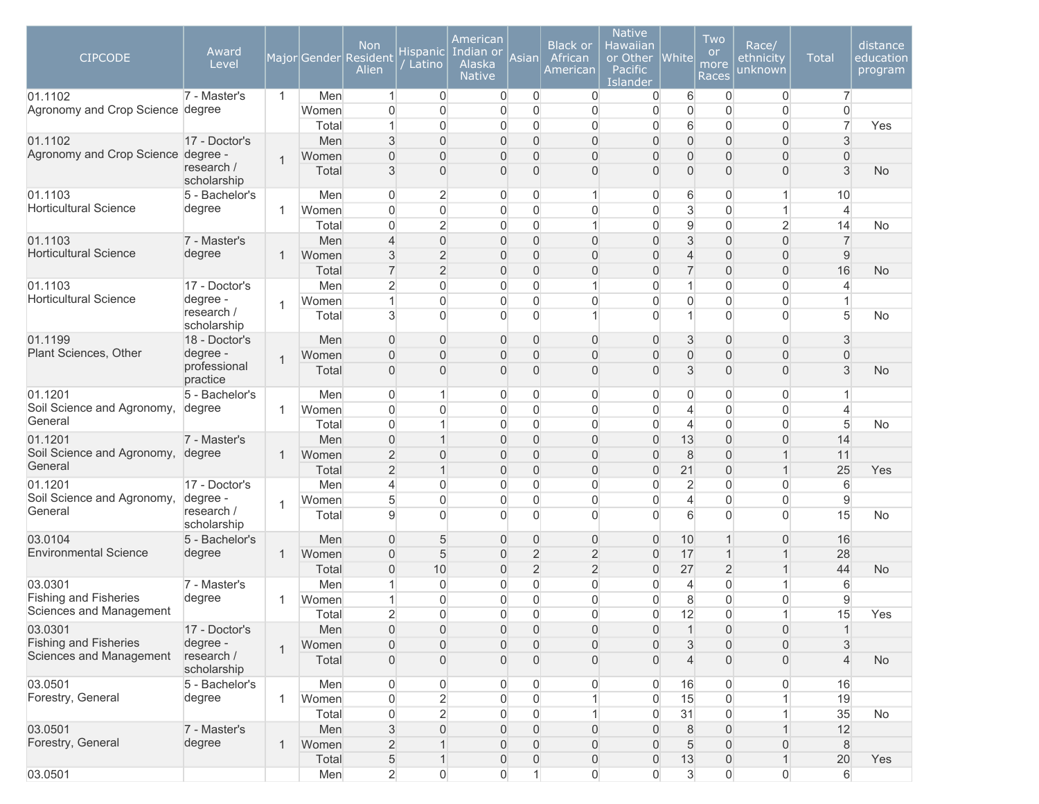| <b>CIPCODE</b>                                | Award<br>Level            |                |                | <b>Non</b><br>Major Gender Resident<br>Alien | Hispanic<br>Latino       | American<br>Indian or<br>Alaska<br><b>Native</b> | Asian                            | <b>Black or</b><br>African<br>American | <b>Native</b><br>Hawaiian<br>or Other<br>Pacific<br>Islander | <b>White</b>                     | Two<br><b>or</b><br>more<br>Races | Race/<br>ethnicity<br>unknown    | <b>Total</b>     | distance<br>education<br>program |
|-----------------------------------------------|---------------------------|----------------|----------------|----------------------------------------------|--------------------------|--------------------------------------------------|----------------------------------|----------------------------------------|--------------------------------------------------------------|----------------------------------|-----------------------------------|----------------------------------|------------------|----------------------------------|
| 01.1102                                       | 7 - Master's              | $\mathbf{1}$   | Men            | $\mathbf{1}$                                 | $\overline{0}$           | $\overline{0}$                                   | 0                                | 0                                      | 0                                                            | 6                                | $\overline{0}$                    | 0                                | $\overline{7}$   |                                  |
| Agronomy and Crop Science degree              |                           |                | Women          | $\Omega$                                     | $\mathbf{0}$             | $\overline{0}$                                   | $\mathbf 0$                      | $\overline{0}$                         | $\mathbf 0$                                                  | $\overline{0}$                   | $\mathbf{0}$                      | $\Omega$                         | $\overline{0}$   |                                  |
|                                               |                           |                | Total          |                                              | $\mathbf{0}$             | 0                                                | $\overline{0}$                   | $\overline{0}$                         | $\overline{0}$                                               | 6                                | $\mathbf{0}$                      | $\overline{0}$                   | $\overline{7}$   | Yes                              |
| 01.1102<br>Agronomy and Crop Science degree - | 17 - Doctor's             |                | Men            | 3                                            | $\mathbf{0}$<br>$\Omega$ | 0                                                | $\overline{0}$                   | $\overline{0}$                         | $\overline{0}$<br>$\overline{0}$                             | $\overline{0}$                   | $\overline{0}$                    | $\overline{0}$                   | 3                |                                  |
|                                               | research /<br>scholarship | $\overline{1}$ | Women<br>Total | $\Omega$<br>3                                | $\Omega$                 | 0<br>0                                           | $\overline{0}$<br>$\overline{0}$ | 0<br>0                                 | $\overline{0}$                                               | $\overline{0}$<br>$\overline{0}$ | $\overline{0}$<br>$\Omega$        | $\overline{0}$<br>$\overline{0}$ | $\Omega$<br>3    | <b>No</b>                        |
| 01.1103                                       | 5 - Bachelor's            |                | Men            | 0                                            | $\overline{2}$           | 0                                                | 0                                | 1                                      | 0                                                            | 6                                | 0                                 | $\mathbf{1}$                     | 10               |                                  |
| <b>Horticultural Science</b>                  | degree                    | 1              | Women          | $\Omega$                                     | $\mathbf 0$              | $\overline{0}$                                   | $\overline{0}$                   | $\overline{0}$                         | $\overline{0}$                                               | 3                                | $\overline{0}$                    | $\mathbf{1}$                     | $\overline{4}$   |                                  |
|                                               |                           |                | Total          | $\Omega$                                     | $\overline{2}$           | $\Omega$                                         | $\overline{0}$                   | 1                                      | $\overline{0}$                                               | $\mathsf g$                      | $\overline{0}$                    | $\overline{2}$                   | 14               | No                               |
| 01.1103                                       | 7 - Master's              |                | Men            | 4                                            | $\mathbf 0$              | $\mathbf{0}$                                     | $\overline{0}$                   | $\overline{0}$                         | $\overline{0}$                                               | $\mathfrak{S}$                   | $\overline{0}$                    | $\overline{0}$                   | $\overline{7}$   |                                  |
| <b>Horticultural Science</b>                  | degree                    | 1              | Women          | 3                                            | $\overline{2}$           | 0                                                | $\overline{0}$                   | 0                                      | $\overline{0}$                                               | $\overline{\mathcal{L}}$         | $\overline{0}$                    | 0                                | $\overline{9}$   |                                  |
|                                               |                           |                | Total          | $\overline{7}$                               | $\overline{2}$           | $\overline{0}$                                   | $\overline{0}$                   | 0                                      | $\overline{0}$                                               | $\overline{7}$                   | $\overline{0}$                    | $\overline{0}$                   | 16               | <b>No</b>                        |
| 01.1103                                       | 17 - Doctor's             |                | Men            | $\overline{2}$                               | $\overline{0}$           | $\overline{0}$                                   | 0                                | 1                                      | $\overline{0}$                                               | $\mathbf{1}$                     | $\overline{0}$                    | $\overline{0}$                   | 4                |                                  |
| <b>Horticultural Science</b>                  | degree -                  |                | Women          |                                              | $\mathbf 0$              | 0                                                | $\overline{0}$                   | $\mathbf 0$                            | $\mathbf 0$                                                  | $\mathbf 0$                      | $\mathbf 0$                       | $\overline{0}$                   |                  |                                  |
|                                               | research /<br>scholarship | 1              | Total          | $\mathbf{3}$                                 | $\Omega$                 | $\Omega$                                         | $\overline{0}$                   | $\mathbf{1}$                           | $\overline{0}$                                               | $\mathbf{1}$                     | $\Omega$                          | $\Omega$                         | 5                | <b>No</b>                        |
| 01.1199                                       | 18 - Doctor's             |                | Men            | $\overline{0}$                               | $\mathbf{0}$             | 0                                                | $\overline{0}$                   | $\overline{0}$                         | $\overline{0}$                                               | 3                                | $\overline{0}$                    | $\overline{0}$                   | 3                |                                  |
| Plant Sciences, Other                         | degree -                  | 1              | Women          | $\Omega$                                     | $\Omega$                 | 0                                                | $\overline{0}$                   | 0                                      | $\overline{0}$                                               | $\overline{0}$                   | $\Omega$                          | $\overline{0}$                   | $\overline{0}$   |                                  |
|                                               | professional<br>practice  |                | Total          | $\overline{0}$                               | $\mathbf{0}$             | 0                                                | 0                                | 0                                      | $\Omega$                                                     | 3                                | $\Omega$                          | $\overline{0}$                   | 3                | <b>No</b>                        |
| 01.1201                                       | 5 - Bachelor's            |                | Men            | $\overline{0}$                               | $\overline{1}$           | $\overline{0}$                                   | 0                                | $\overline{0}$                         | $\overline{0}$                                               | 0                                | $\overline{0}$                    | $\overline{0}$                   | $\overline{1}$   |                                  |
| Soil Science and Agronomy,                    | degree                    | 1              | Women          | $\Omega$                                     | $\mathbf{0}$             | $\overline{0}$                                   | 0                                | $\overline{0}$                         | $\overline{0}$                                               | 4                                | $\overline{0}$                    | $\overline{0}$                   | 4                |                                  |
| General                                       |                           |                | Total          | $\Omega$                                     | 1                        | $\overline{0}$                                   | $\overline{0}$                   | $\overline{0}$                         | $\overline{0}$                                               | $\overline{4}$                   | $\mathbf{0}$                      | $\overline{0}$                   | 5                | <b>No</b>                        |
| 01.1201                                       | 7 - Master's              |                | Men            | $\Omega$                                     | $\overline{1}$           | 0                                                | $\overline{0}$                   | $\overline{0}$                         | $\overline{0}$                                               | 13                               | $\Omega$                          | $\overline{0}$                   | 14               |                                  |
| Soil Science and Agronomy,                    | degree                    | $\mathbf 1$    | Women          | $\overline{2}$                               | $\Omega$                 | 0                                                | $\overline{0}$                   | 0                                      | $\overline{0}$                                               | 8                                | $\overline{0}$                    | $\mathbf{1}$                     | 11               |                                  |
| General                                       |                           |                | Total          | $\overline{2}$                               | $\overline{1}$           | 0                                                | $\overline{0}$                   | 0                                      | $\overline{0}$                                               | 21                               | $\overline{0}$                    | $\mathbf{1}$                     | 25               | Yes                              |
| 01.1201                                       | 17 - Doctor's             |                | Men            | 4                                            | $\mathbf{0}$             | $\overline{0}$                                   | $\overline{0}$                   | $\overline{0}$                         | $\overline{0}$                                               | $\overline{2}$                   | $\mathbf{0}$                      | $\overline{0}$                   | 6                |                                  |
| Soil Science and Agronomy,                    | degree -                  | $\mathbf 1$    | Women          | 5                                            | $\overline{0}$           | $\overline{0}$                                   | $\mathbf 0$                      | $\overline{0}$                         | $\mathbf 0$                                                  | $\overline{4}$                   | $\overline{0}$                    | $\overline{0}$                   | $\overline{9}$   |                                  |
| General                                       | research /<br>scholarship |                | Total          | $\overline{9}$                               | $\Omega$                 | $\Omega$                                         | $\Omega$                         | $\overline{0}$                         | $\overline{0}$                                               | 6                                | $\Omega$                          | $\overline{0}$                   | 15               | <b>No</b>                        |
| 03.0104                                       | 5 - Bachelor's            |                | Men            | $\overline{0}$                               | 5                        | 0                                                | 0                                | 0                                      | $\overline{0}$                                               | 10                               |                                   | 0                                | 16               |                                  |
| <b>Environmental Science</b>                  | degree                    | 1              | Women          | $\overline{0}$                               | $\sqrt{5}$               | 0                                                | $\overline{2}$                   | $\overline{2}$                         | $\boldsymbol{0}$                                             | 17                               |                                   | $\mathbf{1}$                     | 28               |                                  |
|                                               |                           |                | Total          | $\overline{0}$                               | 10                       | 0                                                | $\overline{2}$                   | $\overline{2}$                         | $\overline{0}$                                               | 27                               | $\overline{2}$                    | $\mathbf{1}$                     | 44               | <b>No</b>                        |
| 03.0301                                       | 7 - Master's              |                | Men            |                                              | $\mathbf 0$              | 0                                                | $\overline{0}$                   | $\overline{0}$                         | $\overline{0}$                                               | 4                                | 0                                 | $\mathbf{1}$                     | 6                |                                  |
| <b>Fishing and Fisheries</b>                  | degree                    | 1              | Women          |                                              | $\mathbf{0}$             | 0                                                | $\overline{0}$                   | $\overline{0}$                         | $\overline{0}$                                               | 8                                | $\mathbf{0}$                      | $\mathbf 0$                      | 9                |                                  |
| Sciences and Management                       |                           |                | Total          | $\overline{c}$                               | 0                        | 0                                                | 0                                | 0                                      | 0                                                            | 12                               | 0                                 | $\mathbf{1}$                     | 15               | Yes                              |
| 03.0301                                       | 17 - Doctor's             |                | Men            | $\overline{0}$                               | $\overline{0}$           | 0                                                | $\overline{0}$                   | $\mathsf{O}\xspace$                    | $\overline{0}$                                               | 1                                | $\overline{0}$                    | 0                                | $\overline{1}$   |                                  |
| <b>Fishing and Fisheries</b>                  | degree -                  | $\mathbf{1}$   | Women          | $\overline{0}$                               | $\overline{0}$           | 0                                                | 0                                | 0                                      | $\overline{0}$                                               | 3                                | $\overline{0}$                    | 0                                | 3                |                                  |
| Sciences and Management                       | research /<br>scholarship |                | Total          | $\overline{0}$                               | $\overline{0}$           | 0                                                | 0                                | 0                                      | $\overline{0}$                                               | $\overline{4}$                   | $\overline{0}$                    | 0                                | $\overline{4}$   | <b>No</b>                        |
| 03.0501                                       | 5 - Bachelor's            |                | Men            | $\overline{0}$                               | $\overline{0}$           | 0                                                | 0                                | 0                                      | $\overline{0}$                                               | 16                               | 0                                 | 0                                | 16               |                                  |
| Forestry, General                             | degree                    | 1              | Women          | $\overline{0}$                               | $\overline{2}$           | 0                                                | 0                                | 1                                      | $\overline{0}$                                               | 15                               | $\overline{0}$                    | $\mathbf{1}$                     | 19               |                                  |
|                                               |                           |                | Total          | $\overline{0}$                               | $\overline{2}$           | $\overline{0}$                                   | 0                                | $\mathbf{1}$                           | 0                                                            | 31                               | $\overline{0}$                    | $\mathbf{1}$                     | 35               | No                               |
| 03.0501                                       | 7 - Master's              |                | Men            | $\mathbf{3}$                                 | $\overline{0}$           | 0                                                | $\overline{0}$                   | $\overline{0}$                         | $\overline{0}$                                               | 8                                | $\overline{0}$                    | $\mathbf{1}$                     | 12               |                                  |
| Forestry, General                             | degree                    | $\mathbf 1$    | Women          | $\overline{2}$                               |                          | 0                                                | 0                                | 0                                      | $\overline{0}$                                               | 5                                | $\overline{0}$                    | 0                                | $\,8\,$          |                                  |
|                                               |                           |                | Total          | 5                                            | $\mathbf 1$              | 0                                                | 0                                | $\mathsf{O}\xspace$                    | $\mathsf{O}\xspace$                                          | 13                               | $\mathbf 0$                       | $\mathbf{1}$                     | 20               | Yes                              |
| 03.0501                                       |                           |                | Men            | $\overline{2}$                               | $\boldsymbol{0}$         | 0                                                | $\mathbf{1}$                     | 0                                      | $\boldsymbol{0}$                                             | $\sqrt{3}$                       | $\mathsf{O}\xspace$               | $\boldsymbol{0}$                 | $6 \overline{6}$ |                                  |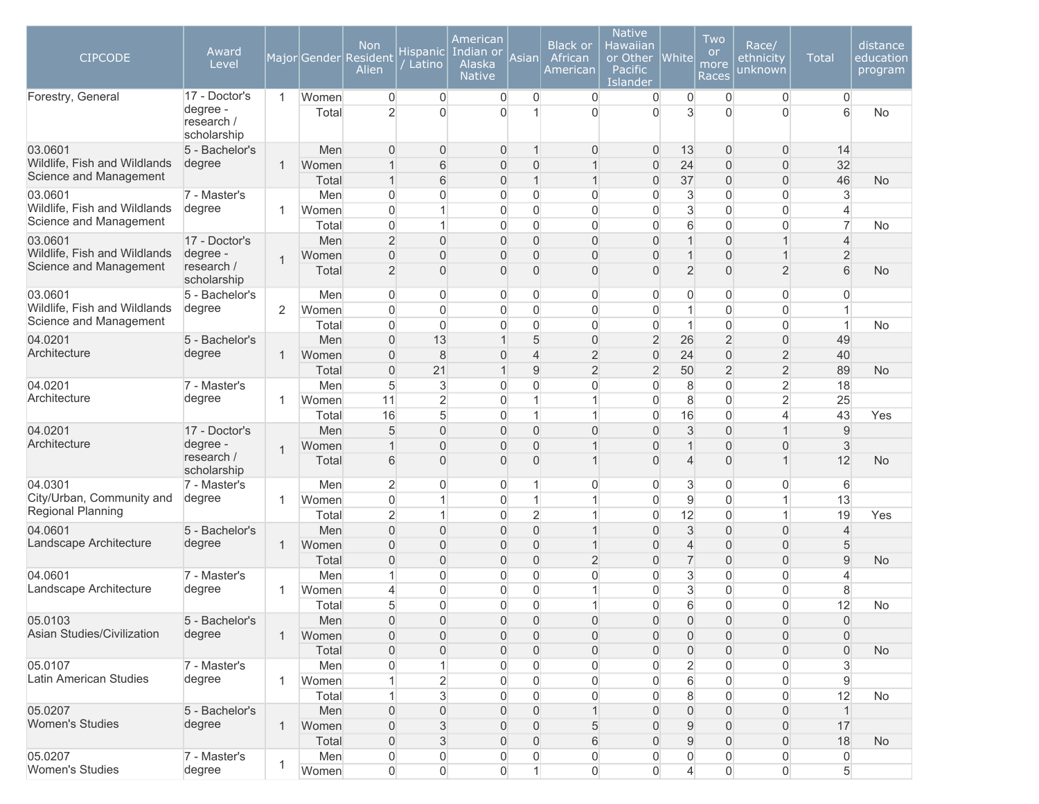| <b>CIPCODE</b>                                                    | Award<br>Level                                         |                |                       | <b>Non</b><br>Major Gender Resident<br>Alien             | Hispanic<br>Latino                                 | American<br>Indian or<br>Alaska<br><b>Native</b> | Asian                                              | <b>Black or</b><br>African<br>American             | <b>Native</b><br>Hawaiian<br>or Other<br>Pacific<br>Islander | <b>White</b>                                      | Two<br><b>or</b><br>more<br>Races                  | Race/<br>ethnicity<br>unknown                                     | <b>Total</b>                                   | distance<br>education<br>program |
|-------------------------------------------------------------------|--------------------------------------------------------|----------------|-----------------------|----------------------------------------------------------|----------------------------------------------------|--------------------------------------------------|----------------------------------------------------|----------------------------------------------------|--------------------------------------------------------------|---------------------------------------------------|----------------------------------------------------|-------------------------------------------------------------------|------------------------------------------------|----------------------------------|
| Forestry, General                                                 | 17 - Doctor's<br>degree -<br>research /<br>scholarship | $\mathbf{1}$   | Women<br>Total        | $\overline{0}$<br>$\overline{2}$                         | $\boldsymbol{0}$<br>$\Omega$                       | $\boldsymbol{0}$<br>$\Omega$                     | 0<br>1                                             | $\boldsymbol{0}$<br>$\mathbf{0}$                   | 0<br>$\Omega$                                                | 0<br>3                                            | $\overline{0}$<br>$\Omega$                         | $\overline{0}$<br>$\Omega$                                        | $\mathbf 0$<br>6                               | <b>No</b>                        |
| 03.0601<br>Wildlife, Fish and Wildlands<br>Science and Management | 5 - Bachelor's<br>degree                               | $\mathbf 1$    | Men<br>Women<br>Total | $\Omega$<br>$\mathbf 1$<br>$\mathbf{1}$                  | $\overline{0}$<br>6<br>6                           | 0<br>0<br>0                                      | 1<br>$\overline{0}$<br>1                           | $\overline{0}$<br>1<br>1                           | $\overline{0}$<br>$\overline{0}$<br>0                        | 13<br>24<br>37                                    | 0<br>0<br>$\Omega$                                 | $\overline{0}$<br>0<br>$\boldsymbol{0}$                           | 14<br>32<br>46                                 | <b>No</b>                        |
| 03.0601<br>Wildlife, Fish and Wildlands<br>Science and Management | 7 - Master's<br>degree                                 | -1             | Men<br>Women<br>Total | $\Omega$<br>$\Omega$<br>$\Omega$                         | 0<br>1<br>1                                        | 0<br>0<br>0                                      | 0<br>$\overline{0}$<br>$\overline{0}$              | $\overline{0}$<br>0<br>$\mathbf 0$                 | $\overline{0}$<br>$\mathbf 0$<br>$\mathbf 0$                 | 3<br>3<br>6                                       | 0<br>$\overline{0}$<br>$\overline{0}$              | $\overline{0}$<br>$\overline{0}$<br>$\overline{0}$                | 3<br>$\overline{4}$<br>$\overline{7}$          | No                               |
| 03.0601<br>Wildlife, Fish and Wildlands<br>Science and Management | 17 - Doctor's<br>degree -<br>research /<br>scholarship | $\overline{1}$ | Men<br>Women<br>Total | $\overline{2}$<br>$\overline{0}$<br>$\overline{2}$       | $\overline{0}$<br>$\overline{0}$<br>$\overline{0}$ | 0<br>0<br>$\overline{0}$                         | $\overline{0}$<br>$\overline{0}$<br>$\overline{0}$ | 0<br>0<br>0                                        | $\overline{0}$<br>$\overline{0}$<br>$\overline{0}$           | $\mathbf{1}$<br>$\mathbf 1$<br>$\overline{2}$     | 0<br>$\overline{0}$<br>$\overline{0}$              | $\mathbf{1}$<br>$\mathbf{1}$<br>$\overline{2}$                    | $\overline{4}$<br>$\overline{2}$<br>6          | <b>No</b>                        |
| 03.0601<br>Wildlife, Fish and Wildlands<br>Science and Management | 5 - Bachelor's<br>degree                               | $\overline{2}$ | Men<br>Women<br>Total | $\overline{0}$<br>$\Omega$<br>$\overline{0}$             | 0<br>$\mathbf{0}$<br>$\mathbf 0$                   | 0<br>0<br>0                                      | 0<br>$\mathbf 0$<br>0                              | 0<br>$\mathbf 0$<br>$\overline{0}$                 | 0<br>$\mathbf 0$<br>$\mathbf 0$                              | 0<br>1<br>1                                       | 0<br>0<br>0                                        | 0<br>$\overline{0}$<br>$\overline{0}$                             | $\overline{0}$<br>$\mathbf{1}$<br>$\mathbf{1}$ | No                               |
| 04.0201<br>Architecture                                           | 5 - Bachelor's<br>degree                               | $\mathbf 1$    | Men<br>Women<br>Total | $\Omega$<br>$\Omega$<br>$\overline{0}$                   | 13<br>8<br>21                                      | $\overline{0}$<br>$\overline{1}$                 | 5<br>$\overline{4}$<br>9                           | $\overline{0}$<br>$\overline{2}$<br>$\overline{2}$ | $\overline{2}$<br>$\mathbf 0$<br>$\overline{2}$              | 26<br>24<br>50                                    | $\overline{2}$<br>$\overline{0}$<br>$\overline{2}$ | $\boldsymbol{0}$<br>$\overline{2}$<br>$\overline{2}$              | 49<br>40<br>89                                 | <b>No</b>                        |
| 04.0201<br>Architecture                                           | 7 - Master's<br>degree                                 | -1             | Men<br>Women<br>Total | 5<br>11<br>16                                            | 3<br>$\overline{2}$<br>5                           | $\Omega$<br>0<br>0                               | 0<br>1<br>1                                        | 0<br>1<br>1                                        | $\mathbf 0$<br>$\overline{0}$<br>$\overline{0}$              | 8<br>8<br>16                                      | $\overline{0}$<br>$\overline{0}$<br>$\overline{0}$ | $\overline{c}$<br>$\overline{2}$<br>$\overline{\mathbf{4}}$       | 18<br>25<br>43                                 | Yes                              |
| 04.0201<br>Architecture                                           | 17 - Doctor's<br>degree -<br>research /<br>scholarship | $\overline{1}$ | Men<br>Women<br>Total | 5<br>6                                                   | $\mathbf{0}$<br>$\mathbf{0}$<br>$\overline{0}$     | 0<br>0<br>$\Omega$                               | $\overline{0}$<br>$\overline{0}$<br>$\overline{0}$ | 0<br>$\overline{1}$<br>$\overline{1}$              | $\Omega$<br>$\overline{0}$<br>$\overline{0}$                 | $\sqrt{3}$<br>$\mathbf 1$<br>$\overline{4}$       | $\overline{0}$<br>$\overline{0}$<br>$\overline{0}$ | $\mathbf{1}$<br>$\overline{0}$<br>$\mathbf{1}$                    | 9<br>$\mathfrak{S}$<br>12                      | <b>No</b>                        |
| 04.0301<br>City/Urban, Community and<br>Regional Planning         | 7 - Master's<br>degree                                 | 1              | Men<br>Women<br>Total | $\overline{2}$<br>$\overline{0}$<br>$\overline{2}$       | $\mathbf 0$<br>1<br>$\mathbf{1}$                   | 0<br>0<br>0                                      | 1<br>1<br>$\overline{2}$                           | 0<br>1<br>$\mathbf{1}$                             | $\overline{0}$<br>$\overline{0}$<br>0                        | 3<br>$\mathsf g$<br>12                            | $\overline{0}$<br>0<br>0                           | $\overline{0}$<br>$\mathbf{1}$<br>$\mathbf{1}$                    | 6<br>13<br>19                                  | Yes                              |
| 04.0601<br>Landscape Architecture                                 | 5 - Bachelor's<br>degree                               | $\mathbf 1$    | Men<br>Women<br>Total | $\Omega$<br>$\overline{0}$<br>$\overline{0}$             | $\overline{0}$<br>$\overline{0}$<br>$\overline{0}$ | 0<br>0<br>0                                      | $\mathbf 0$<br>$\mathbf 0$<br>$\overline{0}$       | $\mathbf 1$<br>$\mathbf{1}$<br>$\overline{2}$      | $\overline{0}$<br>$\overline{0}$<br>$\overline{0}$           | $\sqrt{3}$<br>$\overline{4}$<br>$\overline{7}$    | $\overline{0}$<br>$\overline{0}$<br>$\overline{0}$ | $\overline{0}$<br>$\mathbf 0$<br>$\mathbf 0$                      | $\overline{4}$<br>5<br>9                       | <b>No</b>                        |
| 04.0601<br>Landscape Architecture                                 | 7 - Master's<br>degree                                 | -1             | Men<br>Women<br>Total | -1<br>$\overline{4}$<br>5                                | 0<br>$\mathbf 0$<br>$\Omega$                       | 0<br>0<br>$\overline{0}$                         | 0<br>0<br>$\overline{0}$                           | $\overline{0}$<br>1<br>$\mathbf{1}$                | $\overline{0}$<br>$\overline{0}$<br>$\overline{0}$           | 3<br>3<br>6                                       | 0<br>$\Omega$<br>$\Omega$                          | $\overline{0}$<br>$\boldsymbol{0}$<br>$\overline{0}$              | $\overline{4}$<br>8<br>12                      | No                               |
| 05.0103<br>Asian Studies/Civilization                             | 5 - Bachelor's<br>degree                               | $\mathbf{1}$   | Men<br>Women<br>Total | $\overline{0}$<br>$\Omega$<br>$\overline{0}$             | $\mathbf 0$<br>$\mathbf 0$<br>$\mathbf 0$          | 0<br>0<br>0                                      | 0<br>$\overline{0}$<br>$\overline{0}$              | 0<br>0<br>0                                        | 0<br>$\overline{0}$<br>$\overline{0}$                        | $\mathbf 0$<br>$\overline{0}$<br>$\boldsymbol{0}$ | 0<br>$\overline{0}$<br>0                           | $\mathbf 0$<br>$\overline{0}$<br>$\boldsymbol{0}$                 | $\mathbf{0}$<br>$\mathbf 0$<br>$\overline{0}$  | <b>No</b>                        |
| 05.0107<br>Latin American Studies                                 | 7 - Master's<br>degree                                 | $\mathbf{1}$   | Men<br>Women<br>Total | 0                                                        | 1<br>$\overline{2}$<br>$\mathbf{3}$                | 0<br>0<br>0                                      | 0<br>$\mathsf{O}\xspace$<br>0                      | 0<br>0<br>0                                        | $\overline{0}$<br>$\overline{0}$<br>0                        | $\overline{2}$<br>$\,$ 6 $\,$<br>8                | 0<br>0<br>0                                        | $\mathsf{O}\xspace$<br>$\mathsf{O}\xspace$<br>$\mathsf{O}\xspace$ | 3<br>$9\,$<br>12                               | No                               |
| 05.0207<br><b>Women's Studies</b>                                 | 5 - Bachelor's<br>degree                               | $\mathbf{1}$   | Men<br>Women<br>Total | $\boldsymbol{0}$<br>$\boldsymbol{0}$<br>$\boldsymbol{0}$ | $\mathbf 0$<br>$\sqrt{3}$<br>$\sqrt{3}$            | 0<br>0<br>0                                      | 0<br>0<br>0                                        | $\mathbf{1}$<br>5<br>6                             | $\overline{0}$<br>$\overline{0}$<br>$\overline{0}$           | $\boldsymbol{0}$<br>$9\,$<br>$9\,$                | 0<br>0<br>0                                        | $\boldsymbol{0}$<br>$\mathsf{O}\xspace$<br>$\boldsymbol{0}$       | $\vert$<br>17<br>18                            | <b>No</b>                        |
| 05.0207<br>Women's Studies                                        | 7 - Master's<br>degree                                 | 1              | Men<br>Women          | 0<br>$\overline{0}$                                      | $\mathsf{O}\xspace$<br>$\boldsymbol{0}$            | 0<br>$\overline{0}$                              | 0<br>$\mathbf{1}$                                  | 0<br>$\overline{0}$                                | 0<br>$\boldsymbol{0}$                                        | $\mathsf{O}\xspace$<br>$\overline{4}$             | 0<br>$\overline{0}$                                | $\boldsymbol{0}$<br>$\mathsf{O}\xspace$                           | $\boldsymbol{0}$<br>5                          |                                  |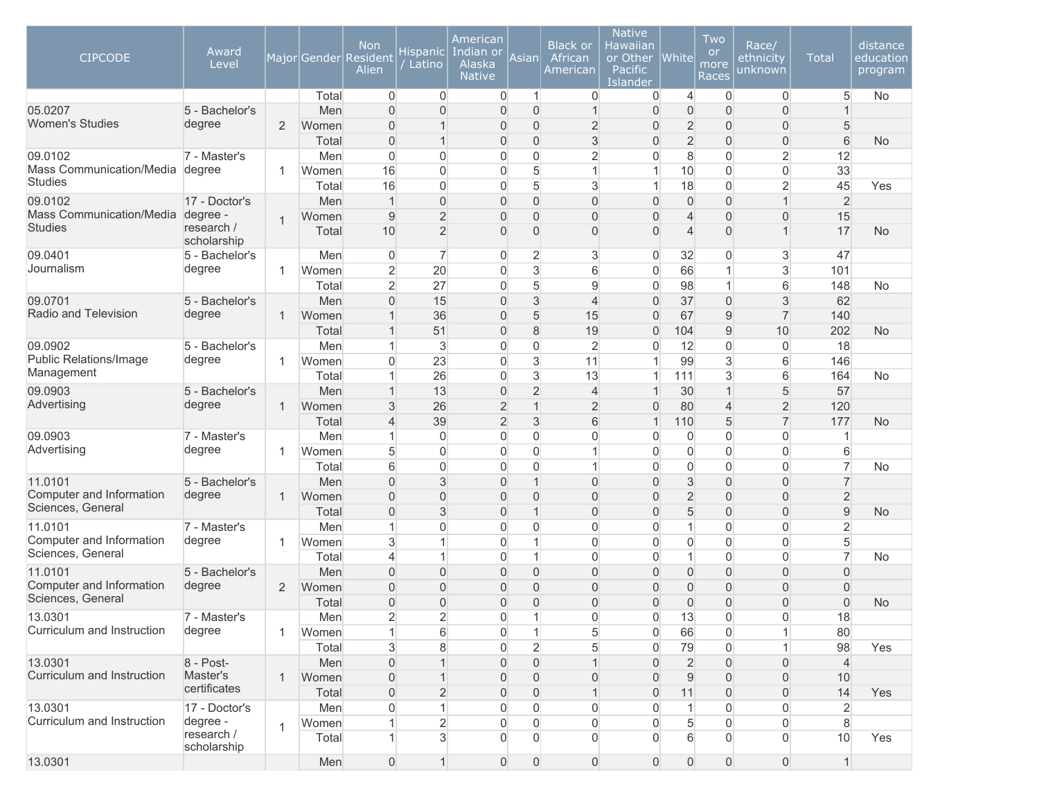| <b>CIPCODE</b>                      | Award<br>Level            |                |                | <b>Non</b><br>Major Gender Resident<br>Alien | <b>Hispanic</b><br>Latino        | American<br>Indian or<br>Alaska<br><b>Native</b> | Asian                   | <b>Black or</b><br>African<br>American | <b>Native</b><br>Hawaiian<br>or Other<br>Pacific<br>Islander | <b>White</b>         | Two<br><b>or</b><br>more<br>Races | Race/<br>ethnicity<br>unknown    | <b>Total</b>         | distance<br>education<br>program |
|-------------------------------------|---------------------------|----------------|----------------|----------------------------------------------|----------------------------------|--------------------------------------------------|-------------------------|----------------------------------------|--------------------------------------------------------------|----------------------|-----------------------------------|----------------------------------|----------------------|----------------------------------|
|                                     |                           |                | Total          | $\overline{0}$                               | $\overline{0}$                   | $\overline{0}$                                   | 1                       | $\overline{0}$                         | $\overline{0}$                                               | $\overline{4}$       | $\overline{0}$                    | $\overline{0}$                   | 5                    | <b>No</b>                        |
| 05.0207                             | 5 - Bachelor's            |                | Men            | $\Omega$                                     | $\overline{0}$                   | $\overline{0}$                                   | 0                       | $\overline{1}$                         | $\overline{0}$                                               | $\overline{0}$       | $\Omega$                          | $\overline{0}$                   |                      |                                  |
| <b>Women's Studies</b>              | degree                    | 2              | Women          | $\Omega$                                     | $\mathbf{1}$                     | $\overline{0}$                                   | 0                       | $\overline{2}$                         | $\overline{0}$                                               | $\overline{2}$       | $\Omega$                          | $\overline{0}$                   | 5                    |                                  |
|                                     |                           |                | Total          | $\overline{0}$                               | $\mathbf{1}$                     | $\overline{0}$                                   | 0                       | 3                                      | $\overline{0}$                                               | $\overline{2}$       | $\Omega$                          | $\overline{0}$                   | 6                    | <b>No</b>                        |
| 09.0102<br>Mass Communication/Media | 7 - Master's              |                | Men            | $\Omega$                                     | $\overline{0}$                   | $\overline{0}$                                   | 0                       | $\overline{2}$                         | $\overline{0}$                                               | 8                    | $\overline{0}$                    | $\overline{2}$                   | 12                   |                                  |
| <b>Studies</b>                      | degree                    | 1              | Women          | 16                                           | $\overline{0}$<br>$\overline{0}$ | $\overline{0}$                                   | 5<br>5                  | $\mathbf{1}$                           | $\mathbf{1}$                                                 | 10                   | $\overline{0}$                    | $\overline{0}$                   | 33                   |                                  |
| 09.0102                             | 17 - Doctor's             |                | Total<br>Men   | 16<br>$\overline{1}$                         | $\overline{0}$                   | $\overline{0}$<br>$\mathbf 0$                    | 0                       | $\mathbf{3}$<br>$\overline{0}$         | $\mathbf{1}$<br>$\overline{0}$                               | 18<br>$\overline{0}$ | $\overline{0}$<br>$\overline{0}$  | $\overline{2}$<br>$\mathbf{1}$   | 45<br>$\overline{2}$ | Yes                              |
| Mass Communication/Media            | degree -                  |                |                | 9                                            | $\overline{2}$                   | $\overline{0}$                                   | 0                       | 0                                      | $\overline{0}$                                               | $\overline{4}$       | $\overline{0}$                    | 0                                | 15                   |                                  |
| <b>Studies</b>                      | research /                | $\overline{1}$ | Women<br>Total | 10                                           | $\overline{2}$                   | $\overline{0}$                                   | 0                       | $\overline{0}$                         | $\overline{0}$                                               | $\overline{4}$       | $\overline{0}$                    | $\mathbf{1}$                     | 17                   | <b>No</b>                        |
|                                     | scholarship               |                |                |                                              |                                  |                                                  |                         |                                        |                                                              |                      |                                   |                                  |                      |                                  |
| 09.0401                             | 5 - Bachelor's            |                | Men            | $\overline{0}$                               | $\overline{7}$                   | $\overline{0}$                                   | $\overline{\mathbf{c}}$ | 3                                      | 0                                                            | 32                   | 0                                 | 3                                | 47                   |                                  |
| Journalism                          | degree                    | 1              | Women          | $\overline{2}$                               | 20                               | $\overline{0}$                                   | 3                       | 6                                      | $\mathsf{O}\xspace$                                          | 66                   |                                   | 3                                | 101                  |                                  |
|                                     |                           |                | Total          | $\overline{2}$                               | 27                               | 0                                                | 5                       | $\overline{9}$                         | $\overline{0}$                                               | 98                   | 1                                 | 6                                | 148                  | No                               |
| 09.0701                             | 5 - Bachelor's            |                | Men            | $\Omega$                                     | 15                               | $\Omega$                                         | 3                       | $\overline{4}$                         | $\overline{0}$                                               | 37                   | $\overline{0}$                    | 3                                | 62                   |                                  |
| Radio and Television                | degree                    | 1              | Women          |                                              | 36                               | $\Omega$                                         | 5                       | 15                                     | $\overline{0}$                                               | 67                   | 9                                 | $\overline{7}$                   | 140                  |                                  |
|                                     |                           |                | Total          | 1                                            | 51                               | $\overline{0}$                                   | 8                       | 19                                     | $\overline{0}$                                               | 104                  | 9                                 | 10                               | 202                  | <b>No</b>                        |
| 09.0902                             | 5 - Bachelor's            |                | Men            | 1                                            | 3                                | $\overline{0}$                                   | 0                       | $\overline{2}$                         | $\overline{0}$                                               | 12                   | $\overline{0}$                    | $\overline{0}$                   | 18                   |                                  |
| Public Relations/Image              | degree                    | 1              | Women          | $\overline{0}$                               | 23                               | $\overline{0}$                                   | 3                       | 11                                     | $\mathbf{1}$                                                 | 99                   | 3                                 | 6                                | 146                  |                                  |
| Management                          |                           |                | Total          |                                              | 26                               | $\overline{0}$                                   | 3                       | 13                                     | $\mathbf{1}$                                                 | 111                  | 3                                 | 6                                | 164                  | No                               |
| 09.0903                             | 5 - Bachelor's            |                | Men            |                                              | 13                               | $\overline{0}$                                   | $\overline{2}$          | $\overline{4}$                         | $\mathbf 1$                                                  | 30                   |                                   | 5                                | 57                   |                                  |
| Advertising                         | degree                    | 1              | Women          | 3                                            | 26                               | $\overline{2}$                                   | $\mathbf{1}$            | $\overline{2}$                         | $\overline{0}$                                               | 80                   | 4                                 | $\overline{2}$                   | 120                  |                                  |
|                                     |                           |                | Total          | 4                                            | 39                               | $\overline{2}$                                   | 3                       | 6                                      | $\mathbf{1}$                                                 | 110                  | 5                                 | $\overline{7}$                   | 177                  | No                               |
| 09.0903                             | 7 - Master's              |                | Men            | 1                                            | $\overline{0}$                   | $\overline{0}$                                   | 0                       | $\overline{0}$                         | $\overline{0}$                                               | 0                    | $\overline{0}$                    | $\overline{0}$                   | 1                    |                                  |
| Advertising                         | degree                    | 1              | Women          | 5                                            | $\overline{0}$                   | $\overline{0}$                                   | 0                       | 1                                      | $\mathbf 0$                                                  | $\mathbf 0$          | 0                                 | $\overline{0}$                   | 6                    |                                  |
|                                     |                           |                | Total          | 6                                            | $\overline{0}$                   | $\overline{0}$                                   | 0<br>$\overline{1}$     | 1                                      | $\overline{0}$                                               | $\overline{0}$       | $\overline{0}$                    | $\overline{0}$                   | $\overline{7}$       | <b>No</b>                        |
| 11.0101<br>Computer and Information | 5 - Bachelor's<br>degree  |                | Men            | $\overline{0}$                               | 3                                | $\overline{0}$                                   |                         | $\overline{0}$                         | $\overline{0}$                                               | 3                    | $\overline{0}$                    | $\overline{0}$                   | $\overline{7}$       |                                  |
| Sciences, General                   |                           | 1              | Women          | $\mathbf{0}$<br>$\mathbf{0}$                 | $\overline{0}$<br>3              | $\overline{0}$<br>$\overline{0}$                 | 0<br>$\mathbf 1$        | 0                                      | $\overline{0}$<br>$\overline{0}$                             | $\overline{2}$<br>5  | $\Omega$<br>$\Omega$              | $\overline{0}$<br>$\overline{0}$ | $\overline{2}$<br>9  |                                  |
| 11.0101                             | 7 - Master's              |                | Total<br>Men   | 1                                            | $\mathbf{0}$                     | $\overline{0}$                                   | 0                       | 0<br>$\overline{0}$                    | $\overline{0}$                                               | 1                    | $\overline{0}$                    | $\overline{0}$                   | $\overline{2}$       | No                               |
| Computer and Information            | degree                    | 1              | Women          | 3                                            | 1                                | $\overline{0}$                                   | 1                       | $\overline{0}$                         | $\overline{0}$                                               | 0                    | $\overline{0}$                    | $\overline{0}$                   | 5                    |                                  |
| Sciences, General                   |                           |                | Total          | $\overline{4}$                               | 1                                | $\overline{0}$                                   | 1                       | $\overline{0}$                         | $\overline{0}$                                               | $\mathbf{1}$         | $\overline{0}$                    | $\overline{0}$                   | $\overline{7}$       | No                               |
| 11.0101                             | 5 - Bachelor's            |                | Men            | $\Omega$                                     | $\overline{0}$                   | $\overline{0}$                                   | $\overline{0}$          | $\overline{0}$                         | $\overline{0}$                                               | $\overline{0}$       | 0                                 | $\overline{0}$                   | $\Omega$             |                                  |
| Computer and Information            | degree                    | 2              | Women          | $\overline{0}$                               | $\overline{0}$                   | $\overline{0}$                                   | 0                       | 0                                      | $\overline{0}$                                               | $\overline{0}$       | 0                                 | 0                                | $\overline{0}$       |                                  |
| Sciences, General                   |                           |                | Total          | $\overline{0}$                               | $\overline{0}$                   | $\overline{0}$                                   | 0                       | 0                                      | $\overline{0}$                                               | $\boldsymbol{0}$     | 0                                 | 0                                | $\overline{0}$       | No                               |
| 13.0301                             | 7 - Master's              |                | Men            | $\overline{c}$                               | $\overline{c}$                   | 0                                                | $\mathbf{1}$            | $\boldsymbol{0}$                       | 0                                                            | 13                   | $\boldsymbol{0}$                  | $\mathsf{O}\xspace$              | 18                   |                                  |
| Curriculum and Instruction          | degree                    | 1              | Women          | 1                                            | 6                                | 0                                                | $\mathbf{1}$            | 5                                      | $\mathsf{O}\xspace$                                          | 66                   | 0                                 | $\mathbf{1}$                     | 80                   |                                  |
|                                     |                           |                | Total          | 3                                            | 8                                | $\overline{0}$                                   | $\overline{2}$          | 5                                      | $\overline{0}$                                               | 79                   | 0                                 | $\mathbf{1}$                     | 98                   | Yes                              |
| 13.0301                             | 8 - Post-                 |                | Men            | $\overline{0}$                               |                                  | $\overline{0}$                                   | 0                       | 1                                      | $\overline{0}$                                               | $\overline{2}$       | 0                                 | $\overline{0}$                   | $\overline{4}$       |                                  |
| Curriculum and Instruction          | Master's                  | 1              | Women          | 0                                            | $\overline{1}$                   | $\mathbf 0$                                      | 0                       | 0                                      | $\overline{0}$                                               | $9\,$                | 0                                 | 0                                | 10                   |                                  |
|                                     | certificates              |                | Total          | $\mathbf 0$                                  | $\overline{2}$                   | $\overline{0}$                                   | 0                       | $\mathbf{1}$                           | $\overline{0}$                                               | 11                   | 0                                 | 0                                | 14                   | Yes                              |
| 13.0301                             | 17 - Doctor's             |                | Men            | 0                                            | $\mathbf{1}$                     | 0                                                | $\overline{0}$          | $\overline{0}$                         | 0                                                            | $\mathbf{1}$         | 0                                 | 0                                | 2                    |                                  |
| Curriculum and Instruction          | degree -                  | $\mathbf{1}$   | Women          |                                              | $\overline{2}$                   | $\boldsymbol{0}$                                 | 0                       | $\overline{0}$                         | $\overline{0}$                                               | 5                    | 0                                 | 0                                | 8                    |                                  |
|                                     | research /<br>scholarship |                | Total          |                                              | 3                                | $\overline{0}$                                   | 0                       | $\overline{0}$                         | $\Omega$                                                     | $6\overline{6}$      | $\Omega$                          | $\overline{0}$                   | 10                   | Yes                              |
| 13.0301                             |                           |                | Men            | $\overline{0}$                               | $\mathbf{1}$                     | $\overline{0}$                                   | 0                       | $\boldsymbol{0}$                       | $\boldsymbol{0}$                                             | $\mathsf{O}\xspace$  | 0                                 | $\boldsymbol{0}$                 | $\mathbf{1}$         |                                  |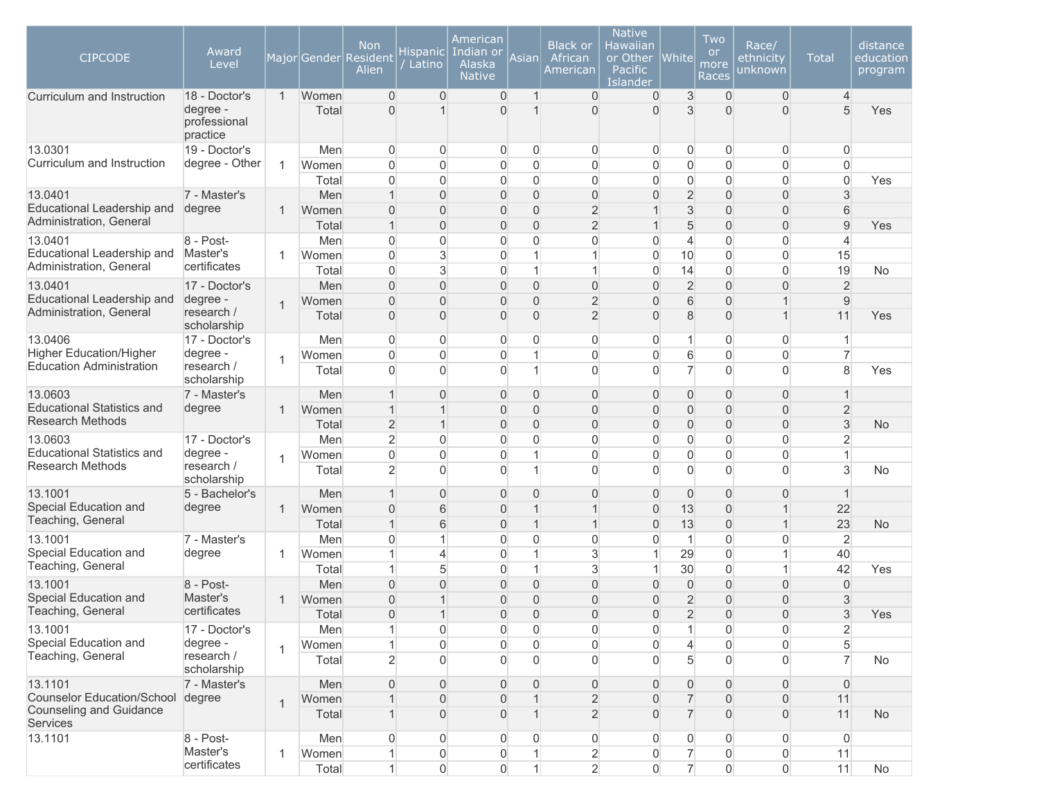| <b>CIPCODE</b><br>Curriculum and Instruction | Award<br>Level<br>18 - Doctor's      | $\overline{1}$ | Women | <b>Non</b><br>Major Gender Resident<br>Alien<br>$\Omega$ | Hispanic <br>Latino<br>$\mathbf{0}$ | American<br>Indian or<br>Alaska<br><b>Native</b><br>$\overline{0}$ | Asian<br>1     | <b>Black or</b><br>African<br>American<br>$\overline{0}$ | <b>Native</b><br>Hawaiian<br>or Other<br>Pacific<br><b>Islander</b><br>$\overline{0}$ | White<br>3       | Two<br><b>or</b><br>more<br>Races<br>$\Omega$ | Race/<br>ethnicity<br>unknown<br>$\overline{0}$ | <b>Total</b><br>$\overline{4}$ | distance<br>education<br>program |
|----------------------------------------------|--------------------------------------|----------------|-------|----------------------------------------------------------|-------------------------------------|--------------------------------------------------------------------|----------------|----------------------------------------------------------|---------------------------------------------------------------------------------------|------------------|-----------------------------------------------|-------------------------------------------------|--------------------------------|----------------------------------|
|                                              | degree -<br>professional<br>practice |                | Total | $\Omega$                                                 |                                     | $\Omega$                                                           | $\mathbf{1}$   | $\Omega$                                                 | $\Omega$                                                                              | 3                | $\Omega$                                      | $\Omega$                                        | 5                              | Yes                              |
| 13.0301                                      | 19 - Doctor's                        |                | Men   | $\overline{0}$                                           | 0                                   | 0                                                                  | $\overline{0}$ | 0                                                        | $\overline{0}$                                                                        | $\overline{0}$   | $\overline{0}$                                | $\overline{0}$                                  | $\mathbf{0}$                   |                                  |
| Curriculum and Instruction                   | degree - Other                       | -1             | Women | $\overline{0}$                                           | $\overline{0}$                      | $\overline{0}$                                                     | 0              | $\overline{0}$                                           | $\overline{0}$                                                                        | $\overline{0}$   | $\Omega$                                      | $\overline{0}$                                  | $\Omega$                       |                                  |
|                                              |                                      |                | Total | $\overline{0}$                                           | $\overline{0}$                      | $\overline{0}$                                                     | 0              | $\overline{0}$                                           | $\overline{0}$                                                                        | $\overline{0}$   | $\overline{0}$                                | $\overline{0}$                                  | $\Omega$                       | Yes                              |
| 13.0401                                      | 7 - Master's                         |                | Men   | 1                                                        | $\overline{0}$                      | $\overline{0}$                                                     | $\mathbf 0$    | $\overline{0}$                                           | $\mathbf{0}$                                                                          | $\overline{2}$   | $\overline{0}$                                | $\overline{0}$                                  | 3                              |                                  |
| Educational Leadership and                   | degree                               | $\mathbf{1}$   | Women | $\Omega$                                                 | $\Omega$                            | $\overline{0}$                                                     | $\overline{0}$ | $\overline{2}$                                           | $\mathbf 1$                                                                           | $\mathsf 3$      | $\Omega$                                      | $\overline{0}$                                  | 6                              |                                  |
| Administration, General                      |                                      |                | Total | $\mathbf{1}$                                             | $\overline{0}$                      | $\overline{0}$                                                     | $\overline{0}$ | $\overline{2}$                                           | $\mathbf{1}$                                                                          | 5                | $\Omega$                                      | $\overline{0}$                                  | $\overline{9}$                 | Yes                              |
| 13.0401                                      | 8 - Post-                            |                | Men   | $\overline{0}$                                           | $\overline{0}$                      | 0                                                                  | 0              | $\mathsf{O}\xspace$                                      | $\overline{0}$                                                                        | $\overline{4}$   | $\overline{0}$                                | $\mathsf{O}\xspace$                             | $\overline{4}$                 |                                  |
| Educational Leadership and                   | Master's                             | -1             | Women | $\overline{0}$                                           | 3                                   | 0                                                                  | $\mathbf{1}$   | $\mathbf{1}$                                             | $\boldsymbol{0}$                                                                      | 10               | $\Omega$                                      | $\overline{0}$                                  | 15                             |                                  |
| Administration, General                      | certificates                         |                | Total | $\overline{0}$                                           | 3                                   | $\overline{0}$                                                     | $\mathbf{1}$   | $\mathbf{1}$                                             | $\boldsymbol{0}$                                                                      | 14               | 0                                             | $\overline{0}$                                  | 19                             | No                               |
| 13.0401                                      | 17 - Doctor's                        |                | Men   | $\overline{0}$                                           | $\overline{0}$                      | $\overline{0}$                                                     | $\mathbf 0$    | $\mathsf{O}\xspace$                                      | $\mathbf{0}$                                                                          | $\overline{2}$   | $\overline{0}$                                | $\overline{0}$                                  | $\overline{2}$                 |                                  |
| Educational Leadership and                   | degree -                             | $\overline{1}$ | Women | $\Omega$                                                 | $\overline{0}$                      | $\overline{0}$                                                     | $\overline{0}$ | $\overline{2}$                                           | $\overline{0}$                                                                        | 6                | $\Omega$                                      | $\mathbf{1}$                                    | 9                              |                                  |
| Administration, General                      | research /<br>scholarship            |                | Total | $\overline{0}$                                           | $\Omega$                            | $\overline{0}$                                                     | $\Omega$       | $\overline{2}$                                           | $\Omega$                                                                              | 8                | 0                                             | $\mathbf{1}$                                    | 11                             | Yes                              |
| 13.0406                                      | 17 - Doctor's                        |                | Men   | $\overline{0}$                                           | $\mathbf{0}$                        | $\overline{0}$                                                     | $\Omega$       | $\mathbf{0}$                                             | $\overline{0}$                                                                        | $\mathbf{1}$     | $\Omega$                                      | $\overline{0}$                                  | 1                              |                                  |
| <b>Higher Education/Higher</b>               | degree -                             | $\overline{1}$ | Women | $\overline{0}$                                           | $\mathbf{0}$                        | $\overline{0}$                                                     | $\mathbf{1}$   | $\mathbf{0}$                                             | $\mathbf 0$                                                                           | 6                | $\overline{0}$                                | $\overline{0}$                                  | $\overline{7}$                 |                                  |
| <b>Education Administration</b>              | research /<br>scholarship            |                | Total | $\Omega$                                                 | $\Omega$                            | $\overline{0}$                                                     | 1              | $\overline{0}$                                           | $\overline{0}$                                                                        | $\overline{7}$   | $\overline{0}$                                | $\overline{0}$                                  | 8                              | Yes                              |
| 13.0603                                      | 7 - Master's                         |                | Men   | $\mathbf{1}$                                             | $\Omega$                            | $\mathbf 0$                                                        | $\Omega$       | $\overline{0}$                                           | $\mathbf{0}$                                                                          | $\overline{0}$   | 0                                             | $\overline{0}$                                  | 1                              |                                  |
| <b>Educational Statistics and</b>            | degree                               | -1             | Women | 1                                                        | 1                                   | $\mathbf 0$                                                        | $\overline{0}$ | $\mathsf{O}\xspace$                                      | $\mathbf{0}$                                                                          | $\mathbf{0}$     | 0                                             | $\overline{0}$                                  | $\overline{c}$                 |                                  |
| <b>Research Methods</b>                      |                                      |                | Total | $\overline{2}$                                           | 1                                   | $\overline{0}$                                                     | $\overline{0}$ | $\overline{0}$                                           | $\mathbf{0}$                                                                          | $\boldsymbol{0}$ | $\overline{0}$                                | $\overline{0}$                                  | 3                              | No                               |
| 13.0603                                      | 17 - Doctor's                        |                | Men   | $\overline{2}$                                           | $\overline{0}$                      | $\overline{0}$                                                     | 0              | $\overline{0}$                                           | $\overline{0}$                                                                        | 0                | $\overline{0}$                                | $\overline{0}$                                  | $\overline{2}$                 |                                  |
| <b>Educational Statistics and</b>            | degree -                             | $\overline{1}$ | Women | $\overline{0}$                                           | $\mathbf{0}$                        | $\overline{0}$                                                     | $\mathbf{1}$   | $\overline{0}$                                           | $\mathbf 0$                                                                           | $\overline{0}$   | $\overline{0}$                                | $\overline{0}$                                  | 1                              |                                  |
| <b>Research Methods</b>                      | research /<br>scholarship            |                | Total | $\overline{2}$                                           | $\Omega$                            | $\Omega$                                                           | $\mathbf{1}$   | $\mathbf{0}$                                             | $\Omega$                                                                              | $\Omega$         | $\Omega$                                      | $\overline{0}$                                  | 3                              | No                               |
| 13.1001                                      | 5 - Bachelor's                       |                | Men   | 1                                                        | $\Omega$                            | $\overline{0}$                                                     | $\Omega$       | $\overline{0}$                                           | $\mathbf{0}$                                                                          | $\mathbf{0}$     | $\Omega$                                      | $\overline{0}$                                  | $\mathbf 1$                    |                                  |
| Special Education and                        | degree                               | $\mathbf{1}$   | Women | $\overline{0}$                                           | 6                                   | $\overline{0}$                                                     | $\mathbf{1}$   | $\mathbf{1}$                                             | $\mathbf{0}$                                                                          | 13               | 0                                             | $\mathbf{1}$                                    | 22                             |                                  |
| Teaching, General                            |                                      |                | Total | $\mathbf{1}$                                             | 6                                   | $\mathbf 0$                                                        | $\mathbf{1}$   | $\mathbf{1}$                                             | $\mathsf{O}\xspace$                                                                   | 13               | 0                                             | $\mathbf{1}$                                    | 23                             | No                               |
| 13.1001                                      | 7 - Master's                         |                | Men   | $\overline{0}$                                           | 1                                   | 0                                                                  | 0              | $\mathsf{O}\xspace$                                      | $\boldsymbol{0}$                                                                      | $\mathbf{1}$     | $\Omega$                                      | $\overline{0}$                                  | $\overline{2}$                 |                                  |
| Special Education and                        | degree                               | -1             | Women | $\mathbf{1}$                                             | 4                                   | $\overline{0}$                                                     | $\mathbf{1}$   | 3                                                        | $\mathbf{1}$                                                                          | 29               | $\Omega$                                      | $\mathbf{1}$                                    | 40                             |                                  |
| Teaching, General                            |                                      |                | Total | $\mathbf{1}$                                             | 5                                   | $\overline{0}$                                                     | $\mathbf{1}$   | 3                                                        | $\mathbf{1}$                                                                          | 30               | $\mathbf 0$                                   | $\mathbf{1}$                                    | 42                             | Yes                              |
| 13.1001                                      | 8 - Post-                            |                | Men   | $\Omega$                                                 | $\Omega$                            | $\Omega$                                                           | $\overline{0}$ | $\overline{0}$                                           | $\Omega$                                                                              | $\overline{0}$   | $\overline{0}$                                | $\overline{0}$                                  | $\overline{0}$                 |                                  |
| Special Education and                        | Master's                             | $\overline{1}$ | Women | $\Omega$                                                 | 1                                   | $\overline{0}$                                                     | $\overline{0}$ | $\overline{0}$                                           | $\overline{0}$                                                                        | $\overline{2}$   | $\Omega$                                      | $\overline{0}$                                  | 3                              |                                  |
| Teaching, General                            | certificates                         |                | Total | $\overline{0}$                                           | $\mathbf 1$                         | $\overline{0}$                                                     | $\Omega$       | $\Omega$                                                 | $\mathbf{0}$                                                                          | $\overline{2}$   | $\mathbf{0}$                                  | $\overline{0}$                                  | $\mathcal{L}$                  | Yes                              |
| 13.1001                                      | 17 - Doctor's                        |                | Men   | 1                                                        | $\overline{0}$                      | $\overline{0}$                                                     | 0              | 0                                                        | 0                                                                                     | $\mathbf{1}$     | $\overline{0}$                                | 0                                               | $\overline{c}$                 |                                  |
| Special Education and                        | degree -                             | $\overline{1}$ | Women | $\mathbf{1}$                                             | $\overline{0}$                      | $\overline{0}$                                                     | $\overline{0}$ | 0                                                        | $\overline{0}$                                                                        | $\overline{4}$   | $\overline{0}$                                | 0                                               | 5                              |                                  |
| Teaching, General                            | research /<br>scholarship            |                | Total | $\overline{2}$                                           | $\Omega$                            | $\overline{0}$                                                     | $\overline{0}$ | $\overline{0}$                                           | $\overline{0}$                                                                        | 5                | $\Omega$                                      | $\overline{0}$                                  | $\overline{7}$                 | No                               |
| 13.1101                                      | 7 - Master's                         |                | Men   | $\overline{0}$                                           | $\overline{0}$                      | $\mathbf 0$                                                        | 0              | 0                                                        | $\mathbf{0}$                                                                          | $\mathbf 0$      | $\overline{0}$                                | 0                                               | $\mathbf{0}$                   |                                  |
| <b>Counselor Education/School</b>            | degree                               | $\overline{1}$ | Women |                                                          | $\overline{0}$                      | $\overline{0}$                                                     | $\mathbf{1}$   | $\overline{2}$                                           | $\mathbf{0}$                                                                          | $\overline{7}$   | $\Omega$                                      | $\mathsf{O}\xspace$                             | 11                             |                                  |
| Counseling and Guidance<br>Services          |                                      |                | Total |                                                          | $\overline{0}$                      | $\overline{0}$                                                     |                | $\overline{2}$                                           | $\mathbf{0}$                                                                          | $\overline{7}$   | $\Omega$                                      | $\overline{0}$                                  | 11                             | <b>No</b>                        |
| 13.1101                                      | 8 - Post-                            |                | Men   | $\Omega$                                                 | 0                                   | 0                                                                  | $\Omega$       | 0                                                        | $\overline{0}$                                                                        | 0                | $\overline{0}$                                | $\overline{0}$                                  | $\overline{0}$                 |                                  |
|                                              | Master's                             | -1             | Women |                                                          | $\mathsf{O}\xspace$                 | 0                                                                  | $\mathbf{1}$   | $\overline{2}$                                           | $\overline{0}$                                                                        | $\overline{7}$   | $\overline{0}$                                | 0                                               | 11                             |                                  |
|                                              | certificates                         |                | Total | $\mathbf{1}$                                             | $\overline{0}$                      | $\overline{0}$                                                     | $\mathbf{1}$   | $\overline{2}$                                           | $\overline{0}$                                                                        | $\overline{7}$   | $\overline{0}$                                | $\mathsf{O}\xspace$                             | 11                             | <b>No</b>                        |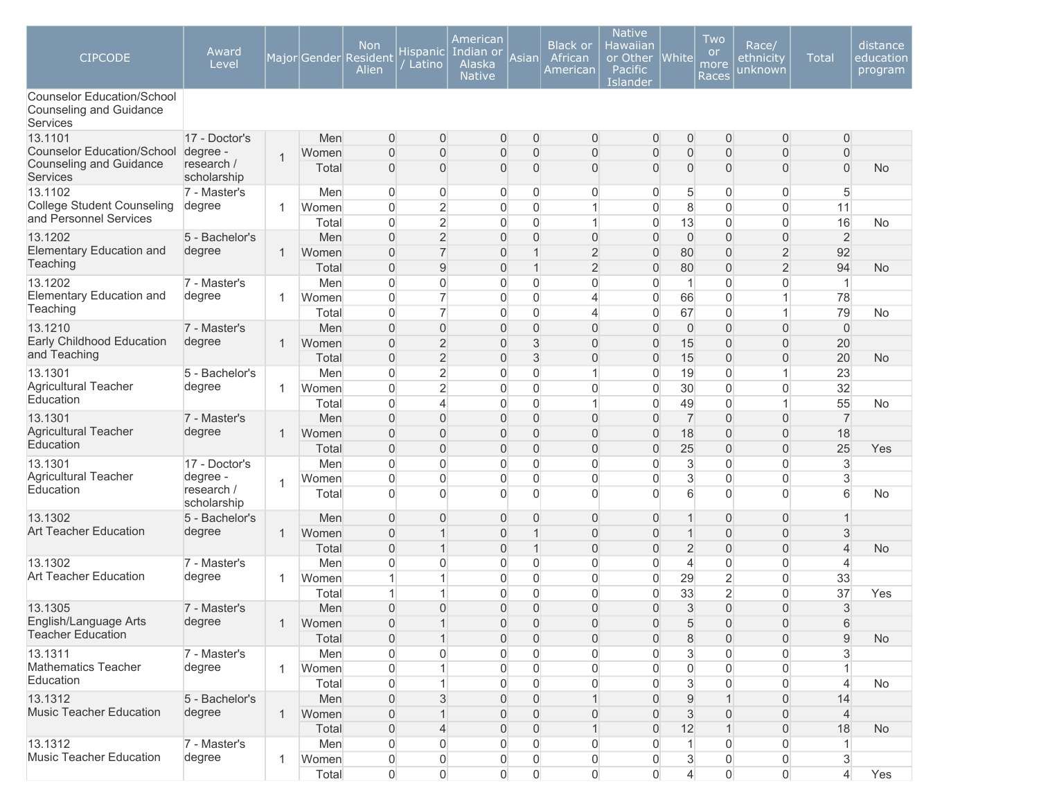| <b>CIPCODE</b>                                                                  | Award<br>Level            |              |                | <b>Non</b><br>Major Gender Resident<br>Alien | Hispanic<br>Latino                 | American<br>Indian or<br>Alaska<br><b>Native</b> | Asian               | <b>Black or</b><br>African<br>American | <b>Native</b><br>Hawaiian<br>or Other<br><b>Pacific</b><br>Islander | <b>White</b>                  | Two<br><b>or</b><br>more<br>Races | Race/<br>ethnicity<br><u>un</u> known | <b>Total</b>        | distance<br>education<br>program |
|---------------------------------------------------------------------------------|---------------------------|--------------|----------------|----------------------------------------------|------------------------------------|--------------------------------------------------|---------------------|----------------------------------------|---------------------------------------------------------------------|-------------------------------|-----------------------------------|---------------------------------------|---------------------|----------------------------------|
| <b>Counselor Education/School</b><br>Counseling and Guidance<br><b>Services</b> |                           |              |                |                                              |                                    |                                                  |                     |                                        |                                                                     |                               |                                   |                                       |                     |                                  |
| 13.1101                                                                         | 17 - Doctor's             |              | Men            | $\mathbf{0}$                                 | 0                                  | $\mathbf 0$                                      | 0                   | $\overline{0}$                         | $\overline{0}$                                                      | 0                             | 0                                 | $\overline{0}$                        | 0                   |                                  |
| <b>Counselor Education/School</b><br><b>Counseling and Guidance</b>             | degree -<br>research /    | $\mathbf{1}$ | Women<br>Total | $\mathbf 0$<br>$\mathbf 0$                   | $\boldsymbol{0}$<br>0              | $\mathbf 0$<br>$\mathbf 0$                       | $\overline{0}$<br>0 | $\mathbf{0}$<br>$\mathbf{0}$           | $\overline{0}$<br>$\overline{0}$                                    | $\mathbf 0$<br>$\overline{0}$ | $\overline{0}$<br>0               | $\overline{0}$<br>$\overline{0}$      | 0<br>$\overline{0}$ | No                               |
| <b>Services</b>                                                                 | scholarship               |              |                |                                              |                                    |                                                  |                     |                                        |                                                                     |                               |                                   |                                       |                     |                                  |
| 13.1102                                                                         | 7 - Master's              |              | Men            | $\overline{0}$                               | 0                                  | 0                                                | 0                   | $\mathbf{0}$                           | $\mathbf{0}$                                                        | 5                             | 0                                 | $\mathbf{0}$                          | 5                   |                                  |
| College Student Counseling<br>and Personnel Services                            | degree                    | 1            | Women          | 0                                            | $\overline{2}$                     | 0                                                | 0                   | 1                                      | $\overline{0}$                                                      | 8                             | 0                                 | $\mathbf{0}$                          | 11                  |                                  |
|                                                                                 |                           |              | Total          | $\overline{0}$                               | $\overline{2}$                     | 0                                                | $\Omega$            | 1                                      | $\Omega$                                                            | 13                            | $\overline{0}$                    | $\mathbf{0}$                          | 16                  | <b>No</b>                        |
| 13.1202                                                                         | 5 - Bachelor's            |              | Men            | $\mathbf{0}$                                 | $\overline{2}$                     | $\overline{0}$                                   | $\Omega$            | $\mathbf{0}$                           | $\Omega$                                                            | $\mathbf 0$                   | $\overline{0}$                    | $\overline{0}$                        | $\overline{2}$      |                                  |
| <b>Elementary Education and</b><br>Teaching                                     | degree                    | $\mathbf 1$  | Women          | $\overline{0}$                               | $\overline{7}$                     | $\overline{0}$                                   |                     | $\overline{2}$                         | $\Omega$                                                            | 80                            | $\overline{0}$                    | $\overline{c}$                        | 92                  |                                  |
|                                                                                 |                           |              | Total          | $\overline{0}$                               | 9                                  | $\overline{0}$                                   |                     | $\overline{2}$                         | $\overline{0}$                                                      | 80                            | $\overline{0}$                    | $\overline{c}$                        | 94                  | <b>No</b>                        |
| 13.1202<br>Elementary Education and                                             | 7 - Master's              |              | Men            | $\overline{0}$                               | $\overline{0}$                     | $\overline{0}$                                   | 0                   | $\mathbf 0$                            | $\overline{0}$                                                      | $\mathbf{1}$                  | 0                                 | $\mathbf{0}$                          | $\mathbf{1}$        |                                  |
| Teaching                                                                        | degree                    | 1            | Women          | $\overline{0}$<br>$\overline{0}$             | $\overline{7}$<br>$\overline{7}$   | 0                                                | 0<br>0              | 4                                      | $\overline{0}$                                                      | 66<br>67                      | $\mathbf 0$<br>0                  |                                       | 78                  | <b>No</b>                        |
| 13.1210                                                                         |                           |              | Total          |                                              |                                    | 0                                                | 0                   | 4<br>$\mathbf{0}$                      | $\mathbf{0}$<br>$\overline{0}$                                      |                               | $\overline{0}$                    | $\overline{0}$                        | 79                  |                                  |
| Early Childhood Education                                                       | 7 - Master's<br>degree    | $\mathbf{1}$ | Men<br>Women   | $\mathbf 0$<br>$\overline{0}$                | $\boldsymbol{0}$<br>$\overline{2}$ | $\mathbf 0$<br>$\overline{0}$                    | 3                   | $\mathbf{0}$                           | $\overline{0}$                                                      | $\theta$<br>15                | $\overline{0}$                    | $\overline{0}$                        | $\mathbf 0$<br>20   |                                  |
| and Teaching                                                                    |                           |              | Total          | $\overline{0}$                               | $\overline{2}$                     | $\overline{0}$                                   | 3                   | $\overline{0}$                         | $\overline{0}$                                                      | 15                            | $\overline{0}$                    | $\overline{0}$                        | 20                  | <b>No</b>                        |
| 13.1301                                                                         | 5 - Bachelor's            |              | Men            | $\overline{0}$                               | $\overline{2}$                     | $\overline{0}$                                   | 0                   | 1                                      | $\overline{0}$                                                      | 19                            | 0                                 |                                       | 23                  |                                  |
| Agricultural Teacher                                                            | degree                    | 1            | Women          | 0                                            | $\overline{2}$                     | 0                                                | 0                   | 0                                      | $\overline{0}$                                                      | 30                            | 0                                 | 0                                     | 32                  |                                  |
| Education                                                                       |                           |              | Total          | 0                                            | $\overline{4}$                     | 0                                                | 0                   | 1                                      | $\Omega$                                                            | 49                            | 0                                 |                                       | 55                  | No                               |
| 13.1301                                                                         | 7 - Master's              |              | Men            | $\overline{0}$                               | $\overline{0}$                     | $\overline{0}$                                   | 0                   | $\mathbf{0}$                           | $\overline{0}$                                                      | $\overline{7}$                | $\overline{0}$                    | 0                                     | $\overline{7}$      |                                  |
| <b>Agricultural Teacher</b>                                                     | degree                    | $\mathbf{1}$ | Women          | $\overline{0}$                               | $\overline{0}$                     | $\overline{0}$                                   | $\Omega$            | $\Omega$                               | $\Omega$                                                            | 18                            | $\overline{0}$                    | $\overline{0}$                        | 18                  |                                  |
| Education                                                                       |                           |              | Total          | $\overline{0}$                               | $\overline{0}$                     | $\overline{0}$                                   | $\Omega$            | $\Omega$                               | $\Omega$                                                            | 25                            | $\overline{0}$                    | $\overline{0}$                        | 25                  | Yes                              |
| 13.1301                                                                         | 17 - Doctor's             |              | Men            | $\mathbf 0$                                  | $\overline{0}$                     | 0                                                | 0                   | $\mathbf 0$                            | $\overline{0}$                                                      | 3                             | 0                                 | $\overline{0}$                        | $\mathfrak{S}$      |                                  |
| Agricultural Teacher                                                            | degree -                  |              | Women          | $\mathbf 0$                                  | $\overline{0}$                     | 0                                                | 0                   | $\mathbf 0$                            | $\overline{0}$                                                      | 3                             | 0                                 | $\overline{0}$                        | 3                   |                                  |
| Education                                                                       | research /<br>scholarship | 1            | Total          | $\overline{0}$                               | $\Omega$                           | $\mathbf{0}$                                     | $\overline{0}$      | $\overline{0}$                         | $\Omega$                                                            | 6                             | $\overline{0}$                    | $\Omega$                              | 6                   | <b>No</b>                        |
| 13.1302                                                                         | 5 - Bachelor's            |              | Men            | $\mathbf 0$                                  | $\overline{0}$                     | $\mathbf 0$                                      | $\overline{0}$      | $\mathbf{0}$                           | $\overline{0}$                                                      | 1                             | 0                                 | $\overline{0}$                        | $\mathbf{1}$        |                                  |
| <b>Art Teacher Education</b>                                                    | degree                    | $\mathbf{1}$ | Women          | $\boldsymbol{0}$                             | 1                                  | $\mathbf 0$                                      |                     | $\mathbf{0}$                           | $\overline{0}$                                                      | 1                             | $\overline{0}$                    | 0                                     | $\sqrt{3}$          |                                  |
|                                                                                 |                           |              | Total          | $\mathbf 0$                                  | 1                                  | $\mathsf{O}\xspace$                              | $\mathbf 1$         | $\overline{0}$                         | $\overline{0}$                                                      | $\overline{2}$                | $\overline{0}$                    | 0                                     | $\overline{4}$      | No                               |
| 13.1302                                                                         | 7 - Master's              |              | Men            | $\mathbf{0}$                                 | 0                                  | $\overline{0}$                                   | 0                   | $\Omega$                               | $\Omega$                                                            | 4                             | 0                                 | $\overline{0}$                        | 4                   |                                  |
| <b>Art Teacher Education</b>                                                    | degree                    | 1            | Women          | 1                                            | 1                                  | 0                                                | 0                   | $\mathbf{0}$                           | $\overline{0}$                                                      | 29                            | $\overline{2}$                    | $\overline{0}$                        | 33                  |                                  |
|                                                                                 |                           |              | Total          | 1                                            | 1                                  | 0                                                | $\mathbf{0}$        | $\mathbf{0}$                           | $\overline{0}$                                                      | 33                            | $\overline{2}$                    | $\overline{0}$                        | 37                  | Yes                              |
| 13.1305                                                                         | 7 - Master's              |              | Men            | $\overline{0}$                               | $\Omega$                           | $\overline{0}$                                   | $\Omega$            | $\Omega$                               | $\Omega$                                                            | 3                             | $\overline{0}$                    | $\Omega$                              | 3                   |                                  |
| English/Language Arts                                                           | degree                    | $\mathbf{1}$ | Women          | 0                                            |                                    | $\mathbf 0$                                      | 0                   | $\overline{0}$                         | $\overline{0}$                                                      | 5                             | 0                                 | $\mathbf 0$                           | 6                   |                                  |
| <b>Teacher Education</b>                                                        |                           |              | Total          | $\overline{0}$                               | 1                                  | $\mathsf{O}\xspace$                              | $\Omega$            | $\Omega$                               | $\overline{0}$                                                      | 8                             | $\overline{0}$                    | $\Omega$                              | 9                   | <b>No</b>                        |
| 13.1311                                                                         | 7 - Master's              |              | Men            | $\mathbf 0$                                  | $\overline{0}$                     | 0                                                | 0                   | $\mathbf{0}$                           | $\Omega$                                                            | 3                             | 0                                 | $\overline{0}$                        | 3                   |                                  |
| Mathematics Teacher                                                             | degree                    | $\mathbf{1}$ | Women          | $\mathbf 0$                                  |                                    | 0                                                | 0                   | $\mathbf 0$                            | $\mathbf{0}$                                                        | $\mathsf{O}\xspace$           | 0                                 | 0                                     | $\mathbf{1}$        |                                  |
| Education                                                                       |                           |              | Total          | $\mathbf 0$                                  |                                    | 0                                                | $\overline{0}$      | $\mathbf{0}$                           | $\mathbf{0}$                                                        | $\sqrt{3}$                    | 0                                 | $\mathbf 0$                           | $\overline{4}$      | No                               |
| 13.1312                                                                         | 5 - Bachelor's            |              | Men            | $\mathsf{O}\xspace$                          | 3                                  | $\mathbf 0$                                      | 0                   |                                        | $\overline{0}$                                                      | $\hbox{9}$                    |                                   | 0                                     | 14                  |                                  |
| <b>Music Teacher Education</b>                                                  | degree                    | $\mathbf{1}$ | Women          | $\mathsf{O}\xspace$                          | 1                                  | $\mathbf 0$                                      | 0                   | $\overline{0}$                         | $\overline{0}$                                                      | 3                             | 0                                 | 0                                     | $\overline{4}$      |                                  |
|                                                                                 |                           |              | Total          | $\mathsf{O}\xspace$                          | $\overline{4}$                     | $\mathsf{O}\xspace$                              | 0                   | 1                                      | $\overline{0}$                                                      | 12                            | 1                                 | $\mathbf{0}$                          | 18                  | No                               |
| 13.1312                                                                         | 7 - Master's              |              | Men            | 0                                            | 0                                  | 0                                                | 0                   | $\overline{0}$                         | $\Omega$                                                            |                               | 0                                 | 0                                     |                     |                                  |
| Music Teacher Education                                                         | degree                    | $\mathbf{1}$ | Women          | $\boldsymbol{0}$                             | 0                                  | 0                                                | 0                   | $\mathbf 0$                            | 0                                                                   | $\ensuremath{\mathsf{3}}$     | 0                                 | 0                                     | $\sqrt{3}$          |                                  |
|                                                                                 |                           |              | Total          | $\overline{0}$                               | $\overline{0}$                     | $\mathsf{O}\xspace$                              | $\overline{0}$      | $\overline{0}$                         | $\overline{0}$                                                      | $\overline{4}$                | 0                                 | $\overline{0}$                        | $\overline{4}$      | Yes                              |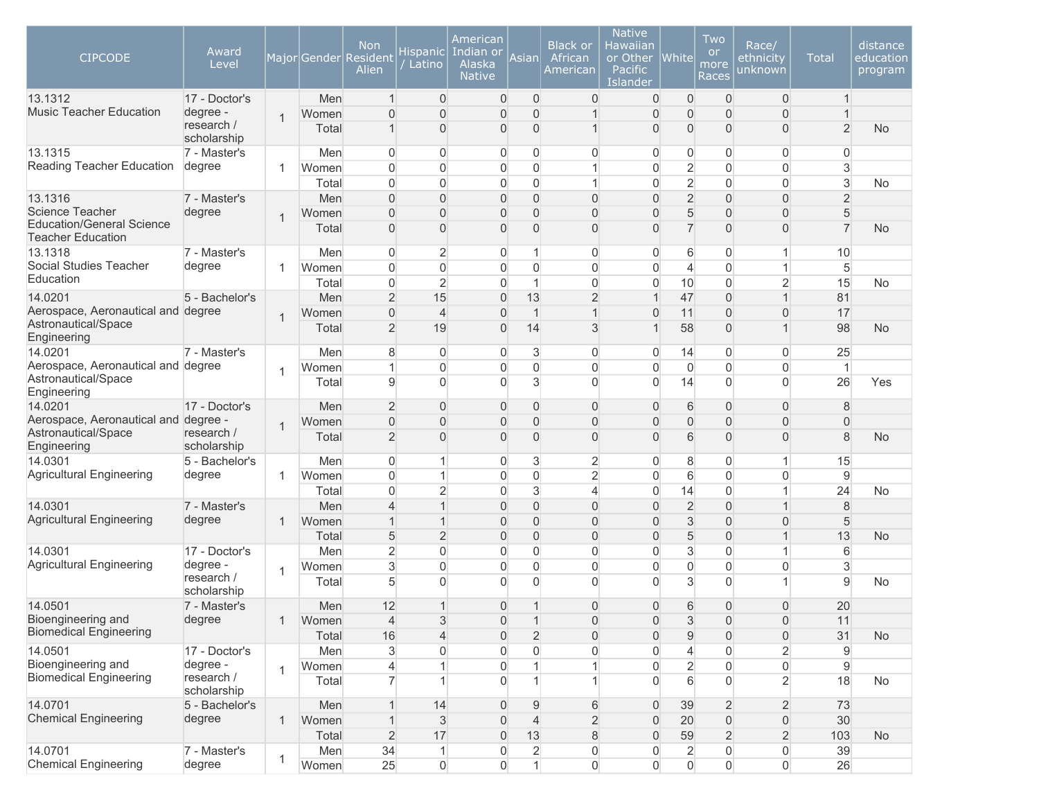| <b>CIPCODE</b>                                               | Award<br>Level            |                |       | Non<br>Major Gender Resident<br>Alien | <b>Hispanic</b><br>Latino | American<br>Indian or<br>Alaska<br><b>Native</b> | Asianl         | <b>Black or</b><br>African<br>American | <b>Native</b><br>Hawaiian<br>or Other<br>Pacific<br>Islander | $ {\sf White} $ | Two<br><b>or</b><br>more<br>Races | Race/<br>ethnicity<br>unknown | <b>Total</b>   | distance<br>education<br>program |
|--------------------------------------------------------------|---------------------------|----------------|-------|---------------------------------------|---------------------------|--------------------------------------------------|----------------|----------------------------------------|--------------------------------------------------------------|-----------------|-----------------------------------|-------------------------------|----------------|----------------------------------|
| 13.1312                                                      | 17 - Doctor's             |                | Men   | -1                                    | $\overline{0}$            | $\mathbf 0$                                      | 0              | $\mathbf 0$                            | 0                                                            | 0               | $\overline{0}$                    | 0                             |                |                                  |
| <b>Music Teacher Education</b>                               | degree -<br>research /    | $\overline{1}$ | Women | $\mathbf{0}$                          | $\overline{0}$            | $\mathbf 0$                                      | $\overline{0}$ |                                        | $\boldsymbol{0}$                                             | 0               | $\overline{0}$                    | $\overline{0}$                |                |                                  |
|                                                              | scholarship               |                | Total | $\mathbf 1$                           | 0                         | $\mathbf{0}$                                     | $\overline{0}$ |                                        | $\overline{0}$                                               | 0               | $\overline{0}$                    | $\overline{0}$                | $\overline{2}$ | <b>No</b>                        |
| 13.1315                                                      | 7 - Master's              |                | Men   | $\overline{0}$                        | 0                         | $\overline{0}$                                   | $\overline{0}$ | 0                                      | $\overline{0}$                                               | 0               | $\overline{0}$                    | 0                             | 0              |                                  |
| Reading Teacher Education                                    | degree                    | $\mathbf 1$    | Women | $\overline{0}$                        | $\mathbf 0$               | $\overline{0}$                                   | $\overline{0}$ | 1                                      | $\mathbf 0$                                                  | $\overline{2}$  | $\overline{0}$                    | 0                             | 3              |                                  |
|                                                              |                           |                | Total | $\overline{0}$                        | 0                         | $\overline{0}$                                   | $\overline{0}$ |                                        | $\mathsf{O}\xspace$                                          | $\overline{2}$  | $\overline{0}$                    | 0                             | $\mathfrak{S}$ | No                               |
| 13.1316                                                      | 7 - Master's              |                | Men   | $\Omega$                              | $\overline{0}$            | $\overline{0}$                                   | $\overline{0}$ | $\overline{0}$                         | $\overline{0}$                                               | $\overline{2}$  | $\Omega$                          | $\overline{0}$                | $\overline{2}$ |                                  |
| <b>Science Teacher</b>                                       | degree                    | $\overline{1}$ | Women | $\mathbf{0}$                          | 0                         | $\mathbf{0}$                                     | 0              | $\overline{0}$                         | $\overline{0}$                                               | 5               | $\Omega$                          | 0                             | 5              |                                  |
| <b>Education/General Science</b><br><b>Teacher Education</b> |                           |                | Total | $\mathbf{0}$                          | 0                         | $\mathbf 0$                                      | 0              | $\overline{0}$                         | $\overline{0}$                                               | $\overline{7}$  | $\mathbf{0}$                      | 0                             | $\overline{7}$ | <b>No</b>                        |
| 13.1318                                                      | 7 - Master's              |                | Men   | $\overline{0}$                        | $\overline{c}$            | $\overline{0}$                                   | 1              | 0                                      | 0                                                            | 6               | $\overline{0}$                    | 1                             | 10             |                                  |
| Social Studies Teacher<br>Education                          | degree                    | 1              | Women | $\Omega$                              | 0                         | $\mathbf 0$                                      | $\overline{0}$ | $\overline{0}$                         | $\mathbf 0$                                                  | 4               | $\overline{0}$                    | 1                             | 5              |                                  |
|                                                              |                           |                | Total | $\overline{0}$                        | $\overline{2}$            | $\overline{0}$                                   | $\mathbf{1}$   | $\overline{0}$                         | $\overline{0}$                                               | 10              | $\overline{0}$                    | $\overline{2}$                | 15             | <b>No</b>                        |
| 14.0201                                                      | 5 - Bachelor's            |                | Men   | $\overline{2}$                        | 15                        | $\mathbf 0$                                      | 13             | $\overline{2}$                         | $\mathbf{1}$                                                 | 47              | $\overline{0}$                    | 1                             | 81             |                                  |
| Aerospace, Aeronautical and degree<br>Astronautical/Space    |                           | $\mathbf{1}$   | Women | $\mathbf{0}$                          | $\overline{4}$            | $\overline{0}$                                   | $\mathbf{1}$   | 1                                      | $\overline{0}$                                               | 11              | $\mathbf{0}$                      | $\overline{0}$                | 17             |                                  |
| Engineering                                                  |                           |                | Total | $\overline{2}$                        | 19                        | $\overline{0}$                                   | 14             | 3                                      | $\mathbf 1$                                                  | 58              | $\Omega$                          | 1                             | 98             | <b>No</b>                        |
| 14.0201                                                      | 7 - Master's              |                | Men   | 8                                     | 0                         | $\overline{0}$                                   | 3              | $\overline{0}$                         | $\overline{0}$                                               | 14              | $\overline{0}$                    | $\overline{0}$                | 25             |                                  |
| Aerospace, Aeronautical and degree<br>Astronautical/Space    |                           | $\mathbf{1}$   | Women | 1                                     | $\mathbf{0}$              | $\overline{0}$                                   | $\overline{0}$ | $\overline{0}$                         | $\mathbf 0$                                                  | $\overline{0}$  | $\Omega$                          | 0                             | $\mathbf{1}$   |                                  |
| Engineering                                                  |                           |                | Total | 9                                     | $\Omega$                  | $\Omega$                                         | 3              | $\mathbf{0}$                           | $\overline{0}$                                               | 14              | $\Omega$                          | $\overline{0}$                | 26             | Yes                              |
| 14.0201                                                      | 17 - Doctor's             |                | Men   | $\overline{2}$                        | 0                         | $\mathbf 0$                                      | $\overline{0}$ | $\overline{0}$                         | $\overline{0}$                                               | 6               | $\mathbf{0}$                      | $\overline{0}$                | 8              |                                  |
| Aerospace, Aeronautical and degree -<br>Astronautical/Space  | research /                | $\mathbf{1}$   | Women | $\overline{0}$                        | 0                         | $\mathbf 0$                                      | $\overline{0}$ | 0                                      | $\overline{0}$                                               | 0               | $\mathbf{0}$                      | 0                             | $\mathbf 0$    |                                  |
| Engineering                                                  | scholarship               |                | Total | $\overline{2}$                        | 0                         | $\overline{0}$                                   | $\overline{0}$ | $\overline{0}$                         | $\overline{0}$                                               | 6               | $\overline{0}$                    | $\overline{0}$                | 8              | <b>No</b>                        |
| 14.0301                                                      | 5 - Bachelor's            |                | Men   | $\overline{0}$                        | 1                         | $\mathbf 0$                                      | 3              | $\overline{2}$                         | 0                                                            | 8               | $\overline{0}$                    | 1                             | 15             |                                  |
| Agricultural Engineering                                     | degree                    | 1              | Women | $\overline{0}$                        | $\mathbf{1}$              | $\mathbf 0$                                      | $\overline{0}$ | $\overline{2}$                         | $\mathbf 0$                                                  | $\,$ 6 $\,$     | $\overline{0}$                    | 0                             | $\mathsf g$    |                                  |
|                                                              |                           |                | Total | $\overline{0}$                        | $\overline{2}$            | $\mathbf 0$                                      | 3              | $\overline{4}$                         | 0                                                            | 14              | $\overline{0}$                    | 1                             | 24             | <b>No</b>                        |
| 14.0301                                                      | 7 - Master's              |                | Men   | $\overline{4}$                        | $\mathbf{1}$              | $\overline{0}$                                   | $\overline{0}$ | $\overline{0}$                         | $\overline{0}$                                               | $\overline{2}$  | $\mathbf{0}$                      | 1                             | 8              |                                  |
| <b>Agricultural Engineering</b>                              | degree                    | $\mathbf{1}$   | Women | 1                                     | $\mathbf{1}$              | $\overline{0}$                                   | $\overline{0}$ | $\overline{0}$                         | $\overline{0}$                                               | 3               | $\Omega$                          | $\overline{0}$                | $\,$ 5 $\,$    |                                  |
|                                                              |                           |                | Total | 5                                     | $\overline{2}$            | $\overline{0}$                                   | $\mathbf{0}$   | $\overline{0}$                         | $\overline{0}$                                               | 5               | $\mathbf{0}$                      | 1                             | 13             | No                               |
| 14.0301                                                      | 17 - Doctor's             |                | Men   | $\overline{2}$                        | 0                         | $\overline{0}$                                   | $\overline{0}$ | $\overline{0}$                         | $\mathbf 0$                                                  | 3               | $\overline{0}$                    | 1                             | 6              |                                  |
| Agricultural Engineering                                     | degree -<br>research /    | $\mathbf{1}$   | Women | 3                                     | 0                         | $\mathbf 0$                                      | $\overline{0}$ | 0                                      | $\overline{0}$                                               | 0               | $\overline{0}$                    | 0                             | 3              |                                  |
|                                                              | scholarship               |                | Total | 5                                     | 0                         | $\overline{0}$                                   | $\Omega$       | $\mathbf{0}$                           | $\overline{0}$                                               | 3               | $\Omega$                          | 1                             | $\overline{9}$ | No                               |
| 14.0501                                                      | 7 - Master's              |                | Men   | 12                                    | $\mathbf{1}$              | $\overline{0}$                                   | 1              | $\Omega$                               | $\overline{0}$                                               | 6               | $\mathbf{0}$                      | 0                             | 20             |                                  |
| Bioengineering and                                           | degree                    | $\mathbf{1}$   | Women | $\overline{4}$                        | 3                         | $\mathbf 0$                                      | $\mathbf{1}$   | 0                                      | 0                                                            | 3               | $\overline{0}$                    | 0                             | 11             |                                  |
| <b>Biomedical Engineering</b>                                |                           |                | Total | 16                                    | $\overline{\mathcal{L}}$  | $\mathbf 0$                                      | $\overline{2}$ | $\Omega$                               | $\mathbf 0$                                                  | $\overline{9}$  | $\overline{0}$                    | $\overline{0}$                | 31             | <b>No</b>                        |
| 14.0501                                                      | 17 - Doctor's             |                | Men   | $\mathbf{3}$                          | 0                         | $\overline{0}$                                   | $\overline{0}$ | $\overline{0}$                         | $\overline{0}$                                               | $\overline{4}$  | $\overline{0}$                    | $\overline{c}$                | $\mathsf g$    |                                  |
| Bioengineering and                                           | degree -                  | $\mathbf{1}$   | Women | $\overline{4}$                        | $\mathbf{1}$              | $\boldsymbol{0}$                                 |                |                                        | $\boldsymbol{0}$                                             | $\overline{c}$  | $\overline{0}$                    | $\overline{0}$                | $\mathsf g$    |                                  |
| <b>Biomedical Engineering</b>                                | research /<br>scholarship |                | Total | $\overline{7}$                        | $\mathbf{1}$              | $\overline{0}$                                   |                |                                        | $\overline{0}$                                               | $6\overline{6}$ | $\Omega$                          | $\overline{2}$                | 18             | <b>No</b>                        |
| 14.0701                                                      | 5 - Bachelor's            |                | Men   | $\overline{1}$                        | 14                        | $\mathbf 0$                                      | 9              | 6                                      | 0                                                            | 39              | $\overline{2}$                    | $\overline{c}$                | 73             |                                  |
| <b>Chemical Engineering</b>                                  | degree                    | $\mathbf{1}$   | Women | $\overline{1}$                        | $\mathfrak{S}$            | $\overline{0}$                                   | $\overline{4}$ | $\overline{2}$                         | $\boldsymbol{0}$                                             | 20              | $\mathsf{O}\xspace$               | $\mathbf 0$                   | 30             |                                  |
|                                                              |                           |                | Total | $\overline{2}$                        | 17                        | $\boldsymbol{0}$                                 | 13             | 8                                      | $\boldsymbol{0}$                                             | 59              | $\overline{2}$                    | $\overline{2}$                | 103            | <b>No</b>                        |
| 14.0701                                                      | 7 - Master's              | $\mathbf{1}$   | Men   | 34                                    | $\mathbf{1}$              | $\boldsymbol{0}$                                 | $\overline{2}$ | $\boldsymbol{0}$                       | $\boldsymbol{0}$                                             | $\overline{2}$  | $\boldsymbol{0}$                  | 0                             | 39             |                                  |
| <b>Chemical Engineering</b>                                  | degree                    |                | Women | 25                                    | $\mathsf{O}\xspace$       | $\overline{0}$                                   | $\mathbf{1}$   | $\overline{0}$                         | $\overline{0}$                                               | $\overline{0}$  | $\Omega$                          | $\overline{0}$                | 26             |                                  |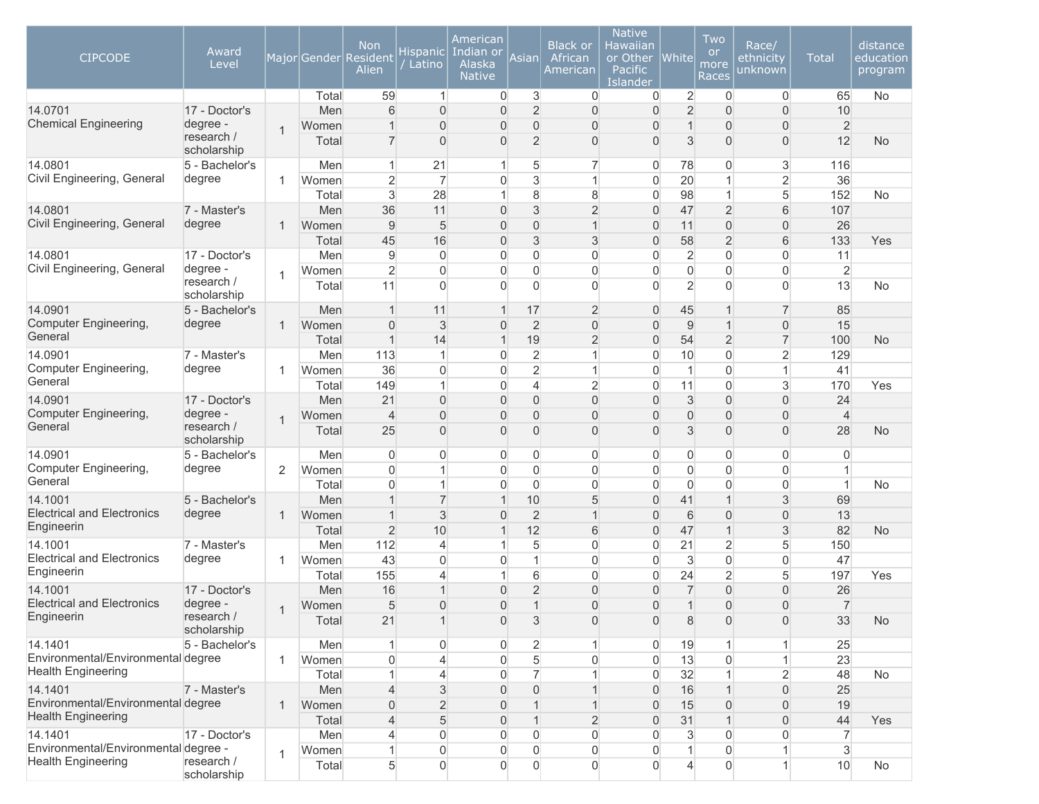| <b>CIPCODE</b>                                                    | Award<br>Level            |                |       | <b>Non</b><br>Major Gender Resident<br>Alien | Hispanic<br>Latino | American<br>Indian or<br>Alaska<br><b>Native</b> | Asian          | Black or<br>African<br>American | <b>Native</b><br>Hawaiian<br>or Other<br>Pacific<br>Islander | <b>White</b>        | Two<br><b>or</b><br>more<br>Races | Race/<br>ethnicity<br>unknown | <b>Total</b>   | distance<br>education<br>program |
|-------------------------------------------------------------------|---------------------------|----------------|-------|----------------------------------------------|--------------------|--------------------------------------------------|----------------|---------------------------------|--------------------------------------------------------------|---------------------|-----------------------------------|-------------------------------|----------------|----------------------------------|
|                                                                   |                           |                | Total | 59                                           | $\mathbf{1}$       | $\overline{0}$                                   | 3              | 0                               | 0                                                            | $\overline{2}$      | $\mathbf 0$                       | 0                             | 65             | No                               |
| 14.0701<br><b>Chemical Engineering</b>                            | 17 - Doctor's             |                | Men   | 6                                            | $\overline{0}$     | $\mathbf{0}$                                     | $\overline{2}$ | $\overline{0}$                  | $\overline{0}$                                               | $\overline{2}$      | $\overline{0}$                    | $\overline{0}$                | 10             |                                  |
|                                                                   | degree -<br>research /    | $\overline{1}$ | Women | 1                                            | $\mathbf{0}$       | 0                                                | 0              | 0                               | $\overline{0}$                                               | 1                   | $\Omega$                          | 0                             | $\overline{2}$ |                                  |
|                                                                   | scholarship               |                | Total | $\overline{7}$                               | $\mathbf{0}$       | 0                                                | $\overline{2}$ | 0                               | 0                                                            | 3                   | $\overline{0}$                    | $\boldsymbol{0}$              | 12             | <b>No</b>                        |
| 14.0801                                                           | 5 - Bachelor's            |                | Men   | 1                                            | 21                 | 1                                                | 5              | $\overline{7}$                  | $\overline{0}$                                               | 78                  | 0                                 | 3                             | 116            |                                  |
| Civil Engineering, General                                        | degree                    | 1              | Women | $\overline{2}$                               | 7                  | 0                                                | 3              | $\mathbf{1}$                    | $\overline{0}$                                               | 20                  | 1                                 | $\overline{2}$                | 36             |                                  |
|                                                                   |                           |                | Total | 3                                            | 28                 | 1                                                | 8              | 8                               | 0                                                            | 98                  | 1                                 | 5                             | 152            | No                               |
| 14.0801                                                           | 7 - Master's              |                | Men   | 36                                           | 11                 | $\mathbf{0}$                                     | 3              | $\overline{2}$                  | 0                                                            | 47                  | $\overline{2}$                    | 6                             | 107            |                                  |
| Civil Engineering, General                                        | degree                    | 1              | Women | 9                                            | 5                  | $\mathbf{0}$                                     | 0              | $\overline{1}$                  | 0                                                            | 11                  | $\overline{0}$                    | $\overline{0}$                | 26             |                                  |
|                                                                   |                           |                | Total | 45                                           | 16                 | $\mathbf{0}$                                     | 3              | 3                               | $\overline{0}$                                               | 58                  | $\overline{2}$                    | 6                             | 133            | Yes                              |
| 14.0801                                                           | 17 - Doctor's             |                | Men   | $\overline{9}$                               | $\overline{0}$     | $\overline{0}$                                   | 0              | $\overline{0}$                  | $\overline{0}$                                               | $\overline{c}$      | $\overline{0}$                    | 0                             | 11             |                                  |
| Civil Engineering, General                                        | degree -                  | 1              | Women | $\overline{c}$                               | $\overline{0}$     | $\overline{0}$                                   | 0              | 0                               | 0                                                            | $\mathsf{O}\xspace$ | $\mathbf{0}$                      | 0                             | $\overline{2}$ |                                  |
|                                                                   | research /<br>scholarship |                | Total | 11                                           | $\overline{0}$     | $\Omega$                                         | $\overline{0}$ | $\Omega$                        | $\overline{0}$                                               | $\overline{2}$      | $\Omega$                          | $\mathbf 0$                   | 13             | <b>No</b>                        |
| 14.0901                                                           | 5 - Bachelor's            |                | Men   | $\mathbf 1$                                  | 11                 | $\mathbf{1}$                                     | 17             | $\overline{2}$                  | 0                                                            | 45                  | $\mathbf 1$                       | $\overline{7}$                | 85             |                                  |
| <b>Computer Engineering,</b>                                      | degree                    | 1              | Women | $\mathbf{0}$                                 | 3                  | $\overline{0}$                                   | $\overline{2}$ | $\overline{0}$                  | $\overline{0}$                                               | $9$                 | $\overline{1}$                    | $\boldsymbol{0}$              | 15             |                                  |
| General                                                           |                           |                | Total | 1                                            | 14                 | $\mathbf{1}$                                     | 19             | $\overline{2}$                  | $\boldsymbol{0}$                                             | 54                  | $\overline{2}$                    | $\overline{7}$                | 100            | <b>No</b>                        |
| 14.0901                                                           | 7 - Master's              |                | Men   | 113                                          | $\mathbf{1}$       | $\overline{0}$                                   | $\overline{2}$ | $\mathbf{1}$                    | 0                                                            | 10                  | $\mathbf{0}$                      | $\overline{2}$                | 129            |                                  |
| Computer Engineering,                                             | degree                    | 1              | Women | 36                                           | $\mathbf{0}$       | $\overline{0}$                                   | $\overline{2}$ | $\mathbf{1}$                    | $\overline{0}$                                               | 1                   | $\mathbf{0}$                      | $\mathbf{1}$                  | 41             |                                  |
| General                                                           |                           |                | Total | 149                                          | $\mathbf{1}$       | $\overline{0}$                                   | 4              | $\overline{2}$                  | 0                                                            | 11                  | 0                                 | 3                             | 170            | Yes                              |
| 14.0901                                                           | 17 - Doctor's             |                | Men   | 21                                           | $\overline{0}$     | $\overline{0}$                                   | $\overline{0}$ | $\overline{0}$                  | 0                                                            | 3                   | $\overline{0}$                    | $\overline{0}$                | 24             |                                  |
| <b>Computer Engineering,</b>                                      | degree -                  | $\overline{1}$ | Women | $\overline{4}$                               | $\overline{0}$     | $\mathbf{0}$                                     | 0              | $\overline{0}$                  | $\overline{0}$                                               | $\overline{0}$      | $\overline{0}$                    | $\overline{0}$                | $\overline{4}$ |                                  |
| General                                                           | research /<br>scholarship |                | Total | 25                                           | $\overline{0}$     | $\mathbf{0}$                                     | $\overline{0}$ | $\overline{0}$                  | $\overline{0}$                                               | 3                   | $\overline{0}$                    | $\overline{0}$                | 28             | <b>No</b>                        |
| 14.0901                                                           | 5 - Bachelor's            |                | Men   | $\overline{0}$                               | 0                  | $\overline{0}$                                   | 0              | 0                               | 0                                                            | 0                   | 0                                 | 0                             | $\overline{0}$ |                                  |
| Computer Engineering,                                             | degree                    | 2              | Women | $\Omega$                                     | $\mathbf{1}$       | $\overline{0}$                                   | $\overline{0}$ | $\overline{0}$                  | 0                                                            | $\mathbf 0$         | $\overline{0}$                    | $\mathbf 0$                   | 1              |                                  |
| General                                                           |                           |                | Total | $\Omega$                                     | $\mathbf{1}$       | $\overline{0}$                                   | $\overline{0}$ | $\overline{0}$                  | $\overline{0}$                                               | 0                   | $\mathbf{0}$                      | $\mathbf 0$                   | $\mathbf{1}$   | No                               |
| 14.1001                                                           | 5 - Bachelor's            |                | Men   |                                              | $\overline{7}$     | $\mathbf{1}$                                     | 10             | 5                               | 0                                                            | 41                  | $\overline{1}$                    | 3                             | 69             |                                  |
| <b>Electrical and Electronics</b>                                 | degree                    | 1              | Women | 1                                            | $\mathsf 3$        | $\mathbf{0}$                                     | $\overline{2}$ | 1                               | 0                                                            | 6                   | $\overline{0}$                    | $\boldsymbol{0}$              | 13             |                                  |
| Engineerin                                                        |                           |                | Total | $\overline{2}$                               | 10                 | $\mathbf{1}$                                     | 12             | 6                               | 0                                                            | 47                  | $\overline{1}$                    | 3                             | 82             | <b>No</b>                        |
| 14.1001                                                           | 7 - Master's              |                | Men   | 112                                          | 4                  | $\mathbf{1}$                                     | 5              | $\overline{0}$                  | $\boldsymbol{0}$                                             | 21                  | $\overline{2}$                    | 5                             | 150            |                                  |
| <b>Electrical and Electronics</b><br>Engineerin                   | degree                    | 1              | Women | 43                                           | $\mathbf 0$        | $\overline{0}$                                   | 1              | $\overline{0}$                  | 0                                                            | 3                   | $\overline{0}$                    | $\mathsf{O}\xspace$           | 47             |                                  |
|                                                                   |                           |                | Total | 155                                          | 4                  | 1                                                | 6              | $\overline{0}$                  | $\overline{0}$                                               | 24                  | $\overline{2}$                    | 5                             | 197            | Yes                              |
| 14.1001                                                           | 17 - Doctor's             |                | Men   | 16                                           | $\mathbf{1}$       | 0                                                | $\overline{2}$ | $\overline{0}$                  | $\overline{0}$                                               | $\overline{7}$      | $\Omega$                          | 0                             | 26             |                                  |
| <b>Electrical and Electronics</b><br>Engineerin                   | degree -<br>research /    | $\overline{1}$ | Women | 5                                            | $\overline{0}$     | 0                                                | $\mathbf 1$    | 0                               | 0                                                            | 1                   | 0                                 | 0                             | $\overline{7}$ |                                  |
|                                                                   | scholarship               |                | Total | 21                                           | $\mathbf{1}$       | $\boldsymbol{0}$                                 | 3              | $\boldsymbol{0}$                | $\overline{0}$                                               | 8                   | $\boldsymbol{0}$                  | $\boldsymbol{0}$              | 33             | No                               |
| 14.1401                                                           | 5 - Bachelor's            |                | Men   | 1                                            | $\overline{0}$     | $\boldsymbol{0}$                                 | $\overline{c}$ |                                 | $\overline{0}$                                               | 19                  | $\mathbf{1}$                      | $\mathbf{1}$                  | 25             |                                  |
| Environmental/Environmental degree                                |                           | 1              | Women | $\overline{0}$                               | 4                  | $\overline{0}$                                   | 5              | $\overline{0}$                  | $\overline{0}$                                               | 13                  | 0                                 | $\mathbf{1}$                  | 23             |                                  |
| <b>Health Engineering</b>                                         |                           |                | Total |                                              | 4                  | $\boldsymbol{0}$                                 | $\overline{7}$ |                                 | $\Omega$                                                     | 32                  |                                   | $\overline{2}$                | 48             | No                               |
| 14.1401                                                           | 7 - Master's              |                | Men   | $\overline{4}$                               | 3                  | $\overline{0}$                                   | $\Omega$       | 1                               | $\overline{0}$                                               | 16                  | 1                                 | $\overline{0}$                | 25             |                                  |
| Environmental/Environmental degree                                |                           | $\mathbf{1}$   | Women | $\overline{0}$                               | $\overline{2}$     | $\overline{0}$                                   |                | $\mathbf{1}$                    | 0                                                            | 15                  | $\overline{0}$                    | $\boldsymbol{0}$              | 19             |                                  |
| <b>Health Engineering</b>                                         |                           |                | Total | $\overline{4}$                               | $\overline{5}$     | $\overline{0}$                                   | $\mathbf{1}$   | $\overline{2}$                  | 0                                                            | 31                  |                                   | $\boldsymbol{0}$              | 44             | Yes                              |
| 14.1401                                                           | 17 - Doctor's             |                | Men   | $\overline{4}$                               | 0                  | $\boldsymbol{0}$                                 | $\overline{0}$ | $\boldsymbol{0}$                | 0                                                            | 3                   | $\overline{0}$                    | 0                             | $\overline{7}$ |                                  |
| Environmental/Environmental degree -<br><b>Health Engineering</b> | research /                | 1              | Women |                                              | 0                  | $\boldsymbol{0}$                                 | $\overline{0}$ | 0                               | 0                                                            | 1                   | $\overline{0}$                    | $\mathbf{1}$                  | $\mathbf{3}$   |                                  |
|                                                                   | scholarship               |                | Total | 5 <sup>1</sup>                               | $\overline{0}$     | $\overline{0}$                                   | $\overline{0}$ | 0                               | 0                                                            | $\overline{4}$      | $\overline{0}$                    | $\mathbf{1}$                  | 10             | No                               |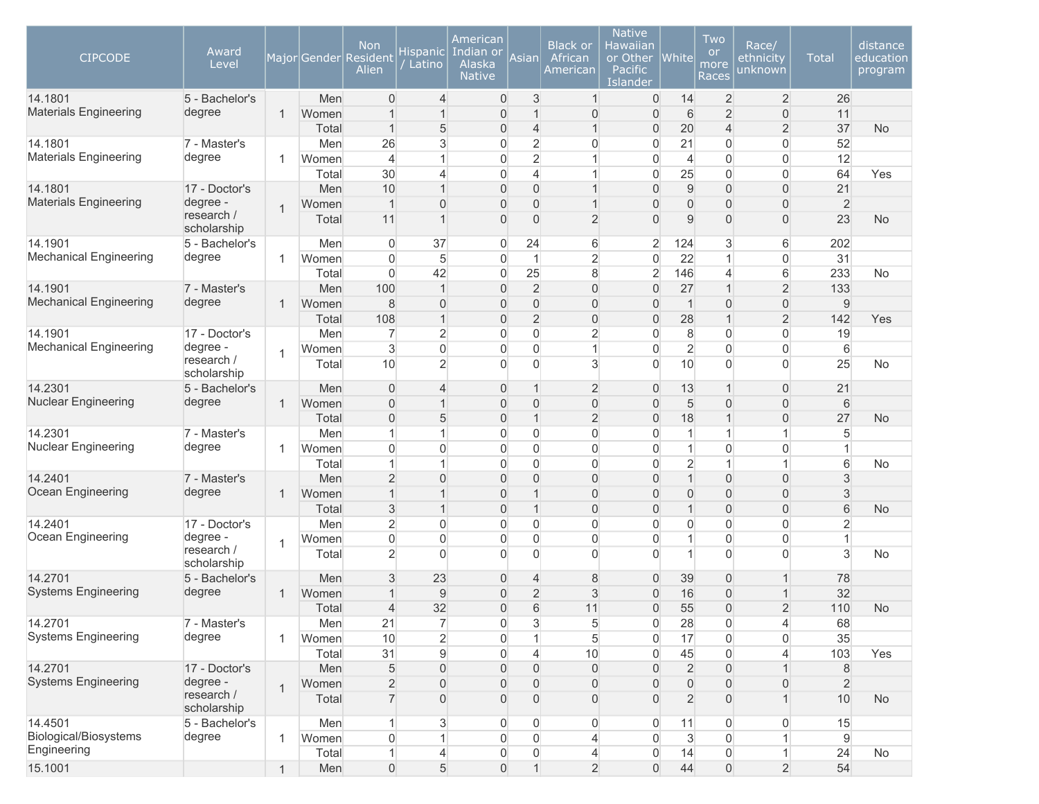| <b>CIPCODE</b>                        | Award<br>Level                        |                |                | <b>Non</b><br>Major Gender Resident<br>Alien | Hispanicl<br>Latino              | American<br>Indian or<br>Alaska<br><b>Native</b> | Asian                   | <b>Black or</b><br>African<br>American | <b>Native</b><br>Hawaiian<br>or Other<br>Pacific<br>Islander | $ $ White $ $       | Two<br><b>or</b><br>more<br>Races | Race/<br>ethnicity<br>unknown           | <b>Total</b>         | distance<br>education<br>program |
|---------------------------------------|---------------------------------------|----------------|----------------|----------------------------------------------|----------------------------------|--------------------------------------------------|-------------------------|----------------------------------------|--------------------------------------------------------------|---------------------|-----------------------------------|-----------------------------------------|----------------------|----------------------------------|
| 14.1801                               | 5 - Bachelor's                        |                | Men            | $\overline{0}$                               | 4                                | $\boldsymbol{0}$                                 | 3                       | $\mathbf{1}$                           | 0                                                            | 14                  | $\overline{c}$                    | $\overline{2}$                          | 26                   |                                  |
| <b>Materials Engineering</b>          | degree                                | 1              | Women          | 1                                            | $\mathbf{1}$                     | $\overline{0}$                                   | $\mathbf{1}$            | 0                                      | $\overline{0}$                                               | $6\,$               | $\overline{2}$                    | $\boldsymbol{0}$                        | 11                   |                                  |
|                                       |                                       |                | Total          | $\mathbf{1}$                                 | 5                                | $\mathsf{O}\xspace$                              | $\overline{4}$          | $\mathbf{1}$                           | 0                                                            | 20                  | $\overline{4}$                    | $\overline{2}$                          | 37                   | <b>No</b>                        |
| 14.1801                               | 7 - Master's                          |                | Men            | 26                                           | 3                                | $\overline{0}$                                   | $\overline{2}$          | $\boldsymbol{0}$                       | 0                                                            | 21                  | $\overline{0}$                    | 0                                       | 52                   |                                  |
| <b>Materials Engineering</b>          | degree                                | 1              | Women          | $\overline{4}$                               | $\mathbf{1}$                     | $\overline{0}$                                   | $\overline{2}$          | 1                                      | $\overline{0}$                                               | 4                   | 0                                 | $\mathsf{O}\xspace$                     | 12                   |                                  |
|                                       |                                       |                | Total          | 30                                           | $\overline{4}$                   | $\overline{0}$                                   | 4                       | 1                                      | $\mathbf 0$                                                  | 25                  | $\overline{0}$                    | $\mathbf 0$                             | 64                   | Yes                              |
| 14.1801                               | 17 - Doctor's                         |                | Men            | 10                                           | $\mathbf{1}$                     | $\overline{0}$                                   | 0                       | 1                                      | $\overline{0}$                                               | 9                   | $\overline{0}$                    | $\overline{0}$                          | 21                   |                                  |
| <b>Materials Engineering</b>          | degree -<br>research /<br>scholarship | $\overline{1}$ | Women<br>Total | $\overline{1}$<br>11                         | $\overline{0}$<br>$\overline{1}$ | 0<br>$\overline{0}$                              | 0<br>0                  | 1<br>$\overline{2}$                    | $\overline{0}$<br>$\overline{0}$                             | $\overline{0}$<br>9 | 0<br>$\overline{0}$               | $\mathsf{O}\xspace$<br>$\boldsymbol{0}$ | $\overline{2}$<br>23 | <b>No</b>                        |
| 14.1901                               | 5 - Bachelor's                        |                | Men            | $\overline{0}$                               | 37                               | 0                                                | 24                      | 6                                      | $\overline{2}$                                               | 124                 | 3                                 | 6                                       | 202                  |                                  |
| <b>Mechanical Engineering</b>         | degree                                | 1              | Women          | $\overline{0}$                               | 5                                | 0                                                | 1                       | $\overline{c}$                         | $\overline{0}$                                               | 22                  | 1                                 | 0                                       | 31                   |                                  |
|                                       |                                       |                | Total          | $\overline{0}$                               | 42                               | 0                                                | 25                      | 8                                      | $\overline{2}$                                               | 146                 | 4                                 | 6                                       | 233                  | No                               |
| 14.1901                               | 7 - Master's                          |                | Men            | 100                                          | $\mathbf{1}$                     | $\overline{0}$                                   | $\overline{2}$          | $\overline{0}$                         | $\overline{0}$                                               | 27                  | $\overline{1}$                    | $\overline{2}$                          | 133                  |                                  |
| <b>Mechanical Engineering</b>         | degree                                | 1              | Women          | 8                                            | $\overline{0}$                   | $\overline{0}$                                   | 0                       | $\overline{0}$                         | $\overline{0}$                                               | $\mathbf 1$         | $\overline{0}$                    | $\mathsf{O}\xspace$                     | $9\,$                |                                  |
|                                       |                                       |                | Total          | 108                                          | $\mathbf{1}$                     | $\overline{0}$                                   | $\overline{2}$          | 0                                      | $\overline{0}$                                               | 28                  | $\overline{1}$                    | $\overline{2}$                          | 142                  | Yes                              |
| 14.1901                               | 17 - Doctor's                         |                | Men            | $\overline{7}$                               | $\overline{2}$                   | 0                                                | 0                       | $\overline{2}$                         | $\overline{0}$                                               | 8                   | 0                                 | $\mathsf{O}\xspace$                     | 19                   |                                  |
| <b>Mechanical Engineering</b>         | degree -                              | 1              | Women          | 3                                            | $\overline{0}$                   | $\overline{0}$                                   | 0                       | $\mathbf{1}$                           | $\overline{0}$                                               | $\overline{2}$      | $\overline{0}$                    | 0                                       | 6                    |                                  |
|                                       | research /<br>scholarship             |                | Total          | 10                                           | $\overline{2}$                   | $\Omega$                                         | $\overline{0}$          | 3                                      | $\overline{0}$                                               | 10                  | $\mathbf{0}$                      | $\mathbf 0$                             | 25                   | No                               |
| 14.2301                               | 5 - Bachelor's                        |                | Men            | $\overline{0}$                               | $\overline{4}$                   | $\overline{0}$                                   | $\mathbf{1}$            | $\overline{2}$                         | 0                                                            | 13                  | $\mathbf 1$                       | $\boldsymbol{0}$                        | 21                   |                                  |
| <b>Nuclear Engineering</b>            | degree                                | 1              | Women          | $\mathbf 0$                                  | $\mathbf{1}$                     | $\overline{0}$                                   | 0                       | $\boldsymbol{0}$                       | $\overline{0}$                                               | 5                   | $\overline{0}$                    | $\mathsf{O}\xspace$                     | $6\,$                |                                  |
|                                       |                                       |                | Total          | $\mathsf{O}\xspace$                          | 5                                | $\overline{0}$                                   | $\overline{\mathbf{1}}$ | $\overline{2}$                         | 0                                                            | 18                  | 1                                 | $\mathsf{O}\xspace$                     | 27                   | <b>No</b>                        |
| 14.2301                               | 7 - Master's                          |                | Men            | 1                                            | 1                                | $\overline{0}$                                   | 0                       | $\boldsymbol{0}$                       | $\overline{0}$                                               | 1                   | 1                                 | $\mathbf{1}$                            | 5                    |                                  |
| Nuclear Engineering                   | degree                                | -1             | Women          | $\Omega$<br>1                                | $\overline{0}$<br>1              | 0                                                | 0                       | $\boldsymbol{0}$                       | $\overline{0}$                                               | 1                   | 0<br>$\overline{1}$               | 0                                       | $\mathbf{1}$         |                                  |
| 14.2401                               | 7 - Master's                          |                | Total<br>Men   | $\overline{2}$                               | $\overline{0}$                   | 0<br>$\overline{0}$                              | 0<br>0                  | $\boldsymbol{0}$<br>$\overline{0}$     | $\overline{0}$<br>$\overline{0}$                             | $\overline{c}$<br>1 | $\overline{0}$                    | $\mathbf{1}$<br>$\overline{0}$          | 6<br>$\sqrt{3}$      | <b>No</b>                        |
| Ocean Engineering                     | degree                                | 1              | Women          | $\mathbf 1$                                  | $\mathbf{1}$                     | $\overline{0}$                                   | $\mathbf 1$             | $\overline{0}$                         | $\overline{0}$                                               | 0                   | 0                                 | $\mathsf{O}\xspace$                     | 3                    |                                  |
|                                       |                                       |                | Total          | 3                                            | $\mathbf{1}$                     | $\overline{0}$                                   | $\mathbf{1}$            | $\overline{0}$                         | $\overline{0}$                                               | $\mathbf 1$         | $\overline{0}$                    | $\mathbf 0$                             | $6\phantom{1}$       | <b>No</b>                        |
| 14.2401                               | 17 - Doctor's                         |                | Men            | $\overline{2}$                               | $\overline{0}$                   | $\overline{0}$                                   | 0                       | $\overline{0}$                         | $\overline{0}$                                               | 0                   | 0                                 | $\overline{0}$                          | $\overline{2}$       |                                  |
| Ocean Engineering                     | degree -                              |                | Women          | $\overline{0}$                               | $\overline{0}$                   | $\overline{0}$                                   | 0                       | $\boldsymbol{0}$                       | $\overline{0}$                                               | 1                   | $\overline{0}$                    | 0                                       | $\mathbf{1}$         |                                  |
|                                       | research /                            | 1              | Total          | $\overline{2}$                               | $\Omega$                         | $\Omega$                                         | $\overline{0}$          | $\Omega$                               | $\overline{0}$                                               | 1                   | $\Omega$                          | $\mathbf 0$                             | 3                    | No                               |
|                                       | scholarship                           |                |                |                                              |                                  |                                                  |                         |                                        |                                                              |                     |                                   |                                         |                      |                                  |
| 14.2701                               | 5 - Bachelor's                        |                | Men            | 3                                            | 23                               | $\mathbf 0$                                      | 4                       | 8                                      | $\overline{0}$                                               | 39                  | 0                                 | $\mathbf{1}$                            | 78                   |                                  |
| <b>Systems Engineering</b>            | degree                                | 1              | Women          |                                              | 9                                | $\overline{0}$                                   | $\overline{2}$          | 3                                      | 0                                                            | 16                  | 0                                 | $\mathbf{1}$                            | 32                   |                                  |
|                                       |                                       |                | Total          | $\overline{4}$                               | 32                               | $\overline{0}$                                   | 6                       | 11                                     | $\overline{0}$                                               | 55                  | $\overline{0}$                    | $\overline{2}$                          | 110                  | <b>No</b>                        |
| 14.2701                               | 7 - Master's                          |                | Men            | 21                                           | $\overline{7}$                   | $\mathbf 0$                                      | 3                       | $\sqrt{5}$                             | 0                                                            | 28                  | $\overline{0}$                    | 4                                       | 68                   |                                  |
| <b>Systems Engineering</b>            | degree                                | 1              | Women          | 10                                           | $\overline{2}$                   | 0                                                | $\mathbf{1}$            | 5                                      | $\mathsf{O}\xspace$                                          | 17                  | $\mathbf 0$                       | $\mathsf{O}\xspace$                     | 35                   |                                  |
|                                       |                                       |                | Total          | 31                                           | $\mathsf g$                      | 0                                                | $\overline{4}$          | 10                                     | $\overline{0}$                                               | 45                  | $\overline{0}$                    | 4                                       | 103                  | Yes                              |
| 14.2701<br><b>Systems Engineering</b> | 17 - Doctor's<br>degree -             |                | Men            | 5                                            | $\boldsymbol{0}$                 | $\mathbf 0$                                      | 0                       | $\overline{0}$                         | $\overline{0}$                                               | $\overline{2}$      | $\overline{0}$                    | $\mathbf{1}$                            | $\,8\,$              |                                  |
|                                       | research /                            | $\overline{1}$ | Women          | $\overline{2}$                               | $\overline{0}$                   | $\mathbf 0$                                      | 0                       | $\overline{0}$                         | $\overline{0}$                                               | 0                   | $\overline{0}$                    | $\boldsymbol{0}$                        | $\overline{2}$       |                                  |
|                                       | scholarship                           |                | Total          | $\overline{7}$                               | $\overline{0}$                   | $\overline{0}$                                   | 0                       | $\overline{0}$                         | $\overline{0}$                                               | $\overline{c}$      | 0                                 | $\mathbf{1}$                            | 10                   | <b>No</b>                        |
| 14.4501<br>Biological/Biosystems      | 5 - Bachelor's<br>degree              |                | Men            | 1                                            | 3<br>1                           | 0                                                | 0                       | $\overline{0}$                         | 0                                                            | 11                  | 0                                 | 0                                       | 15                   |                                  |
| Engineering                           |                                       | 1              | Women          | $\overline{0}$<br>1                          |                                  | 0                                                | 0<br>0                  | 4                                      | $\overline{0}$                                               | 3<br>14             | 0                                 | $\mathbf{1}$<br>$\mathbf{1}$            | 9<br>24              |                                  |
| 15.1001                               |                                       | 1              | Total<br>Men   | $\overline{0}$                               | 4<br>5                           | $\mathbf 0$<br>$\boldsymbol{0}$                  | $\mathbf{1}$            | $\overline{4}$<br>$\overline{2}$       | 0<br>$\overline{0}$                                          | 44                  | 0<br>0                            | $\overline{2}$                          | 54                   | No                               |
|                                       |                                       |                |                |                                              |                                  |                                                  |                         |                                        |                                                              |                     |                                   |                                         |                      |                                  |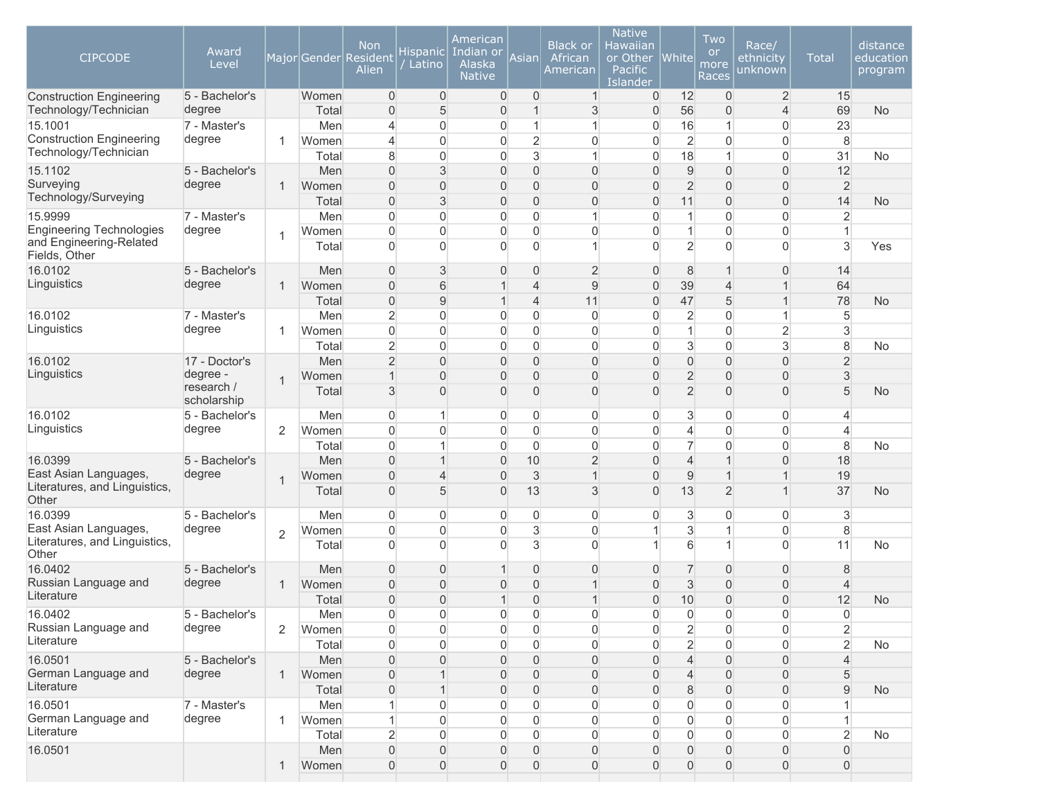| <b>CIPCODE</b>                                           | Award<br>Level           |                |                | <b>Non</b><br>Major Gender Resident<br>Alien | Hispanic<br>Latino            | American<br>Indian or<br>Alaska<br><b>Native</b> | Asian                            | <b>Black or</b><br>African<br>American | <b>Native</b><br>Hawaiian<br>or Other<br>Pacific<br>Islander | <b>White</b>                               | Two<br><b>or</b><br>more<br>Races | Race/<br>ethnicity<br>unknown    | <b>Total</b>        | distance<br>education<br>program |
|----------------------------------------------------------|--------------------------|----------------|----------------|----------------------------------------------|-------------------------------|--------------------------------------------------|----------------------------------|----------------------------------------|--------------------------------------------------------------|--------------------------------------------|-----------------------------------|----------------------------------|---------------------|----------------------------------|
| <b>Construction Engineering</b><br>Technology/Technician | 5 - Bachelor's<br>degree |                | Women<br>Total | $\overline{0}$                               | $\overline{0}$<br>5           | 0<br>$\overline{0}$                              | 0<br>$\mathbf{1}$                | $\mathbf{1}$<br>3                      | 0<br>$\overline{0}$                                          | 12<br>56                                   | $\overline{0}$                    | $\overline{2}$<br>$\overline{4}$ | 15<br>69            | <b>No</b>                        |
| 15.1001                                                  | 7 - Master's             |                | Men            | $\overline{0}$<br>$\overline{4}$             | $\mathbf 0$                   | 0                                                | 1                                | $\mathbf{1}$                           | $\mathbf 0$                                                  | 16                                         | $\overline{0}$<br>1               | $\overline{0}$                   | 23                  |                                  |
| <b>Construction Engineering</b>                          | degree                   | 1              | Women          | $\overline{4}$                               | $\mathbf{0}$                  | 0                                                | $\overline{c}$                   | 0                                      | $\overline{0}$                                               | $\overline{2}$                             | $\mathbf{0}$                      | $\overline{0}$                   | 8                   |                                  |
| Technology/Technician                                    |                          |                | Total          | 8                                            | $\mathbf{0}$                  | $\overline{0}$                                   | 3                                | 1                                      | $\overline{0}$                                               | 18                                         | 1                                 | $\overline{0}$                   | 31                  | No                               |
| 15.1102                                                  | 5 - Bachelor's           |                | Men            | $\Omega$                                     | 3                             | $\overline{0}$                                   | $\overline{0}$                   | $\overline{0}$                         | $\overline{0}$                                               | $\mathsf 9$                                | $\overline{0}$                    | $\overline{0}$                   | 12                  |                                  |
| Surveying                                                | degree                   | 1              | Women          | $\Omega$                                     | $\overline{0}$                | 0                                                | $\overline{0}$                   | 0                                      | $\overline{0}$                                               | $\overline{2}$                             | $\overline{0}$                    | $\overline{0}$                   | $\sqrt{2}$          |                                  |
| Technology/Surveying                                     |                          |                | Total          | $\overline{0}$                               | 3                             | 0                                                | $\overline{0}$                   | 0                                      | $\overline{0}$                                               | 11                                         | $\overline{0}$                    | $\overline{0}$                   | 14                  | <b>No</b>                        |
| 15.9999                                                  | 7 - Master's             |                | Men            | $\overline{0}$                               | $\overline{0}$                | 0                                                | $\mathbf 0$                      | $\mathbf{1}$                           | $\mathbf 0$                                                  | $\mathbf{1}$                               | $\overline{0}$                    | $\mathsf{O}\xspace$              | $\overline{2}$      |                                  |
| <b>Engineering Technologies</b>                          | degree                   | 1              | Women          | $\overline{0}$                               | $\overline{0}$                | 0                                                | $\mathbf 0$                      | $\mathsf{O}\xspace$                    | $\mathbf 0$                                                  | $\mathbf{1}$                               | $\mathbf{0}$                      | $\mathsf{O}\xspace$              | $\mathbf 1$         |                                  |
| and Engineering-Related<br>Fields, Other                 |                          |                | Total          | $\Omega$                                     | $\Omega$                      | $\Omega$                                         | $\overline{0}$                   | $\mathbf{1}$                           | $\overline{0}$                                               | $\overline{2}$                             | $\mathbf{0}$                      | $\overline{0}$                   | 3                   | Yes                              |
| 16.0102                                                  | 5 - Bachelor's           |                | Men            | $\overline{0}$                               | 3                             | $\overline{0}$                                   | $\overline{0}$                   | $\overline{2}$                         | $\overline{0}$                                               | 8                                          | 1                                 | 0                                | 14                  |                                  |
| Linguistics                                              | degree                   | 1              | Women          | $\overline{0}$                               | 6                             | 1                                                | $\overline{4}$                   | 9                                      | $\mathsf{O}\xspace$                                          | 39                                         | $\overline{4}$                    | $\mathbf{1}$                     | 64                  |                                  |
|                                                          |                          |                | Total          | $\boldsymbol{0}$                             | $\mathsf g$                   | $\overline{1}$                                   | $\overline{4}$                   | 11                                     | $\mathsf{O}\xspace$                                          | 47                                         | 5                                 | $\mathbf{1}$                     | 78                  | <b>No</b>                        |
| 16.0102                                                  | 7 - Master's             |                | Men            | $\overline{2}$                               | $\mathbf{0}$                  | 0                                                | 0                                | $\overline{0}$                         | $\overline{0}$                                               | $\overline{2}$                             | $\mathbf{0}$                      | $\mathbf{1}$                     | 5                   |                                  |
| Linguistics                                              | degree                   | 1              | Women          | $\overline{0}$                               | $\mathbf 0$                   | $\overline{0}$                                   | 0                                | $\overline{0}$                         | $\overline{0}$                                               | $\mathbf{1}$                               | $\overline{0}$                    | $\overline{2}$                   | 3                   |                                  |
| 16.0102                                                  | 17 - Doctor's            |                | Total<br>Men   | $\overline{2}$<br>$\overline{2}$             | $\mathbf 0$<br>$\mathbf{0}$   | 0<br>0                                           | $\overline{0}$<br>$\overline{0}$ | 0<br>$\overline{0}$                    | $\overline{0}$<br>$\overline{0}$                             | 3                                          | $\mathbf{0}$<br>$\overline{0}$    | 3<br>$\overline{0}$              | 8<br>$\overline{2}$ | <b>No</b>                        |
| Linguistics                                              | degree -                 |                | Women          | $\mathbf 1$                                  | $\overline{0}$                | 0                                                | $\overline{0}$                   | 0                                      | $\overline{0}$                                               | $\boldsymbol{0}$<br>$\overline{c}$         | $\overline{0}$                    | $\overline{0}$                   | 3                   |                                  |
|                                                          | research /               | $\overline{1}$ | Total          | 3                                            | $\Omega$                      | 0                                                | $\overline{0}$                   | 0                                      | $\overline{0}$                                               | $\overline{2}$                             | $\Omega$                          | $\overline{0}$                   | 5                   | <b>No</b>                        |
|                                                          | scholarship              |                |                |                                              |                               |                                                  |                                  |                                        |                                                              |                                            |                                   |                                  |                     |                                  |
| 16.0102                                                  | 5 - Bachelor's           |                | Men            | 0                                            | 1                             | 0                                                | 0                                | 0                                      | 0                                                            | 3                                          | 0                                 | $\overline{0}$                   | 4                   |                                  |
| Linguistics                                              | degree                   | $\overline{2}$ | Women          | $\Omega$                                     | $\overline{0}$                | $\overline{0}$                                   | $\overline{0}$                   | $\mathbf 0$                            | $\mathbf 0$                                                  | $\overline{4}$                             | $\overline{0}$                    | $\overline{0}$                   | $\overline{4}$      |                                  |
|                                                          |                          |                | Total          | 0                                            | $\overline{1}$                | $\overline{0}$                                   | 0                                | $\overline{0}$                         | $\mathbf 0$                                                  | $\overline{7}$                             | $\mathbf{0}$                      | $\overline{0}$                   | 8                   | No                               |
| 16.0399                                                  | 5 - Bachelor's           |                | Men            | $\overline{0}$                               | $\mathbf{1}$                  | $\mathbf 0$                                      | 10                               | $\overline{2}$                         | $\overline{0}$                                               | $\overline{4}$                             |                                   | $\overline{0}$                   | 18                  |                                  |
| East Asian Languages,<br>Literatures, and Linguistics,   | degree                   | $\mathbf 1$    | Women          | $\overline{0}$                               | $\overline{4}$                | $\overline{0}$                                   | 3                                | $\mathbf{1}$                           | $\overline{0}$                                               | $\mathsf{9}$                               |                                   | $\mathbf{1}$                     | 19                  |                                  |
| Other                                                    |                          |                | Total          | $\overline{0}$                               | 5                             | $\overline{0}$                                   | 13                               | 3                                      | $\overline{0}$                                               | 13                                         | $\overline{2}$                    | $\mathbf{1}$                     | 37                  | <b>No</b>                        |
| 16.0399                                                  | 5 - Bachelor's           |                | Men            | $\overline{0}$                               | $\boldsymbol{0}$              | 0                                                | 0                                | 0                                      | 0                                                            | 3                                          | 0                                 | 0                                | 3                   |                                  |
| East Asian Languages,                                    | degree                   | $\overline{2}$ | Women          | $\overline{0}$                               | $\overline{0}$                | 0                                                | 3                                | $\mathbf 0$                            | 1                                                            | 3                                          |                                   | $\overline{0}$                   | 8                   |                                  |
| Literatures, and Linguistics,<br>Other                   |                          |                | Total          | $\Omega$                                     | $\Omega$                      | $\overline{0}$                                   | 3                                | $\overline{0}$                         | $\mathbf{1}$                                                 | 6                                          |                                   | $\overline{0}$                   | 11                  | No                               |
| 16.0402                                                  | 5 - Bachelor's           |                | Men            | $\overline{0}$                               | $\overline{0}$                | 1                                                | 0                                | $\overline{0}$                         | $\overline{0}$                                               | $\overline{7}$                             | $\overline{0}$                    | $\overline{0}$                   | 8                   |                                  |
| Russian Language and                                     | degree                   | 1              | Women          | $\overline{0}$                               | $\overline{0}$                | 0                                                | $\overline{0}$                   | $\mathbf 1$                            | $\overline{0}$                                               | 3                                          | $\overline{0}$                    | $\mathsf{O}\xspace$              | $\overline{4}$      |                                  |
| Literature                                               |                          |                | Total          | $\Omega$                                     | $\mathbf 0$                   | $\overline{1}$                                   | $\overline{0}$                   | $\overline{1}$                         | $\overline{0}$                                               | 10                                         | $\Omega$                          | $\overline{0}$                   | 12                  | <b>No</b>                        |
| 16.0402                                                  | 5 - Bachelor's           |                | Men            | $\cap$                                       | $\mathbf 0$                   | $\cap$                                           | 0                                | 0                                      | 0                                                            | $\mathsf{O}\xspace$                        | $\cap$                            | $\overline{0}$                   | $\cap$<br>v         |                                  |
| Russian Language and<br>Literature                       | degree                   | 2              | Women          | 0                                            | 0                             | 0                                                | 0                                | 0                                      | 0                                                            | $\overline{2}$                             | 0                                 | 0                                | 2                   |                                  |
|                                                          |                          |                | Total          | 0                                            | $\Omega$                      | 0                                                | 0                                | 0                                      | 0                                                            | $\overline{2}$                             | $\Omega$                          | 0                                | $\overline{2}$      | No                               |
| 16.0501                                                  | 5 - Bachelor's           |                | Men            | $\mathbf{0}$                                 | $\mathbf{0}$                  | 0                                                | 0                                | 0                                      | $\Omega$                                                     | 4                                          | $\overline{0}$                    | 0                                | 4                   |                                  |
| German Language and<br>Literature                        | degree                   | 1              | Women          | $\overline{0}$                               |                               | 0                                                | $\Omega$                         | 0                                      | $\Omega$                                                     | $\overline{4}$                             | $\overline{0}$                    | 0                                | 5                   |                                  |
|                                                          |                          |                | Total          | $\overline{0}$                               |                               | 0                                                | $\overline{0}$                   | 0                                      | $\Omega$                                                     | 8                                          | $\Omega$                          | $\overline{0}$                   | 9                   | <b>No</b>                        |
| 16.0501<br>German Language and                           | 7 - Master's<br>degree   |                | Men            |                                              | $\mathbf 0$<br>$\overline{0}$ | 0                                                | 0                                | 0                                      | $\overline{0}$<br>$\overline{0}$                             | $\mathsf{O}\xspace$<br>$\mathsf{O}\xspace$ | 0                                 | 0                                |                     |                                  |
| Literature                                               |                          | 1              | Women<br>Total | $\overline{2}$                               | $\overline{0}$                | 0<br>0                                           | 0<br>0                           | 0<br>0                                 | 0                                                            | 0                                          | 0<br>0                            | 0<br>0                           | 2                   | No                               |
| 16.0501                                                  |                          |                | Men            | $\boldsymbol{0}$                             | $\mathbf 0$                   | 0                                                | 0                                | 0                                      | $\overline{0}$                                               | $\mathsf{O}\xspace$                        | $\overline{0}$                    | $\mathsf{O}\xspace$              | $\overline{0}$      |                                  |
|                                                          |                          | 1              | Women          | $\overline{0}$                               | $\overline{0}$                | 0                                                | 0                                | $\overline{0}$                         | 0                                                            | $\mathsf{O}\xspace$                        | $\mathbf 0$                       | $\boldsymbol{0}$                 | 0                   |                                  |
|                                                          |                          |                |                |                                              |                               |                                                  |                                  |                                        |                                                              |                                            |                                   |                                  |                     |                                  |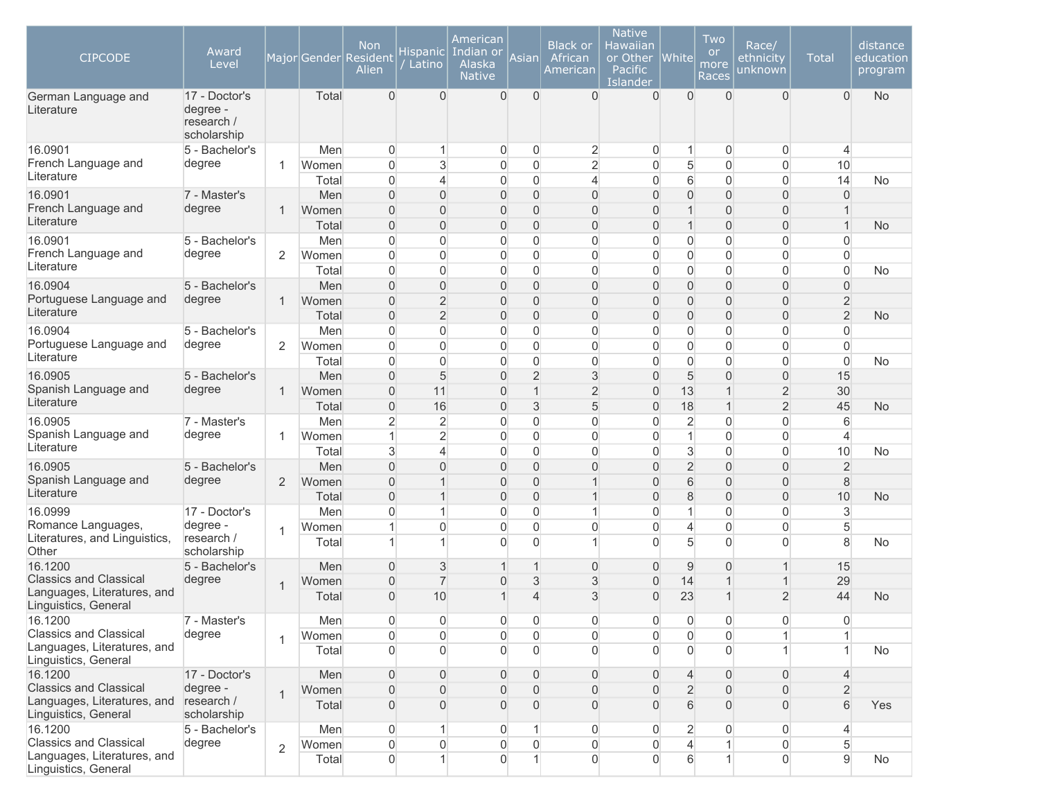| <b>CIPCODE</b><br>German Language and<br>Literature          | Award<br>Level<br>17 - Doctor's<br>degree -<br>research / |                | Total          | <b>Non</b><br>Major Gender Resident<br>Alien<br>$\Omega$ | <b>Hispanic</b><br>Latino<br>$\Omega$ | American<br>Indian or<br>Alaska<br><b>Native</b><br>$\Omega$ | Asian<br>$\Omega$ | <b>Black or</b><br>African<br>American<br>$\Omega$ | <b>Native</b><br>Hawaiian<br>or Other<br>Pacific<br>Islander<br>$\overline{0}$ | <b>White</b><br>$\Omega$ | Two<br><b>or</b><br>more<br>Races<br>$\Omega$ | Race/<br>ethnicity<br>unknown<br>$\overline{0}$ | <b>Total</b><br>$\Omega$ | distance<br>education<br>program<br><b>No</b> |
|--------------------------------------------------------------|-----------------------------------------------------------|----------------|----------------|----------------------------------------------------------|---------------------------------------|--------------------------------------------------------------|-------------------|----------------------------------------------------|--------------------------------------------------------------------------------|--------------------------|-----------------------------------------------|-------------------------------------------------|--------------------------|-----------------------------------------------|
|                                                              | scholarship                                               |                |                |                                                          |                                       |                                                              |                   |                                                    |                                                                                |                          |                                               |                                                 |                          |                                               |
| 16.0901                                                      | 5 - Bachelor's                                            |                | Men            | $\overline{0}$                                           | 1                                     | $\mathbf 0$                                                  | 0                 | 2                                                  | 0                                                                              | $\mathbf{1}$             | 0                                             | 0                                               | $\overline{4}$           |                                               |
| French Language and<br>Literature                            | degree                                                    | 1              | Women<br>Total | $\overline{0}$<br>$\overline{0}$                         | 3<br>$\overline{4}$                   | $\overline{0}$<br>$\overline{0}$                             | 0<br>0            | $\overline{2}$<br>$\overline{4}$                   | $\overline{0}$<br>$\overline{0}$                                               | 5<br>6                   | $\overline{0}$<br>$\overline{0}$              | 0<br>$\overline{0}$                             | 10<br>14                 | <b>No</b>                                     |
| 16.0901                                                      | 7 - Master's                                              |                | Men            | $\Omega$                                                 | $\overline{0}$                        | $\overline{0}$                                               | $\overline{0}$    | $\overline{0}$                                     | $\overline{0}$                                                                 | $\mathbf 0$              | $\overline{0}$                                | $\mathbf 0$                                     | $\mathbf{0}$             |                                               |
| French Language and                                          | degree                                                    | 1              | Women          | $\Omega$                                                 | $\overline{0}$                        | $\overline{0}$                                               | $\overline{0}$    | $\overline{0}$                                     | $\overline{0}$                                                                 | $\mathbf 1$              | $\overline{0}$                                | $\mathbf 0$                                     | $\mathbf{1}$             |                                               |
| Literature                                                   |                                                           |                | Total          | $\Omega$                                                 | $\overline{0}$                        | $\overline{0}$                                               | 0                 | $\overline{0}$                                     | $\overline{0}$                                                                 | $\mathbf 1$              | $\overline{0}$                                | $\overline{0}$                                  | $\mathbf{1}$             | <b>No</b>                                     |
| 16.0901                                                      | 5 - Bachelor's                                            |                | Men            | $\overline{0}$                                           | $\overline{0}$                        | 0                                                            | 0                 | $\boldsymbol{0}$                                   | $\overline{0}$                                                                 | $\mathbf 0$              | $\overline{0}$                                | $\mathsf{O}\xspace$                             | $\overline{0}$           |                                               |
| French Language and                                          | degree                                                    | $\overline{2}$ | Women          | $\overline{0}$                                           | $\overline{0}$                        | $\overline{0}$                                               | 0                 | $\boldsymbol{0}$                                   | $\overline{0}$                                                                 | $\mathbf 0$              | $\Omega$                                      | $\overline{0}$                                  | $\overline{0}$           |                                               |
| Literature                                                   |                                                           |                | Total          | $\overline{0}$                                           | $\overline{0}$                        | 0                                                            | $\overline{0}$    | $\overline{0}$                                     | $\overline{0}$                                                                 | 0                        | $\overline{0}$                                | $\overline{0}$                                  | $\mathbf 0$              | No                                            |
| 16.0904                                                      | 5 - Bachelor's                                            |                | Men            | $\overline{0}$                                           | $\overline{0}$                        | $\overline{0}$                                               | $\overline{0}$    | $\overline{0}$                                     | $\overline{0}$                                                                 | $\overline{0}$           | $\overline{0}$                                | $\overline{0}$                                  | $\overline{0}$           |                                               |
| Portuguese Language and                                      | degree                                                    | 1              | Women          | $\overline{0}$                                           | $\overline{2}$                        | $\overline{0}$                                               | $\overline{0}$    | $\overline{0}$                                     | $\overline{0}$                                                                 | $\overline{0}$           | $\overline{0}$                                | $\overline{0}$                                  | $\sqrt{2}$               |                                               |
| Literature                                                   |                                                           |                | Total          | $\overline{0}$                                           | $\overline{2}$                        | $\overline{0}$                                               | 0                 | $\boldsymbol{0}$                                   | $\overline{0}$                                                                 | 0                        | $\overline{0}$                                | $\overline{0}$                                  | $\overline{2}$           | <b>No</b>                                     |
| 16.0904                                                      | 5 - Bachelor's                                            |                | Men            | $\overline{0}$                                           | $\overline{0}$                        | 0                                                            | 0                 | $\overline{0}$                                     | $\overline{0}$                                                                 | 0                        | $\overline{0}$                                | $\mathsf{O}\xspace$                             | $\overline{0}$           |                                               |
| Portuguese Language and<br>Literature                        | degree                                                    | $\overline{2}$ | Women          | $\Omega$                                                 | $\overline{0}$                        | $\overline{0}$                                               | 0                 | $\overline{0}$                                     | $\overline{0}$                                                                 | 0                        | $\overline{0}$                                | $\overline{0}$                                  | $\overline{0}$           |                                               |
|                                                              |                                                           |                | Total          | $\overline{0}$                                           | $\overline{0}$                        | $\overline{0}$                                               | 0                 | $\overline{0}$                                     | $\overline{0}$                                                                 | $\mathbf 0$              | $\overline{0}$                                | $\mathbf 0$                                     | $\mathbf 0$              | No                                            |
| 16.0905<br>Spanish Language and                              | 5 - Bachelor's                                            |                | Men            | $\overline{0}$                                           | 5                                     | $\overline{0}$                                               | $\overline{2}$    | 3                                                  | $\overline{0}$                                                                 | 5                        | $\overline{0}$                                | $\overline{0}$                                  | 15                       |                                               |
| Literature                                                   | degree                                                    | 1              | Women          | $\Omega$                                                 | 11<br>16                              | $\overline{0}$                                               | $\mathbf{1}$      | $\overline{2}$                                     | $\overline{0}$                                                                 | 13<br>18                 | 1<br>$\overline{1}$                           | $\overline{2}$<br>$\overline{2}$                | 30                       |                                               |
| 16.0905                                                      | 7 - Master's                                              |                | Total          | $\overline{0}$                                           | $\overline{2}$                        | $\overline{0}$<br>$\overline{0}$                             | 3<br>0            | 5                                                  | $\overline{0}$<br>$\overline{0}$                                               | $\overline{2}$           | 0                                             | $\mathsf{O}\xspace$                             | 45                       | <b>No</b>                                     |
| Spanish Language and                                         | degree                                                    | 1              | Men<br>Women   | $\overline{2}$<br>1                                      | $\overline{2}$                        | $\overline{0}$                                               | 0                 | $\mathbf 0$<br>$\overline{0}$                      | $\overline{0}$                                                                 | 1                        | $\overline{0}$                                | $\mathbf 0$                                     | 6<br>$\overline{4}$      |                                               |
| Literature                                                   |                                                           |                | Total          | 3                                                        | $\overline{4}$                        | $\overline{0}$                                               | 0                 | $\overline{0}$                                     | $\mathbf 0$                                                                    | 3                        | $\overline{0}$                                | $\mathbf 0$                                     | 10                       | No                                            |
| 16.0905                                                      | 5 - Bachelor's                                            |                | Men            | $\overline{0}$                                           | $\overline{0}$                        | $\overline{0}$                                               | $\overline{0}$    | $\overline{0}$                                     | $\overline{0}$                                                                 | $\overline{2}$           | $\overline{0}$                                | $\overline{0}$                                  | $\overline{2}$           |                                               |
| Spanish Language and                                         | degree                                                    | $\overline{2}$ | Women          | $\overline{0}$                                           | $\overline{1}$                        | 0                                                            | $\overline{0}$    | 1                                                  | $\overline{0}$                                                                 | 6                        | $\overline{0}$                                | $\overline{0}$                                  | $\,8\,$                  |                                               |
| Literature                                                   |                                                           |                | Total          | $\overline{0}$                                           | $\mathbf{1}$                          | $\mathbf{0}$                                                 | 0                 | $\mathbf{1}$                                       | $\overline{0}$                                                                 | 8                        | 0                                             | $\overline{0}$                                  | 10                       | <b>No</b>                                     |
| 16.0999                                                      | 17 - Doctor's                                             |                | Men            | $\Omega$                                                 | 1                                     | $\overline{0}$                                               | 0                 | $\mathbf{1}$                                       | $\overline{0}$                                                                 | 1                        | 0                                             | $\overline{0}$                                  | 3                        |                                               |
| Romance Languages,                                           | degree -                                                  | 1              | Women          | 1                                                        | $\overline{0}$                        | $\overline{0}$                                               | 0                 | $\mathbf 0$                                        | $\overline{0}$                                                                 | $\overline{\mathcal{L}}$ | $\overline{0}$                                | $\overline{0}$                                  | 5                        |                                               |
| Literatures, and Linguistics,<br>Other                       | research /<br>scholarship                                 |                | Total          | 1                                                        | 1                                     | $\Omega$                                                     | 0                 | 1                                                  | $\overline{0}$                                                                 | 5                        | $\overline{0}$                                | $\mathbf 0$                                     | 8                        | No                                            |
| 16.1200                                                      | 5 - Bachelor's                                            |                | Men            | $\overline{0}$                                           | 3                                     | 1                                                            | 1                 | $\overline{0}$                                     | $\overline{0}$                                                                 | 9                        | $\overline{0}$                                | $\mathbf 1$                                     | 15                       |                                               |
| <b>Classics and Classical</b>                                | degree                                                    | 1              | Women          | $\overline{0}$                                           | $\overline{7}$                        | 0                                                            | 3                 | 3                                                  | $\overline{0}$                                                                 | 14                       | 1                                             | $\mathbf{1}$                                    | 29                       |                                               |
| Languages, Literatures, and<br>Linguistics, General          |                                                           |                | Total          | $\Omega$                                                 | 10                                    | 1                                                            | 4                 | 3                                                  | $\overline{0}$                                                                 | 23                       |                                               | $\overline{2}$                                  | 44                       | <b>No</b>                                     |
| 16.1200                                                      | 7 - Master's                                              |                | Men            | 0                                                        | $\overline{0}$                        | 0                                                            | 0                 | $\overline{0}$                                     | 0                                                                              | 0                        | $\overline{0}$                                | 0                                               | 0                        |                                               |
| <b>Classics and Classical</b><br>Languages, Literatures, and | degree                                                    | 1              | Women          | $\Omega$                                                 | $\overline{0}$                        | $\overline{0}$                                               | $\overline{0}$    | $\Omega$                                           | $\overline{0}$                                                                 | $\overline{0}$           | $\Omega$                                      | $\mathbf{1}$                                    | 1                        |                                               |
| Linguistics, General                                         |                                                           |                | Total          | $\Omega$                                                 | $\overline{0}$                        | $\overline{0}$                                               | 0                 | $\Omega$                                           | $\Omega$                                                                       | $\overline{0}$           | $\Omega$                                      | $\mathbf{1}$                                    |                          | <b>No</b>                                     |
| 16.1200                                                      | 17 - Doctor's                                             |                | Men            | $\overline{0}$                                           | $\overline{0}$                        | $\overline{0}$                                               | $\Omega$          | $\overline{0}$                                     | $\overline{0}$                                                                 | $\overline{4}$           | $\Omega$                                      | $\overline{0}$                                  | $\overline{4}$           |                                               |
| <b>Classics and Classical</b>                                | degree -                                                  | 1              | Women          | $\overline{0}$                                           | $\overline{0}$                        | $\overline{0}$                                               | $\Omega$          | $\overline{0}$                                     | $\overline{0}$                                                                 | $\overline{2}$           | $\Omega$                                      | $\overline{0}$                                  | $\overline{2}$           |                                               |
| Languages, Literatures, and<br>Linguistics, General          | research /<br>scholarship                                 |                | Total          | $\overline{0}$                                           | $\overline{0}$                        | $\overline{0}$                                               | $\overline{0}$    | $\overline{0}$                                     | $\Omega$                                                                       | 6                        | $\Omega$                                      | $\overline{0}$                                  | $6\phantom{1}$           | Yes                                           |
| 16.1200                                                      | 5 - Bachelor's                                            |                | Men            | $\overline{0}$                                           | $\mathbf{1}$                          | $\mathbf 0$                                                  |                   | $\overline{0}$                                     | $\overline{0}$                                                                 | $\overline{c}$           | $\Omega$                                      | 0                                               | $\overline{4}$           |                                               |
| <b>Classics and Classical</b><br>Languages, Literatures, and | degree                                                    | $\overline{2}$ | Women          | $\overline{0}$                                           | $\overline{0}$                        | $\boldsymbol{0}$                                             | 0                 | $\overline{0}$                                     | $\overline{0}$                                                                 | $\overline{4}$           |                                               | $\boldsymbol{0}$                                | 5                        |                                               |
| Linguistics, General                                         |                                                           |                | Total          | $\overline{0}$                                           | $\mathbf{1}$                          | $\overline{0}$                                               |                   | $\overline{0}$                                     | $\overline{0}$                                                                 | 6                        |                                               | $\mathsf{O}\xspace$                             | $\overline{9}$           | No                                            |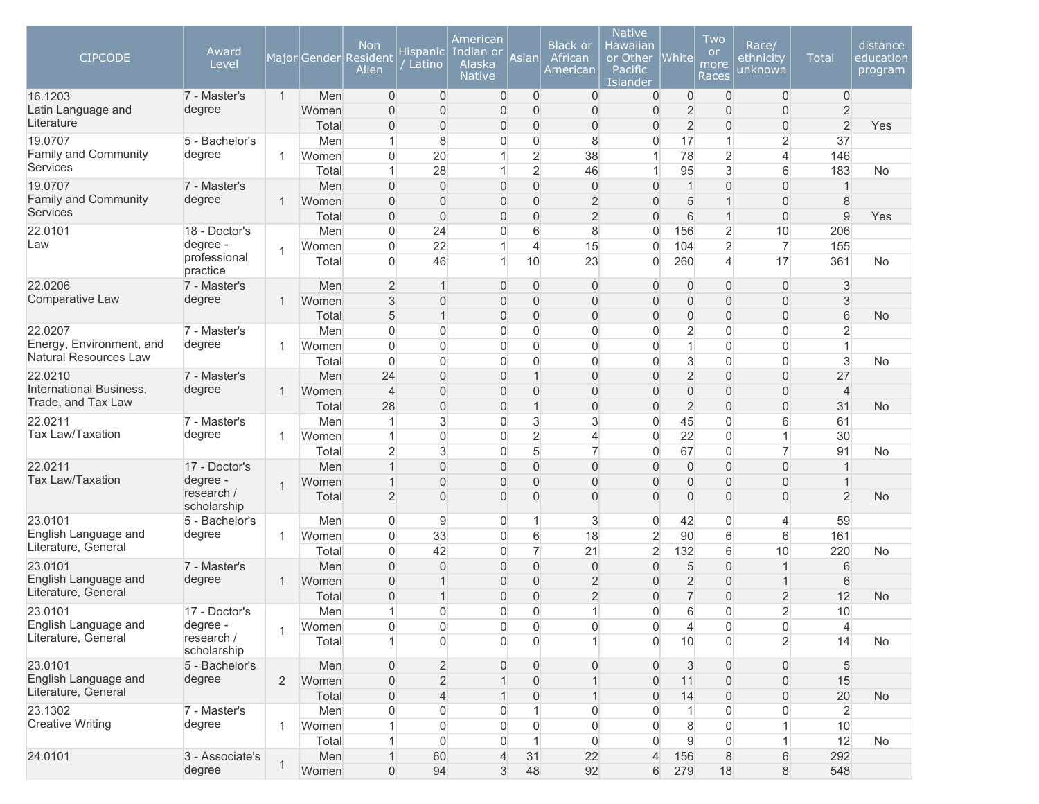| <b>CIPCODE</b>                              | Award<br>Level            |                |                | <b>Non</b><br>Major Gender Resident<br>Alien | Hispanic<br>Latino               | American<br>Indian or<br>Alaska<br><b>Native</b> | Asian               | <b>Black or</b><br>African<br>American | <b>Native</b><br>Hawaiian<br>or Other<br>Pacific<br>Islander | <b>White</b>                     | Two<br><b>or</b><br>more<br>Races | Race/<br>ethnicity<br>unknown    | <b>Total</b>                     | distance<br>education<br>program |
|---------------------------------------------|---------------------------|----------------|----------------|----------------------------------------------|----------------------------------|--------------------------------------------------|---------------------|----------------------------------------|--------------------------------------------------------------|----------------------------------|-----------------------------------|----------------------------------|----------------------------------|----------------------------------|
| 16.1203                                     | 7 - Master's              | $\mathbf{1}$   | Men            | $\overline{0}$                               | $\overline{0}$                   | $\overline{0}$                                   | $\overline{0}$      | $\overline{0}$                         | $\overline{0}$                                               | 0                                | $\overline{0}$                    | $\overline{0}$                   | $\overline{0}$                   |                                  |
| Latin Language and<br>Literature            | degree                    |                | Women          | $\Omega$                                     | $\overline{0}$<br>$\overline{0}$ | $\overline{0}$                                   | $\overline{0}$<br>0 | $\overline{0}$<br>$\overline{0}$       | $\overline{0}$<br>$\overline{0}$                             | $\overline{2}$<br>$\overline{2}$ | $\overline{0}$<br>$\overline{0}$  | $\overline{0}$                   | $\overline{2}$<br>$\overline{2}$ |                                  |
| 19.0707                                     | 5 - Bachelor's            |                | Total<br>Men   | $\mathbf{0}$<br>1                            | 8                                | $\overline{0}$<br>0                              | 0                   | 8                                      | $\overline{0}$                                               | 17                               | 1                                 | 0<br>$\overline{2}$              | 37                               | Yes                              |
| Family and Community                        | degree                    | 1              | Women          | $\overline{0}$                               | 20                               | $\mathbf{1}$                                     | $\overline{2}$      | 38                                     | $\mathbf{1}$                                                 | 78                               | $\overline{2}$                    | $\overline{4}$                   | 146                              |                                  |
| Services                                    |                           |                | Total          |                                              | 28                               | $\mathbf{1}$                                     | $\overline{2}$      | 46                                     | $\mathbf{1}$                                                 | 95                               | 3                                 | 6                                | 183                              | No                               |
| 19.0707                                     | 7 - Master's              |                | Men            | $\Omega$                                     | $\overline{0}$                   | $\overline{0}$                                   | $\overline{0}$      | $\overline{0}$                         | $\overline{0}$                                               | $\mathbf{1}$                     | $\overline{0}$                    | $\overline{0}$                   | $\overline{1}$                   |                                  |
| Family and Community                        | degree                    | 1              | Women          | $\overline{0}$                               | $\overline{0}$                   | $\overline{0}$                                   | 0                   | $\overline{2}$                         | $\Omega$                                                     | 5                                |                                   | $\overline{0}$                   | 8                                |                                  |
| <b>Services</b>                             |                           |                | Total          | $\mathsf{O}\xspace$                          | $\mathsf{O}\xspace$              | $\mathsf{O}\xspace$                              | 0                   | $\overline{2}$                         | $\mathbf 0$                                                  | 6                                |                                   | $\overline{0}$                   | $\mathsf g$                      | Yes                              |
| 22.0101                                     | 18 - Doctor's             |                | Men            | $\overline{0}$                               | 24                               | $\overline{0}$                                   | 6                   | $\bf 8$                                | 0                                                            | 156                              | 2                                 | 10                               | 206                              |                                  |
| Law                                         | degree -                  | 1              | Women          | $\overline{0}$                               | 22                               | 1                                                | $\overline{4}$      | 15                                     | $\mathsf{O}\xspace$                                          | 104                              | $\overline{2}$                    | $\overline{7}$                   | 155                              |                                  |
|                                             | professional<br>practice  |                | Total          | $\Omega$                                     | 46                               | $\mathbf{1}$                                     | 10                  | 23                                     | $\overline{0}$                                               | 260                              | 4                                 | 17                               | 361                              | No                               |
| 22.0206                                     | 7 - Master's              |                | Men            | $\overline{2}$                               | $\mathbf{1}$                     | $\overline{0}$                                   | $\overline{0}$      | $\overline{0}$                         | $\overline{0}$                                               | $\mathbf 0$                      | 0                                 | $\mathbf 0$                      | $\mathfrak{S}$                   |                                  |
| Comparative Law                             | degree                    | 1              | Women          | $\mathsf 3$                                  | $\overline{0}$                   | $\overline{0}$                                   | 0                   | 0                                      | $\overline{0}$                                               | $\overline{0}$                   | $\overline{0}$                    | $\overline{0}$                   | 3                                |                                  |
|                                             |                           |                | Total          | 5                                            | $\mathbf{1}$                     | $\overline{0}$                                   | 0                   | $\overline{0}$                         | $\Omega$                                                     | $\overline{0}$                   | $\overline{0}$                    | $\overline{0}$                   | 6                                | <b>No</b>                        |
| 22.0207<br>Energy, Environment, and         | 7 - Master's              |                | Men            | $\overline{0}$                               | $\Omega$                         | $\overline{0}$                                   | 0                   | $\overline{0}$                         | $\mathbf 0$                                                  | $\overline{2}$                   | $\overline{0}$                    | $\overline{0}$                   | $\overline{2}$<br>1              |                                  |
| Natural Resources Law                       | degree                    | 1              | Women          | $\Omega$                                     | $\Omega$<br>$\Omega$             | $\overline{0}$                                   | 0<br>0              | $\boldsymbol{0}$                       | $\mathbf 0$                                                  | $\mathbf{1}$                     | $\overline{0}$<br>$\overline{0}$  | $\overline{0}$                   |                                  |                                  |
| 22.0210                                     | 7 - Master's              |                | Total<br>Men   | $\Omega$<br>24                               | $\overline{0}$                   | $\overline{0}$<br>$\overline{0}$                 | $\mathbf 1$         | $\overline{0}$<br>$\overline{0}$       | $\overline{0}$<br>$\overline{0}$                             | 3<br>$\overline{2}$              | $\overline{0}$                    | $\overline{0}$<br>$\overline{0}$ | 3<br>27                          | <b>No</b>                        |
| International Business,                     | degree                    | $\mathbf{1}$   | Women          | $\overline{4}$                               | $\overline{0}$                   | $\overline{0}$                                   | $\overline{0}$      | $\overline{0}$                         | $\Omega$                                                     | $\mathbf 0$                      | $\overline{0}$                    | $\overline{0}$                   | $\overline{4}$                   |                                  |
| Trade, and Tax Law                          |                           |                | Total          | 28                                           | $\mathbf 0$                      | $\overline{0}$                                   | $\mathbf{1}$        | $\overline{0}$                         | $\mathbf 0$                                                  | $\overline{2}$                   | $\overline{0}$                    | $\overline{0}$                   | 31                               | <b>No</b>                        |
| 22.0211                                     | 7 - Master's              |                | Men            |                                              | $\mathbf{3}$                     | $\overline{0}$                                   | 3                   | 3                                      | $\mathbf 0$                                                  | 45                               | 0                                 | 6                                | 61                               |                                  |
| <b>Tax Law/Taxation</b>                     | degree                    | 1              | Women          | 1                                            | $\overline{0}$                   | $\overline{0}$                                   | $\overline{2}$      | $\overline{4}$                         | $\boldsymbol{0}$                                             | 22                               | $\overline{0}$                    | $\mathbf{1}$                     | 30                               |                                  |
|                                             |                           |                | Total          | $\overline{2}$                               | 3                                | $\overline{0}$                                   | 5                   | $\overline{7}$                         | 0                                                            | 67                               | 0                                 | $\overline{7}$                   | 91                               | <b>No</b>                        |
| 22.0211                                     | 17 - Doctor's             |                | Men            |                                              | $\overline{0}$                   | $\overline{0}$                                   | $\overline{0}$      | $\overline{0}$                         | $\overline{0}$                                               | $\overline{0}$                   | $\overline{0}$                    | $\overline{0}$                   | $\mathbf 1$                      |                                  |
| <b>Tax Law/Taxation</b>                     | degree -                  | $\overline{1}$ | Women          |                                              | $\Omega$                         | 0                                                | $\overline{0}$      | $\overline{0}$                         | $\overline{0}$                                               | $\overline{0}$                   | $\overline{0}$                    | $\overline{0}$                   | $\overline{1}$                   |                                  |
|                                             | research /<br>scholarship |                | Total          | $\overline{2}$                               | $\overline{0}$                   | $\overline{0}$                                   | $\overline{0}$      | $\overline{0}$                         | $\Omega$                                                     | $\overline{0}$                   | $\Omega$                          | $\overline{0}$                   | $\overline{2}$                   | <b>No</b>                        |
| 23.0101                                     | 5 - Bachelor's            |                | Men            | $\overline{0}$                               | 9                                | $\overline{0}$                                   | 1                   | 3                                      | $\overline{0}$                                               | 42                               | $\Omega$                          | 4                                | 59                               |                                  |
| English Language and                        | degree                    | 1              | Women          | $\Omega$                                     | 33                               | $\overline{0}$                                   | 6                   | 18                                     | $\overline{2}$                                               | 90                               | 6                                 | 6                                | 161                              |                                  |
| Literature, General                         |                           |                | Total          | $\mathbf{0}$                                 | 42                               | 0                                                | $\overline{7}$      | 21                                     | $\overline{2}$                                               | 132                              | 6                                 | 10                               | 220                              | <b>No</b>                        |
| 23.0101                                     | 7 - Master's              |                | Men            | $\Omega$                                     | $\Omega$                         | $\overline{0}$                                   | $\overline{0}$      | $\boldsymbol{0}$                       | $\overline{0}$                                               | $\sqrt{5}$                       | $\Omega$                          | $\mathbf{1}$                     | 6                                |                                  |
| English Language and<br>Literature, General | degree                    | 1              | Women          | $\overline{0}$                               | $\overline{1}$                   | $\overline{0}$                                   | 0                   | $\overline{2}$                         | $\overline{0}$                                               | $\overline{2}$                   | 0                                 | $\mathbf{1}$                     | 6                                |                                  |
|                                             |                           |                | Total          | $\Omega$                                     | $\mathbf{1}$                     | $\overline{0}$                                   | $\overline{0}$      | $\overline{2}$                         | $\overline{0}$                                               | $\overline{7}$                   | $\Omega$                          | $\overline{2}$                   | 12                               | No                               |
| 23.0101<br>English Language and             | 17 - Doctor's<br>degree - |                | Men            |                                              | $\Omega$                         | $\Omega$                                         | $\Omega$            | $\mathbf{1}$                           | $\Omega$                                                     | 6                                | $\Omega$                          | $\overline{2}$                   | 10 <sup>1</sup>                  |                                  |
| Literature, General                         | research /                | 1              | Women<br>Total | 0                                            | 0<br>$\Omega$                    | 0<br>$\Omega$                                    | 0<br>$\overline{0}$ | $\overline{0}$<br>1                    | 0<br>$\overline{0}$                                          | $\overline{4}$<br>10             | $\mathbf 0$<br>$\Omega$           | 0<br>$\overline{2}$              | $\overline{4}$<br>14             | <b>No</b>                        |
|                                             | scholarship               |                |                |                                              |                                  |                                                  |                     |                                        |                                                              |                                  |                                   |                                  |                                  |                                  |
| 23.0101                                     | 5 - Bachelor's            |                | Men            | $\overline{0}$                               | $\overline{2}$                   | $\overline{0}$                                   | 0                   | $\overline{0}$                         | $\overline{0}$                                               | 3                                | $\overline{0}$                    | 0                                | 5                                |                                  |
| English Language and                        | degree                    | 2              | Women          | $\mathsf{O}\xspace$                          | $\overline{2}$                   | $\mathbf{1}$                                     | 0                   | $\mathbf{1}$                           | $\boldsymbol{0}$                                             | 11                               | $\overline{0}$                    | $\boldsymbol{0}$                 | 15                               |                                  |
| Literature, General                         |                           |                | Total          | $\mathsf{O}\xspace$                          | $\overline{4}$                   | $\mathbf{1}$                                     | 0                   | $\mathbf{1}$                           | $\boldsymbol{0}$                                             | 14                               | $\overline{0}$                    | $\mathsf{O}\xspace$              | 20                               | <b>No</b>                        |
| 23.1302                                     | 7 - Master's              |                | Men            | 0                                            | $\mathsf{O}\xspace$              | 0                                                | $\mathbf{1}$        | $\boldsymbol{0}$                       | 0                                                            | $\mathbf{1}$                     | 0                                 | $\mathsf{O}\xspace$              | $\overline{2}$                   |                                  |
| <b>Creative Writing</b>                     | degree                    | 1              | Women          |                                              | $\mathsf{O}\xspace$              | 0                                                | $\overline{0}$      | $\overline{0}$                         | $\mathbf 0$                                                  | 8                                | $\mathbf 0$                       | $\mathbf{1}$                     | 10                               |                                  |
|                                             |                           |                | Total          | 1                                            | $\overline{0}$                   | $\overline{0}$                                   | $\mathbf{1}$        | $\overline{0}$                         | $\overline{0}$                                               | $\overline{9}$                   | $\overline{0}$                    | $\mathbf{1}$                     | 12                               | <b>No</b>                        |
| 24.0101                                     | 3 - Associate's           | 1              | Men            | $\mathbf{1}$                                 | 60                               | $\overline{4}$                                   | 31                  | 22                                     | $\overline{4}$                                               | 156                              | 8                                 | 6                                | 292                              |                                  |
|                                             | degree                    |                | Women          | $\overline{0}$                               | 94                               | $\mathfrak{S}$                                   | 48                  | 92                                     | $6 \,$                                                       | 279                              | 18                                | $\bf 8$                          | 548                              |                                  |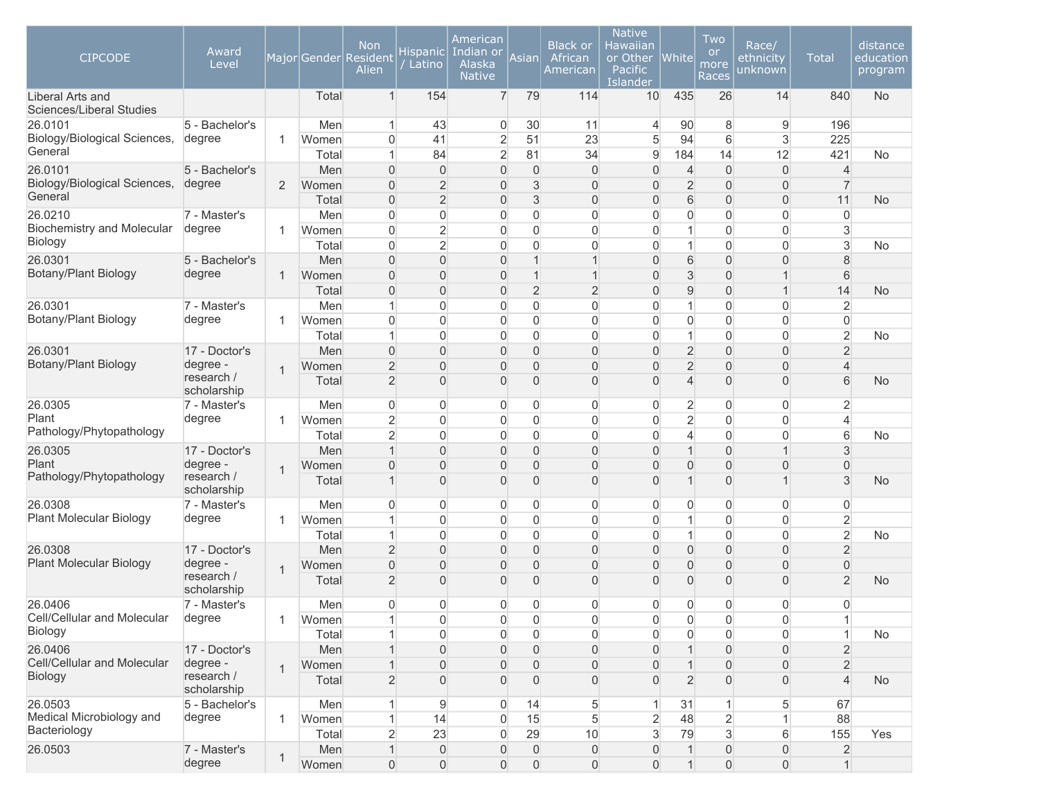| <b>CIPCODE</b>                               | Award<br>Level            |                |              | <b>Non</b><br>Major Gender Resident<br>Alien | Hispanic<br>Latino               | American<br>Indian or<br>Alaska<br><b>Native</b> | Asian               | <b>Black or</b><br>African<br>American | <b>Native</b><br>Hawaiian<br>or Other<br>Pacific<br>Islander | White          | Two<br><b>or</b><br>more<br>Races | Race/<br>ethnicity<br>unknown | <b>Total</b>   | distance<br>education<br>program |
|----------------------------------------------|---------------------------|----------------|--------------|----------------------------------------------|----------------------------------|--------------------------------------------------|---------------------|----------------------------------------|--------------------------------------------------------------|----------------|-----------------------------------|-------------------------------|----------------|----------------------------------|
| Liberal Arts and<br>Sciences/Liberal Studies |                           |                | Total        | $\mathbf{1}$                                 | 154                              | $\overline{7}$                                   | 79                  | 114                                    | 10                                                           | 435            | 26                                | 14                            | 840            | <b>No</b>                        |
| 26.0101                                      | 5 - Bachelor's            |                | Men          | 1                                            | 43                               | 0                                                | 30                  | 11                                     | 4                                                            | 90             | 8                                 | 9                             | 196            |                                  |
| Biology/Biological Sciences,                 | degree                    | 1              | Women        | $\overline{0}$                               | 41                               | $\overline{2}$                                   | 51                  | 23                                     | 5                                                            | 94             | 6                                 | 3                             | 225            |                                  |
| General                                      |                           |                | Total        | 1                                            | 84                               | $\overline{2}$                                   | 81                  | 34                                     | 9                                                            | 184            | 14                                | 12                            | 421            | No                               |
| 26.0101                                      | 5 - Bachelor's            |                | Men          | $\overline{0}$                               | $\overline{0}$                   | $\overline{0}$                                   | $\overline{0}$      | $\overline{0}$                         | $\overline{0}$                                               | $\overline{4}$ | $\overline{0}$                    | $\overline{0}$                | $\overline{4}$ |                                  |
| Biology/Biological Sciences,<br>General      | degree                    | $\overline{2}$ | Women        | $\overline{0}$                               | $\overline{2}$                   | $\overline{0}$                                   | 3                   | 0                                      | $\overline{0}$                                               | $\overline{2}$ | $\Omega$                          | 0                             | $\overline{7}$ |                                  |
|                                              |                           |                | Total        | $\overline{0}$                               | $\overline{2}$                   | $\overline{0}$                                   | 3                   | 0                                      | $\mathsf{O}\xspace$                                          | 6              | $\overline{0}$                    | $\mathsf{O}\xspace$           | 11             | <b>No</b>                        |
| 26.0210                                      | 7 - Master's              |                | Men          | $\overline{0}$                               | $\overline{0}$                   | $\overline{0}$                                   | 0                   | $\overline{0}$                         | $\overline{0}$                                               | 0              | $\overline{0}$                    | $\overline{0}$                | $\overline{0}$ |                                  |
| <b>Biochemistry and Molecular</b><br>Biology | degree                    | 1              | Women        | $\overline{0}$                               | $\overline{2}$                   | $\overline{0}$                                   | 0                   | $\overline{0}$                         | $\mathbf 0$                                                  | 1              | 0                                 | $\mathbf 0$                   | $\mathbf{3}$   |                                  |
|                                              |                           |                | Total        | $\mathbf{0}$                                 | $\overline{2}$                   | $\overline{0}$                                   | 0                   | $\overline{0}$                         | $\overline{0}$                                               | 1              | $\overline{0}$                    | $\mathbf 0$                   | $\mathbf{3}$   | <b>No</b>                        |
| 26.0301<br><b>Botany/Plant Biology</b>       | 5 - Bachelor's<br>degree  |                | Men          | $\Omega$                                     | $\overline{0}$                   | $\overline{0}$                                   | $\overline{1}$<br>1 | 1                                      | $\overline{0}$                                               | 6              | $\overline{0}$                    | $\overline{0}$<br>$\mathbf 1$ | 8              |                                  |
|                                              |                           | 1              | Women        | $\overline{0}$                               | $\overline{0}$<br>$\overline{0}$ | 0                                                | $\overline{2}$      | 1<br>$\overline{2}$                    | $\overline{0}$<br>$\overline{0}$                             | 3              | 0<br>$\overline{0}$               | $\mathbf{1}$                  | 6<br>14        |                                  |
| 26.0301                                      | 7 - Master's              |                | Total<br>Men | $\overline{0}$<br>1                          | $\overline{0}$                   | $\overline{0}$<br>$\overline{0}$                 | 0                   | $\overline{0}$                         | $\overline{0}$                                               | 9<br>1         | $\overline{0}$                    | $\overline{0}$                | $\overline{2}$ | No                               |
| Botany/Plant Biology                         | degree                    | 1              | Women        | 0                                            | $\overline{0}$                   | $\overline{0}$                                   | 0                   | $\overline{0}$                         | $\overline{0}$                                               | $\mathbf 0$    | $\overline{0}$                    | $\mathbf 0$                   | $\overline{0}$ |                                  |
|                                              |                           |                | Total        | 1                                            | $\overline{0}$                   | $\overline{0}$                                   | 0                   | $\overline{0}$                         | $\overline{0}$                                               | 1              | $\overline{0}$                    | $\mathbf 0$                   | $\overline{2}$ | No                               |
| 26.0301                                      | 17 - Doctor's             |                | Men          | $\overline{0}$                               | $\overline{0}$                   | $\overline{0}$                                   | 0                   | 0                                      | $\overline{0}$                                               | $\overline{2}$ | 0                                 | $\overline{0}$                | $\overline{2}$ |                                  |
| Botany/Plant Biology                         | degree -                  |                | Women        | $\overline{2}$                               | $\overline{0}$                   | $\overline{0}$                                   | 0                   | 0                                      | $\overline{0}$                                               | $\overline{2}$ | $\overline{0}$                    | $\boldsymbol{0}$              | $\overline{4}$ |                                  |
|                                              | research /<br>scholarship | $\mathbf 1$    | Total        | $\overline{2}$                               | $\overline{0}$                   | $\overline{0}$                                   | $\overline{0}$      | $\overline{0}$                         | $\overline{0}$                                               | $\overline{4}$ | $\overline{0}$                    | $\boldsymbol{0}$              | $6\phantom{1}$ | No                               |
| 26.0305                                      | 7 - Master's              |                | Men          | $\overline{0}$                               | 0                                | $\mathbf 0$                                      | 0                   | $\overline{0}$                         | 0                                                            | $\overline{c}$ | 0                                 | 0                             | $\overline{2}$ |                                  |
| Plant                                        | degree                    | 1              | Women        | $\overline{2}$                               | $\overline{0}$                   | $\overline{0}$                                   | 0                   | $\boldsymbol{0}$                       | $\overline{0}$                                               | $\overline{2}$ | $\mathbf{0}$                      | $\overline{0}$                | $\overline{4}$ |                                  |
| Pathology/Phytopathology                     |                           |                | Total        | $\overline{2}$                               | $\overline{0}$                   | 0                                                | 0                   | $\overline{0}$                         | $\overline{0}$                                               | $\overline{4}$ | 0                                 | $\overline{0}$                | 6              | No                               |
| 26.0305                                      | 17 - Doctor's             |                | Men          | 1                                            | $\overline{0}$                   | $\overline{0}$                                   | 0                   | 0                                      | $\overline{0}$                                               | 1              | $\overline{0}$                    | $\mathbf{1}$                  | 3              |                                  |
| Plant                                        | degree -                  |                | Women        | $\Omega$                                     | $\Omega$                         | 0                                                | $\overline{0}$      | $\overline{0}$                         | $\overline{0}$                                               | 0              | $\overline{0}$                    | $\overline{0}$                | $\overline{0}$ |                                  |
| Pathology/Phytopathology                     | research /<br>scholarship |                | Total        | 1                                            | $\overline{0}$                   | $\overline{0}$                                   | 0                   | 0                                      | $\overline{0}$                                               | 1              | $\overline{0}$                    | $\mathbf{1}$                  | 3              | <b>No</b>                        |
| 26.0308                                      | 7 - Master's              |                | Men          | $\overline{0}$                               | 0                                | $\overline{0}$                                   | 0                   | $\overline{0}$                         | $\overline{0}$                                               | 0              | 0                                 | $\overline{0}$                | $\overline{0}$ |                                  |
| <b>Plant Molecular Biology</b>               | degree                    | -1             | Women        |                                              | $\overline{0}$                   | $\overline{0}$                                   | 0                   | $\overline{0}$                         | $\overline{0}$                                               | 1              | 0                                 | $\overline{0}$                | $\overline{2}$ |                                  |
|                                              |                           |                | Total        | 1                                            | $\overline{0}$                   | 0                                                | 0                   | $\overline{0}$                         | $\overline{0}$                                               | 1              | $\overline{0}$                    | 0                             | $\overline{2}$ | No                               |
| 26.0308<br><b>Plant Molecular Biology</b>    | 17 - Doctor's             |                | Men          | $\overline{2}$                               | $\overline{0}$                   | $\overline{0}$                                   | 0                   | $\overline{0}$                         | $\overline{0}$                                               | $\overline{0}$ | $\overline{0}$                    | $\overline{0}$                | $\overline{2}$ |                                  |
|                                              | degree -<br>research /    | 1              | Women        | $\overline{0}$                               | $\Omega$                         | $\overline{0}$                                   | 0                   | $\overline{0}$                         | $\overline{0}$                                               | $\overline{0}$ | 0                                 | $\overline{0}$                | $\overline{0}$ |                                  |
|                                              | scholarship               |                | Total        | $\overline{2}$                               | $\overline{0}$                   | $\overline{0}$                                   | $\overline{0}$      | $\overline{0}$                         | $\overline{0}$                                               | $\overline{0}$ | $\overline{0}$                    | $\overline{0}$                | $\overline{2}$ | <b>No</b>                        |
| 26.0406                                      | 7 - Master's              |                | Men          | $\Omega$                                     | 0                                | 0                                                | 0                   | $\overline{0}$                         | 0                                                            | 0              | 0                                 | 0                             | $\overline{0}$ |                                  |
| Cell/Cellular and Molecular                  | degree                    |                | Women        |                                              | 0                                | 0                                                | 0                   | 0                                      | 0                                                            | 0              | 0                                 | 0                             | 1              |                                  |
| Biology                                      |                           |                | Total        |                                              | $\overline{0}$                   | $\overline{0}$                                   | $\overline{0}$      | $\overline{0}$                         | $\overline{0}$                                               | $\mathbf 0$    | $\overline{0}$                    | $\boldsymbol{0}$              | 1              | No                               |
| 26.0406                                      | 17 - Doctor's             |                | Men          |                                              | $\mathsf{O}\xspace$              | $\overline{0}$                                   | $\overline{0}$      | $\boldsymbol{0}$                       | $\overline{0}$                                               | $\mathbf 1$    | $\mathbf{0}$                      | $\boldsymbol{0}$              | $\overline{2}$ |                                  |
| Cell/Cellular and Molecular                  | degree -                  | $\overline{1}$ | Women        |                                              | $\boldsymbol{0}$                 | $\boldsymbol{0}$                                 | $\overline{0}$      | $\mathsf{O}\xspace$                    | $\overline{0}$                                               | 1              | $\overline{0}$                    | $\mathsf{O}\xspace$           | $\overline{2}$ |                                  |
| Biology                                      | research /<br>scholarship |                | Total        | $\overline{2}$                               | $\boldsymbol{0}$                 | $\boldsymbol{0}$                                 | $\overline{0}$      | $\boldsymbol{0}$                       | $\overline{0}$                                               | $\overline{2}$ | $\overline{0}$                    | $\boldsymbol{0}$              | $\overline{4}$ | <b>No</b>                        |
| 26.0503                                      | 5 - Bachelor's            |                | Men          | 1                                            | 9                                | $\mathbf 0$                                      | 14                  | $\sqrt{5}$                             | $\mathbf{1}$                                                 | 31             | 1                                 | 5                             | 67             |                                  |
| Medical Microbiology and                     | degree                    | 1              | Women        | $\mathbf{1}$                                 | 14                               | $\boldsymbol{0}$                                 | 15                  | $5\overline{)}$                        | $\overline{2}$                                               | 48             | $\overline{2}$                    | $\mathbf{1}$                  | 88             |                                  |
| Bacteriology                                 |                           |                | Total        | $\overline{2}$                               | 23                               | $\boldsymbol{0}$                                 | 29                  | 10                                     | $\overline{3}$                                               | 79             | 3                                 | $6 \,$                        | 155            | Yes                              |
| 26.0503                                      | 7 - Master's              | 1              | Men          | $\mathbf{1}$                                 | $\boldsymbol{0}$                 | $\mathsf{O}\xspace$                              | $\mathbf 0$         | $\overline{0}$                         | 0                                                            | $\mathbf{1}$   | $\boldsymbol{0}$                  | $\boldsymbol{0}$              | $\sqrt{2}$     |                                  |
|                                              | degree                    |                | Women        | $\overline{0}$                               | $\boldsymbol{0}$                 | $\overline{0}$                                   | $\overline{0}$      | $\boldsymbol{0}$                       | $\overline{0}$                                               | $\mathbf{1}$   | $\overline{0}$                    | $\mathsf{O}\xspace$           | $\mathbf{1}$   |                                  |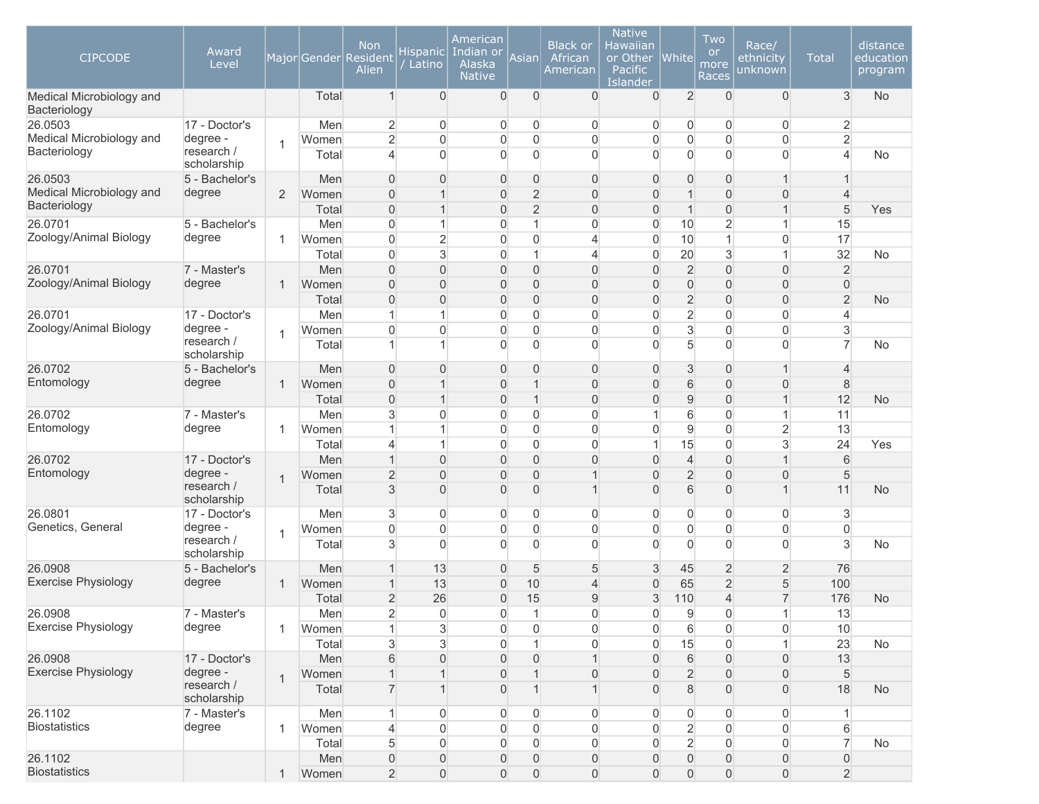| <b>CIPCODE</b>                           | Award<br>Level            |                |       | <b>Non</b><br>Major Gender Resident<br>Alien | <b>Hispanic</b><br>Latino | American<br>Indian or<br>Alaska<br><b>Native</b> | Asian          | <b>Black or</b><br>African<br>American | <b>Native</b><br>Hawaiian<br>or Other<br>Pacific<br>Islander | <b>White</b>        | Two<br><b>or</b><br>more<br>Races | Race/<br>ethnicity<br>unknown | <b>Total</b>   | distance<br>education<br>program |
|------------------------------------------|---------------------------|----------------|-------|----------------------------------------------|---------------------------|--------------------------------------------------|----------------|----------------------------------------|--------------------------------------------------------------|---------------------|-----------------------------------|-------------------------------|----------------|----------------------------------|
| Medical Microbiology and<br>Bacteriology |                           |                | Total | $\mathbf{1}$                                 | $\overline{0}$            | $\overline{0}$                                   | 0              | 0                                      | $\overline{0}$                                               | $\overline{2}$      | $\overline{0}$                    | $\overline{0}$                | 3              | <b>No</b>                        |
| 26.0503                                  | 17 - Doctor's             |                | Men   | $\overline{2}$                               | $\overline{0}$            | 0                                                |                | 0<br>0                                 | 0                                                            | $\overline{0}$      | $\overline{0}$                    | 0                             | $\overline{2}$ |                                  |
| Medical Microbiology and                 | degree -<br>research /    | $\mathbf 1$    | Women | $\overline{2}$                               | $\mathbf 0$               | $\mathsf{O}\xspace$                              | $\mathbf 0$    | 0                                      | $\overline{0}$                                               | $\mathsf{O}\xspace$ | $\mathbf 0$                       | $\overline{0}$                | $\overline{2}$ |                                  |
| Bacteriology                             | scholarship               |                | Total | 4                                            | $\Omega$                  | $\overline{0}$                                   | $\overline{0}$ | $\overline{0}$                         | $\Omega$                                                     | $\overline{0}$      | $\mathbf{0}$                      | $\overline{0}$                | 4              | No                               |
| 26.0503                                  | 5 - Bachelor's            |                | Men   | $\Omega$                                     | $\overline{0}$            | $\overline{0}$                                   | 0              | $\overline{0}$                         | $\overline{0}$                                               | $\mathbf 0$         | $\overline{0}$                    | $\mathbf{1}$                  |                |                                  |
| Medical Microbiology and<br>Bacteriology | degree                    | $\overline{2}$ | Women | $\Omega$                                     | $\mathbf 1$               | $\overline{0}$                                   | $\overline{2}$ | $\overline{0}$                         | $\Omega$                                                     | $\mathbf{1}$        | $\overline{0}$                    | $\overline{0}$                | $\overline{4}$ |                                  |
|                                          |                           |                | Total | $\overline{0}$                               | $\mathbf{1}$              | $\overline{0}$                                   |                | $\overline{2}$<br>$\overline{0}$       | $\overline{0}$                                               | $\mathbf{1}$        | $\overline{0}$                    | $\mathbf{1}$                  | 5              | Yes                              |
| 26.0701                                  | 5 - Bachelor's            |                | Men   | $\overline{0}$                               | $\mathbf 1$               | 0                                                |                | $\mathbf{1}$<br>0                      | $\boldsymbol{0}$                                             | 10                  | $\overline{2}$                    | $\mathbf{1}$                  | 15             |                                  |
| Zoology/Animal Biology                   | degree                    | 1              | Women | $\overline{0}$                               | $\overline{2}$            | $\overline{0}$                                   |                | 0<br>4                                 | $\boldsymbol{0}$                                             | 10                  | 1                                 | $\overline{0}$                | 17             |                                  |
|                                          |                           |                | Total | 0                                            | 3                         | 0                                                |                | $\mathbf{1}$<br>4                      | $\boldsymbol{0}$                                             | 20                  | 3                                 | $\mathbf{1}$                  | 32             | No                               |
| 26.0701                                  | 7 - Master's              |                | Men   | $\Omega$                                     | $\overline{0}$            | $\overline{0}$                                   | $\overline{0}$ | $\overline{0}$                         | $\overline{0}$                                               | $\overline{2}$      | $\overline{0}$                    | $\overline{0}$                | $\sqrt{2}$     |                                  |
| Zoology/Animal Biology                   | degree                    | -1             | Women | $\Omega$                                     | $\overline{0}$            | $\overline{0}$                                   | $\overline{0}$ | $\overline{0}$                         | $\overline{0}$                                               | $\overline{0}$      | $\Omega$                          | $\overline{0}$                | $\overline{0}$ |                                  |
|                                          |                           |                | Total | $\overline{0}$                               | $\overline{0}$            | $\mathbf 0$                                      | $\overline{0}$ | $\overline{0}$                         | $\overline{0}$                                               | $\overline{2}$      | $\overline{0}$                    | 0                             | $\overline{2}$ | <b>No</b>                        |
| 26.0701                                  | 17 - Doctor's             |                | Men   | 1                                            | $\mathbf{1}$              | $\overline{0}$                                   |                | 0<br>0                                 | $\overline{0}$                                               | $\overline{c}$      | $\overline{0}$                    | 0                             | 4              |                                  |
| Zoology/Animal Biology                   | degree -<br>research /    | $\overline{1}$ | Women | $\Omega$                                     | $\overline{0}$            | $\overline{0}$                                   | 0              | 0                                      | $\overline{0}$                                               | $\mathbf{3}$        | $\overline{0}$                    | $\overline{0}$                | 3              |                                  |
|                                          | scholarship               |                | Total |                                              |                           | $\overline{0}$                                   | $\overline{0}$ | $\overline{0}$                         | $\Omega$                                                     | 5                   | $\mathbf{0}$                      | $\overline{0}$                | 7              | No                               |
| 26.0702                                  | 5 - Bachelor's            |                | Men   | $\Omega$                                     | $\overline{0}$            | $\overline{0}$                                   | 0              | $\overline{0}$                         | $\overline{0}$                                               | 3                   | $\overline{0}$                    | $\mathbf{1}$                  | $\overline{4}$ |                                  |
| Entomology                               | degree                    | $\mathbf{1}$   | Women | $\Omega$                                     | $\mathbf{1}$              | $\overline{0}$                                   |                | $\overline{0}$<br>$\mathbf{1}$         | $\overline{0}$                                               | 6                   | $\overline{0}$                    | $\overline{0}$                | 8              |                                  |
|                                          |                           |                | Total | $\Omega$                                     | $\mathbf{1}$              | $\overline{0}$                                   |                | $\overline{0}$<br>1                    | $\overline{0}$                                               | 9                   | $\Omega$                          | $\mathbf{1}$                  | 12             | <b>No</b>                        |
| 26.0702                                  | 7 - Master's              |                | Men   | 3                                            | $\mathbf{0}$              | $\overline{0}$                                   | 0              | 0                                      | $\mathbf 1$                                                  | 6                   | 0                                 | $\mathbf{1}$                  | 11             |                                  |
| Entomology                               | degree                    | -1             | Women |                                              | $\mathbf 1$               | 0                                                |                | 0<br>0                                 | $\overline{0}$                                               | $\boldsymbol{9}$    | $\overline{0}$                    | $\overline{2}$                | 13             |                                  |
|                                          |                           |                | Total | 4                                            | $\mathbf{1}$              | $\overline{0}$                                   |                | 0<br>0                                 | $\mathbf{1}$                                                 | 15                  | $\overline{0}$                    | 3                             | 24             | Yes                              |
| 26.0702                                  | 17 - Doctor's             |                | Men   | 1                                            | $\mathbf{0}$              | $\mathbf 0$                                      | $\overline{0}$ | $\overline{0}$                         | $\overline{0}$                                               | $\overline{4}$      | $\overline{0}$                    | $\mathbf{1}$                  | 6              |                                  |
| Entomology                               | degree -                  | $\mathbf 1$    | Women | $\overline{2}$                               | $\overline{0}$            | $\mathbf 0$                                      | $\mathbf 0$    | 1                                      | $\mathbf 0$                                                  | $\overline{2}$      | $\overline{0}$                    | $\overline{0}$                | 5              |                                  |
|                                          | research /<br>scholarship |                | Total | 3                                            | $\overline{0}$            | $\overline{0}$                                   | $\overline{0}$ | 1                                      | $\mathbf{0}$                                                 | 6                   | $\Omega$                          | $\mathbf{1}$                  | 11             | <b>No</b>                        |
| 26.0801                                  | 17 - Doctor's             |                | Men   | 3                                            | $\mathbf 0$               | 0                                                | 0              | 0                                      | 0                                                            | 0                   | 0                                 | 0                             | 3              |                                  |
| Genetics, General                        | degree -                  | -1             | Women | $\Omega$                                     | $\mathbf 0$               | $\overline{0}$                                   | $\mathbf 0$    | 0                                      | $\mathbf 0$                                                  | $\mathbf 0$         | $\mathbf{0}$                      | $\mathbf 0$                   | $\overline{0}$ |                                  |
|                                          | research /<br>scholarship |                | Total | $\mathbf{3}$                                 | $\Omega$                  | $\overline{0}$                                   | $\overline{0}$ | 0                                      | $\Omega$                                                     | $\Omega$            | $\mathbf{0}$                      | $\overline{0}$                | 3              | No                               |
| 26.0908                                  | 5 - Bachelor's            |                | Men   |                                              | 13                        | $\overline{0}$                                   | 5              | 5                                      | 3                                                            | 45                  | $\overline{2}$                    | $\overline{2}$                | 76             |                                  |
| <b>Exercise Physiology</b>               | degree                    | $\mathbf 1$    | Women |                                              | 13                        | $\overline{0}$                                   | 10             | 4                                      | $\overline{0}$                                               | 65                  | 2                                 | 5                             | 100            |                                  |
|                                          |                           |                | Total | $\overline{2}$                               | 26                        | $\mathsf{O}\xspace$                              | 15             | 9                                      | $\mathfrak{S}$                                               | 110                 | 4                                 | $\overline{7}$                | 176            | <b>No</b>                        |
| 26.0908                                  | 7 - Master's              |                | Men   | $\overline{2}$                               | $\Omega$                  | $\Omega$                                         | 1              | $\Omega$                               | $\Omega$                                                     | q                   | $\Omega$                          | $\mathbf{1}$                  | 13             |                                  |
| <b>Exercise Physiology</b>               | degree                    | 1              | Women |                                              | 3                         | 0                                                | 0              | 0                                      | $\overline{0}$                                               | 6                   | 0                                 | 0                             | 10             |                                  |
|                                          |                           |                | Total | 3                                            | 3                         | 0                                                |                | $\mathbf{1}$<br>0                      | $\mathbf 0$                                                  | 15                  | 0                                 | $\mathbf{1}$                  | 23             | No                               |
| 26.0908                                  | 17 - Doctor's             |                | Men   | 6                                            | $\overline{0}$            | $\overline{0}$                                   | 0              |                                        | $\overline{0}$                                               | 6                   | $\overline{0}$                    | $\overline{0}$                | 13             |                                  |
| <b>Exercise Physiology</b>               | degree -                  | $\overline{1}$ | Women |                                              |                           | $\overline{0}$                                   |                | $\mathbf{1}$<br>0                      | $\overline{0}$                                               | $\overline{c}$      | $\overline{0}$                    | $\overline{0}$                | $\sqrt{5}$     |                                  |
|                                          | research /<br>scholarship |                | Total |                                              |                           | $\mathsf{O}\xspace$                              |                |                                        | $\Omega$                                                     | 8                   | $\mathbf 0$                       | $\overline{0}$                | 18             | No                               |
| 26.1102                                  | 7 - Master's              |                | Men   |                                              | $\overline{0}$            | 0                                                |                | 0<br>0                                 | $\mathbf 0$                                                  | 0                   | 0                                 | 0                             | 1              |                                  |
| <b>Biostatistics</b>                     | degree                    | 1              | Women | 4                                            | $\mathbf 0$               | 0                                                |                | $\boldsymbol{0}$<br>0                  | $\boldsymbol{0}$                                             | $\overline{2}$      | 0                                 | 0                             | 6              |                                  |
|                                          |                           |                | Total | 5                                            | $\mathbf 0$               | 0                                                |                | 0<br>0                                 | 0                                                            | $\overline{2}$      | $\overline{0}$                    | 0                             | $\overline{7}$ | No                               |
| 26.1102                                  |                           |                | Men   | 0                                            | $\mathbf 0$               | 0                                                | 0              | 0                                      | $\overline{0}$                                               | $\mathsf{O}\xspace$ | $\mathsf{O}\xspace$               | $\mathsf{O}\xspace$           | $\overline{0}$ |                                  |
| <b>Biostatistics</b>                     |                           | $\mathbf{1}$   | Women | $\overline{2}$                               | $\mathsf{O}\xspace$       | $\mathsf{O}\xspace$                              |                | 0<br>0                                 | $\boldsymbol{0}$                                             | $\mathsf{O}\xspace$ | $\boldsymbol{0}$                  | $\boldsymbol{0}$              | $\overline{2}$ |                                  |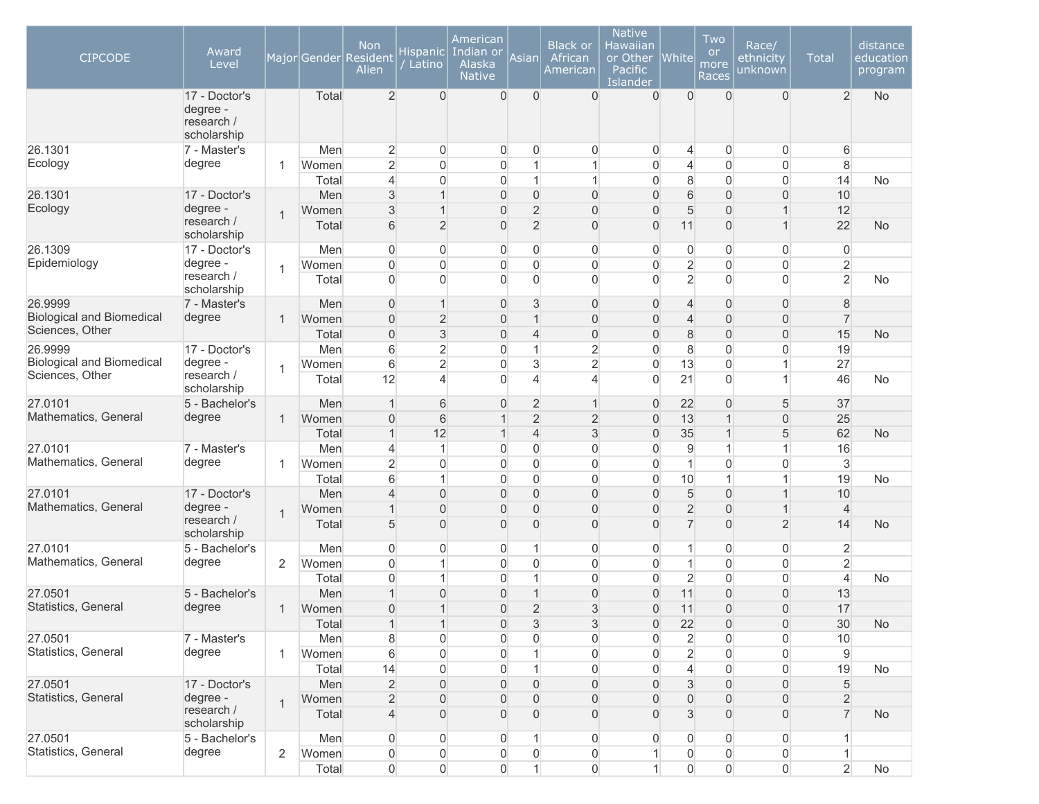| <b>CIPCODE</b>                                      | Award<br>Level<br>17 - Doctor's       |                | Total | <b>Non</b><br>Major Gender Resident<br>Alien<br>$\overline{2}$ | <b>Hispanic</b><br>Latino<br>$\Omega$ | American<br>Indian or<br>Alaska<br><b>Native</b><br>$\overline{0}$ | Asian<br>$\Omega$ | <b>Black or</b><br>African<br>American<br>$\Omega$ | <b>Native</b><br>Hawaiian<br>or Other<br>Pacific<br>Islander<br>$\overline{0}$ | <b>White</b><br>$\Omega$ | Two<br><b>or</b><br>more<br>Races<br>$\Omega$ | Race/<br>ethnicity<br>unknown<br>$\overline{0}$ | <b>Total</b><br>$\overline{2}$ | distance<br>education<br>program<br><b>No</b> |
|-----------------------------------------------------|---------------------------------------|----------------|-------|----------------------------------------------------------------|---------------------------------------|--------------------------------------------------------------------|-------------------|----------------------------------------------------|--------------------------------------------------------------------------------|--------------------------|-----------------------------------------------|-------------------------------------------------|--------------------------------|-----------------------------------------------|
|                                                     | degree -<br>research /<br>scholarship |                |       |                                                                |                                       |                                                                    |                   |                                                    |                                                                                |                          |                                               |                                                 |                                |                                               |
| 26.1301                                             | 7 - Master's                          |                | Men   | $\overline{2}$                                                 | $\overline{0}$                        | 0                                                                  | 0                 | $\overline{0}$                                     | 0                                                                              | 4                        | 0                                             | $\overline{0}$                                  | 6                              |                                               |
| Ecology                                             | degree                                | 1              | Women | $\overline{2}$                                                 | $\overline{0}$                        | 0                                                                  | 1                 | 1                                                  | $\overline{0}$                                                                 | $\overline{4}$           | $\overline{0}$                                | $\boldsymbol{0}$                                | $\,8\,$                        |                                               |
|                                                     |                                       |                | Total | 4                                                              | $\mathbf{0}$                          | 0                                                                  | 1                 | 1                                                  | $\overline{0}$                                                                 | 8                        | $\overline{0}$                                | $\overline{0}$                                  | 14                             | No                                            |
| 26.1301                                             | 17 - Doctor's                         |                | Men   | 3                                                              | $\mathbf 1$                           | $\boldsymbol{0}$                                                   | 0                 | $\overline{0}$                                     | $\overline{0}$                                                                 | 6                        | 0                                             | $\overline{0}$                                  | 10                             |                                               |
| Ecology                                             | degree -                              | $\mathbf 1$    | Women | 3                                                              | $\overline{1}$                        | 0                                                                  | $\overline{2}$    | $\overline{0}$                                     | $\overline{0}$                                                                 | 5                        | $\overline{0}$                                | $\mathbf{1}$                                    | 12                             |                                               |
|                                                     | research /<br>scholarship             |                | Total | 6                                                              | $\overline{2}$                        | $\overline{0}$                                                     | $\overline{2}$    | $\overline{0}$                                     | $\overline{0}$                                                                 | 11                       | $\overline{0}$                                | $\mathbf{1}$                                    | 22                             | <b>No</b>                                     |
| 26.1309                                             | 17 - Doctor's                         |                | Men   | $\overline{0}$                                                 | $\mathbf 0$                           | $\overline{0}$                                                     | 0                 | $\overline{0}$                                     | $\overline{0}$                                                                 | 0                        | $\overline{0}$                                | $\overline{0}$                                  | $\overline{0}$                 |                                               |
| Epidemiology                                        | degree -                              | $\mathbf{1}$   | Women | $\overline{0}$                                                 | $\mathbf 0$                           | $\overline{0}$                                                     | 0                 | $\mathbf 0$                                        | $\overline{0}$                                                                 | $\overline{2}$           | $\overline{0}$                                | $\overline{0}$                                  | $\overline{2}$                 |                                               |
|                                                     | research /<br>scholarship             |                | Total | $\Omega$                                                       | $\Omega$                              | $\Omega$                                                           | $\overline{0}$    | $\Omega$                                           | $\overline{0}$                                                                 | $\overline{2}$           | $\Omega$                                      | $\overline{0}$                                  | $\overline{2}$                 | No                                            |
| 26.9999                                             | 7 - Master's                          |                | Men   | $\overline{0}$                                                 | $\mathbf{1}$                          | $\mathbf{0}$                                                       | 3                 | 0                                                  | $\overline{0}$                                                                 | $\overline{4}$           | 0                                             | $\overline{0}$                                  | 8                              |                                               |
| <b>Biological and Biomedical</b><br>Sciences, Other | degree                                | 1              | Women | $\overline{0}$                                                 | $\overline{2}$                        | 0                                                                  | $\mathbf{1}$      | $\boldsymbol{0}$                                   | 0                                                                              | $\overline{4}$           | $\overline{0}$                                | $\boldsymbol{0}$                                | $\overline{7}$                 |                                               |
|                                                     |                                       |                | Total | $\overline{0}$                                                 | $\mathfrak{S}$                        | 0                                                                  | $\overline{4}$    | $\boldsymbol{0}$                                   | 0                                                                              | 8                        | $\overline{0}$                                | $\boldsymbol{0}$                                | 15                             | <b>No</b>                                     |
| 26.9999                                             | 17 - Doctor's                         |                | Men   | 6                                                              | $\overline{2}$                        | $\overline{0}$                                                     | $\mathbf{1}$      | $\overline{2}$                                     | $\overline{0}$                                                                 | 8                        | $\overline{0}$                                | $\boldsymbol{0}$                                | 19                             |                                               |
| <b>Biological and Biomedical</b><br>Sciences, Other | degree -                              | 1              | Women | $6\phantom{.}$                                                 | $\overline{2}$                        | 0                                                                  | 3                 | $\overline{2}$                                     | $\mathsf{O}\xspace$                                                            | 13                       | $\mathbf 0$                                   | $\mathbf{1}$                                    | 27                             |                                               |
|                                                     | research /<br>scholarship             |                | Total | 12                                                             | $\overline{4}$                        | $\Omega$                                                           | $\overline{4}$    | $\overline{4}$                                     | $\overline{0}$                                                                 | 21                       | $\overline{0}$                                | $\mathbf{1}$                                    | 46                             | <b>No</b>                                     |
| 27.0101                                             | 5 - Bachelor's                        |                | Men   | $\mathbf 1$                                                    | 6                                     | 0                                                                  | $\overline{2}$    | $\mathbf{1}$                                       | 0                                                                              | 22                       | $\overline{0}$                                | 5                                               | 37                             |                                               |
| Mathematics, General                                | degree                                | 1              | Women | $\overline{0}$                                                 | 6                                     | $\overline{1}$                                                     | $\overline{2}$    | $\overline{2}$                                     | $\overline{0}$                                                                 | 13                       | 1                                             | $\overline{0}$                                  | 25                             |                                               |
|                                                     |                                       |                | Total | $\mathbf{1}$                                                   | 12                                    | $\overline{1}$                                                     | $\overline{4}$    | $\mathfrak{S}$                                     | $\overline{0}$                                                                 | 35                       | 1                                             | 5                                               | 62                             | <b>No</b>                                     |
| 27.0101                                             | 7 - Master's                          |                | Men   | 4                                                              | $\mathbf{1}$                          | 0                                                                  | 0                 | $\boldsymbol{0}$                                   | $\overline{0}$                                                                 | 9                        | 1                                             | $\mathbf{1}$                                    | 16                             |                                               |
| Mathematics, General                                | degree                                | 1              | Women | $\overline{2}$                                                 | $\mathbf{0}$                          | $\overline{0}$                                                     | 0                 | $\overline{0}$                                     | $\overline{0}$                                                                 | 1                        | 0                                             | $\overline{0}$                                  | $\mathfrak{S}$                 |                                               |
|                                                     |                                       |                | Total | 6                                                              | 1                                     | $\overline{0}$                                                     | 0                 | $\overline{0}$                                     | $\overline{0}$                                                                 | 10                       | 1                                             | $\mathbf{1}$                                    | 19                             | No                                            |
| 27.0101                                             | 17 - Doctor's                         |                | Men   | 4                                                              | $\mathbf{0}$                          | 0                                                                  | $\overline{0}$    | $\overline{0}$                                     | $\overline{0}$                                                                 | 5                        | $\overline{0}$                                | $\mathbf{1}$                                    | 10                             |                                               |
| Mathematics, General                                | degree -                              | $\mathbf{1}$   | Women | 1                                                              | $\mathbf{0}$                          | 0                                                                  | $\overline{0}$    | $\overline{0}$                                     | $\overline{0}$                                                                 | $\overline{2}$           | $\overline{0}$                                | $\mathbf{1}$                                    | $\overline{4}$                 |                                               |
|                                                     | research /<br>scholarship             |                | Total | 5                                                              | $\mathbf{0}$                          | $\overline{0}$                                                     | $\overline{0}$    | $\overline{0}$                                     | $\Omega$                                                                       | $\overline{7}$           | $\Omega$                                      | $\overline{2}$                                  | 14                             | <b>No</b>                                     |
| 27.0101                                             | 5 - Bachelor's                        |                | Men   | $\overline{0}$                                                 | $\mathbf 0$                           | $\overline{0}$                                                     | 1                 | $\boldsymbol{0}$                                   | $\overline{0}$                                                                 | 1                        | 0                                             | $\overline{0}$                                  | $\overline{2}$                 |                                               |
| Mathematics, General                                | degree                                | 2              | Women | $\overline{0}$                                                 | 1                                     | 0                                                                  | 0                 | $\boldsymbol{0}$                                   | $\mathsf{O}\xspace$                                                            | 1                        | $\overline{0}$                                | $\boldsymbol{0}$                                | $\overline{2}$                 |                                               |
|                                                     |                                       |                | Total | $\Omega$                                                       | 1                                     | $\overline{0}$                                                     | 1                 | $\boldsymbol{0}$                                   | $\overline{0}$                                                                 | $\overline{c}$           | $\overline{0}$                                | $\overline{0}$                                  | $\overline{4}$                 | <b>No</b>                                     |
| 27.0501                                             | 5 - Bachelor's                        |                | Men   |                                                                | $\overline{0}$                        | 0                                                                  | 1                 | $\boldsymbol{0}$                                   | $\mathsf{O}\xspace$                                                            | 11                       | $\overline{0}$                                | $\boldsymbol{0}$                                | 13                             |                                               |
| Statistics, General                                 | degree                                | 1              | Women | $\Omega$                                                       | $\mathbf{1}$                          | $\overline{0}$                                                     | $\overline{2}$    | 3                                                  | $\mathbf 0$                                                                    | 11                       | $\overline{0}$                                | $\overline{0}$                                  | 17                             |                                               |
|                                                     |                                       |                | Total | $\mathbf{1}$                                                   | $\mathbf{1}$                          | 0                                                                  | $\sqrt{3}$        | $\sqrt{3}$                                         | $\boldsymbol{0}$                                                               | 22                       | $\overline{0}$                                | $\boldsymbol{0}$                                | 30                             | <b>No</b>                                     |
| 27.0501                                             | 7 - Master's                          |                | Men   | $\bf 8$                                                        | $\boldsymbol{0}$                      | $\overline{0}$                                                     | $\boldsymbol{0}$  | $\boldsymbol{0}$                                   | $\overline{0}$                                                                 | $\overline{2}$           | 0                                             | $\boldsymbol{0}$                                | 10                             |                                               |
| Statistics, General                                 | degree                                | 1              | Women | $6\,$                                                          | $\boldsymbol{0}$                      | 0                                                                  | $\mathbf{1}$      | $\boldsymbol{0}$                                   | $\boldsymbol{0}$                                                               | $\overline{2}$           | $\overline{0}$                                | $\boldsymbol{0}$                                | $9\,$                          |                                               |
|                                                     |                                       |                | Total | 14                                                             | $\boldsymbol{0}$                      | $\overline{0}$                                                     | $\mathbf{1}$      | $\boldsymbol{0}$                                   | $\overline{0}$                                                                 | $\overline{\mathbf{r}}$  | $\overline{0}$                                | $\overline{0}$                                  | 19                             | No                                            |
| 27.0501                                             | 17 - Doctor's                         |                | Men   | $\overline{2}$                                                 | $\boldsymbol{0}$                      | $\mathbf 0$                                                        | 0                 | $\overline{0}$                                     | $\boldsymbol{0}$                                                               | 3                        | $\mathbf 0$                                   | $\overline{0}$                                  | 5                              |                                               |
| Statistics, General                                 | degree -                              | $\mathbf{1}$   | Women | $\overline{2}$                                                 | $\overline{0}$                        | 0                                                                  | 0                 | $\boldsymbol{0}$                                   | 0                                                                              | $\mathsf{O}\xspace$      | 0                                             | $\boldsymbol{0}$                                | $\overline{2}$                 |                                               |
|                                                     | research /<br>scholarship             |                | Total | $\overline{4}$                                                 | $\overline{0}$                        | 0                                                                  | 0                 | $\overline{0}$                                     | $\overline{0}$                                                                 | 3                        | 0                                             | $\overline{0}$                                  | $\overline{7}$                 | <b>No</b>                                     |
| 27.0501                                             | 5 - Bachelor's                        |                | Men   | $\overline{0}$                                                 | $\boldsymbol{0}$                      | 0                                                                  | 1                 | $\overline{0}$                                     | 0                                                                              | 0                        | 0                                             | $\boldsymbol{0}$                                | 1                              |                                               |
| Statistics, General                                 | degree                                | $\overline{2}$ | Women | $\boldsymbol{0}$                                               | $\boldsymbol{0}$                      | 0                                                                  | 0                 | $\boldsymbol{0}$                                   | $\mathbf{1}$                                                                   | 0                        | 0                                             | $\mathsf{O}\xspace$                             | $\mathbf{1}$                   |                                               |
|                                                     |                                       |                | Total | $\overline{0}$                                                 | $\boldsymbol{0}$                      | $\overline{0}$                                                     | $\mathbf{1}$      | $\overline{0}$                                     | 1                                                                              | $\overline{0}$           | $\overline{0}$                                | $\mathsf{O}\xspace$                             | $\overline{2}$                 | No                                            |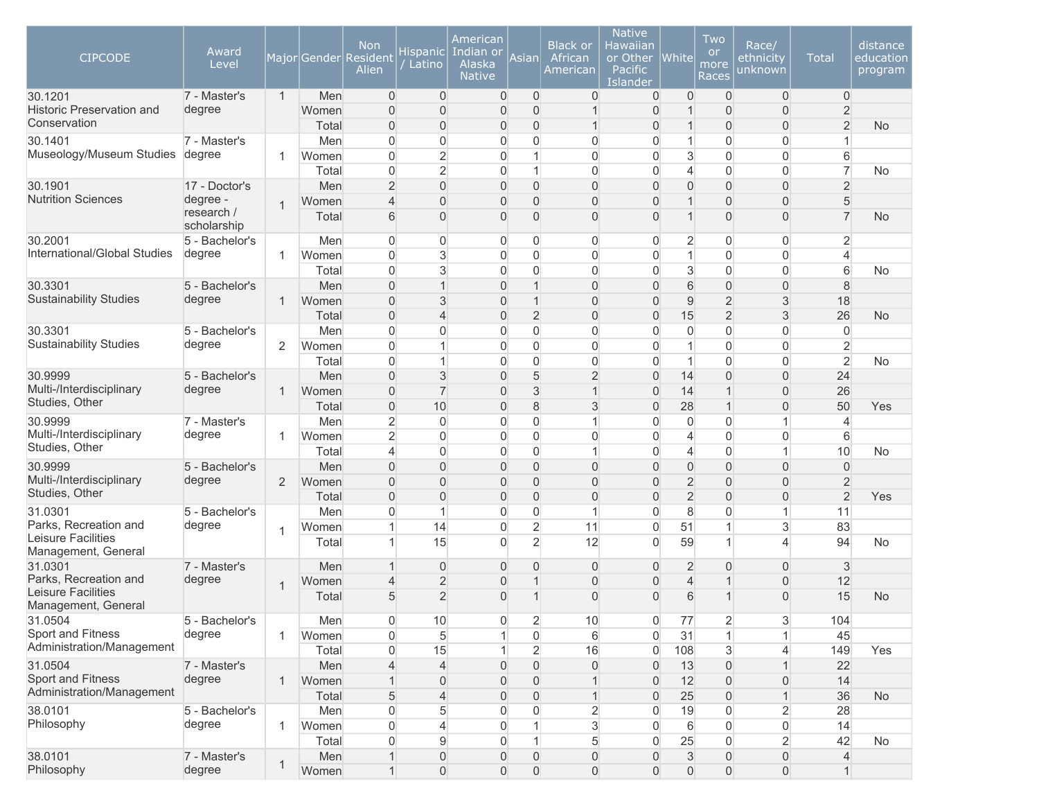| <b>CIPCODE</b>                                 | Award<br>Level            |                |                | <b>Non</b><br>Major Gender Resident<br>Alien | <b>Hispanic</b><br>Latino        | American<br>Indian or<br>Alaska<br><b>Native</b> | Asian               | <b>Black or</b><br>African<br>American | <b>Native</b><br>Hawaiian<br>or Other<br>Pacific<br>Islander | <b>White</b>                     | Two<br><b>or</b><br>more<br>Races | Race/<br>ethnicity<br>unknown    | <b>Total</b>                     | distance<br>education<br>program |
|------------------------------------------------|---------------------------|----------------|----------------|----------------------------------------------|----------------------------------|--------------------------------------------------|---------------------|----------------------------------------|--------------------------------------------------------------|----------------------------------|-----------------------------------|----------------------------------|----------------------------------|----------------------------------|
| 30.1201<br><b>Historic Preservation and</b>    | 7 - Master's<br>degree    | $\mathbf{1}$   | Men<br>Women   | $\overline{0}$<br>$\overline{0}$             | $\overline{0}$<br>$\mathbf{0}$   | $\mathbf 0$<br>0                                 | $\overline{0}$<br>0 | $\mathbf 0$<br>1                       | $\overline{0}$<br>$\overline{0}$                             | 0<br>1                           | $\mathbf 0$<br>0                  | $\overline{0}$<br>$\overline{0}$ | $\overline{0}$<br>$\overline{2}$ |                                  |
| Conservation                                   |                           |                | Total          | $\overline{0}$                               | $\overline{0}$                   | 0                                                | 0                   | $\mathbf{1}$                           | $\overline{0}$                                               | $\mathbf 1$                      | 0                                 | $\boldsymbol{0}$                 | $\overline{2}$                   | <b>No</b>                        |
| 30.1401                                        | 7 - Master's              |                | Men            | $\Omega$                                     | $\overline{0}$                   | $\Omega$                                         | 0                   | 0                                      | $\overline{0}$                                               | 1                                | $\overline{0}$                    | $\overline{0}$                   | $\mathbf{1}$                     |                                  |
| Museology/Museum Studies                       | degree                    | 1              | Women          | $\Omega$                                     | $\overline{2}$                   | 0                                                | 1                   | $\overline{0}$                         | $\overline{0}$                                               | 3                                | 0                                 | $\overline{0}$                   | 6                                |                                  |
|                                                |                           |                | Total          | $\overline{0}$                               | $\overline{2}$                   | $\overline{0}$                                   | 1                   | $\overline{0}$                         | $\overline{0}$                                               | $\overline{4}$                   | $\overline{0}$                    | $\overline{0}$                   | $\overline{7}$                   | No                               |
| 30.1901                                        | 17 - Doctor's             |                | Men            | $\overline{2}$                               | $\overline{0}$                   | 0                                                | $\overline{0}$      | $\overline{0}$                         | $\overline{0}$                                               | $\overline{0}$                   | $\overline{0}$                    | $\overline{0}$                   | $\overline{2}$                   |                                  |
| <b>Nutrition Sciences</b>                      | degree -                  | $\mathbf{1}$   | Women          | 4                                            | $\overline{0}$                   | 0                                                | 0                   | $\overline{0}$                         | $\overline{0}$                                               | 1                                | $\overline{0}$                    | $\overline{0}$                   | $\sqrt{5}$                       |                                  |
|                                                | research /<br>scholarship |                | Total          | 6                                            | $\overline{0}$                   | $\overline{0}$                                   | 0                   | $\overline{0}$                         | $\overline{0}$                                               | $\overline{1}$                   | $\overline{0}$                    | $\boldsymbol{0}$                 | $\overline{7}$                   | <b>No</b>                        |
| 30.2001                                        | 5 - Bachelor's            |                | Men            | $\overline{0}$                               | 0                                | 0                                                | 0                   | $\overline{0}$                         | $\overline{0}$                                               | $\overline{c}$                   | 0                                 | $\mathbf{0}$                     | $\overline{2}$                   |                                  |
| International/Global Studies                   | degree                    | 1              | Women          | $\overline{0}$                               | $\mathbf{3}$                     | $\overline{0}$                                   | 0                   | $\boldsymbol{0}$                       | $\overline{0}$                                               | $\mathbf{1}$                     | 0                                 | $\boldsymbol{0}$                 | $\overline{4}$                   |                                  |
|                                                |                           |                | Total          | $\overline{0}$                               | 3                                | $\overline{0}$                                   | 0                   | $\boldsymbol{0}$                       | $\overline{0}$                                               | 3                                | 0                                 | $\overline{0}$                   | $6\,$                            | <b>No</b>                        |
| 30.3301                                        | 5 - Bachelor's            |                | Men            | $\overline{0}$                               | $\mathbf{1}$                     | 0                                                | 1                   | $\overline{0}$                         | $\overline{0}$                                               | 6                                | $\overline{0}$                    | $\mathbf 0$                      | 8                                |                                  |
| <b>Sustainability Studies</b>                  | degree                    | 1              | Women          | $\overline{0}$                               | 3                                | 0                                                | 1                   | $\overline{0}$                         | $\overline{0}$                                               | 9                                | $\overline{2}$                    | 3                                | 18                               |                                  |
|                                                |                           |                | Total          | $\overline{0}$                               | $\overline{4}$                   | 0                                                | $\overline{2}$      | $\overline{0}$                         | $\overline{0}$                                               | 15                               | $\overline{2}$                    | 3                                | 26                               | <b>No</b>                        |
| 30.3301                                        | 5 - Bachelor's            |                | Men            | $\overline{0}$                               | $\mathbf{0}$                     | 0                                                | 0                   | $\overline{0}$                         | $\overline{0}$                                               | 0                                | $\overline{0}$                    | $\overline{0}$                   | $\overline{0}$                   |                                  |
| <b>Sustainability Studies</b>                  | degree                    | $\overline{2}$ | Women          | $\Omega$                                     | 1                                | 0                                                | 0                   | $\boldsymbol{0}$                       | $\overline{0}$                                               | 1                                | $\overline{0}$                    | $\boldsymbol{0}$                 | $\overline{2}$                   |                                  |
|                                                |                           |                | Total          | $\Omega$                                     | $\mathbf{1}$                     | 0                                                | 0                   | $\overline{0}$                         | $\overline{0}$                                               | 1                                | $\overline{0}$                    | $\overline{0}$                   | $\overline{2}$                   | <b>No</b>                        |
| 30.9999                                        | 5 - Bachelor's            |                | Men            | $\overline{0}$                               | $\mathfrak{S}$                   | $\mathbf{0}$                                     | 5                   | $\overline{2}$                         | $\overline{0}$                                               | 14                               | $\overline{0}$                    | $\overline{0}$                   | 24                               |                                  |
| Multi-/Interdisciplinary<br>Studies, Other     | degree                    | 1              | Women          | $\Omega$                                     | $\overline{7}$                   | 0                                                | 3                   | $\mathbf{1}$                           | $\overline{0}$                                               | 14                               | 1                                 | $\overline{0}$                   | 26                               |                                  |
|                                                |                           |                | Total          | $\overline{0}$                               | 10                               | 0                                                | 8                   | $\mathfrak{S}$                         | $\overline{0}$                                               | 28                               | 1                                 | $\overline{0}$                   | 50                               | Yes                              |
| 30.9999<br>Multi-/Interdisciplinary            | 7 - Master's              |                | Men            | $\overline{2}$                               | $\mathbf 0$                      | $\overline{0}$                                   | 0                   | $\mathbf{1}$                           | $\overline{0}$                                               | 0                                | 0                                 | $\mathbf{1}$                     | $\overline{4}$                   |                                  |
| Studies, Other                                 | degree                    | 1              | Women          | $\overline{2}$                               | $\mathbf 0$                      | $\overline{0}$                                   | 0                   | $\boldsymbol{0}$                       | $\overline{0}$                                               | $\overline{\mathcal{L}}$         | $\overline{0}$                    | $\boldsymbol{0}$                 | 6                                |                                  |
| 30.9999                                        | 5 - Bachelor's            |                | Total          | 4<br>$\overline{0}$                          | $\mathbf 0$<br>$\overline{0}$    | $\overline{0}$<br>0                              | 0<br>0              | $\mathbf{1}$<br>$\overline{0}$         | $\overline{0}$<br>$\overline{0}$                             | $\overline{4}$<br>$\overline{0}$ | 0<br>$\overline{0}$               | $\mathbf{1}$                     | 10                               | <b>No</b>                        |
| Multi-/Interdisciplinary                       | degree                    | $\overline{2}$ | Men<br>Women   | $\Omega$                                     | $\Omega$                         | 0                                                | $\overline{0}$      | $\overline{0}$                         | $\overline{0}$                                               | $\overline{2}$                   | $\overline{0}$                    | $\mathbf 0$<br>$\mathbf 0$       | $\mathbf 0$<br>$\overline{2}$    |                                  |
| Studies, Other                                 |                           |                | Total          | $\overline{0}$                               | $\overline{0}$                   | $\overline{0}$                                   | 0                   | $\overline{0}$                         | $\overline{0}$                                               | $\overline{2}$                   | $\overline{0}$                    | $\overline{0}$                   | $\overline{2}$                   | Yes                              |
| 31.0301                                        | 5 - Bachelor's            |                | Men            | $\overline{0}$                               | $\overline{1}$                   | 0                                                | 0                   | $\mathbf{1}$                           | $\overline{0}$                                               | 8                                | 0                                 | $\mathbf{1}$                     | 11                               |                                  |
| Parks, Recreation and                          | degree                    |                | Women          | 1                                            | 14                               | 0                                                | $\overline{2}$      | 11                                     | $\mathsf{O}\xspace$                                          | 51                               | 1                                 | 3                                | 83                               |                                  |
| Leisure Facilities                             |                           | $\mathbf{1}$   | Total          | 1                                            | 15                               | $\Omega$                                         | $\overline{2}$      | 12                                     | $\overline{0}$                                               | 59                               | 1                                 | 4                                | 94                               | No                               |
| Management, General                            |                           |                |                |                                              |                                  |                                                  |                     |                                        |                                                              |                                  |                                   |                                  |                                  |                                  |
| 31.0301<br>Parks, Recreation and               | 7 - Master's<br>degree    |                | Men            | 1                                            | $\overline{0}$                   | $\mathbf{0}$                                     | 0<br>$\mathbf 1$    | $\overline{0}$                         | $\overline{0}$<br>$\overline{0}$                             | $\overline{c}$<br>$\overline{4}$ | 0<br>1                            | $\overline{0}$                   | 3<br>12                          |                                  |
| Leisure Facilities                             |                           | $\mathbf{1}$   | Women<br>Total | 4<br>5                                       | $\overline{2}$<br>$\overline{2}$ | 0<br>0                                           | 1                   | $\overline{0}$<br>$\Omega$             | $\overline{0}$                                               | 6                                |                                   | $\boldsymbol{0}$<br>$\mathbf{0}$ | 15                               | <b>No</b>                        |
| Management, General                            |                           |                |                |                                              |                                  |                                                  |                     |                                        |                                                              |                                  |                                   |                                  |                                  |                                  |
| 31.0504                                        | 5 - Bachelor's            |                | Men            | $\overline{0}$                               | 10                               | 0                                                | 2                   | 10                                     | 0                                                            | 77                               | 2                                 | 3                                | 104                              |                                  |
| Sport and Fitness                              | degree                    | 1              | Women          | $\Omega$                                     | $\overline{5}$                   | $\mathbf{1}$                                     | $\overline{0}$      | 6                                      | $\overline{0}$                                               | 31                               | $\mathbf{1}$                      | $\mathbf{1}$                     | 45                               |                                  |
| Administration/Management                      |                           |                | Total          | $\overline{0}$                               | 15                               | $\mathbf{1}$                                     | $\overline{2}$      | 16                                     | $\overline{0}$                                               | 108                              | 3                                 | $\overline{4}$                   | 149                              | Yes                              |
| 31.0504                                        | 7 - Master's              |                | Men            | 4                                            | $\overline{4}$                   | 0                                                | 0                   | $\boldsymbol{0}$                       | $\overline{0}$                                               | 13                               | $\overline{0}$                    | $\mathbf{1}$                     | 22                               |                                  |
| Sport and Fitness<br>Administration/Management | degree                    | $\mathbf{1}$   | Women          |                                              | $\overline{0}$                   | 0                                                | 0                   |                                        | $\overline{0}$                                               | 12                               | $\mathbf{0}$                      | $\overline{0}$                   | 14                               |                                  |
|                                                |                           |                | Total          | 5                                            | $\overline{4}$                   | 0                                                | 0                   | $\mathbf{1}$                           | 0                                                            | 25                               | $\overline{0}$                    | $\mathbf{1}$                     | 36                               | <b>No</b>                        |
| 38.0101<br>Philosophy                          | 5 - Bachelor's            |                | Men            | $\boldsymbol{0}$                             | 5                                | 0                                                | 0                   | $\overline{2}$                         | 0                                                            | 19                               | $\overline{0}$                    | $\overline{2}$                   | 28                               |                                  |
|                                                | degree                    | $\mathbf{1}$   | Women          | $\overline{0}$                               | $\overline{4}$                   | $\overline{0}$                                   |                     | $\mathbf{3}$                           | $\overline{0}$<br>$\Omega$                                   | 6<br>25                          | $\mathbf 0$<br>$\overline{0}$     | $\boldsymbol{0}$                 | 14<br>42                         |                                  |
| 38.0101                                        | 7 - Master's              |                | Total<br>Men   | $\overline{0}$<br>$\mathbf{1}$               | 9<br>$\boldsymbol{0}$            | $\overline{0}$<br>$\mathbf 0$                    | 0                   | 5<br>$\boldsymbol{0}$                  | 0                                                            | 3                                | $\mathbf 0$                       | $\overline{2}$<br>$\overline{0}$ | $\overline{4}$                   | No                               |
| Philosophy                                     | degree                    | $\mathbf{1}$   | Women          | $\mathbf{1}$                                 | $\boldsymbol{0}$                 | 0                                                | 0                   | $\overline{0}$                         | $\boldsymbol{0}$                                             | $\mathsf{O}\xspace$              | $\overline{0}$                    | $\mathsf{O}\xspace$              | $\mathbf{1}$                     |                                  |
|                                                |                           |                |                |                                              |                                  |                                                  |                     |                                        |                                                              |                                  |                                   |                                  |                                  |                                  |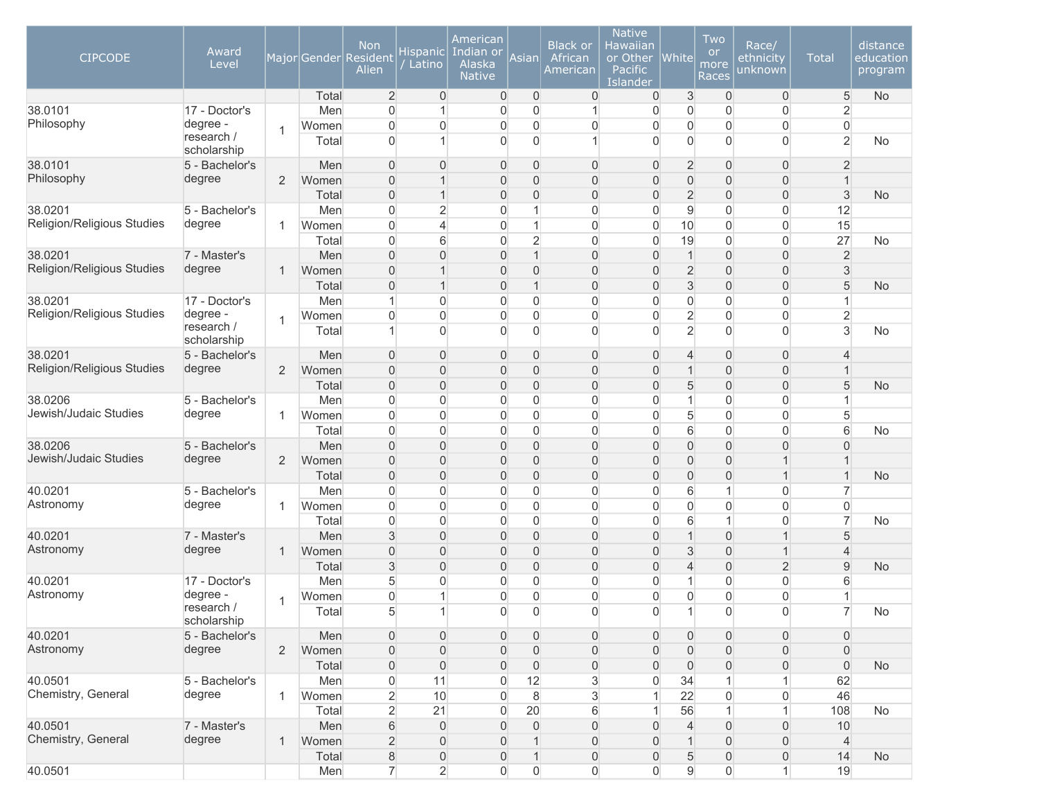| <b>CIPCODE</b>             | Award<br>Level            |                |       | <b>Non</b><br>Major Gender Resident<br>Alien | <b>Hispanic</b><br>Latino | American<br>Indian or<br>Alaska<br><b>Native</b> | Asianl              | <b>Black or</b><br>African<br>American | <b>Native</b><br>Hawaiian<br>or Other<br>Pacific<br>Islander | <b>White</b>        | Two<br><b>or</b><br>more<br>Races | Race/<br>ethnicity<br>unknown | <b>Total</b>        | distance<br>education<br>program |
|----------------------------|---------------------------|----------------|-------|----------------------------------------------|---------------------------|--------------------------------------------------|---------------------|----------------------------------------|--------------------------------------------------------------|---------------------|-----------------------------------|-------------------------------|---------------------|----------------------------------|
|                            |                           |                | Total | $\overline{2}$                               | $\overline{0}$            | $\overline{0}$                                   | $\overline{0}$      | $\mathbf 0$                            | $\overline{0}$                                               | 3                   | $\mathbf 0$                       | $\boldsymbol{0}$              | 5                   | <b>No</b>                        |
| 38.0101                    | 17 - Doctor's             |                | Men   | $\overline{0}$                               | $\mathbf{1}$              | $\overline{0}$                                   | 0                   | $\mathbf 1$                            | $\overline{0}$                                               | 0                   | $\overline{0}$                    | 0                             | $\overline{2}$      |                                  |
| Philosophy                 | degree -                  | 1              | Women | $\overline{0}$                               | $\overline{0}$            | $\overline{0}$                                   | 0                   | 0                                      | 0                                                            | 0                   | $\overline{0}$                    | 0                             | $\overline{0}$      |                                  |
|                            | research /<br>scholarship |                | Total | $\Omega$                                     | $\mathbf{1}$              | $\overline{0}$                                   | 0                   | 1                                      | $\overline{0}$                                               | 0                   | $\mathbf{0}$                      | $\overline{0}$                | $\overline{2}$      | <b>No</b>                        |
| 38.0101                    | 5 - Bachelor's            |                | Men   | $\Omega$                                     | $\mathbf{0}$              | $\overline{0}$                                   | 0                   | $\boldsymbol{0}$                       | 0                                                            | $\overline{c}$      | $\Omega$                          | $\mathsf{O}\xspace$           | $\overline{2}$      |                                  |
| Philosophy                 | degree                    | $\overline{2}$ | Women | $\overline{0}$                               | $\mathbf{1}$              | $\overline{0}$                                   | 0                   | $\overline{0}$                         | 0                                                            | 0                   | $\overline{0}$                    | $\overline{0}$                | $\mathbf{1}$        |                                  |
|                            |                           |                | Total | 0                                            | $\mathbf{1}$              | $\mathbf{0}$                                     | 0                   | $\overline{0}$                         | $\overline{0}$                                               | $\overline{2}$      | 0                                 | $\overline{0}$                | 3                   | <b>No</b>                        |
| 38.0201                    | 5 - Bachelor's            |                | Men   | $\Omega$                                     | $\overline{2}$            | $\boldsymbol{0}$                                 | $\overline{1}$      | $\overline{0}$                         | $\overline{0}$                                               | $\mathsf g$         | $\overline{0}$                    | $\mathbf 0$                   | 12                  |                                  |
| Religion/Religious Studies | degree                    | 1              | Women | $\Omega$                                     | $\overline{4}$            | $\overline{0}$                                   | $\mathbf{1}$        | $\overline{0}$                         | 0                                                            | 10                  | $\overline{0}$                    | $\overline{0}$                | 15                  |                                  |
|                            |                           |                | Total | $\overline{0}$                               | 6                         | $\boldsymbol{0}$                                 | $\overline{2}$      | 0                                      | $\boldsymbol{0}$                                             | 19                  | $\overline{0}$                    | $\mathsf{O}\xspace$           | 27                  | No                               |
| 38.0201                    | 7 - Master's              |                | Men   | $\overline{0}$                               | $\overline{0}$            | $\overline{0}$                                   | $\mathbf{1}$        | $\boldsymbol{0}$                       | $\overline{0}$                                               | $\mathbf{1}$        | $\overline{0}$                    | $\mathsf{O}\xspace$           | $\overline{2}$      |                                  |
| Religion/Religious Studies | degree                    | 1              | Women | $\overline{0}$                               | $\mathbf{1}$              | $\overline{0}$                                   | $\overline{0}$      | $\boldsymbol{0}$                       | $\overline{0}$                                               | $\overline{2}$      | $\overline{0}$                    | $\mathsf{O}\xspace$           | $\sqrt{3}$          |                                  |
|                            |                           |                | Total | $\overline{0}$                               | $\mathbf{1}$              | $\overline{0}$                                   | $\mathbf{1}$        | $\boldsymbol{0}$                       | $\overline{0}$                                               | 3                   | $\overline{0}$                    | $\mathsf{O}\xspace$           | $\sqrt{5}$          | <b>No</b>                        |
| 38.0201                    | 17 - Doctor's             |                | Men   | 1                                            | $\mathbf 0$               | $\overline{0}$                                   | 0                   | 0                                      | 0                                                            | $\mathbf 0$         | $\overline{0}$                    | $\mathsf{O}\xspace$           | 1                   |                                  |
| Religion/Religious Studies | degree -                  | 1              | Women | $\overline{0}$                               | $\mathbf{0}$              | $\overline{0}$                                   | 0                   | 0                                      | 0                                                            | $\overline{2}$      | $\overline{0}$                    | 0                             | $\overline{2}$      |                                  |
|                            | research /<br>scholarship |                | Total | 1                                            | $\mathbf{0}$              | $\overline{0}$                                   | $\overline{0}$      | $\overline{0}$                         | 0                                                            | $\overline{2}$      | $\overline{0}$                    | $\overline{0}$                | 3                   | No                               |
| 38.0201                    | 5 - Bachelor's            |                | Men   | $\Omega$                                     | $\overline{0}$            | $\mathbf{0}$                                     | 0                   | 0                                      | 0                                                            | 4                   | $\Omega$                          | 0                             | 4                   |                                  |
| Religion/Religious Studies | degree                    | 2              | Women | $\overline{0}$                               | $\overline{0}$            | $\overline{0}$                                   | 0                   | 0                                      | $\overline{0}$                                               | 1                   | 0                                 | $\mathsf{O}\xspace$           | $\mathbf{1}$        |                                  |
|                            |                           |                | Total | $\overline{0}$                               | $\overline{0}$            | $\mathbf{0}$                                     | 0                   | $\boldsymbol{0}$                       | $\overline{0}$                                               | 5                   | 0                                 | $\overline{0}$                | 5                   | <b>No</b>                        |
| 38.0206                    | 5 - Bachelor's            |                | Men   | $\overline{0}$                               | $\overline{0}$            | $\overline{0}$                                   | 0                   | $\overline{0}$                         | 0                                                            | 1                   | 0                                 | $\overline{0}$                | $\mathbf{1}$        |                                  |
| Jewish/Judaic Studies      | degree                    | 1              | Women | $\Omega$                                     | $\mathbf{0}$              | $\overline{0}$                                   | 0                   | $\overline{0}$                         | 0                                                            | 5                   | $\overline{0}$                    | $\mathbf 0$                   | 5                   |                                  |
|                            |                           |                | Total | $\Omega$                                     | $\mathbf{0}$              | $\overline{0}$                                   | 0                   | $\overline{0}$                         | 0                                                            | 6                   | $\overline{0}$                    | $\overline{0}$                | $6\phantom{.}6$     | No                               |
| 38.0206                    | 5 - Bachelor's            |                | Men   | $\overline{0}$                               | $\overline{0}$            | $\overline{0}$                                   | $\overline{0}$      | $\boldsymbol{0}$                       | $\overline{0}$                                               | 0                   | $\overline{0}$                    | $\overline{0}$                | $\mathbf{0}$        |                                  |
| Jewish/Judaic Studies      | degree                    | $\overline{2}$ | Women | $\overline{0}$                               | $\overline{0}$            | $\overline{0}$                                   | $\overline{0}$      | $\boldsymbol{0}$                       | $\overline{0}$                                               | 0                   | $\overline{0}$                    | $\mathbf{1}$                  | $\mathbf{1}$        |                                  |
|                            |                           |                | Total | $\overline{0}$                               | $\overline{0}$            | $\boldsymbol{0}$                                 | $\overline{0}$      | $\boldsymbol{0}$                       | $\overline{0}$                                               | 0                   | $\overline{0}$                    | $\mathbf{1}$                  | $\mathbf{1}$        | <b>No</b>                        |
| 40.0201                    | 5 - Bachelor's            |                | Men   | $\overline{0}$                               | $\mathbf 0$               | $\overline{0}$                                   | 0                   | 0                                      | 0                                                            | 6                   | 1                                 | 0                             | 7                   |                                  |
| Astronomy                  | degree                    | 1              | Women | $\Omega$                                     | $\overline{0}$            | $\overline{0}$                                   | 0                   | $\overline{0}$                         | $\overline{0}$                                               | $\mathbf 0$         | $\overline{0}$                    | $\mathbf 0$                   | $\mathbf 0$         |                                  |
|                            |                           |                | Total | $\Omega$                                     | $\mathbf{0}$              | $\overline{0}$                                   | 0                   | $\overline{0}$                         | $\overline{0}$                                               | 6                   | 1                                 | $\overline{0}$                | $\overline{7}$      | No                               |
| 40.0201                    | 7 - Master's              |                | Men   | 3                                            | $\mathbf{0}$              | $\mathbf{0}$                                     | $\overline{0}$      | $\overline{0}$                         | $\overline{0}$                                               | 1                   | $\overline{0}$                    | $\mathbf{1}$                  | 5                   |                                  |
| Astronomy                  | degree                    | 1              | Women | $\Omega$                                     | $\overline{0}$            | $\mathbf{0}$                                     | 0                   | $\boldsymbol{0}$                       | $\overline{0}$                                               | 3                   | $\overline{0}$                    | $\mathbf{1}$                  | 4                   |                                  |
|                            |                           |                | Total | 3                                            | $\overline{0}$            | $\overline{0}$                                   | 0                   | $\boldsymbol{0}$                       | 0                                                            | $\overline{4}$      | $\overline{0}$                    | $\overline{2}$                | 9                   | <b>No</b>                        |
| 40.0201                    | 17 - Doctor's             |                | Men   | 5                                            | $\overline{0}$            | $\overline{0}$                                   | 0                   | $\overline{0}$                         | 0                                                            | 1                   | 0                                 | 0                             | 6                   |                                  |
| Astronomy                  | degree -                  | 1              | Women | $\overline{0}$                               | $\overline{1}$            | $\overline{0}$                                   | 0                   | $\overline{0}$                         | $\overline{0}$                                               | 0                   | $\mathbf{0}$                      | $\mathbf 0$                   | 1                   |                                  |
|                            | research /<br>scholarship |                | Total | 5                                            | $\mathbf{1}$              | $\Omega$                                         | $\Omega$            | $\Omega$                               | $\Omega$                                                     | 1                   | $\Omega$                          | $\overline{0}$                | $\overline{7}$      | No                               |
| 40.0201                    | 5 - Bachelor's            |                | Men   | $\mathsf{O}\xspace$                          | $\mathsf{O}\xspace$       | $\mathsf{O}\xspace$                              | $\mathsf{O}\xspace$ | $\boldsymbol{0}$                       | $\mathsf{O}\xspace$                                          | $\mathsf{O}\xspace$ | $\boldsymbol{0}$                  | $\mathsf{O}\xspace$           | $\mathsf{O}\xspace$ |                                  |
| Astronomy                  | degree                    | $\overline{2}$ | Women | $\boldsymbol{0}$                             | $\mathbf 0$               | $\boldsymbol{0}$                                 | 0                   | $\boldsymbol{0}$                       | 0                                                            | $\overline{0}$      | $\overline{0}$                    | $\boldsymbol{0}$              | $\overline{0}$      |                                  |
|                            |                           |                | Total | $\boldsymbol{0}$                             | $\mathsf{O}\xspace$       | $\boldsymbol{0}$                                 | $\boldsymbol{0}$    | $\mathsf{O}\xspace$                    | 0                                                            | $\boldsymbol{0}$    | $\mathsf{O}\xspace$               | $\mathsf{O}\xspace$           | $\mathsf{O}\xspace$ | <b>No</b>                        |
| 40.0501                    | 5 - Bachelor's            |                | Men   | $\boldsymbol{0}$                             | 11                        | $\mathsf{O}\xspace$                              | 12                  | $\mathbf{3}$                           | 0                                                            | 34                  | 1                                 | $\mathbf{1}$                  | 62                  |                                  |
| Chemistry, General         | degree                    | $\mathbf{1}$   | Women | $\overline{2}$                               | 10                        | $\boldsymbol{0}$                                 | $\bf 8$             | 3                                      | $\mathbf{1}$                                                 | 22                  | $\mathsf{O}\xspace$               | $\boldsymbol{0}$              | 46                  |                                  |
|                            |                           |                | Total | $\overline{2}$                               | 21                        | $\mathsf{O}\xspace$                              | 20                  | 6                                      | 1                                                            | 56                  | $\mathbf{1}$                      | $\mathbf{1}$                  | 108                 | No                               |
| 40.0501                    | 7 - Master's              |                | Men   | $\,$ 6 $\,$                                  | $\mathbf 0$               | $\boldsymbol{0}$                                 | $\mathsf{O}\xspace$ | $\boldsymbol{0}$                       | $\mathsf{O}\xspace$                                          | $\overline{4}$      | $\overline{0}$                    | $\boldsymbol{0}$              | 10                  |                                  |
| Chemistry, General         | degree                    | 1              | Women | $\overline{2}$                               | $\mathsf{O}\xspace$       | $\boldsymbol{0}$                                 | $\mathbf{1}$        | 0                                      | 0                                                            | $\mathbf{1}$        | $\overline{0}$                    | $\boldsymbol{0}$              | $\overline{4}$      |                                  |
|                            |                           |                | Total | $\bf 8$                                      | $\mathsf{O}\xspace$       | $\mathsf{O}\xspace$                              | $\mathbf{1}$        | $\mathsf{O}\xspace$                    | $\mathsf{O}\xspace$                                          | 5                   | $\mathbf 0$                       | $\boldsymbol{0}$              | 14                  | No                               |
| 40.0501                    |                           |                | Men   | 7                                            | $\overline{2}$            | $\mathsf{O}\xspace$                              | 0                   | $\mathsf{O}\xspace$                    | $\mathsf{O}\xspace$                                          | 9                   | $\overline{0}$                    | $\mathbf{1}$                  | 19                  |                                  |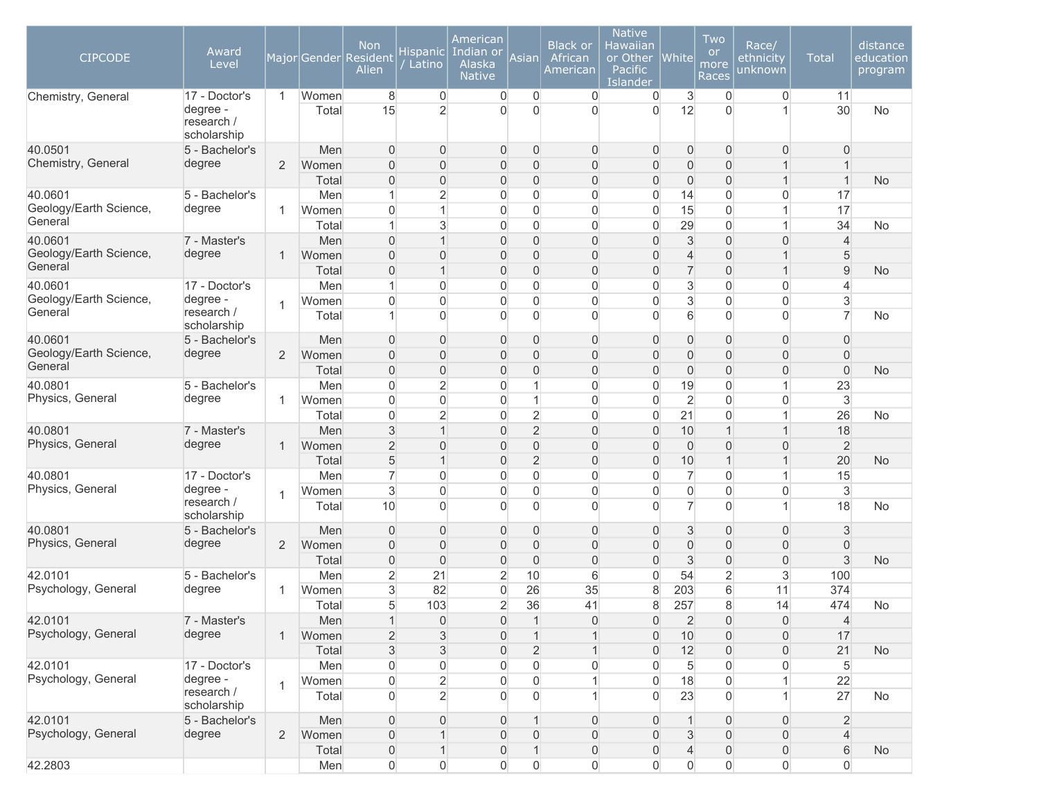| <b>CIPCODE</b>                    | Award<br>Level                                         |                |                | <b>Non</b><br>Major Gender Resident<br>Alien | <b>Hispanic</b><br>Latino        | American<br>Indian or<br>Alaska<br><b>Native</b> | Asian                            | <b>Black or</b><br>African<br>American | <b>Native</b><br>Hawaiian<br>or Other<br>Pacific<br>Islander | White                                 | Two<br><b>or</b><br>more<br>Races | Race/<br>ethnicity<br>unknown  | <b>Total</b>   | distance<br>education<br>program |
|-----------------------------------|--------------------------------------------------------|----------------|----------------|----------------------------------------------|----------------------------------|--------------------------------------------------|----------------------------------|----------------------------------------|--------------------------------------------------------------|---------------------------------------|-----------------------------------|--------------------------------|----------------|----------------------------------|
| Chemistry, General                | 17 - Doctor's<br>degree -<br>research /<br>scholarship | $\mathbf{1}$   | Women<br>Total | 8<br>15                                      | $\overline{0}$<br>$\overline{2}$ | $\overline{0}$<br>$\mathbf{0}$                   | 0<br>$\overline{0}$              | $\overline{0}$<br>$\overline{0}$       | $\overline{0}$<br>$\Omega$                                   | 3<br>12                               | $\overline{0}$<br>$\Omega$        | $\overline{0}$<br>1            | 11<br>30       | No                               |
| 40.0501                           | 5 - Bachelor's                                         |                | Men            | $\Omega$                                     | $\mathbf{0}$                     | $\mathbf 0$                                      | 0                                | 0                                      | $\overline{0}$                                               | $\mathbf{0}$                          | $\overline{0}$                    | $\overline{0}$                 | 0              |                                  |
| Chemistry, General                | degree                                                 | $\overline{2}$ | Women          | $\Omega$                                     | $\overline{0}$                   | $\overline{0}$                                   | $\overline{0}$                   | $\overline{0}$                         | $\overline{0}$                                               | $\boldsymbol{0}$                      | $\overline{0}$                    | $\mathbf{1}$                   | $\overline{1}$ |                                  |
|                                   |                                                        |                | Total          | $\overline{0}$                               | $\overline{0}$                   | $\overline{0}$                                   | $\overline{0}$                   | $\overline{0}$                         | $\overline{0}$                                               | $\boldsymbol{0}$                      | $\overline{0}$                    | $\mathbf{1}$                   | $\mathbf 1$    | <b>No</b>                        |
| 40.0601                           | 5 - Bachelor's                                         |                | Men            | 1                                            | $\overline{2}$                   | $\overline{0}$                                   | $\mathbf 0$                      | 0                                      | $\overline{0}$                                               | 14                                    | $\overline{0}$                    | $\overline{0}$                 | 17             |                                  |
| Geology/Earth Science,            | degree                                                 | 1              | Women          | $\Omega$                                     | $\mathbf{1}$                     | $\overline{0}$                                   | 0                                | 0                                      | $\overline{0}$                                               | 15                                    | $\mathbf{0}$                      | $\mathbf{1}$                   | 17             |                                  |
| General                           |                                                        |                | Total          | 1                                            | 3                                | $\overline{0}$                                   | 0                                | 0                                      | $\overline{0}$                                               | 29                                    | $\overline{0}$                    | $\mathbf{1}$                   | 34             | <b>No</b>                        |
| 40.0601                           | 7 - Master's                                           |                | Men            | $\overline{0}$                               | $\mathbf{1}$                     | $\mathbf 0$                                      | $\mathbf 0$                      | 0                                      | $\overline{0}$                                               | $\ensuremath{\mathsf{3}}$             | $\overline{0}$                    | 0                              | $\overline{4}$ |                                  |
| Geology/Earth Science,<br>General | degree                                                 | $\mathbf{1}$   | Women          | $\overline{0}$                               | $\bf 0$                          | $\mathbf 0$                                      | 0                                | 0                                      | $\overline{0}$                                               | 4                                     | $\overline{0}$                    | $\mathbf{1}$                   | 5              |                                  |
|                                   |                                                        |                | Total          | $\overline{0}$                               | $\mathbf{1}$                     | $\mathbf 0$                                      | $\overline{0}$                   | $\overline{0}$                         | $\mathbf 0$                                                  | $\overline{7}$                        | $\overline{0}$                    | $\mathbf{1}$                   | $9\,$          | <b>No</b>                        |
| 40.0601                           | 17 - Doctor's                                          |                | Men            | 1                                            | $\overline{0}$                   | 0                                                | $\mathbf 0$                      | 0                                      | $\overline{0}$                                               | 3                                     | $\overline{0}$                    | $\overline{0}$                 | 4              |                                  |
| Geology/Earth Science,<br>General | degree -<br>research /                                 | $\overline{1}$ | Women          | $\Omega$                                     | $\mathbf 0$                      | $\overline{0}$                                   | $\mathbf 0$                      | 0                                      | $\mathbf 0$                                                  | 3                                     | $\overline{0}$                    | $\overline{0}$                 | 3              |                                  |
|                                   | scholarship                                            |                | Total          | 1                                            | $\Omega$                         | $\overline{0}$                                   | $\overline{0}$                   | $\overline{0}$                         | $\Omega$                                                     | 6                                     | $\mathbf{0}$                      | $\overline{0}$                 | $\overline{7}$ | No                               |
| 40.0601                           | 5 - Bachelor's                                         |                | Men            | $\Omega$                                     | $\overline{0}$                   | $\overline{0}$                                   | $\overline{0}$                   | $\overline{0}$                         | $\overline{0}$                                               | $\overline{0}$                        | $\overline{0}$                    | $\overline{0}$                 | $\overline{0}$ |                                  |
| Geology/Earth Science,            | degree                                                 | $\overline{2}$ | Women          | $\overline{0}$                               | $\overline{0}$                   | $\overline{0}$                                   | $\overline{0}$                   | $\overline{0}$                         | $\overline{0}$                                               | $\overline{0}$                        | $\overline{0}$                    | $\overline{0}$                 | $\overline{0}$ |                                  |
| General                           |                                                        |                | Total          | $\overline{0}$                               | $\mathbf 0$                      | $\mathbf 0$                                      | $\overline{0}$                   | 0                                      | $\overline{0}$                                               | $\mathbf 0$                           | $\overline{0}$                    | 0                              | $\overline{0}$ | <b>No</b>                        |
| 40.0801                           | 5 - Bachelor's                                         |                | Men            | $\Omega$                                     | $\overline{2}$                   | $\overline{0}$                                   | $\mathbf{1}$                     | 0                                      | $\overline{0}$                                               | 19                                    | $\overline{0}$                    | $\mathbf{1}$                   | 23             |                                  |
| Physics, General                  | degree                                                 | 1              | Women          | $\Omega$                                     | $\overline{0}$                   | $\overline{0}$                                   | $\mathbf{1}$                     | 0                                      | $\overline{0}$                                               | $\overline{c}$                        | $\overline{0}$                    | 0                              | $\mathbf{3}$   |                                  |
|                                   |                                                        |                | Total          | $\Omega$                                     | $\overline{2}$                   | $\mathbf 0$                                      | $\overline{2}$                   | 0                                      | $\overline{0}$                                               | 21                                    | $\overline{0}$                    | $\mathbf{1}$                   | 26             | No                               |
| 40.0801                           | 7 - Master's                                           |                | Men            | $\mathbf{3}$                                 | $\mathbf{1}$                     | $\overline{0}$                                   | $\overline{2}$                   | $\overline{0}$                         | $\overline{0}$                                               | 10                                    | $\mathbf 1$                       | $\mathbf{1}$                   | 18             |                                  |
| Physics, General                  | degree                                                 | $\mathbf{1}$   | Women          | $\overline{2}$                               | $\overline{0}$                   | $\overline{0}$                                   | $\mathbf 0$                      | $\overline{0}$                         | $\overline{0}$                                               | $\overline{0}$                        | $\overline{0}$                    | $\overline{0}$                 | $\overline{2}$ |                                  |
|                                   |                                                        |                | Total          | 5                                            | $\mathbf{1}$                     | $\mathsf{O}\xspace$                              | $\overline{2}$                   | $\mathbf 0$                            | $\boldsymbol{0}$                                             | 10                                    | 1                                 | $\mathbf{1}$                   | 20             | <b>No</b>                        |
| 40.0801                           | 17 - Doctor's                                          |                | Men            | $\overline{7}$                               | $\overline{0}$                   | $\overline{0}$                                   | 0                                | 0                                      | $\boldsymbol{0}$                                             | $\overline{7}$                        | $\overline{0}$                    | $\mathbf{1}$                   | 15             |                                  |
| Physics, General                  | degree -<br>research /                                 | 1              | Women          | $\mathbf{3}$                                 | $\mathbf 0$<br>$\Omega$          | $\overline{0}$<br>$\Omega$                       | $\overline{0}$<br>$\overline{0}$ | 0<br>$\overline{0}$                    | $\overline{0}$<br>$\Omega$                                   | $\mathsf{O}\xspace$<br>$\overline{7}$ | $\mathbf 0$<br>$\mathbf{0}$       | $\overline{0}$<br>$\mathbf{1}$ | $\sqrt{3}$     |                                  |
|                                   | scholarship                                            |                | Total          | 10                                           |                                  |                                                  |                                  |                                        |                                                              |                                       |                                   |                                | 18             | <b>No</b>                        |
| 40.0801                           | 5 - Bachelor's                                         |                | Men            | $\mathbf{0}$                                 | $\bf 0$                          | $\mathbf 0$                                      | $\overline{0}$                   | 0                                      | $\overline{0}$                                               | 3                                     | $\overline{0}$                    | 0                              | 3              |                                  |
| Physics, General                  | degree                                                 | $\overline{2}$ | Women          | $\overline{0}$                               | $\overline{0}$                   | $\overline{0}$                                   | $\mathbf 0$                      | $\overline{0}$                         | $\overline{0}$                                               | $\overline{0}$                        | $\overline{0}$                    | $\overline{0}$                 | $\overline{0}$ |                                  |
|                                   |                                                        |                | Total          | $\overline{0}$                               | $\overline{0}$                   | $\overline{0}$                                   | $\overline{0}$                   | $\overline{0}$                         | $\overline{0}$                                               | 3                                     | $\overline{0}$                    | $\overline{0}$                 | $\mathbf{3}$   | <b>No</b>                        |
| 42.0101                           | 5 - Bachelor's                                         |                | Men            | $\overline{2}$                               | 21                               | $\overline{2}$                                   | 10                               | $\,$ 6                                 | $\overline{0}$                                               | 54                                    | $\overline{c}$                    | 3                              | 100            |                                  |
| Psychology, General               | degree                                                 | 1              | Women          | $\mathbf{3}$                                 | 82                               | $\overline{0}$                                   | 26                               | 35                                     | 8                                                            | 203                                   | 6                                 | 11                             | 374            |                                  |
|                                   |                                                        |                | Total          | 5                                            | 103                              | $\overline{2}$                                   | 36                               | 41                                     | 8                                                            | 257                                   | 8                                 | 14                             | 474            | No                               |
| 42.0101                           | 7 - Master's                                           |                | Men            |                                              | 0                                | 0                                                | $\mathbf{1}$                     | 0                                      | 0                                                            | $\overline{2}$                        | $\overline{0}$                    | 0                              | $\overline{4}$ |                                  |
| Psychology, General               | degree                                                 | $\mathbf{1}$   | Women          | $\overline{2}$                               | 3                                | $\overline{0}$                                   | $\mathbf{1}$                     | 1                                      | $\overline{0}$                                               | 10                                    | $\overline{0}$                    | $\overline{0}$                 | 17             |                                  |
|                                   |                                                        |                | Total          | $\mathbf{3}$                                 | 3                                | $\boldsymbol{0}$                                 | $\overline{2}$                   |                                        | $\overline{0}$                                               | 12                                    | $\overline{0}$                    | 0                              | 21             | <b>No</b>                        |
| 42.0101                           | 17 - Doctor's                                          |                | Men            | $\boldsymbol{0}$                             | $\mathsf{O}\xspace$              | $\mathsf{O}\xspace$                              | $\boldsymbol{0}$                 | 0                                      | $\boldsymbol{0}$                                             | $\overline{5}$                        | $\mathsf{O}\xspace$               | $\boldsymbol{0}$               | $\sqrt{5}$     |                                  |
| Psychology, General               | degree -                                               | 1              | Women          | $\boldsymbol{0}$                             | $\overline{2}$                   | $\mathsf{O}\xspace$                              | $\boldsymbol{0}$                 |                                        | $\boldsymbol{0}$                                             | 18                                    | 0                                 | $\mathbf{1}$                   | 22             |                                  |
|                                   | research /<br>scholarship                              |                | Total          | $\overline{0}$                               | $\overline{2}$                   | $\overline{0}$                                   | $\overline{0}$                   | 1                                      | $\overline{0}$                                               | 23                                    | $\overline{0}$                    | 1                              | 27             | No                               |
| 42.0101                           | 5 - Bachelor's                                         |                | Men            | $\overline{0}$                               | $\mathbf 0$                      | $\mathbf 0$                                      | $\mathbf{1}$                     | 0                                      | $\mathbf 0$                                                  | $\mathbf{1}$                          | $\overline{0}$                    | $\boldsymbol{0}$               | $\overline{2}$ |                                  |
| Psychology, General               | degree                                                 | $\overline{2}$ | Women          | $\boldsymbol{0}$                             | $\mathbf{1}$                     | $\boldsymbol{0}$                                 | 0                                | 0                                      | $\overline{0}$                                               | 3                                     | $\boldsymbol{0}$                  | $\mathsf{O}\xspace$            | $\overline{4}$ |                                  |
|                                   |                                                        |                | Total          | $\boldsymbol{0}$                             | $\mathbf{1}$                     | $\mathsf{O}\xspace$                              | $\mathbf{1}$                     | 0                                      | $\boldsymbol{0}$                                             | $\overline{\mathbf{4}}$               | $\boldsymbol{0}$                  | $\mathsf{O}\xspace$            | 6              | No                               |
| 42.2803                           |                                                        |                | Men            | 0                                            | $\boldsymbol{0}$                 | $\mathsf{O}\xspace$                              | 0                                | 0                                      | $\overline{0}$                                               | $\mathsf{O}\xspace$                   | 0                                 | 0                              | 0              |                                  |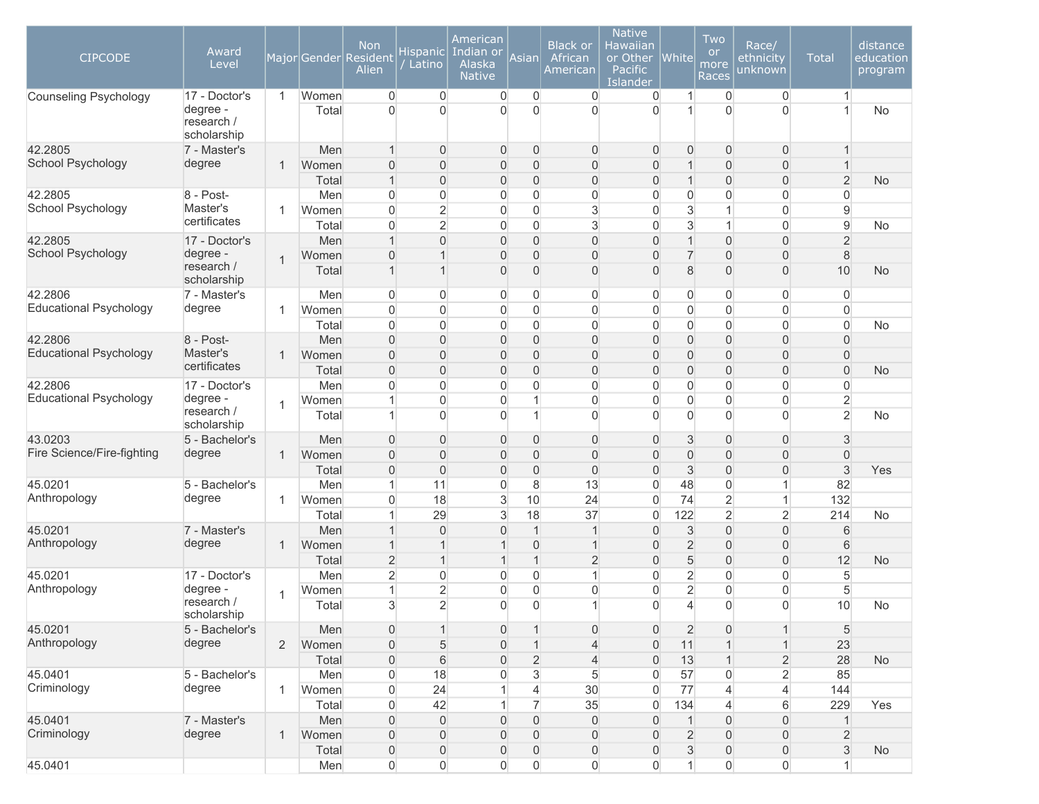| <b>CIPCODE</b>                           | Award<br>Level                                         |                |                                | <b>Non</b><br>Major Gender Resident<br>Alien                | Hispanic<br>Latino                                                   | American<br>Indian or<br>Alaska<br><b>Native</b>                  | Asian                                                                | <b>Black or</b><br>African<br>American     | <b>Native</b><br>Hawaiian<br>or Other<br>Pacific<br>Islander   | White                                                       | Two<br><b>or</b><br>more<br>Races                                 | Race/<br>ethnicity<br>unknown                                     | <b>Total</b>                                                         | distance<br>education<br>program |
|------------------------------------------|--------------------------------------------------------|----------------|--------------------------------|-------------------------------------------------------------|----------------------------------------------------------------------|-------------------------------------------------------------------|----------------------------------------------------------------------|--------------------------------------------|----------------------------------------------------------------|-------------------------------------------------------------|-------------------------------------------------------------------|-------------------------------------------------------------------|----------------------------------------------------------------------|----------------------------------|
| <b>Counseling Psychology</b>             | 17 - Doctor's<br>degree -<br>research /<br>scholarship | $\mathbf 1$    | Women<br>Total                 | $\Omega$<br>$\Omega$                                        | $\overline{0}$<br>$\Omega$                                           | $\overline{0}$<br>$\mathbf{0}$                                    | 0<br>$\overline{0}$                                                  | $\overline{0}$<br>0                        | 0<br>$\Omega$                                                  | 1<br>1                                                      | $\overline{0}$<br>$\Omega$                                        | $\overline{0}$<br>$\overline{0}$                                  | $\mathbf{1}$<br>1                                                    | No                               |
| 42.2805<br>School Psychology             | 7 - Master's<br>degree                                 | -1             | Men<br>Women                   | $\Omega$                                                    | $\overline{0}$<br>$\overline{0}$                                     | $\mathbf 0$<br>$\boldsymbol{0}$                                   | $\overline{0}$<br>$\boldsymbol{0}$                                   | 0<br>0                                     | $\overline{0}$<br>$\overline{0}$                               | $\mathbf 0$<br>$\mathbf{1}$                                 | $\overline{0}$<br>$\overline{0}$                                  | $\overline{0}$<br>0                                               | $\mathbf{1}$<br>$\mathbf{1}$                                         |                                  |
| 42.2805<br>School Psychology             | 8 - Post-<br>Master's<br>certificates                  | -1             | Total<br>Men<br>Women<br>Total | 1<br>$\Omega$<br>$\Omega$<br>$\Omega$                       | $\overline{0}$<br>$\overline{0}$<br>$\overline{2}$<br>$\overline{2}$ | $\overline{0}$<br>0<br>$\mathbf 0$<br>$\overline{0}$              | $\overline{0}$<br>$\overline{0}$<br>$\overline{0}$<br>$\overline{0}$ | 0<br>0<br>3<br>3                           | $\overline{0}$<br>$\overline{0}$<br>$\Omega$<br>$\overline{0}$ | $\mathbf{1}$<br>$\mathsf{O}\xspace$<br>3<br>3               | $\overline{0}$<br>$\overline{0}$<br>1                             | $\overline{0}$<br>0<br>$\overline{0}$<br>$\overline{0}$           | $\overline{2}$<br>$\overline{0}$<br>$\overline{9}$<br>$\overline{9}$ | <b>No</b><br>No                  |
| 42.2805<br>School Psychology             | 17 - Doctor's<br>degree -<br>research /<br>scholarship |                | Men<br>Women<br>Total          | $\Omega$<br>1                                               | $\overline{0}$<br>$\overline{1}$<br>$\mathbf{1}$                     | $\mathbf 0$<br>$\boldsymbol{0}$<br>$\overline{0}$                 | $\mathsf{O}\xspace$<br>$\mathsf{O}\xspace$<br>$\mathbf 0$            | $\mathsf{O}\xspace$<br>0<br>$\overline{0}$ | $\overline{0}$<br>$\overline{0}$<br>$\overline{0}$             | $\mathbf{1}$<br>$\overline{7}$<br>8                         | $\mathbf 0$<br>$\overline{0}$<br>$\overline{0}$                   | $\boldsymbol{0}$<br>$\boldsymbol{0}$<br>$\boldsymbol{0}$          | $\overline{2}$<br>$\,8\,$<br>10                                      | <b>No</b>                        |
| 42.2806<br>Educational Psychology        | 7 - Master's<br>degree                                 | -1             | Men<br>Women<br>Total          | $\overline{0}$<br>$\overline{0}$<br>$\overline{0}$          | $\overline{0}$<br>$\overline{0}$<br>$\overline{0}$                   | $\overline{0}$<br>$\overline{0}$<br>0                             | 0<br>$\mathbf 0$<br>$\mathbf 0$                                      | 0<br>0<br>0                                | 0<br>$\boldsymbol{0}$<br>$\overline{0}$                        | 0<br>$\overline{0}$<br>$\mathsf{O}\xspace$                  | 0<br>$\overline{0}$<br>$\overline{0}$                             | $\overline{0}$<br>$\overline{0}$<br>$\boldsymbol{0}$              | $\overline{0}$<br>$\overline{0}$<br>$\overline{0}$                   | No                               |
| 42.2806<br><b>Educational Psychology</b> | 8 - Post-<br>Master's<br>certificates                  | -1             | Men<br>Women<br>Total          | $\Omega$<br>$\overline{0}$<br>$\overline{0}$                | $\overline{0}$<br>$\overline{0}$<br>$\overline{0}$                   | $\overline{0}$<br>$\mathbf{0}$<br>$\boldsymbol{0}$                | $\overline{0}$<br>$\overline{0}$<br>$\overline{0}$                   | 0<br>0<br>0                                | $\overline{0}$<br>$\overline{0}$<br>$\overline{0}$             | $\overline{0}$<br>$\overline{0}$<br>$\mathsf{O}\xspace$     | $\overline{0}$<br>$\overline{0}$<br>$\overline{0}$                | $\overline{0}$<br>$\overline{0}$<br>$\boldsymbol{0}$              | $\overline{0}$<br>$\overline{0}$<br>$\overline{0}$                   | <b>No</b>                        |
| 42.2806<br><b>Educational Psychology</b> | 17 - Doctor's<br>degree -<br>research /<br>scholarship | -1             | Men<br>Women<br>Total          | $\Omega$<br>1                                               | $\overline{0}$<br>$\overline{0}$<br>$\Omega$                         | $\overline{0}$<br>$\overline{0}$<br>$\overline{0}$                | $\overline{0}$<br>$\mathbf{1}$<br>$\mathbf{1}$                       | 0<br>0<br>$\overline{0}$                   | $\overline{0}$<br>$\overline{0}$<br>$\Omega$                   | 0<br>$\mathsf{O}\xspace$<br>$\overline{0}$                  | $\overline{0}$<br>$\overline{0}$<br>$\mathbf{0}$                  | 0<br>$\overline{0}$<br>$\Omega$                                   | $\overline{0}$<br>$\overline{2}$<br>$\overline{2}$                   | No                               |
| 43.0203<br>Fire Science/Fire-fighting    | 5 - Bachelor's<br>degree                               | $\mathbf 1$    | Men<br>Women<br>Total          | $\Omega$<br>$\Omega$<br>$\overline{0}$                      | $\overline{0}$<br>$\overline{0}$<br>$\overline{0}$                   | $\overline{0}$<br>$\boldsymbol{0}$<br>$\mathbf{0}$                | $\mathbf 0$<br>$\mathbf 0$<br>$\mathbf 0$                            | 0<br>0<br>0                                | $\overline{0}$<br>$\Omega$<br>$\overline{0}$                   | 3<br>$\mathbf 0$<br>3                                       | $\overline{0}$<br>$\overline{0}$<br>$\overline{0}$                | $\overline{0}$<br>$\overline{0}$<br>$\overline{0}$                | 3<br>$\overline{0}$<br>$\mathfrak{S}$                                | Yes                              |
| 45.0201<br>Anthropology                  | 5 - Bachelor's<br>degree                               | -1             | Men<br>Women<br>Total          | 1<br>$\Omega$<br>1                                          | 11<br>18<br>29                                                       | 0<br>$\ensuremath{\mathsf{3}}$<br>3                               | 8<br>10<br>18                                                        | 13<br>24<br>37                             | $\overline{0}$<br>$\boldsymbol{0}$<br>$\boldsymbol{0}$         | 48<br>74<br>122                                             | $\overline{0}$<br>$\overline{2}$<br>$\overline{2}$                | $\mathbf{1}$<br>$\mathbf{1}$<br>$\overline{c}$                    | 82<br>132<br>214                                                     | <b>No</b>                        |
| 45.0201<br>Anthropology                  | 7 - Master's<br>degree                                 | -1             | Men<br>Women<br>Total          | 1<br>$\overline{2}$                                         | $\boldsymbol{0}$<br>$\overline{1}$<br>$\mathbf{1}$                   | $\overline{0}$<br>1<br>$\mathbf 1$                                | $\mathbf{1}$<br>$\overline{0}$<br>$\mathbf{1}$                       | 1<br>$\mathbf{1}$<br>$\overline{2}$        | $\mathbf 0$<br>$\overline{0}$<br>$\overline{0}$                | 3<br>$\overline{2}$<br>5                                    | $\overline{0}$<br>$\overline{0}$<br>$\overline{0}$                | $\mathbf 0$<br>$\boldsymbol{0}$<br>$\overline{0}$                 | 6<br>6<br>12                                                         | <b>No</b>                        |
| 45.0201<br>Anthropology                  | 17 - Doctor's<br>degree -<br>research /<br>scholarship | -1             | Men<br>Women<br>Total          | $\overline{2}$<br>1<br>3                                    | $\overline{0}$<br>$\overline{2}$<br>$\overline{2}$                   | 0<br>$\overline{0}$<br>$\Omega$                                   | $\overline{0}$<br>$\overline{0}$<br>$\overline{0}$                   | 1<br>0<br>1                                | $\overline{0}$<br>$\overline{0}$<br>$\Omega$                   | $\overline{2}$<br>$\overline{2}$<br>$\overline{\mathbf{4}}$ | 0<br>$\Omega$<br>$\mathbf{0}$                                     | $\boldsymbol{0}$<br>0<br>$\overline{0}$                           | 5<br>5<br>10                                                         | No                               |
| 45.0201<br>Anthropology                  | 5 - Bachelor's<br>degree                               | $\overline{2}$ | Men<br>Women<br>Total          | $\boldsymbol{0}$<br>$\boldsymbol{0}$<br>$\overline{0}$      | $\mathbf 1$<br>5<br>6                                                | $\mathsf{O}\xspace$<br>$\boldsymbol{0}$<br>$\overline{0}$         | $\mathbf{1}$<br>$\mathbf{1}$<br>$\overline{c}$                       | 0<br>4<br>4                                | $\boldsymbol{0}$<br>$\overline{0}$<br>$\overline{0}$           | $\overline{2}$<br>11<br>13                                  | $\mathsf{O}\xspace$                                               | $\mathbf{1}$<br>$\mathbf{1}$<br>$\overline{2}$                    | $\sqrt{5}$<br>23<br>28                                               | <b>No</b>                        |
| 45.0401<br>Criminology                   | 5 - Bachelor's<br>degree                               | $\mathbf{1}$   | Men<br>Women<br>Total          | $\boldsymbol{0}$<br>$\boldsymbol{0}$<br>$\boldsymbol{0}$    | 18<br>24<br>42                                                       | 0<br>$\mathbf{1}$<br>$\mathbf{1}$                                 | 3<br>4<br>$\overline{7}$                                             | 5<br>30<br>35                              | $\overline{0}$<br>$\boldsymbol{0}$<br>$\boldsymbol{0}$         | 57<br>$77 \,$<br>134                                        | 0<br>4<br>4                                                       | $\overline{2}$<br>$\overline{4}$<br>$6 \,$                        | 85<br>144<br>229                                                     | Yes                              |
| 45.0401<br>Criminology                   | 7 - Master's<br>degree                                 | $\mathbf 1$    | Men<br>Women<br>Total          | $\boldsymbol{0}$<br>$\boldsymbol{0}$<br>$\mathsf{O}\xspace$ | $\mathbf 0$<br>$\mathbf 0$<br>$\mathsf{O}\xspace$                    | $\mathsf{O}\xspace$<br>$\mathsf{O}\xspace$<br>$\mathsf{O}\xspace$ | $\mathsf{O}\xspace$<br>$\mathsf{O}\xspace$<br>$\mathsf{O}\xspace$    | 0<br>0<br>0                                | $\overline{0}$<br>$\boldsymbol{0}$<br>$\mathsf{O}\xspace$      | $\mathbf{1}$<br>$\overline{2}$<br>$\ensuremath{\mathsf{3}}$ | $\mathsf{O}\xspace$<br>$\mathsf{O}\xspace$<br>$\mathsf{O}\xspace$ | $\mathsf{O}\xspace$<br>$\mathsf{O}\xspace$<br>$\mathsf{O}\xspace$ | $\mathbf{1}$<br>$\overline{2}$<br>$\ensuremath{\mathsf{3}}$          | No                               |
| 45.0401                                  |                                                        |                | Men                            | $\overline{0}$                                              | $\overline{0}$                                                       | $\mathsf{O}\xspace$                                               | 0                                                                    | 0                                          | $\overline{0}$                                                 | $\mathbf{1}$                                                | 0                                                                 | $\mathsf{O}\xspace$                                               | $\mathbf{1}$                                                         |                                  |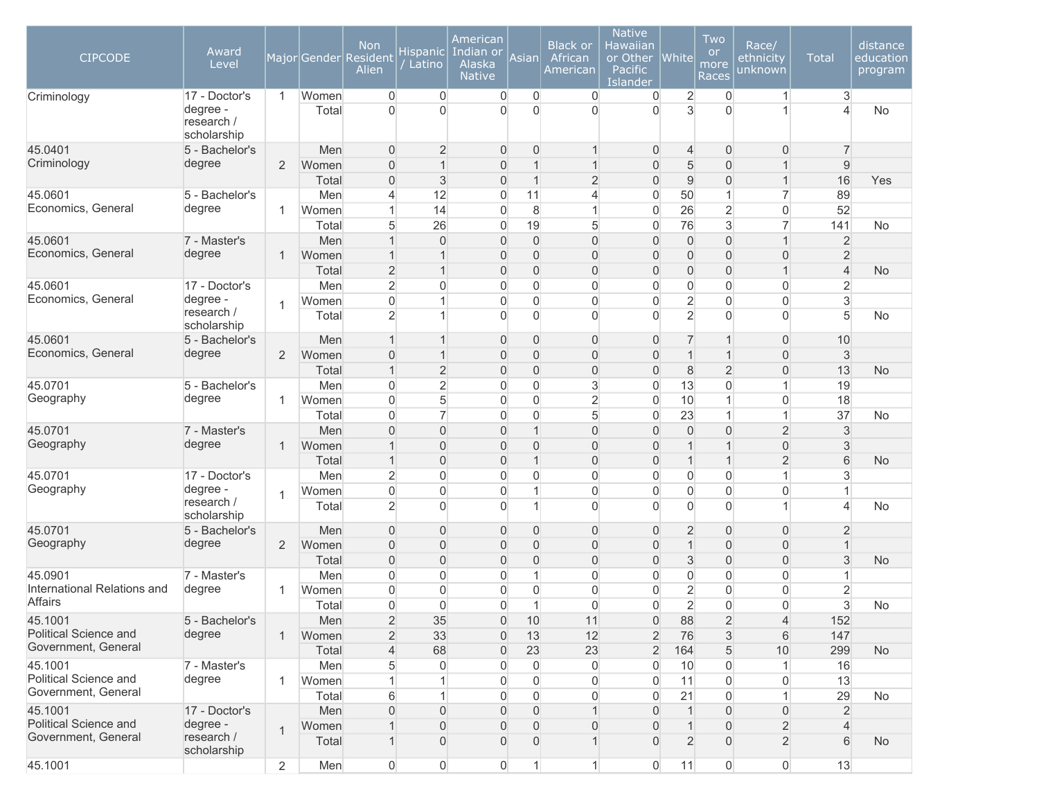| <b>CIPCODE</b>              | Award<br>Level                                         |                |                | <b>Non</b><br>Major Gender Resident<br>Alien | <b>Hispanic</b><br>Latino  | American<br>Indian or<br>Alaska<br><b>Native</b> | Asian               | <b>Black or</b><br>African<br>American | <b>Native</b><br>Hawaiian<br>or Other<br>Pacific<br>Islander | White               | Two<br><b>or</b><br>more<br>Races | Race/<br>ethnicity<br>unknown | <b>Total</b>   | distance<br>education<br>program |
|-----------------------------|--------------------------------------------------------|----------------|----------------|----------------------------------------------|----------------------------|--------------------------------------------------|---------------------|----------------------------------------|--------------------------------------------------------------|---------------------|-----------------------------------|-------------------------------|----------------|----------------------------------|
| Criminology                 | 17 - Doctor's<br>degree -<br>research /<br>scholarship | $\mathbf{1}$   | Women<br>Total | $\Omega$<br>$\Omega$                         | $\overline{0}$<br>$\Omega$ | $\overline{0}$<br>$\mathbf{0}$                   | 0<br>$\overline{0}$ | $\overline{0}$<br>$\overline{0}$       | $\mathbf 0$<br>$\Omega$                                      | $\overline{2}$<br>3 | $\overline{0}$<br>$\Omega$        | $\mathbf{1}$<br>1             | 3<br>4         | No                               |
| 45.0401                     | 5 - Bachelor's                                         |                | Men            | $\Omega$                                     | $\overline{2}$             | $\mathbf 0$                                      | 0                   | $\mathbf 1$                            | $\overline{0}$                                               | $\overline{4}$      | $\overline{0}$                    | $\overline{0}$                | $\overline{7}$ |                                  |
| Criminology                 | degree                                                 | $\overline{2}$ | Women          | $\overline{0}$                               | $\mathbf{1}$               | $\overline{0}$                                   | $\mathbf 1$         | 1                                      | $\overline{0}$                                               | 5                   | $\overline{0}$                    | $\mathbf{1}$                  | 9              |                                  |
|                             |                                                        |                | Total          | $\overline{0}$                               | $\mathbf{3}$               | $\overline{0}$                                   | $\mathbf 1$         | $\overline{2}$                         | $\overline{0}$                                               | $9$                 | $\overline{0}$                    | $\mathbf{1}$                  | 16             | Yes                              |
| 45.0601                     | 5 - Bachelor's                                         |                | Men            | $\overline{\mathcal{L}}$                     | 12                         | 0                                                | 11                  | 4                                      | $\overline{0}$                                               | 50                  | 1                                 | $\overline{7}$                | 89             |                                  |
| Economics, General          | degree                                                 | 1              | Women          | 1                                            | 14                         | $\overline{0}$                                   | 8                   | 1                                      | $\overline{0}$                                               | 26                  | $\overline{2}$                    | $\overline{0}$                | 52             |                                  |
|                             |                                                        |                | Total          | 5                                            | 26                         | $\overline{0}$                                   | 19                  | 5                                      | $\overline{0}$                                               | 76                  | 3                                 | $\overline{7}$                | 141            | No                               |
| 45.0601                     | 7 - Master's                                           |                | Men            |                                              | $\overline{0}$             | $\mathbf 0$                                      | $\overline{0}$      | $\mathsf{O}\xspace$                    | $\overline{0}$                                               | $\boldsymbol{0}$    | $\mathbf 0$                       | $\mathbf{1}$                  | $\overline{2}$ |                                  |
| Economics, General          | degree                                                 | $\mathbf{1}$   | Women          | 1                                            | $\mathbf{1}$               | $\mathbf 0$                                      | 0                   | 0                                      | $\overline{0}$                                               | $\boldsymbol{0}$    | $\overline{0}$                    | 0                             | $\sqrt{2}$     |                                  |
|                             |                                                        |                | Total          | $\overline{2}$                               | $\mathbf{1}$               | $\mathbf 0$                                      | $\overline{0}$      | $\overline{0}$                         | $\overline{0}$                                               | $\mathsf{O}\xspace$ | $\overline{0}$                    | $\mathbf{1}$                  | $\overline{4}$ | <b>No</b>                        |
| 45.0601                     | 17 - Doctor's                                          |                | Men            | $\overline{2}$                               | $\mathbf{0}$               | 0                                                | $\mathbf 0$         | 0                                      | $\overline{0}$                                               | 0                   | $\overline{0}$                    | $\overline{0}$                | $\overline{2}$ |                                  |
| Economics, General          | degree -                                               | $\overline{1}$ | Women          | $\Omega$                                     | 1                          | $\overline{0}$                                   | $\mathbf 0$         | 0                                      | $\overline{0}$                                               | $\overline{2}$      | $\mathbf{0}$                      | $\overline{0}$                | 3              |                                  |
|                             | research /<br>scholarship                              |                | Total          | $\overline{2}$                               |                            | $\overline{0}$                                   | 0                   | 0                                      | $\Omega$                                                     | $\overline{2}$      | $\mathbf{0}$                      | $\overline{0}$                | 5              | No                               |
| 45.0601                     | 5 - Bachelor's                                         |                | Men            | $\mathbf{1}$                                 | $\mathbf{1}$               | $\overline{0}$                                   | $\overline{0}$      | $\overline{0}$                         | $\overline{0}$                                               | $\overline{7}$      | $\mathbf 1$                       | $\overline{0}$                | 10             |                                  |
| Economics, General          | degree                                                 | $\overline{2}$ | Women          | $\overline{0}$                               | $\mathbf{1}$               | $\overline{0}$                                   | $\overline{0}$      | $\overline{0}$                         | $\overline{0}$                                               | $\mathbf{1}$        | $\mathbf 1$                       | $\overline{0}$                | $\sqrt{3}$     |                                  |
|                             |                                                        |                | Total          | $\mathbf{1}$                                 | $\overline{2}$             | $\mathbf 0$                                      | 0                   | 0                                      | $\overline{0}$                                               | 8                   | $\overline{2}$                    | 0                             | 13             | <b>No</b>                        |
| 45.0701                     | 5 - Bachelor's                                         |                | Men            | $\overline{0}$                               | $\overline{2}$             | $\overline{0}$                                   | 0                   | 3                                      | $\overline{0}$                                               | 13                  | 0                                 | $\mathbf{1}$                  | 19             |                                  |
| Geography                   | degree                                                 | 1              | Women          | $\Omega$                                     | 5                          | $\overline{0}$                                   | $\mathbf 0$         | $\overline{2}$                         | $\overline{0}$                                               | 10                  | 1                                 | 0                             | 18             |                                  |
|                             |                                                        |                | Total          | $\Omega$                                     | $\overline{7}$             | $\overline{0}$                                   | $\mathbf 0$         | 5                                      | $\overline{0}$                                               | 23                  | 1                                 | $\mathbf{1}$                  | 37             | No                               |
| 45.0701                     | 7 - Master's                                           |                | Men            | $\Omega$                                     | $\overline{0}$             | $\overline{0}$                                   | $\mathbf{1}$        | $\overline{0}$                         | $\Omega$                                                     | $\overline{0}$      | $\overline{0}$                    | $\overline{2}$                | $\sqrt{3}$     |                                  |
| Geography                   | degree                                                 | $\mathbf{1}$   | Women          |                                              | $\overline{0}$             | $\overline{0}$                                   | $\overline{0}$      | $\overline{0}$                         | $\overline{0}$                                               | $\mathbf{1}$        | 1                                 | $\mathsf{O}\xspace$           | 3              |                                  |
|                             |                                                        |                | Total          | $\mathbf{1}$                                 | $\mathsf{O}\xspace$        | $\mathsf{O}\xspace$                              | $\mathbf{1}$        | $\mathbf 0$                            | $\overline{0}$                                               | $\mathbf{1}$        | $\mathbf 1$                       | $\overline{2}$                | $\,$ 6 $\,$    | <b>No</b>                        |
| 45.0701                     | 17 - Doctor's                                          |                | Men            | $\overline{2}$                               | $\overline{0}$             | $\overline{0}$                                   | 0                   | 0                                      | $\overline{0}$                                               | $\overline{0}$      | $\overline{0}$                    | $\mathbf{1}$                  | 3              |                                  |
| Geography                   | degree -                                               | 1              | Women          | $\overline{0}$                               | $\mathbf 0$                | $\overline{0}$                                   | $\mathbf{1}$        | 0                                      | $\boldsymbol{0}$                                             | $\mathsf{O}\xspace$ | $\overline{0}$                    | $\overline{0}$                | 1              |                                  |
|                             | research /<br>scholarship                              |                | Total          | $\overline{2}$                               | $\Omega$                   | $\Omega$                                         | $\mathbf{1}$        | $\overline{0}$                         | $\Omega$                                                     | $\overline{0}$      | $\Omega$                          | $\mathbf{1}$                  | 4              | <b>No</b>                        |
| 45.0701                     | 5 - Bachelor's                                         |                | Men            | $\overline{0}$                               | $\mathbf 0$                | $\mathbf 0$                                      | 0                   | 0                                      | $\overline{0}$                                               | $\overline{2}$      | $\overline{0}$                    | 0                             | $\overline{2}$ |                                  |
| Geography                   | degree                                                 | $\overline{2}$ | Women          | $\overline{0}$                               | $\overline{0}$             | $\overline{0}$                                   | $\overline{0}$      | $\overline{0}$                         | $\overline{0}$                                               | $\mathbf{1}$        | $\overline{0}$                    | $\overline{0}$                | $\overline{1}$ |                                  |
|                             |                                                        |                | Total          | $\overline{0}$                               | $\overline{0}$             | $\overline{0}$                                   | $\overline{0}$      | $\overline{0}$                         | $\overline{0}$                                               | 3                   | $\overline{0}$                    | $\overline{0}$                | 3              | <b>No</b>                        |
| 45.0901                     | 7 - Master's                                           |                | Men            | 0                                            | $\overline{0}$             | 0                                                | $\mathbf{1}$        | 0                                      | $\overline{0}$                                               | 0                   | 0                                 | 0                             | 1              |                                  |
| International Relations and | degree                                                 | 1              | Women          | $\Omega$                                     | $\overline{0}$             | 0                                                | 0                   | 0                                      | $\overline{0}$                                               | $\overline{c}$      | 0                                 | 0                             | $\overline{2}$ |                                  |
| <b>Affairs</b>              |                                                        |                | Total          | $\Omega$                                     | $\Omega$                   | $\Omega$                                         | $\mathbf{1}$        | $\overline{0}$                         | $\Omega$                                                     | $\overline{2}$      | $\Omega$                          | $\Omega$                      | 3              | No                               |
| 45.1001                     | 5 - Bachelor's                                         |                | Men            | $\overline{2}$                               | 35                         | $\overline{0}$                                   | 10                  | 11                                     | 0                                                            | 88                  | 2                                 | 4                             | 152            |                                  |
| Political Science and       | degree                                                 | $\mathbf{1}$   | Women          | $\overline{2}$                               | 33                         | $\overline{0}$                                   | 13                  | 12                                     | $\overline{2}$                                               | 76                  | $\mathbf{3}$                      | 6                             | 147            |                                  |
| Government, General         |                                                        |                | Total          | $\overline{4}$                               | 68                         | $\overline{0}$                                   | 23                  | 23                                     | $\overline{2}$                                               | 164                 | 5                                 | 10                            | 299            | <b>No</b>                        |
| 45.1001                     | 7 - Master's                                           |                | Men            | $5\overline{)}$                              | $\overline{0}$             | $\boldsymbol{0}$                                 | $\boldsymbol{0}$    | $\boldsymbol{0}$                       | $\overline{0}$                                               | 10                  | $\mathsf{O}\xspace$               | $\mathbf{1}$                  | 16             |                                  |
| Political Science and       | degree                                                 | 1              | Women          | $\mathbf{1}$                                 | $\mathbf{1}$               | $\mathsf{O}\xspace$                              | $\boldsymbol{0}$    | $\boldsymbol{0}$                       | $\overline{0}$                                               | 11                  | $\overline{0}$                    | 0                             | 13             |                                  |
| Government, General         |                                                        |                | Total          | 6                                            | $\mathbf{1}$               | 0                                                | $\boldsymbol{0}$    | $\boldsymbol{0}$                       | $\overline{0}$                                               | 21                  | 0                                 | 1                             | 29             | No                               |
| 45.1001                     | 17 - Doctor's                                          |                | Men            | $\overline{0}$                               | $\mathbf 0$                | $\boldsymbol{0}$                                 | $\overline{0}$      | $\mathbf{1}$                           | $\overline{0}$                                               | $\mathbf{1}$        | $\overline{0}$                    | $\mathsf{O}\xspace$           | $\overline{2}$ |                                  |
| Political Science and       | degree -                                               |                | Women          |                                              | $\mathbf 0$                | $\boldsymbol{0}$                                 | $\overline{0}$      | $\overline{0}$                         | $\overline{0}$                                               | $\mathbf{1}$        | $\overline{0}$                    | $\overline{2}$                | $\overline{4}$ |                                  |
| Government, General         | research /<br>scholarship                              | $\mathbf{1}$   | Total          | 1                                            | $\overline{0}$             | $\boldsymbol{0}$                                 | 0                   | 1                                      | $\Omega$                                                     | $\overline{2}$      | $\overline{0}$                    | $\overline{2}$                | $6\phantom{1}$ | <b>No</b>                        |
| 45.1001                     |                                                        | $\overline{2}$ | Men            | $\mathsf{O}\xspace$                          | $\overline{0}$             | 0                                                | 1                   | $\mathbf{1}$                           | $\overline{0}$                                               | 11                  | $\overline{0}$                    | 0                             | 13             |                                  |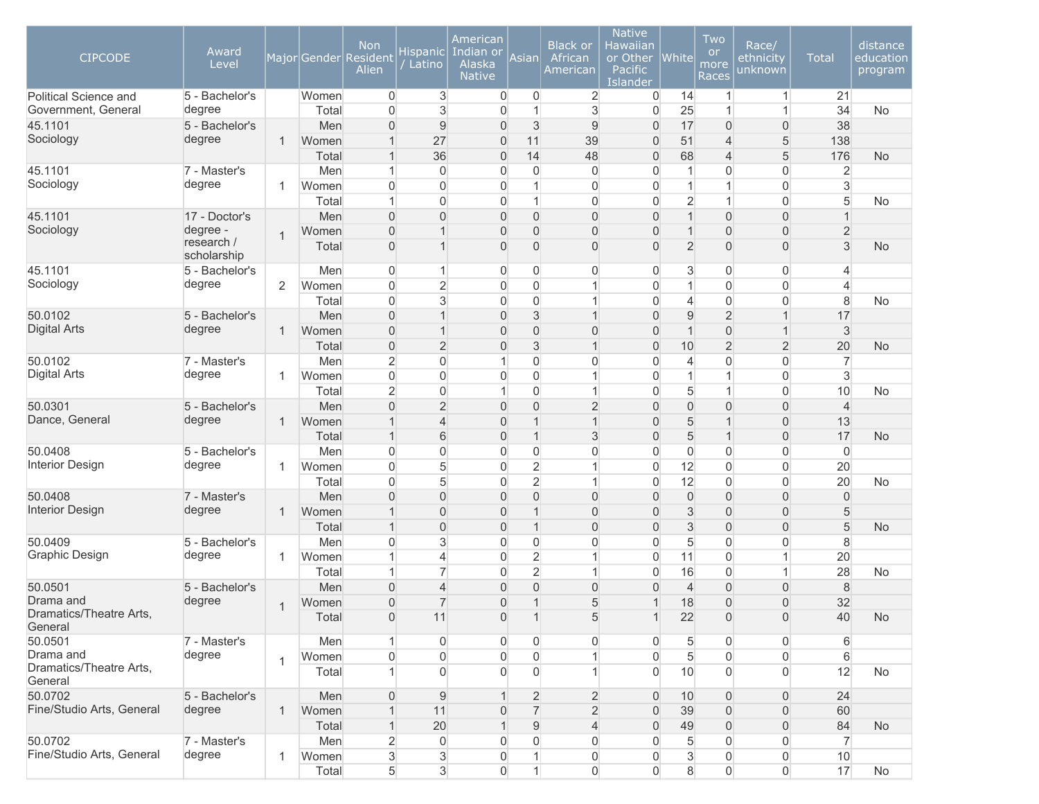| <b>CIPCODE</b>                     | Award<br>Level            |              |       | <b>Non</b><br>Major Gender Resident<br>Alien | <b>Hispanic</b><br>Latino | American<br>Indian or<br>Alaska<br><b>Native</b> | Asian            | <b>Black or</b><br>African<br>American | <b>Native</b><br><b>Hawaiian</b><br>or Other<br>Pacific<br>Islander | <b>White</b>    | Two<br><b>or</b><br>more<br>Races | Race/<br>ethnicity<br>unknown | <b>Total</b>     | distance<br>education<br>program |
|------------------------------------|---------------------------|--------------|-------|----------------------------------------------|---------------------------|--------------------------------------------------|------------------|----------------------------------------|---------------------------------------------------------------------|-----------------|-----------------------------------|-------------------------------|------------------|----------------------------------|
| Political Science and              | 5 - Bachelor's            |              | Women | $\overline{0}$                               | 3                         | $\overline{0}$                                   | $\overline{0}$   | $\overline{2}$                         | 0                                                                   | 14              | $\mathbf{1}$                      | $\mathbf{1}$                  | 21               |                                  |
| Government, General                | degree                    |              | Total | $\Omega$                                     | 3                         | $\Omega$                                         | $\mathbf 1$      | 3                                      | $\Omega$                                                            | 25              | $\mathbf{1}$                      | $\mathbf 1$                   | 34               | <b>No</b>                        |
| 45.1101                            | 5 - Bachelor's            |              | Men   | $\overline{0}$                               | $\overline{9}$            | $\mathbf{0}$                                     | $\mathfrak{S}$   | 9                                      | $\mathbf{0}$                                                        | 17              | 0                                 | $\overline{0}$                | 38               |                                  |
| Sociology                          | degree                    | $\mathbf{1}$ | Women | $\mathbf 1$                                  | 27                        | $\mathbf{0}$                                     | 11               | 39                                     | $\overline{0}$                                                      | 51              | $\overline{4}$                    | 5                             | 138              |                                  |
|                                    |                           |              | Total | 1                                            | 36                        | $\mathbf{0}$                                     | 14               | 48                                     | $\overline{0}$                                                      | 68              | 4                                 | 5                             | 176              | <b>No</b>                        |
| 45.1101                            | 7 - Master's              |              | Men   | -1                                           | $\overline{0}$            | $\Omega$                                         | $\overline{0}$   | $\overline{0}$                         | $\overline{0}$                                                      |                 | 0                                 | $\overline{0}$                | $\overline{2}$   |                                  |
| Sociology                          | degree                    | $\mathbf{1}$ | Women | $\Omega$                                     | 0                         | $\Omega$                                         | $\mathbf{1}$     | $\overline{0}$                         | $\overline{0}$                                                      |                 | 1                                 | $\overline{0}$                | 3                |                                  |
|                                    |                           |              | Total |                                              | $\overline{0}$            | $\overline{0}$                                   | $\mathbf{1}$     | $\overline{0}$                         | $\overline{0}$                                                      | $\overline{2}$  | $\mathbf{1}$                      | $\overline{0}$                | 5                | No                               |
| 45.1101                            | 17 - Doctor's             |              | Men   | $\overline{0}$                               | $\overline{0}$            | $\overline{0}$                                   | $\boldsymbol{0}$ | $\overline{0}$                         | $\boldsymbol{0}$                                                    |                 | 0                                 | $\boldsymbol{0}$              | 1                |                                  |
| Sociology                          | degree -                  | 1            | Women | $\overline{0}$                               | 1                         | $\overline{0}$                                   | 0                | $\overline{0}$                         | $\boldsymbol{0}$                                                    |                 | 0                                 | $\boldsymbol{0}$              | $\overline{c}$   |                                  |
|                                    | research /<br>scholarship |              | Total | $\overline{0}$                               | 1                         | $\Omega$                                         | 0                | $\overline{0}$                         | $\overline{0}$                                                      | $\overline{2}$  | $\overline{0}$                    | $\boldsymbol{0}$              | 3                | <b>No</b>                        |
| 45.1101                            | 5 - Bachelor's            |              | Men   | $\overline{0}$                               | $\mathbf{1}$              | $\overline{0}$                                   | $\overline{0}$   | $\overline{0}$                         | $\overline{0}$                                                      | 3               | 0                                 | $\overline{0}$                | 4                |                                  |
| Sociology                          | degree                    | 2            | Women | $\overline{0}$                               | $\overline{2}$            | $\overline{0}$                                   | $\overline{0}$   | 1                                      | $\overline{0}$                                                      | 1               | 0                                 | $\overline{0}$                | 4                |                                  |
|                                    |                           |              | Total | $\overline{0}$                               | 3                         | $\overline{0}$                                   | $\boldsymbol{0}$ | 1                                      | $\overline{0}$                                                      | 4               | $\mathsf{O}\xspace$               | $\overline{0}$                | 8                | No                               |
| 50.0102                            | 5 - Bachelor's            |              | Men   | $\Omega$                                     | $\overline{1}$            | $\Omega$                                         | 3                | $\overline{1}$                         | $\Omega$                                                            | 9               | $\overline{2}$                    | $\mathbf{1}$                  | 17               |                                  |
| <b>Digital Arts</b>                | degree                    | $\mathbf{1}$ | Women | $\overline{0}$                               | $\mathbf 1$               | $\mathbf{0}$                                     | 0                | $\overline{0}$                         | $\overline{0}$                                                      |                 | 0                                 | $\mathbf{1}$                  | 3                |                                  |
|                                    |                           |              | Total | $\overline{0}$                               | $\overline{2}$            | $\mathbf{0}$                                     | 3                | $\mathbf{1}$                           | $\boldsymbol{0}$                                                    | 10              | $\overline{2}$                    | $\overline{2}$                | 20               | No                               |
| 50.0102                            | 7 - Master's              |              | Men   | $\overline{2}$                               | 0                         | 1                                                | $\overline{0}$   | $\overline{0}$                         | $\overline{0}$                                                      | $\overline{4}$  | 0                                 | $\overline{0}$                | $\overline{7}$   |                                  |
| <b>Digital Arts</b>                | degree                    | 1            | Women | $\overline{0}$                               | $\overline{0}$            | $\Omega$                                         | $\overline{0}$   | 1                                      | $\overline{0}$                                                      |                 | 1                                 | $\overline{0}$                | 3                |                                  |
|                                    |                           |              | Total | $\overline{2}$                               | 0                         |                                                  | $\overline{0}$   | $\overline{1}$                         | $\overline{0}$                                                      | 5               | 1                                 | $\Omega$                      | 10               | <b>No</b>                        |
| 50.0301                            | 5 - Bachelor's            |              | Men   | $\Omega$                                     | $\overline{2}$            | $\Omega$                                         | $\overline{0}$   | $\overline{2}$                         | $\overline{0}$                                                      | 0               | $\overline{0}$                    | $\overline{0}$                | $\overline{4}$   |                                  |
| Dance, General                     | degree                    | $\mathbf{1}$ | Women |                                              | $\overline{4}$            | $\overline{0}$                                   | $\mathbf 1$      | $\overline{1}$                         | $\overline{0}$                                                      | 5               | 1                                 | $\overline{0}$                | 13               |                                  |
|                                    |                           |              | Total | $\mathbf{1}$                                 | 6                         | $\overline{0}$                                   | $\mathbf{1}$     | $\mathfrak{S}$                         | $\mathsf{O}\xspace$                                                 | 5               | $\mathbf{1}$                      | $\boldsymbol{0}$              | 17               | No                               |
| 50.0408                            | 5 - Bachelor's            |              | Men   | $\overline{0}$                               | 0                         | $\overline{0}$                                   | $\overline{0}$   | $\overline{0}$                         | $\boldsymbol{0}$                                                    | $\overline{0}$  | 0                                 | $\overline{0}$                | $\overline{0}$   |                                  |
| <b>Interior Design</b>             | degree                    | $\mathbf{1}$ | Women | $\overline{0}$                               | 5                         | $\overline{0}$                                   | $\overline{2}$   | 1                                      | $\boldsymbol{0}$                                                    | 12              | 0                                 | $\overline{0}$                | 20               |                                  |
|                                    |                           |              | Total | $\Omega$                                     | 5                         | $\Omega$                                         | $\overline{2}$   | 1                                      | $\overline{0}$                                                      | 12              | 0                                 | $\overline{0}$                | 20               | No                               |
| 50.0408                            | 7 - Master's              |              | Men   | $\Omega$                                     | $\overline{0}$            | $\mathbf{0}$                                     | 0                | $\overline{0}$                         | $\overline{0}$                                                      | $\Omega$        | $\overline{0}$                    | $\overline{0}$                | $\mathbf 0$      |                                  |
| <b>Interior Design</b>             | degree                    | $\mathbf{1}$ | Women | $\mathbf{1}$                                 | 0                         | $\mathbf 0$                                      | $\mathbf 1$      | $\overline{0}$                         | $\boldsymbol{0}$                                                    | 3               | 0                                 | $\overline{0}$                | 5                |                                  |
|                                    |                           |              | Total | $\mathbf{1}$                                 | $\overline{0}$            | $\overline{0}$                                   | $\mathbf{1}$     | $\overline{0}$                         | $\boldsymbol{0}$                                                    | 3               | 0                                 | $\boldsymbol{0}$              | 5                | No                               |
| 50.0409                            | 5 - Bachelor's            |              | Men   | $\Omega$                                     | 3                         | $\Omega$                                         | $\overline{0}$   | 0                                      | $\overline{0}$                                                      | 5               | 0                                 | $\overline{0}$                | 8                |                                  |
| Graphic Design                     | degree                    | $\mathbf{1}$ | Women |                                              | 4                         | $\Omega$                                         | $\overline{2}$   | 1                                      | $\overline{0}$                                                      | 11              | 0                                 | $\mathbf 1$                   | 20               |                                  |
|                                    |                           |              | Total |                                              | $\overline{7}$            | $\Omega$                                         | $\overline{2}$   | $\overline{1}$                         | $\Omega$                                                            | 16              | 0                                 | $\mathbf{1}$                  | 28               | No                               |
| 50.0501                            | 5 - Bachelor's            |              | Men   | $\Omega$                                     | $\overline{\mathcal{L}}$  | $\mathbf{0}$                                     | 0                | $\overline{0}$                         | $\mathbf{0}$                                                        | $\overline{4}$  | 0                                 | $\mathbf{0}$                  | 8                |                                  |
| Drama and                          | degree                    | 1            | Women | $\overline{0}$                               | $\overline{7}$            | $\overline{0}$                                   | $\mathbf{1}$     | 5                                      | $\mathbf{1}$                                                        | 18              | 0                                 | $\overline{0}$                | 32               |                                  |
| Dramatics/Theatre Arts,<br>General |                           |              | Total | $\boldsymbol{0}$                             | 11                        | $\overline{0}$                                   | $\mathbf 1$      | $5\overline{)}$                        | $\boldsymbol{A}$                                                    | 22              | $\mathsf{O}\xspace$               | $\mathsf{O}\xspace$           | 40               | No                               |
| 50.0501                            | 7 - Master's              |              | Men   | $\mathbf{1}$                                 | $\overline{0}$            | $\overline{0}$                                   | $\overline{0}$   | $\overline{0}$                         | $\overline{0}$                                                      | $5\overline{)}$ | 0                                 | $\overline{0}$                | $6 \overline{6}$ |                                  |
| Drama and                          | degree                    | 1            | Women | $\overline{0}$                               | $\overline{0}$            | $\overline{0}$                                   | $\overline{0}$   | 1                                      | $\overline{0}$                                                      | $5\overline{)}$ | $\overline{0}$                    | $\overline{0}$                | $6\,$            |                                  |
| Dramatics/Theatre Arts,<br>General |                           |              | Total | $\mathbf{1}$                                 | $\Omega$                  | $\Omega$                                         | $\overline{0}$   | 1                                      | $\overline{0}$                                                      | 10              | $\overline{0}$                    | $\overline{0}$                | 12               | No                               |
| 50.0702                            | 5 - Bachelor's            |              | Men   | $\overline{0}$                               | 9                         |                                                  | $\overline{2}$   | $\overline{2}$                         | $\overline{0}$                                                      | 10              | $\overline{0}$                    | $\overline{0}$                | 24               |                                  |
| Fine/Studio Arts, General          | degree                    | $\mathbf{1}$ | Women | $\mathbf{1}$                                 | 11                        | $\overline{0}$                                   | $\overline{7}$   | $\overline{2}$                         | $\boldsymbol{0}$                                                    | 39              | 0                                 | $\boldsymbol{0}$              | 60               |                                  |
|                                    |                           |              | Total | $\mathbf{1}$                                 | 20                        |                                                  | $\overline{9}$   | $\overline{4}$                         | $\boldsymbol{0}$                                                    | 49              | 0                                 | $\boldsymbol{0}$              | 84               | <b>No</b>                        |
| 50.0702                            | 7 - Master's              |              | Men   | $\overline{2}$                               | 0                         | $\Omega$                                         | $\overline{0}$   | $\overline{0}$                         | $\overline{0}$                                                      | 5               | 0                                 | $\overline{0}$                | $\overline{7}$   |                                  |
| Fine/Studio Arts, General          | degree                    | $\mathbf{1}$ | Women | $\mathbf{3}$                                 | $\mathbf{3}$              | $\overline{0}$                                   | $\mathbf{1}$     | $\overline{0}$                         | $\overline{0}$                                                      | 3               | $\boldsymbol{0}$                  | $\overline{0}$                | 10               |                                  |
|                                    |                           |              | Total | 5                                            | 3                         | $\overline{0}$                                   | $\mathbf{1}$     | $\overline{0}$                         | $\overline{0}$                                                      | 8               | 0                                 | $\overline{0}$                | 17               | No                               |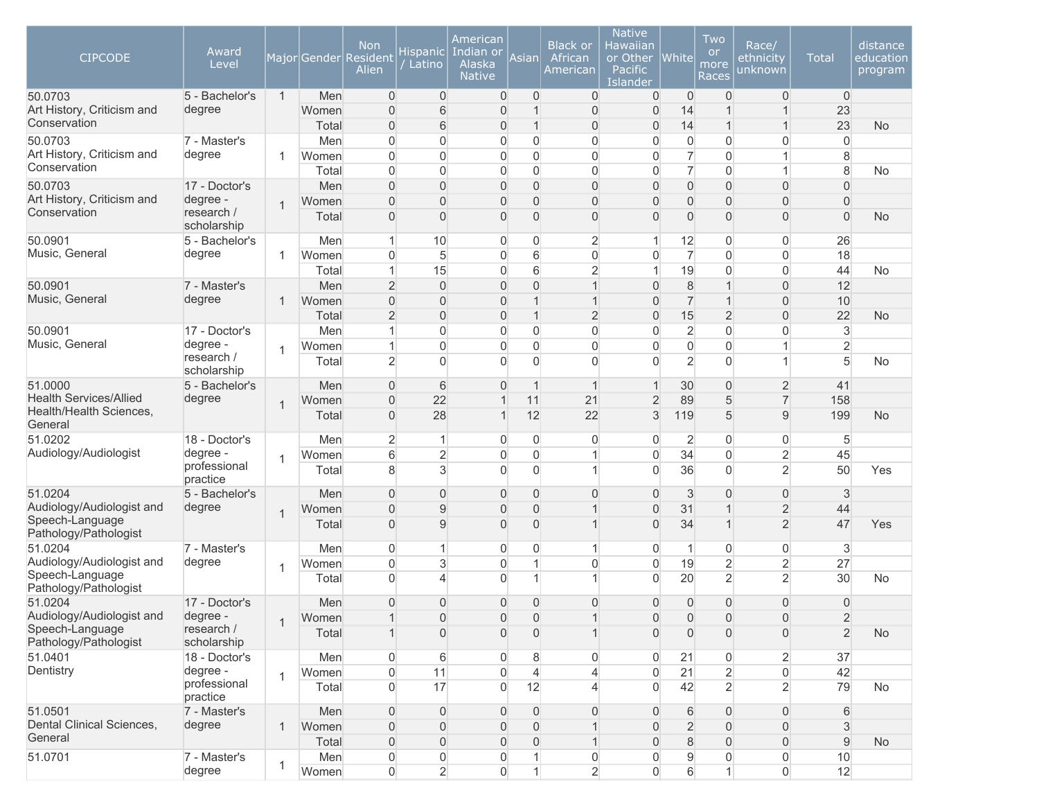| <b>CIPCODE</b>                               | Award<br>Level            |                |                | <b>Non</b><br>Major Gender Resident<br>Alien | Hispanic<br>Latino                 | American<br>Indian or<br>Alaska<br><b>Native</b> | Asian                            | <b>Black or</b><br>African<br>American | <b>Native</b><br>Hawaiian<br>or Other<br>Pacific<br>Islander | <b>White</b>        | Two<br><b>or</b><br>more<br>Races | Race/<br>ethnicity<br>unknown              | Total                            | distance<br>education<br>program |
|----------------------------------------------|---------------------------|----------------|----------------|----------------------------------------------|------------------------------------|--------------------------------------------------|----------------------------------|----------------------------------------|--------------------------------------------------------------|---------------------|-----------------------------------|--------------------------------------------|----------------------------------|----------------------------------|
| 50.0703<br>Art History, Criticism and        | 5 - Bachelor's            | $\mathbf{1}$   | Men            | $\overline{0}$                               | $\overline{0}$                     | $\overline{0}$                                   | 0                                | $\mathbf{0}$                           | 0                                                            | $\mathbf{0}$        | 0                                 | $\mathbf{0}$                               | $\mathbf 0$                      |                                  |
| Conservation                                 | degree                    |                | Women<br>Total | $\Omega$<br>$\overline{0}$                   | 6<br>$\,$ 6                        | 0<br>0                                           | 1<br>$\mathbf 1$                 | $\overline{0}$<br>0                    | $\overline{0}$<br>$\overline{0}$                             | 14<br>14            | $\overline{1}$                    | $\mathbf{1}$<br>$\mathbf{1}$               | 23<br>23                         | No                               |
| 50.0703                                      | 7 - Master's              |                | Men            | $\Omega$                                     | $\overline{0}$                     | 0                                                | $\overline{0}$                   | $\overline{0}$                         | $\overline{0}$                                               | 0                   | $\overline{0}$                    | 0                                          | $\overline{0}$                   |                                  |
| Art History, Criticism and                   | degree                    | -1             | Women          | $\Omega$                                     | $\mathbf 0$                        | 0                                                | 0                                | $\overline{0}$                         | $\overline{0}$                                               | 7                   | 0                                 | $\mathbf{1}$                               | 8                                |                                  |
| Conservation                                 |                           |                | Total          | $\Omega$                                     | $\mathbf 0$                        | $\mathbf 0$                                      | $\overline{0}$                   | $\overline{0}$                         | $\mathbf 0$                                                  | $\overline{7}$      | $\overline{0}$                    | $\mathbf{1}$                               | 8                                | No                               |
| 50.0703                                      | 17 - Doctor's             |                | Men            | $\Omega$                                     | $\mathbf{0}$                       | 0                                                | $\overline{0}$                   | 0                                      | $\overline{0}$                                               | $\mathbf 0$         | $\overline{0}$                    | $\overline{0}$                             | $\mathbf{0}$                     |                                  |
| Art History, Criticism and                   | degree -                  | $\overline{1}$ | Women          | $\Omega$                                     | $\overline{0}$                     | 0                                                | $\overline{0}$                   | 0                                      | $\overline{0}$                                               | $\overline{0}$      | $\overline{0}$                    | $\overline{0}$                             | $\overline{0}$                   |                                  |
| Conservation                                 | research /<br>scholarship |                | Total          | $\Omega$                                     | $\overline{0}$                     | $\overline{0}$                                   | $\overline{0}$                   | 0                                      | $\overline{0}$                                               | $\overline{0}$      | $\overline{0}$                    | $\overline{0}$                             | $\overline{0}$                   | No                               |
| 50.0901                                      | 5 - Bachelor's            |                | Men            |                                              | 10                                 | 0                                                | 0                                | $\overline{2}$                         | 1                                                            | 12                  | 0                                 | 0                                          | 26                               |                                  |
| Music, General                               | degree                    | 1              | Women          | $\overline{0}$                               | 5                                  | 0                                                | 6                                | $\mathsf{O}\xspace$                    | $\mathbf 0$                                                  | $\overline{7}$      | $\overline{0}$                    | $\boldsymbol{0}$                           | 18                               |                                  |
|                                              |                           |                | Total          | 1                                            | 15                                 | 0                                                | 6                                | $\overline{2}$                         | $\mathbf{1}$                                                 | 19                  | 0                                 | $\boldsymbol{0}$                           | 44                               | <b>No</b>                        |
| 50.0901                                      | 7 - Master's              |                | Men            | $\overline{2}$                               | $\overline{0}$                     | 0                                                | $\overline{0}$                   | 1                                      | $\overline{0}$                                               | $\,8\,$             |                                   | $\mathbf 0$                                | 12                               |                                  |
| Music, General                               | degree                    | $\mathbf 1$    | Women          | $\overline{0}$                               | $\overline{0}$                     | 0                                                |                                  | 1                                      | $\overline{0}$                                               | $\overline{7}$      |                                   | $\mathbf 0$                                | 10                               |                                  |
|                                              |                           |                | Total          | $\overline{2}$                               | $\overline{0}$                     | 0                                                | $\mathbf 1$                      | $\overline{2}$                         | $\overline{0}$                                               | 15                  | $\overline{2}$                    | $\overline{0}$                             | 22                               | No                               |
| 50.0901                                      | 17 - Doctor's             |                | Men            |                                              | $\mathbf 0$                        | 0                                                | 0                                | $\overline{0}$                         | $\mathbf 0$                                                  | $\overline{2}$      | $\overline{0}$                    | $\overline{0}$                             | 3                                |                                  |
| Music, General                               | degree -<br>research /    | $\overline{1}$ | Women          | $\mathbf{1}$                                 | $\mathbf{0}$                       | 0                                                | $\overline{0}$                   | 0                                      | $\mathbf 0$                                                  | $\mathsf{O}\xspace$ | $\overline{0}$                    | 1                                          | $\overline{2}$                   |                                  |
|                                              | scholarship               |                | Total          | $\overline{2}$                               | $\mathbf{0}$                       | $\overline{0}$                                   | $\overline{0}$                   | $\mathbf{0}$                           | $\overline{0}$                                               | $\overline{2}$      | $\overline{0}$                    | $\overline{1}$                             | 5                                | No                               |
| 51.0000                                      | 5 - Bachelor's            |                | Men            | $\Omega$                                     | 6                                  | $\overline{0}$                                   | 1                                | 1                                      | $\mathbf{1}$                                                 | 30                  | $\overline{0}$                    | 2                                          | 41                               |                                  |
| <b>Health Services/Allied</b>                | degree                    | $\overline{1}$ | Women          | $\Omega$                                     | 22                                 | 1                                                | 11                               | 21                                     | $\overline{2}$                                               | 89                  | 5                                 | $\overline{7}$                             | 158                              |                                  |
| Health/Health Sciences,<br>General           |                           |                | Total          | $\Omega$                                     | 28                                 |                                                  | 12                               | 22                                     | 3                                                            | 119                 | 5                                 | 9                                          | 199                              | No                               |
| 51.0202                                      | 18 - Doctor's             |                | Men            | $\overline{2}$                               | 1                                  | 0                                                | 0                                | 0                                      | 0                                                            | $\overline{2}$      | 0                                 | 0                                          | 5                                |                                  |
| Audiology/Audiologist                        | degree -<br>professional  | $\mathbf 1$    | Women          | 6                                            | $\overline{2}$                     | 0                                                | 0<br>$\Omega$                    | 1<br>1                                 | $\mathbf 0$                                                  | 34                  | $\overline{0}$                    | $\overline{2}$                             | 45                               |                                  |
|                                              | practice                  |                | Total          | 8                                            | 3                                  | $\overline{0}$                                   |                                  |                                        | $\overline{0}$                                               | 36                  | $\Omega$                          | $\overline{2}$                             | 50                               | Yes                              |
| 51.0204                                      | 5 - Bachelor's            |                | Men            | $\Omega$                                     | $\overline{0}$                     | 0                                                | 0                                | 0                                      | $\overline{0}$                                               | 3                   | $\Omega$                          | $\overline{0}$                             | 3                                |                                  |
| Audiology/Audiologist and                    | degree                    | $\overline{1}$ | Women          | $\Omega$                                     | 9                                  | 0                                                | $\overline{0}$                   | $\overline{1}$                         | $\overline{0}$                                               | 31                  |                                   | $\overline{2}$                             | 44                               |                                  |
| Speech-Language<br>Pathology/Pathologist     |                           |                | Total          | $\Omega$                                     | 9                                  | $\Omega$                                         | $\overline{0}$                   | 1                                      | $\overline{0}$                                               | 34                  |                                   | $\overline{2}$                             | 47                               | Yes                              |
| 51.0204                                      | 7 - Master's              |                | Men            | $\Omega$                                     |                                    | 0                                                | 0                                | 1                                      | $\overline{0}$                                               |                     | $\overline{0}$                    | $\boldsymbol{0}$                           | 3                                |                                  |
| Audiology/Audiologist and<br>Speech-Language | degree                    | $\mathbf{1}$   | Women          | $\mathbf{0}$                                 | 3                                  | 0                                                | 1                                | $\overline{0}$<br>1                    | $\mathbf 0$                                                  | 19                  | $\overline{2}$                    | $\overline{2}$                             | 27                               |                                  |
| Pathology/Pathologist                        |                           |                | Total          | $\Omega$                                     | $\overline{4}$                     | $\overline{0}$                                   |                                  |                                        | $\overline{0}$                                               | 20                  | $\overline{2}$                    | $\overline{2}$                             | 30                               | No                               |
| 51.0204                                      | 17 - Doctor's             |                | Men            | $\overline{0}$                               | $\mathbf{0}$                       | 0                                                | 0                                | $\overline{0}$                         | $\overline{0}$                                               | $\mathbf{0}$        | 0                                 | $\overline{0}$                             | $\overline{0}$                   |                                  |
| Audiology/Audiologist and                    | degree -                  | $\mathbf 1$    | Women          |                                              | $\mathsf{O}\xspace$                | 0                                                | $\mathsf{O}\xspace$              | 1                                      | $\mathsf{O}\xspace$                                          | $\mathsf{O}\xspace$ | $\boldsymbol{0}$                  | $\mathsf{O}\xspace$                        | $\overline{c}$                   |                                  |
| Speech-Language<br>Pathology/Pathologist     | research /<br>scholarship |                | Total          |                                              | $\boldsymbol{0}$                   | $\boldsymbol{0}$                                 | $\mathbf 0$                      | $\mathbf{1}$                           | $\overline{0}$                                               | $\mathbf 0$         | $\overline{0}$                    | $\overline{0}$                             | $\overline{2}$                   | <b>No</b>                        |
| 51.0401<br>Dentistry                         | 18 - Doctor's             |                | Men            | $\overline{0}$                               | $6\,$                              | $\boldsymbol{0}$                                 | 8                                | 0                                      | $\overline{0}$                                               | 21                  | $\overline{0}$                    | $\overline{2}$                             | 37                               |                                  |
|                                              | degree -<br>professional  | $\mathbf{1}$   | Women          | $\overline{0}$                               | 11<br>17                           | $\boldsymbol{0}$<br>$\mathbf 0$                  | $\overline{4}$<br>12             | 4                                      | 0<br>$\Omega$                                                | 21<br>42            | $\overline{2}$<br>$\overline{2}$  | $\mathsf{O}\xspace$<br>$\overline{2}$      | 42                               |                                  |
|                                              | practice                  |                | Total          | $\Omega$                                     |                                    |                                                  |                                  | 4                                      |                                                              |                     |                                   |                                            | 79                               | No                               |
| 51.0501<br>Dental Clinical Sciences,         | 7 - Master's<br>degree    |                | Men            | $\overline{0}$                               | $\overline{0}$                     | $\boldsymbol{0}$                                 | $\overline{0}$                   | $\boldsymbol{0}$                       | $\overline{0}$                                               | 6                   | $\overline{0}$                    | $\overline{0}$                             | 6                                |                                  |
| General                                      |                           | $\mathbf{1}$   | Women<br>Total | $\boldsymbol{0}$<br>$\overline{0}$           | $\mathbf 0$<br>$\mathsf{O}\xspace$ | 0<br>0                                           | $\overline{0}$<br>$\overline{0}$ | $\mathbf{1}$<br>$\mathbf{1}$           | $\overline{0}$<br>$\overline{0}$                             | $\overline{2}$<br>8 | $\overline{0}$<br>$\overline{0}$  | $\mathsf{O}\xspace$<br>$\mathsf{O}\xspace$ | $\mathfrak{S}$<br>$\overline{9}$ | <b>No</b>                        |
| 51.0701                                      | 7 - Master's              |                | Men            | 0                                            | $\boldsymbol{0}$                   | 0                                                |                                  | 0                                      | $\overline{0}$                                               | $\hbox{9}$          | 0                                 | $\mathsf{O}\xspace$                        | 10                               |                                  |
|                                              | degree                    | 1              | Women          | $\overline{0}$                               | $\overline{2}$                     | $\mathsf{O}\xspace$                              | 1                                | $\overline{2}$                         | $\overline{0}$                                               | $6\,$               | $\mathbf{1}$                      | $\mathsf{O}\xspace$                        | 12                               |                                  |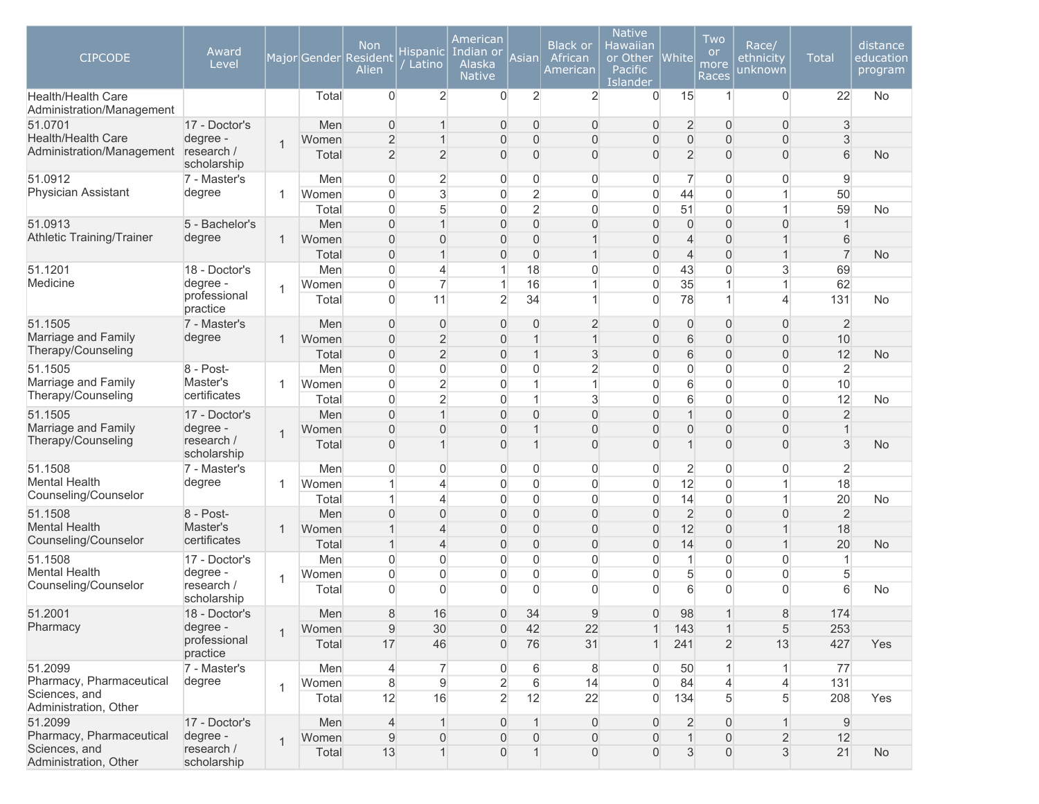| <b>CIPCODE</b>                                  | Award<br>Level            |                |                | <b>Non</b><br>Major Gender Resident<br>Alien | Hispanic<br>Latino               | American<br>Indian or<br>Alaska<br><b>Native</b> | Asian                        | <b>Black or</b><br>African<br><b>American</b> | <b>Native</b><br>Hawaiian<br>or Other<br><b>Pacific</b><br>Islander | White           | Two<br><b>or</b><br>more<br>Races | Race/<br>ethnicity<br>unknown | <b>Total</b>   | distance<br>education<br>program |
|-------------------------------------------------|---------------------------|----------------|----------------|----------------------------------------------|----------------------------------|--------------------------------------------------|------------------------------|-----------------------------------------------|---------------------------------------------------------------------|-----------------|-----------------------------------|-------------------------------|----------------|----------------------------------|
| Health/Health Care<br>Administration/Management |                           |                | Total          | $\Omega$                                     | $\overline{2}$                   | $\overline{0}$                                   | $\overline{2}$               | $\overline{c}$                                | $\overline{0}$                                                      | 15              | $\mathbf{1}$                      | $\Omega$                      | 22             | <b>No</b>                        |
| 51.0701                                         | 17 - Doctor's             |                | Men            | $\Omega$                                     | 1                                | $\mathbf 0$                                      | 0                            | 0                                             | $\mathbf 0$                                                         | 2               | $\mathbf{0}$                      | $\overline{0}$                | 3              |                                  |
| Health/Health Care                              | degree -                  | $\overline{1}$ | Women          | $\overline{2}$                               | $\mathbf{1}$                     | $\mathbf{0}$                                     | $\mathbf 0$                  | 0                                             | $\overline{0}$                                                      | $\mathbf 0$     | $\overline{0}$                    | $\overline{0}$                | 3              |                                  |
| Administration/Management research /            | scholarship               |                | Total          | $\overline{2}$                               | $\overline{2}$                   | 0                                                | $\overline{0}$               | $\overline{0}$                                | $\Omega$                                                            | $\overline{2}$  | $\Omega$                          | $\overline{0}$                | 6              | <b>No</b>                        |
| 51.0912                                         | 7 - Master's              |                | Men            | $\Omega$                                     | $\overline{2}$                   | 0                                                | 0                            | 0                                             | 0                                                                   | $\overline{7}$  | 0                                 | $\overline{0}$                | 9              |                                  |
| Physician Assistant                             | degree                    | -1             | Women          | $\Omega$                                     | 3                                | $\overline{0}$                                   | $\overline{2}$               | 0                                             | $\overline{0}$                                                      | 44              | $\mathbf{0}$                      | $\mathbf{1}$                  | 50             |                                  |
|                                                 |                           |                | Total          | $\Omega$                                     | 5                                | $\overline{0}$                                   | $\overline{2}$               | 0                                             | $\overline{0}$                                                      | 51              | $\overline{0}$                    | $\mathbf{1}$                  | 59             | No                               |
| 51.0913<br><b>Athletic Training/Trainer</b>     | 5 - Bachelor's            |                | Men            | $\overline{0}$                               | $\overline{1}$                   | $\mathbf 0$                                      | $\overline{0}$               | 0                                             | $\mathbf{0}$                                                        | $\overline{0}$  | $\overline{0}$                    | $\overline{0}$                | $\mathbf{1}$   |                                  |
|                                                 | degree                    | $\mathbf 1$    | Women          | $\Omega$                                     | $\overline{0}$                   | $\mathbf 0$                                      | $\overline{0}$               | 1                                             | $\mathbf{0}$                                                        | $\overline{4}$  | $\overline{0}$                    | $\mathbf{1}$                  | 6              |                                  |
|                                                 |                           |                | Total          | $\overline{0}$                               | $\mathbf{1}$                     | $\mathbf 0$                                      | $\mathbf 0$                  | 1                                             | $\mathbf 0$                                                         | $\overline{4}$  | $\overline{0}$                    | $\mathbf{1}$                  | $\overline{7}$ | <b>No</b>                        |
| 51.1201<br>Medicine                             | 18 - Doctor's<br>degree - |                | Men            | $\Omega$                                     | 4<br>$\overline{7}$              | 1<br>$\mathbf{1}$                                | 18                           | 0<br>1                                        | $\overline{0}$                                                      | 43              | $\overline{0}$<br>1               | 3                             | 69             |                                  |
|                                                 | professional              | $\overline{1}$ | Women          | $\Omega$                                     |                                  |                                                  | 16                           |                                               | $\overline{0}$                                                      | 35              |                                   | $\mathbf{1}$                  | 62             |                                  |
|                                                 | practice                  |                | Total          | $\Omega$                                     | 11                               | $\overline{2}$                                   | 34                           | 1                                             | $\Omega$                                                            | 78              |                                   | $\overline{4}$                | 131            | No                               |
| 51.1505                                         | 7 - Master's              |                | Men            | $\Omega$                                     | $\overline{0}$                   | $\mathbf{0}$                                     | $\overline{0}$               | $\overline{c}$                                | $\overline{0}$                                                      | 0               | $\Omega$                          | $\overline{0}$                | $\overline{2}$ |                                  |
| Marriage and Family<br>Therapy/Counseling       | degree                    | $\overline{1}$ | Women          | $\overline{0}$                               | $\overline{2}$                   | $\mathbf 0$                                      | $\mathbf{1}$                 | $\mathbf 1$                                   | $\overline{0}$                                                      | 6               | $\overline{0}$                    | 0                             | 10             |                                  |
|                                                 |                           |                | Total          | $\overline{0}$                               | $\overline{2}$                   | $\boldsymbol{0}$                                 | $\mathbf{1}$                 | 3                                             | $\overline{0}$                                                      | 6               | $\mathbf{0}$                      | $\boldsymbol{0}$              | 12             | <b>No</b>                        |
| 51.1505                                         | 8 - Post-                 |                | Men            | $\Omega$                                     | $\overline{0}$                   | $\overline{0}$                                   | 0                            | $\overline{2}$                                | $\overline{0}$                                                      | 0               | $\Omega$                          | $\overline{0}$                | $\overline{2}$ |                                  |
| Marriage and Family<br>Therapy/Counseling       | Master's<br>certificates  | -1             | Women<br>Total | $\Omega$<br>$\Omega$                         | $\overline{2}$<br>$\overline{2}$ | 0<br>$\mathbf 0$                                 | $\mathbf{1}$<br>$\mathbf{1}$ | 1<br>3                                        | $\overline{0}$<br>$\overline{0}$                                    | 6<br>6          | $\Omega$<br>$\Omega$              | $\mathbf 0$<br>$\mathbf 0$    | 10<br>12       | No                               |
| 51.1505                                         | 17 - Doctor's             |                | Men            | $\Omega$                                     | $\mathbf{1}$                     | $\mathbf{0}$                                     | $\overline{0}$               | $\overline{0}$                                | $\overline{0}$                                                      | $\mathbf{1}$    | $\overline{0}$                    | $\overline{0}$                | $\overline{2}$ |                                  |
| Marriage and Family                             | degree -                  |                | Women          | $\overline{0}$                               | $\overline{0}$                   | $\mathbf 0$                                      | $\mathbf{1}$                 | 0                                             | $\overline{0}$                                                      | $\overline{0}$  | $\overline{0}$                    | $\overline{0}$                | $\overline{1}$ |                                  |
| Therapy/Counseling                              | research /<br>scholarship | $\overline{1}$ | Total          | $\Omega$                                     | $\overline{1}$                   | $\overline{0}$                                   | $\mathbf{1}$                 | $\overline{0}$                                | $\Omega$                                                            | $\mathbf{1}$    | $\Omega$                          | $\overline{0}$                | 3              | <b>No</b>                        |
| 51.1508                                         | 7 - Master's              |                | Men            | $\overline{0}$                               | $\overline{0}$                   | $\overline{0}$                                   | 0                            | 0                                             | 0                                                                   | $\overline{c}$  | 0                                 | 0                             | 2              |                                  |
| <b>Mental Health</b>                            | degree                    | -1             | Women          |                                              | $\overline{4}$                   | 0                                                | $\overline{0}$               | 0                                             | $\mathsf{O}\xspace$                                                 | 12              | $\overline{0}$                    | $\mathbf{1}$                  | 18             |                                  |
| Counseling/Counselor                            |                           |                | Total          |                                              | $\overline{4}$                   | 0                                                | $\overline{0}$               | 0                                             | $\boldsymbol{0}$                                                    | 14              | $\overline{0}$                    | $\mathbf{1}$                  | 20             | No                               |
| 51.1508                                         | 8 - Post-                 |                | Men            | $\Omega$                                     | $\overline{0}$                   | $\mathbf 0$                                      | 0                            | 0                                             | $\overline{0}$                                                      | $\overline{2}$  | $\overline{0}$                    | $\overline{0}$                | $\overline{2}$ |                                  |
| <b>Mental Health</b>                            | Master's                  | $\mathbf{1}$   | Women          |                                              | $\overline{4}$                   | $\mathbf 0$                                      | 0                            | 0                                             | $\overline{0}$                                                      | 12              | $\overline{0}$                    | $\mathbf{1}$                  | 18             |                                  |
| Counseling/Counselor                            | certificates              |                | Total          | $\mathbf{1}$                                 | 4                                | $\mathbf 0$                                      | $\overline{0}$               | $\overline{0}$                                | $\overline{0}$                                                      | 14              | $\overline{0}$                    | $\mathbf{1}$                  | 20             | <b>No</b>                        |
| 51.1508                                         | 17 - Doctor's             |                | Men            | $\Omega$                                     | $\Omega$                         | 0                                                | $\overline{0}$               | 0                                             | $\overline{0}$                                                      | $\mathbf{1}$    | $\overline{0}$                    | $\overline{0}$                | $\overline{1}$ |                                  |
| Mental Health                                   | degree -                  | -1             | Women          | $\Omega$                                     | $\Omega$                         | $\overline{0}$                                   | $\overline{0}$               | 0                                             | 0                                                                   | 5               | $\Omega$                          | 0                             | 5              |                                  |
| Counseling/Counselor                            | research /<br>scholarship |                | Total          | $\Omega$                                     | $\Omega$                         | $\Omega$                                         | $\Omega$                     | $\overline{0}$                                | $\Omega$                                                            | $6\overline{6}$ | $\Omega$                          | $\overline{0}$                | 6              | No                               |
| 51.2001                                         | 18 - Doctor's             |                | Men            | $\mathsf{R}$                                 | 16                               | $\Omega$                                         | 34                           | a                                             | $\Omega$                                                            | 98              | $\overline{\mathbf{1}}$           | 8                             | 174            |                                  |
| Pharmacy                                        | degree -                  | $\overline{1}$ | Women          | 9                                            | 30                               | $\mathbf{0}$                                     | 42                           | 22                                            | 1                                                                   | 143             | $\mathbf{1}$                      | 5                             | 253            |                                  |
|                                                 | professional<br>practice  |                | Total          | 17                                           | 46                               | $\overline{0}$                                   | 76                           | 31                                            |                                                                     | 241             | $\overline{2}$                    | 13                            | 427            | Yes                              |
| 51.2099                                         | 7 - Master's              |                | Men            | $\overline{4}$                               | 7                                | $\overline{0}$                                   | 6                            | 8                                             | 0                                                                   | 50              | 1                                 | 1                             | 77             |                                  |
| Pharmacy, Pharmaceutical                        | degree                    | $\overline{1}$ | Women          | 8                                            | $\overline{9}$                   | $\overline{2}$                                   | 6                            | 14                                            | $\overline{0}$                                                      | 84              | $\overline{4}$                    | 4                             | 131            |                                  |
| Sciences, and<br>Administration, Other          |                           |                | Total          | 12                                           | 16                               | $\overline{2}$                                   | 12                           | 22                                            | $\overline{0}$                                                      | 134             | 5                                 | 5                             | 208            | Yes                              |
| 51.2099                                         | 17 - Doctor's             |                | Men            | $\overline{4}$                               | $\mathbf{1}$                     | $\overline{0}$                                   | $\mathbf{1}$                 | 0                                             | $\overline{0}$                                                      | $\overline{2}$  | $\overline{0}$                    | $\mathbf{1}$                  | 9              |                                  |
| Pharmacy, Pharmaceutical                        | degree -                  | $\overline{1}$ | Women          | 9                                            | $\overline{0}$                   | $\overline{0}$                                   | $\overline{0}$               | 0                                             | $\overline{0}$                                                      | $\mathbf{1}$    | $\mathbf{0}$                      | $\overline{2}$                | 12             |                                  |
| Sciences, and<br>Administration, Other          | research /<br>scholarship |                | Total          | 13                                           |                                  | $\overline{0}$                                   | $\mathbf{1}$                 | 0                                             | $\overline{0}$                                                      | $\mathbf{3}$    | $\overline{0}$                    | $\mathbf{3}$                  | 21             | No                               |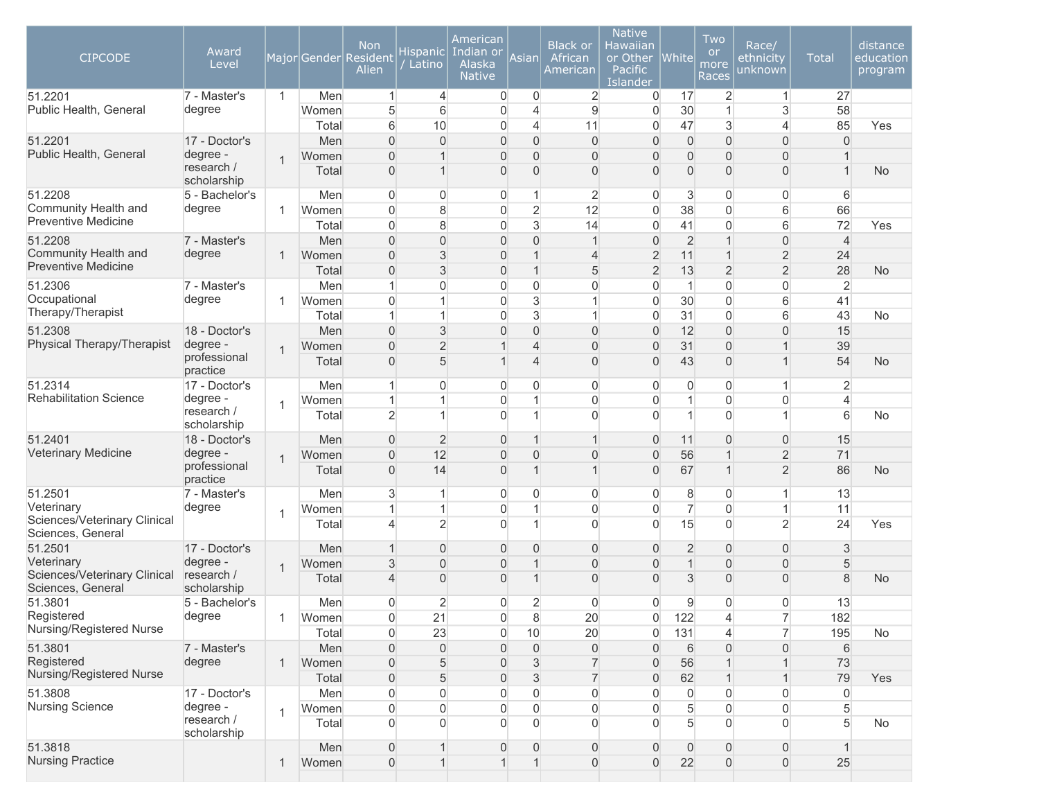| <b>CIPCODE</b>                                    | Award<br>Level            |                |       | <b>Non</b><br>Major Gender Resident<br>Alien | <b>Hispanic</b><br>Latino | American<br>Indian or<br>Alaska<br><b>Native</b> | Asian          | <b>Black or</b><br>African<br>American | <b>Native</b><br>Hawaiian<br>or Other<br>Pacific<br>Islander | $ {\sf White} $     | Two<br><b>or</b><br>more<br>Races | Race/<br>ethnicity<br>unknown | <b>Total</b>   | distance<br>education<br>program |
|---------------------------------------------------|---------------------------|----------------|-------|----------------------------------------------|---------------------------|--------------------------------------------------|----------------|----------------------------------------|--------------------------------------------------------------|---------------------|-----------------------------------|-------------------------------|----------------|----------------------------------|
| 51.2201                                           | 7 - Master's              | $\mathbf{1}$   | Men   | 1                                            | 4                         | $\mathbf 0$                                      | $\overline{0}$ | $\overline{2}$                         | 0                                                            | 17                  | $\overline{2}$                    | $\mathbf{1}$                  | 27             |                                  |
| Public Health, General                            | degree                    |                | Women | 5                                            | 6                         | $\overline{0}$                                   | 4              | $9$                                    | $\overline{0}$                                               | 30                  | 1                                 | 3                             | 58             |                                  |
|                                                   |                           |                | Total | 6                                            | 10                        | 0                                                | 4              | 11                                     | $\overline{0}$                                               | 47                  | 3                                 | $\overline{4}$                | 85             | Yes                              |
| 51.2201                                           | 17 - Doctor's             |                | Men   | $\overline{0}$                               | $\Omega$                  | $\overline{0}$                                   | $\overline{0}$ | $\overline{0}$                         | $\overline{0}$                                               | $\overline{0}$      | $\overline{0}$                    | $\overline{0}$                | $\Omega$       |                                  |
| Public Health, General                            | degree -<br>research /    | 1              | Women | $\Omega$                                     | $\overline{1}$            | $\overline{0}$                                   | $\overline{0}$ | 0                                      | $\overline{0}$                                               | $\overline{0}$      | $\overline{0}$                    | $\overline{0}$                |                |                                  |
|                                                   | scholarship               |                | Total | $\Omega$                                     |                           | $\overline{0}$                                   | $\overline{0}$ | $\Omega$                               | $\overline{0}$                                               | $\overline{0}$      | $\Omega$                          | $\overline{0}$                | $\overline{1}$ | <b>No</b>                        |
| 51.2208                                           | 5 - Bachelor's            |                | Men   | $\overline{0}$                               | 0                         | 0                                                | 1              | $\overline{2}$                         | $\overline{0}$                                               | 3                   | 0                                 | 0                             | 6              |                                  |
| Community Health and                              | degree                    | 1              | Women | $\Omega$                                     | 8                         | $\overline{0}$                                   | $\overline{2}$ | 12                                     | $\overline{0}$                                               | 38                  | $\Omega$                          | 6                             | 66             |                                  |
| <b>Preventive Medicine</b>                        |                           |                | Total | $\Omega$                                     | 8                         | $\overline{0}$                                   | 3              | 14                                     | $\Omega$                                                     | 41                  | $\mathbf{0}$                      | 6                             | 72             | Yes                              |
| 51.2208                                           | 7 - Master's              |                | Men   | $\overline{0}$                               | $\mathbf 0$               | $\mathbf 0$                                      | 0              | $\overline{1}$                         | $\overline{0}$                                               | $\overline{2}$      | 1                                 | $\boldsymbol{0}$              | $\overline{4}$ |                                  |
| Community Health and                              | degree                    | 1              | Women | $\overline{0}$                               | $\mathsf 3$               | $\overline{0}$                                   | $\mathbf 1$    | $\overline{4}$                         | $\overline{c}$                                               | 11                  | 1                                 | $\overline{c}$                | 24             |                                  |
| <b>Preventive Medicine</b>                        |                           |                | Total | $\overline{0}$                               | $\mathsf 3$               | $\overline{0}$                                   | 1              | 5                                      | $\overline{2}$                                               | 13                  | $\overline{2}$                    | $\overline{2}$                | 28             | <b>No</b>                        |
| 51.2306                                           | 7 - Master's              |                | Men   | 1                                            | $\mathbf 0$               | 0                                                | 0              | $\overline{0}$                         | $\mathbf 0$                                                  | 1                   | $\overline{0}$                    | $\mathbf 0$                   | $\overline{2}$ |                                  |
| Occupational                                      | degree                    | 1              | Women | $\Omega$                                     | 1                         | $\overline{0}$                                   | 3              | 1                                      | $\mathbf 0$                                                  | 30                  | $\overline{0}$                    | 6                             | 41             |                                  |
| Therapy/Therapist                                 |                           |                | Total |                                              | 1                         | $\overline{0}$                                   | 3              | 1                                      | $\overline{0}$                                               | 31                  | $\overline{0}$                    | 6                             | 43             | No                               |
| 51.2308                                           | 18 - Doctor's             |                | Men   | $\overline{0}$                               | $\mathsf 3$               | $\overline{0}$                                   | $\overline{0}$ | $\overline{0}$                         | $\overline{0}$                                               | 12                  | $\overline{0}$                    | $\overline{0}$                | 15             |                                  |
| Physical Therapy/Therapist                        | degree -                  | $\overline{1}$ | Women | $\overline{0}$                               | $\overline{2}$            | 1                                                | 4              | $\overline{0}$                         | $\overline{0}$                                               | 31                  | $\overline{0}$                    | $\mathbf{1}$                  | 39             |                                  |
|                                                   | professional<br>practice  |                | Total | $\overline{0}$                               | 5                         | 1                                                | 4              | $\overline{0}$                         | $\overline{0}$                                               | 43                  | $\overline{0}$                    | $\mathbf{1}$                  | 54             | <b>No</b>                        |
| 51.2314                                           | 17 - Doctor's             |                | Men   | 1                                            | $\Omega$                  | $\overline{0}$                                   | 0              | $\overline{0}$                         | $\overline{0}$                                               | 0                   | 0                                 | $\mathbf{1}$                  | $\overline{2}$ |                                  |
| <b>Rehabilitation Science</b>                     | degree -                  | 1              | Women | 1                                            | 1                         | $\overline{0}$                                   | 1              | $\overline{0}$                         | $\overline{0}$                                               | 1                   | $\overline{0}$                    | $\overline{0}$                | $\overline{4}$ |                                  |
|                                                   | research /<br>scholarship |                | Total | $\overline{2}$                               |                           | $\Omega$                                         | 1              | $\Omega$                               | $\Omega$                                                     | 1                   | $\Omega$                          | $\mathbf{1}$                  | 6              | No                               |
| 51.2401                                           | 18 - Doctor's             |                | Men   | $\overline{0}$                               | $\overline{2}$            | $\overline{0}$                                   | 1              | 1                                      | $\overline{0}$                                               | 11                  | 0                                 | 0                             | 15             |                                  |
| Veterinary Medicine                               | degree -                  | 1              | Women | $\Omega$                                     | 12                        | $\overline{0}$                                   | $\overline{0}$ | $\overline{0}$                         | $\overline{0}$                                               | 56                  |                                   | $\overline{2}$                | 71             |                                  |
|                                                   | professional<br>practice  |                | Total | $\Omega$                                     | 14                        | $\overline{0}$                                   |                | $\mathbf 1$                            | $\overline{0}$                                               | 67                  |                                   | $\overline{2}$                | 86             | <b>No</b>                        |
| 51.2501                                           | 7 - Master's              |                | Men   | 3                                            |                           | $\overline{0}$                                   | 0              | $\overline{0}$                         | $\overline{0}$                                               | 8                   | 0                                 | $\mathbf{1}$                  | 13             |                                  |
| Veterinary                                        | degree                    | $\mathbf 1$    | Women |                                              | 1                         | $\overline{0}$                                   | 1              | $\overline{0}$                         | $\overline{0}$                                               | $\overline{7}$      | $\mathbf{0}$                      | $\mathbf{1}$                  | 11             |                                  |
| Sciences/Veterinary Clinical<br>Sciences, General |                           |                | Total | 4                                            | $\overline{2}$            | $\Omega$                                         | 1              | $\Omega$                               | $\Omega$                                                     | 15                  | $\Omega$                          | $\overline{2}$                | 24             | Yes                              |
| 51.2501                                           | 17 - Doctor's             |                | Men   |                                              | $\overline{0}$            | $\overline{0}$                                   | $\overline{0}$ | 0                                      | $\overline{0}$                                               | $\overline{2}$      | $\overline{0}$                    | $\overline{0}$                | 3              |                                  |
| Veterinary                                        | degree -                  | $\mathbf 1$    | Women | 3                                            | $\overline{0}$            | $\overline{0}$                                   | 1              | 0                                      | $\overline{0}$                                               | $\mathbf{1}$        | $\overline{0}$                    | $\mathsf{O}\xspace$           | 5              |                                  |
| Sciences/Veterinary Clinical<br>Sciences, General | research /<br>scholarship |                | Total | 4                                            | $\overline{0}$            | $\overline{0}$                                   | 1              | $\overline{0}$                         | $\overline{0}$                                               | 3                   | $\overline{0}$                    | $\boldsymbol{0}$              | 8              | No                               |
| 51.3801                                           | 5 - Bachelor's            |                | Men   | $\overline{0}$                               | 2                         | 0                                                | $\overline{c}$ | $\overline{0}$                         | $\overline{0}$                                               | 9                   | 0                                 | 0                             | 13             |                                  |
| Registered                                        | degree                    | 1              | Women | 0                                            | 21                        | $\mathsf{O}\xspace$                              | $\bf 8$        | 20                                     | 0                                                            | 122                 | 4                                 | $\overline{7}$                | 182            |                                  |
| Nursing/Registered Nurse                          |                           |                | Total | $\overline{0}$                               | 23                        | 0                                                | 10             | 20                                     | 0                                                            | 131                 | 4                                 | $\overline{7}$                | 195            | No                               |
| 51.3801                                           | 7 - Master's              |                | Men   | 0                                            | $\mathsf{O}\xspace$       | $\overline{0}$                                   | $\overline{0}$ | $\overline{0}$                         | 0                                                            | 6                   | $\overline{0}$                    | $\boldsymbol{0}$              | 6              |                                  |
| Registered                                        | degree                    | 1              | Women | 0                                            | 5                         | $\mathbf 0$                                      | 3              | $\overline{7}$                         | 0                                                            | 56                  |                                   | $\mathbf{1}$                  | 73             |                                  |
| Nursing/Registered Nurse                          |                           |                | Total | $\overline{0}$                               | 5                         | $\mathbf 0$                                      | 3              | $\overline{7}$                         | 0                                                            | 62                  | 1                                 | $\mathbf{1}$                  | 79             | Yes                              |
| 51.3808                                           | 17 - Doctor's             |                | Men   | $\overline{0}$                               | $\overline{0}$            | 0                                                | 0              | $\boldsymbol{0}$                       | $\overline{0}$                                               | $\mathsf{O}\xspace$ | 0                                 | 0                             | $\overline{0}$ |                                  |
| <b>Nursing Science</b>                            | degree -                  | $\overline{1}$ | Women | $\overline{0}$                               | $\overline{0}$            | 0                                                | $\overline{0}$ | $\boldsymbol{0}$                       | $\overline{0}$                                               | 5                   | 0                                 | 0                             | 5              |                                  |
|                                                   | research /<br>scholarship |                | Total | $\overline{0}$                               | $\Omega$                  | $\overline{0}$                                   | $\Omega$       | $\overline{0}$                         | $\Omega$                                                     | 5                   | $\Omega$                          | $\overline{0}$                | 5              | No                               |
| 51.3818                                           |                           |                | Men   | $\overline{0}$                               | $\mathbf 1$               | $\boldsymbol{0}$                                 | $\overline{0}$ | $\boldsymbol{0}$                       | $\overline{0}$                                               | 0                   | $\mathbf{0}$                      | $\boldsymbol{0}$              | $\mathbf{1}$   |                                  |
| <b>Nursing Practice</b>                           |                           | 1              | Women | $\overline{0}$                               | $\mathbf{1}$              | $\mathbf{1}$                                     | $\mathbf{1}$   | $\mathsf{O}\xspace$                    | $\boldsymbol{0}$                                             | 22                  | $\mathbf 0$                       | $\mathsf{O}\xspace$           | 25             |                                  |
|                                                   |                           |                |       |                                              |                           |                                                  |                |                                        |                                                              |                     |                                   |                               |                |                                  |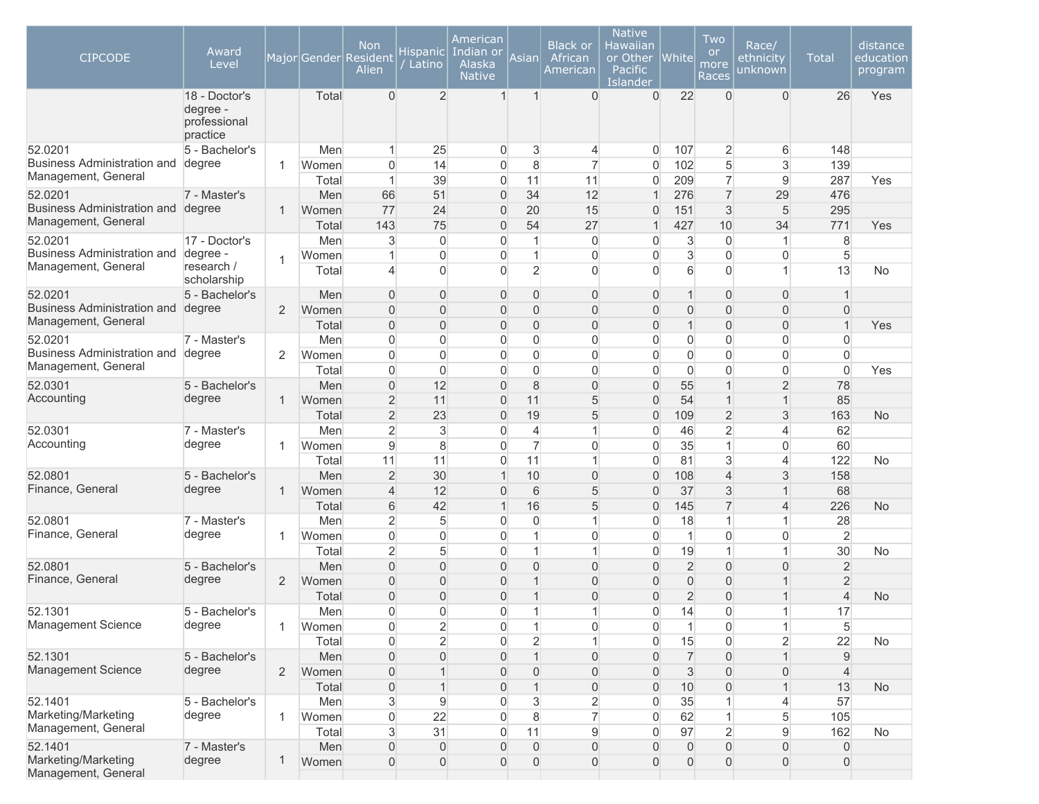| <b>CIPCODE</b>                                        | Award<br>Level                                        |                |              | <b>Non</b><br>Major Gender Resident<br>Alien | <b>Hispanic</b><br>Latino            | American<br>Indian or<br>Alaska<br><b>Native</b> | Asianl                             | <b>Black or</b><br>African<br>American | <b>Native</b><br>Hawaiian<br>or Other<br>Pacific<br>Islander | <b>White</b>             | Two<br><b>or</b><br>more<br>Races  | Race/<br>ethnicity<br>unknown         | <b>Total</b>               | distance<br>education<br>program |
|-------------------------------------------------------|-------------------------------------------------------|----------------|--------------|----------------------------------------------|--------------------------------------|--------------------------------------------------|------------------------------------|----------------------------------------|--------------------------------------------------------------|--------------------------|------------------------------------|---------------------------------------|----------------------------|----------------------------------|
|                                                       | 18 - Doctor's<br>degree -<br>professional<br>practice |                | Total        | $\Omega$                                     | $\overline{2}$                       | $\overline{1}$                                   | 1                                  | $\Omega$                               | $\overline{0}$                                               | 22                       | $\Omega$                           | $\overline{0}$                        | 26                         | Yes                              |
| 52.0201                                               | 5 - Bachelor's                                        |                | Men          | 1                                            | 25                                   | 0                                                | 3                                  | 4                                      | $\overline{0}$                                               | 107                      | 2                                  | 6                                     | 148                        |                                  |
| Business Administration and                           | degree                                                | 1              | Women        | $\Omega$                                     | 14                                   | 0                                                | 8                                  | 7                                      | $\overline{0}$                                               | 102                      | 5                                  | 3                                     | 139                        |                                  |
| Management, General                                   |                                                       |                | Total        | 1                                            | 39                                   | 0                                                | 11                                 | 11                                     | $\overline{0}$                                               | 209                      | $\overline{7}$                     | 9                                     | 287                        | Yes                              |
| 52.0201                                               | 7 - Master's                                          |                | Men          | 66                                           | 51                                   | $\mathbf{0}$                                     | 34                                 | 12                                     | $\mathbf{1}$                                                 | 276                      | $\overline{7}$                     | 29                                    | 476                        |                                  |
| Business Administration and degree                    |                                                       | 1              | Women        | 77                                           | 24                                   | $\overline{0}$                                   | 20                                 | 15                                     | $\overline{0}$                                               | 151                      | 3                                  | 5                                     | 295                        |                                  |
| Management, General                                   |                                                       |                | Total        | 143                                          | 75                                   | $\overline{0}$                                   | 54                                 | 27                                     | $\mathbf{1}$                                                 | 427                      | 10                                 | 34                                    | 771                        | Yes                              |
| 52.0201                                               | 17 - Doctor's                                         |                | Men          | 3                                            | $\boldsymbol{0}$                     | 0                                                | 1                                  | $\overline{0}$                         | 0                                                            | 3                        | $\overline{0}$                     | $\mathbf{1}$                          | 8                          |                                  |
| <b>Business Administration and</b>                    | degree -                                              | 1              | Women        | 1                                            | $\overline{0}$                       | $\overline{0}$                                   | 1                                  | $\overline{0}$                         | 0                                                            | 3                        | $\Omega$                           | $\overline{0}$                        | 5                          |                                  |
| Management, General                                   | research /<br>scholarship                             |                | Total        | 4                                            | $\mathbf{0}$                         | $\Omega$                                         | $\overline{2}$                     | $\Omega$                               | $\Omega$                                                     | 6                        | $\Omega$                           | $\mathbf{1}$                          | 13                         | No                               |
| 52.0201                                               | 5 - Bachelor's                                        |                | Men          | $\overline{0}$                               | $\overline{0}$                       | $\mathbf 0$                                      | 0                                  | 0                                      | $\overline{0}$                                               | 1                        | $\Omega$                           | $\overline{0}$                        | $\mathbf{1}$               |                                  |
| <b>Business Administration and</b>                    | degree                                                | 2              | Women        | $\overline{0}$                               | $\overline{0}$                       | 0                                                | 0                                  | 0                                      | 0                                                            | 0                        | 0                                  | $\boldsymbol{0}$                      | $\mathbf 0$                |                                  |
| Management, General                                   |                                                       |                | Total        | $\overline{0}$                               | $\mathbf 0$                          | 0                                                | 0                                  | $\overline{0}$                         | 0                                                            | 1                        | 0                                  | $\mathbf 0$                           | $\mathbf{1}$               | Yes                              |
| 52.0201                                               | 7 - Master's                                          |                | Men          | $\overline{0}$                               | $\mathbf{0}$                         | 0                                                | 0                                  | $\overline{0}$                         | $\Omega$                                                     | 0                        | 0                                  | $\overline{0}$                        | $\overline{0}$             |                                  |
| Business Administration and                           | degree                                                | $\overline{2}$ | Women        | $\overline{0}$                               | $\mathbf{0}$                         | 0                                                | 0                                  | $\overline{0}$                         | $\overline{0}$                                               | 0                        | $\overline{0}$                     | $\overline{0}$                        | $\overline{0}$             |                                  |
| Management, General                                   |                                                       |                | Total        | $\overline{0}$                               | $\mathbf 0$                          | 0                                                | 0                                  | $\overline{0}$                         | $\overline{0}$                                               | 0                        | $\Omega$                           | $\overline{0}$                        | $\overline{0}$             | Yes                              |
| 52.0301                                               | 5 - Bachelor's                                        |                | Men          | $\Omega$                                     | 12                                   | $\mathbf{0}$                                     | 8                                  | $\overline{0}$                         | $\overline{0}$                                               | 55                       | 1                                  | $\overline{2}$                        | 78                         |                                  |
| Accounting                                            | degree                                                | 1              | Women        | $\overline{2}$                               | 11                                   | $\overline{0}$                                   | 11                                 | 5                                      | $\overline{0}$                                               | 54                       | 1                                  | $\mathbf{1}$                          | 85                         |                                  |
|                                                       |                                                       |                | Total        | $\overline{2}$                               | 23                                   | $\overline{0}$                                   | 19                                 | 5                                      | $\overline{0}$                                               | 109                      | $\overline{2}$                     | 3                                     | 163                        | <b>No</b>                        |
| 52.0301                                               | 7 - Master's                                          |                | Men          | $\overline{c}$                               | 3                                    | 0                                                | $\overline{4}$                     | 1                                      | $\overline{0}$                                               | 46                       | $\overline{2}$                     | 4                                     | 62                         |                                  |
| Accounting                                            | degree                                                | $\mathbf 1$    | Women        | $\overline{9}$                               | $\bf 8$                              | $\overline{0}$                                   | $\overline{7}$                     | $\overline{0}$                         | $\overline{0}$                                               | 35                       | 1                                  | $\overline{0}$                        | 60                         |                                  |
|                                                       |                                                       |                | Total        | 11                                           | 11                                   | $\overline{0}$                                   | 11                                 | $\mathbf{1}$                           | $\overline{0}$                                               | 81                       | 3                                  | $\overline{4}$                        | 122                        | No                               |
| 52.0801                                               | 5 - Bachelor's                                        |                | Men          | $\overline{2}$                               | 30                                   | $\mathbf 1$                                      | 10                                 | $\boldsymbol{0}$                       | 0                                                            | 108                      | $\overline{4}$                     | 3                                     | 158                        |                                  |
| Finance, General                                      | degree                                                | 1              | Women        | $\overline{4}$                               | 12                                   | 0                                                | 6                                  | 5                                      | $\overline{0}$                                               | 37                       | 3                                  | $\mathbf{1}$                          | 68                         |                                  |
|                                                       |                                                       |                | Total        | 6                                            | 42                                   | $\overline{1}$                                   | 16                                 | 5                                      | $\overline{0}$                                               | 145                      | $\overline{7}$                     | $\overline{4}$                        | 226                        | No                               |
| 52.0801                                               | 7 - Master's                                          |                | Men          | $\overline{c}$                               | 5                                    | $\overline{0}$                                   | 0                                  | 1                                      | $\overline{0}$                                               | 18                       | 1                                  | $\mathbf{1}$                          | 28                         |                                  |
| Finance, General                                      | degree                                                | $\mathbf 1$    | Women        | $\overline{0}$                               | $\mathbf 0$                          | 0                                                | 1                                  | $\boldsymbol{0}$                       | $\overline{0}$                                               | 1                        | $\overline{0}$                     | $\overline{0}$                        | $\overline{2}$             |                                  |
|                                                       |                                                       |                | Total        | $\overline{2}$                               | 5                                    | 0                                                | 1                                  | $\mathbf{1}$                           | $\overline{0}$                                               | 19                       | 1                                  | $\mathbf{1}$                          | 30                         | No                               |
| 52.0801                                               | 5 - Bachelor's                                        |                | Men          | $\Omega$                                     | $\mathbf{0}$                         | $\mathbf{0}$                                     | 0                                  | $\overline{0}$                         | $\overline{0}$                                               | $\overline{2}$           | 0                                  | $\overline{0}$                        | $\overline{2}$             |                                  |
| Finance, General                                      | degree                                                | 2              | Women        | $\Omega$                                     | $\overline{0}$                       | 0                                                | 1                                  | $\overline{0}$                         | $\overline{0}$                                               | 0                        | 0                                  | $\mathbf{1}$                          | $\overline{2}$             |                                  |
|                                                       |                                                       |                | Total        | $\Omega$                                     | $\Omega$                             | 0                                                |                                    | 0                                      | $\overline{0}$                                               | $\overline{2}$           | $\overline{0}$                     | $\mathbf 1$                           | $\overline{4}$             | <b>No</b>                        |
| 52.1301                                               | 5 - Bachelor's                                        |                | Men          | $\Omega$                                     | $\Omega$                             | $\Omega$                                         | 1                                  | 1                                      | $\Omega$                                                     | 14                       | $\Omega$                           | $\mathbf{1}$                          | 17                         |                                  |
| Management Science                                    | degree                                                | 1              | Women        | $\boldsymbol{0}$                             | $\overline{2}$                       | 0                                                | $\mathbf{1}$                       | $\boldsymbol{0}$                       | 0                                                            | 1                        | $\overline{0}$                     | $\mathbf{1}$                          | $5\overline{)}$            |                                  |
|                                                       |                                                       |                | Total        | $\overline{0}$                               | $\overline{2}$                       | $\overline{0}$                                   | $\overline{2}$                     | $\mathbf{1}$                           | $\boldsymbol{0}$                                             | 15                       | $\overline{0}$                     | $\overline{2}$                        | 22                         | No                               |
| 52.1301                                               | 5 - Bachelor's                                        |                | Men          | $\overline{0}$                               | $\overline{0}$                       | $\boldsymbol{0}$                                 | $\mathbf{1}$                       | $\boldsymbol{0}$                       | $\boldsymbol{0}$                                             | $\overline{7}$           | $\overline{0}$                     | $\mathbf{1}$                          | 9                          |                                  |
| Management Science                                    | degree                                                | 2              | Women        | $\boldsymbol{0}$                             | $\mathbf{1}$                         | $\boldsymbol{0}$                                 | 0                                  | $\boldsymbol{0}$                       | $\overline{0}$                                               | 3                        | $\overline{0}$                     | $\boldsymbol{0}$                      | $\overline{4}$             |                                  |
|                                                       |                                                       |                | Total        | $\mathsf{O}\xspace$                          | $\mathbf{1}$                         | $\boldsymbol{0}$                                 | $\mathbf{1}$                       | $\boldsymbol{0}$                       | $\mathsf{O}\xspace$                                          | 10                       | $\overline{0}$                     | $\mathbf{1}$                          | 13                         | <b>No</b>                        |
| 52.1401                                               | 5 - Bachelor's                                        |                |              |                                              | $9$                                  | $\overline{0}$                                   | 3                                  | $\overline{2}$                         | $\overline{0}$                                               | 35                       |                                    |                                       | 57                         |                                  |
| Marketing/Marketing                                   | degree                                                |                | Men          | $3 \,$<br>$\mathsf{O}\xspace$                | 22                                   | $\overline{0}$                                   | 8                                  | $\overline{7}$                         | $\boldsymbol{0}$                                             | 62                       | 1                                  | 4<br>5                                | 105                        |                                  |
| Management, General                                   |                                                       | 1              | Women        |                                              |                                      |                                                  |                                    |                                        |                                                              |                          |                                    |                                       |                            |                                  |
|                                                       |                                                       |                | Total        | 3                                            | 31                                   | $\overline{0}$                                   | 11                                 | 9                                      | $\overline{0}$                                               | 97                       | $\overline{2}$                     | $9\,$                                 | 162                        | <b>No</b>                        |
| 52.1401<br>Marketing/Marketing<br>Management, General | 7 - Master's<br>degree                                | 1              | Men<br>Women | $\overline{0}$<br>$\overline{0}$             | $\boldsymbol{0}$<br>$\boldsymbol{0}$ | $\boldsymbol{0}$<br>$\boldsymbol{0}$             | $\overline{0}$<br>$\boldsymbol{0}$ | $\overline{0}$<br>$\boldsymbol{0}$     | $\overline{0}$<br>$\boldsymbol{0}$                           | 0<br>$\mathsf{O}\xspace$ | $\overline{0}$<br>$\boldsymbol{0}$ | $\overline{0}$<br>$\mathsf{O}\xspace$ | $\mathbf 0$<br>$\mathbf 0$ |                                  |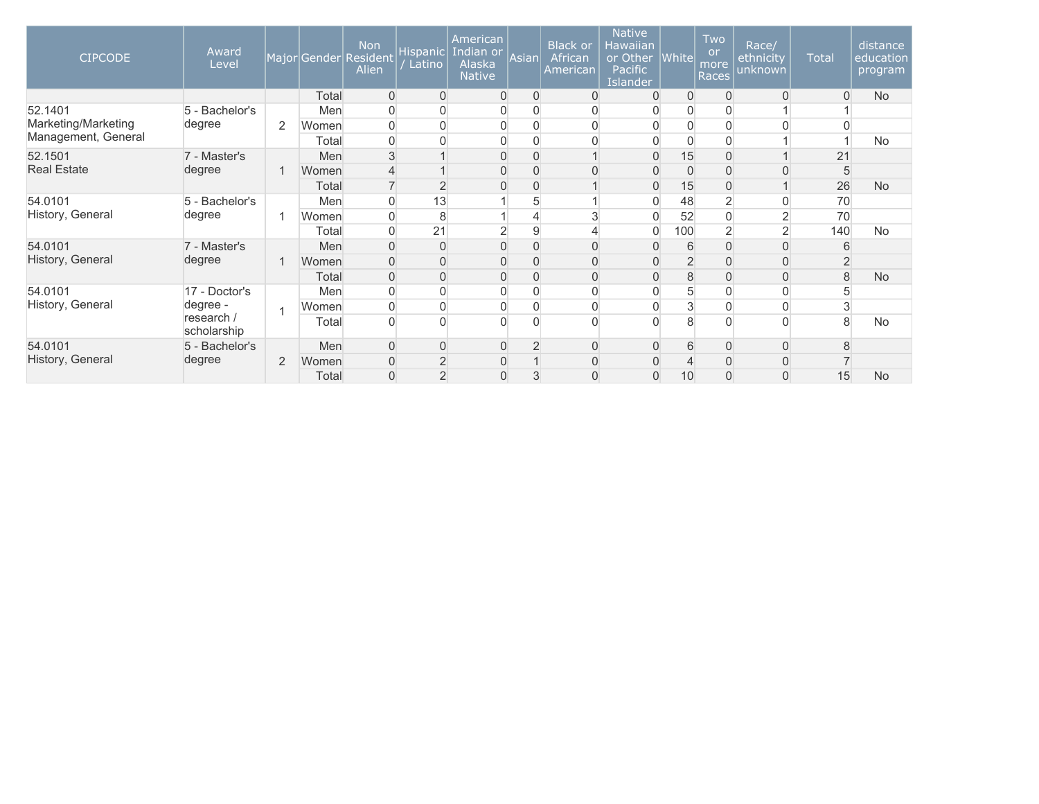| <b>CIPCODE</b>      | Award<br>Level            |                |       | <b>Non</b><br>Major Gender Resident<br>Alien | Hispanic<br>Latino | American<br>Indian or<br>Alaska<br><b>Native</b> | Asian          | <b>Black or</b><br>African<br>American | <b>Native</b><br><b>Hawaiian</b><br>or Other<br>Pacific<br><b>Islander</b> | <b>White</b>   | Two<br><b>or</b><br>more<br>Races | Race/<br>ethnicity<br>unknown | <b>Total</b>   | distance<br>education<br>program |                |   |   |          |                |          |          |    |           |
|---------------------|---------------------------|----------------|-------|----------------------------------------------|--------------------|--------------------------------------------------|----------------|----------------------------------------|----------------------------------------------------------------------------|----------------|-----------------------------------|-------------------------------|----------------|----------------------------------|----------------|---|---|----------|----------------|----------|----------|----|-----------|
|                     |                           |                | Total | $\overline{0}$                               | $\Omega$           | $\overline{0}$                                   | 0              | 0                                      | $\overline{0}$                                                             | 0              | 0                                 | $\overline{0}$                | $\overline{0}$ | <b>No</b>                        |                |   |   |          |                |          |          |    |           |
| 52.1401             | 5 - Bachelor's            |                | Men   | 0                                            | $\mathbf{0}$       | 0                                                | 0              | 0                                      | $\Omega$                                                                   | 0              |                                   |                               |                |                                  |                |   |   |          |                |          |          |    |           |
| Marketing/Marketing | degree                    | 2              | Women | $\mathbf{0}$                                 |                    | $\mathbf 0$                                      | 0              | 0                                      |                                                                            | 0              |                                   |                               |                |                                  |                |   |   |          |                |          |          |    |           |
| Management, General |                           |                | Total | 0                                            |                    | $\mathbf 0$                                      |                | O                                      |                                                                            | $\overline{0}$ |                                   |                               |                | No                               |                |   |   |          |                |          |          |    |           |
| 52.1501             | 7 - Master's              |                | Men   | 3                                            |                    | $\overline{0}$                                   | $\Omega$       |                                        | $\Omega$                                                                   | 15             |                                   |                               | 21             |                                  |                |   |   |          |                |          |          |    |           |
| <b>Real Estate</b>  | degree                    |                | Women | $\overline{4}$                               |                    | $\overline{0}$                                   | 0              | 0                                      | $\Omega$                                                                   | $\overline{0}$ | 0                                 | $\overline{0}$                | 5              |                                  |                |   |   |          |                |          |          |    |           |
|                     |                           |                | Total |                                              | $\overline{2}$     | 0                                                | 0              |                                        | $\overline{0}$                                                             | 15             | 0                                 |                               | 26             | <b>No</b>                        |                |   |   |          |                |          |          |    |           |
| 54.0101             | 5 - Bachelor's            |                | Men   | $\mathbf 0$                                  | 13                 |                                                  | 5              |                                        | $\mathbf 0$                                                                | 48             | $\overline{2}$                    | $\overline{0}$                | 70             |                                  |                |   |   |          |                |          |          |    |           |
| History, General    | degree                    | 1              | Women | 0                                            | 8                  |                                                  | 4              | 3                                      | $\overline{0}$                                                             | 52             |                                   | $\overline{2}$                | 70             |                                  |                |   |   |          |                |          |          |    |           |
|                     |                           |                | Total | 0                                            | 21                 | $\overline{2}$                                   | 9              | 4                                      | $\overline{0}$                                                             | 100            | $\overline{2}$                    | $\overline{2}$                | 140            | <b>No</b>                        |                |   |   |          |                |          |          |    |           |
| 54.0101             | 7 - Master's              |                | Men   | $\Omega$                                     | $\Omega$           | $\mathbf 0$                                      | $\overline{0}$ | 0                                      | $\Omega$                                                                   | 6              |                                   | $\mathbf 0$                   | 6              |                                  |                |   |   |          |                |          |          |    |           |
| History, General    | degree                    |                | Women | $\Omega$                                     | $\Omega$           | $\mathsf{O}\xspace$                              | 0              | 0                                      | $\Omega$                                                                   | $\overline{2}$ |                                   | $\overline{0}$                |                |                                  |                |   |   |          |                |          |          |    |           |
|                     |                           |                | Total | $\overline{0}$                               | $\overline{0}$     | $\overline{0}$                                   | 0              | 0                                      | $\overline{0}$                                                             | 8              | 0                                 | $\overline{0}$                | 8              | <b>No</b>                        |                |   |   |          |                |          |          |    |           |
| 54.0101             | 17 - Doctor's             |                | Men   | $\mathbf{0}$                                 | $\overline{0}$     | 0                                                | 0              | 0                                      | $\overline{0}$                                                             | $\overline{5}$ | 0                                 | $\overline{0}$                |                |                                  |                |   |   |          |                |          |          |    |           |
| History, General    | degree -                  | 1              | Women | 0                                            |                    | $\overline{0}$                                   | O              | 0                                      |                                                                            | 3              |                                   | $\overline{0}$                |                |                                  |                |   |   |          |                |          |          |    |           |
|                     | research /<br>scholarship |                | Total | O                                            |                    | $\Omega$                                         | U              | $\Omega$                               |                                                                            | 8              |                                   | $\Omega$                      | 8              | No                               |                |   |   |          |                |          |          |    |           |
| 54.0101             | 5 - Bachelor's            |                | Men   | $\overline{0}$                               | $\overline{0}$     | 0                                                | $\overline{2}$ | 0                                      | $\Omega$                                                                   | 6              | $\overline{0}$                    | $\overline{0}$                | 8              |                                  |                |   |   |          |                |          |          |    |           |
| History, General    | degree                    | $\overline{2}$ |       |                                              |                    |                                                  |                |                                        |                                                                            |                |                                   | Women                         | $\Omega$       | $\overline{2}$                   | $\overline{0}$ |   | 0 | $\Omega$ | $\overline{4}$ | 0        | $\Omega$ |    |           |
|                     |                           |                |       |                                              |                    |                                                  |                |                                        |                                                                            |                |                                   | Total                         | $\mathbf{0}$   | $\overline{2}$                   | 0              | 3 | 0 | $\Omega$ | 10             | $\Omega$ | $\Omega$ | 15 | <b>No</b> |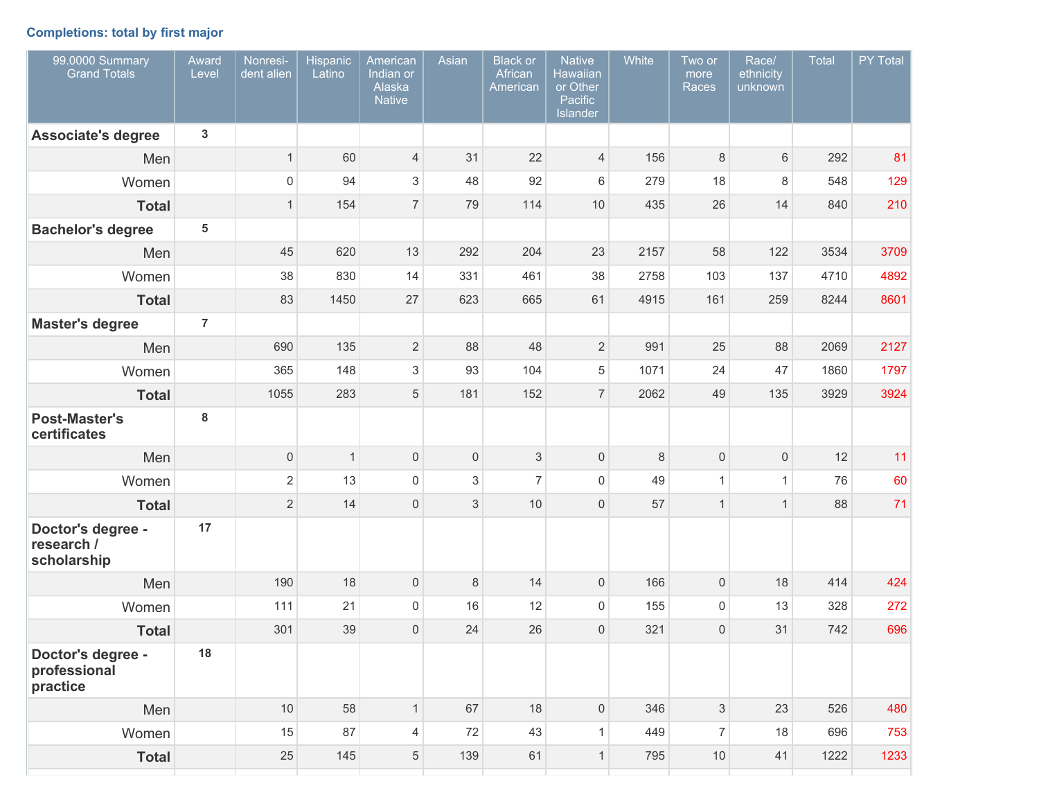## **Completions: total by first major**

| 99.0000 Summary<br><b>Grand Totals</b>         | Award<br>Level  | Nonresi-<br>dent alien | Hispanic<br>Latino | American<br>Indian or<br>Alaska<br><b>Native</b> | Asian | <b>Black</b> or<br>African<br>American | <b>Native</b><br><b>Hawaiian</b><br>or Other<br>Pacific<br>Islander | White | Two or<br>more<br>Races   | Race/<br>ethnicity<br>unknown | Total | PY Total |
|------------------------------------------------|-----------------|------------------------|--------------------|--------------------------------------------------|-------|----------------------------------------|---------------------------------------------------------------------|-------|---------------------------|-------------------------------|-------|----------|
| <b>Associate's degree</b>                      | 3               |                        |                    |                                                  |       |                                        |                                                                     |       |                           |                               |       |          |
| Men                                            |                 | $\mathbf{1}$           | 60                 | $\overline{4}$                                   | 31    | 22                                     | $\overline{4}$                                                      | 156   | 8                         | 6                             | 292   | 81       |
| Women                                          |                 | $\mathsf{O}\xspace$    | 94                 | $\mathsf 3$                                      | 48    | 92                                     | 6                                                                   | 279   | 18                        | 8                             | 548   | 129      |
| <b>Total</b>                                   |                 | $\mathbf{1}$           | 154                | $\overline{7}$                                   | 79    | 114                                    | 10                                                                  | 435   | 26                        | 14                            | 840   | 210      |
| <b>Bachelor's degree</b>                       | $5\phantom{.0}$ |                        |                    |                                                  |       |                                        |                                                                     |       |                           |                               |       |          |
| Men                                            |                 | 45                     | 620                | 13                                               | 292   | 204                                    | 23                                                                  | 2157  | 58                        | 122                           | 3534  | 3709     |
| Women                                          |                 | 38                     | 830                | 14                                               | 331   | 461                                    | 38                                                                  | 2758  | 103                       | 137                           | 4710  | 4892     |
| <b>Total</b>                                   |                 | 83                     | 1450               | 27                                               | 623   | 665                                    | 61                                                                  | 4915  | 161                       | 259                           | 8244  | 8601     |
| <b>Master's degree</b>                         | $\overline{7}$  |                        |                    |                                                  |       |                                        |                                                                     |       |                           |                               |       |          |
| Men                                            |                 | 690                    | 135                | $\overline{2}$                                   | 88    | 48                                     | $\overline{2}$                                                      | 991   | 25                        | 88                            | 2069  | 2127     |
| Women                                          |                 | 365                    | 148                | $\mathsf 3$                                      | 93    | 104                                    | 5                                                                   | 1071  | 24                        | 47                            | 1860  | 1797     |
| <b>Total</b>                                   |                 | 1055                   | 283                | $\sqrt{5}$                                       | 181   | 152                                    | $\overline{7}$                                                      | 2062  | 49                        | 135                           | 3929  | 3924     |
| <b>Post-Master's</b><br>certificates           | 8               |                        |                    |                                                  |       |                                        |                                                                     |       |                           |                               |       |          |
| Men                                            |                 | $\mathsf{O}\xspace$    | $\mathbf{1}$       | $\mathsf{O}\xspace$                              | 0     | 3                                      | 0                                                                   | 8     | $\boldsymbol{0}$          | 0                             | 12    | 11       |
| Women                                          |                 | $\overline{c}$         | 13                 | $\mathsf{O}\xspace$                              | 3     | $\overline{7}$                         | $\mathsf{O}\xspace$                                                 | 49    | $\mathbf{1}$              | $\mathbf{1}$                  | 76    | 60       |
| <b>Total</b>                                   |                 | $\overline{2}$         | 14                 | $\mathbf 0$                                      | 3     | 10                                     | 0                                                                   | 57    | $\mathbf{1}$              | $\mathbf{1}$                  | 88    | 71       |
| Doctor's degree -<br>research /<br>scholarship | 17              |                        |                    |                                                  |       |                                        |                                                                     |       |                           |                               |       |          |
| Men                                            |                 | 190                    | 18                 | $\mathbf 0$                                      | 8     | 14                                     | 0                                                                   | 166   | $\boldsymbol{0}$          | 18                            | 414   | 424      |
| Women                                          |                 | 111                    | 21                 | 0                                                | 16    | 12                                     | $\mathsf 0$                                                         | 155   | $\mathbf 0$               | 13                            | 328   | 272      |
| <b>Total</b>                                   |                 | 301                    | 39                 | $\mathbf{0}$                                     | 24    | 26                                     | $\mathsf{O}\xspace$                                                 | 321   | $\overline{0}$            | 31                            | 742   | 696      |
| Doctor's degree -<br>professional<br>practice  | 18              |                        |                    |                                                  |       |                                        |                                                                     |       |                           |                               |       |          |
| Men                                            |                 | 10                     | 58                 | 1                                                | 67    | 18                                     | $\mathsf{O}\xspace$                                                 | 346   | $\ensuremath{\mathsf{3}}$ | 23                            | 526   | 480      |
| Women                                          |                 | 15                     | 87                 | 4                                                | 72    | 43                                     | $\mathbf{1}$                                                        | 449   | $\overline{7}$            | 18                            | 696   | 753      |
| <b>Total</b>                                   |                 | 25                     | 145                | $\,$ 5 $\,$                                      | 139   | 61                                     | $\mathbf{1}$                                                        | 795   | 10                        | 41                            | 1222  | 1233     |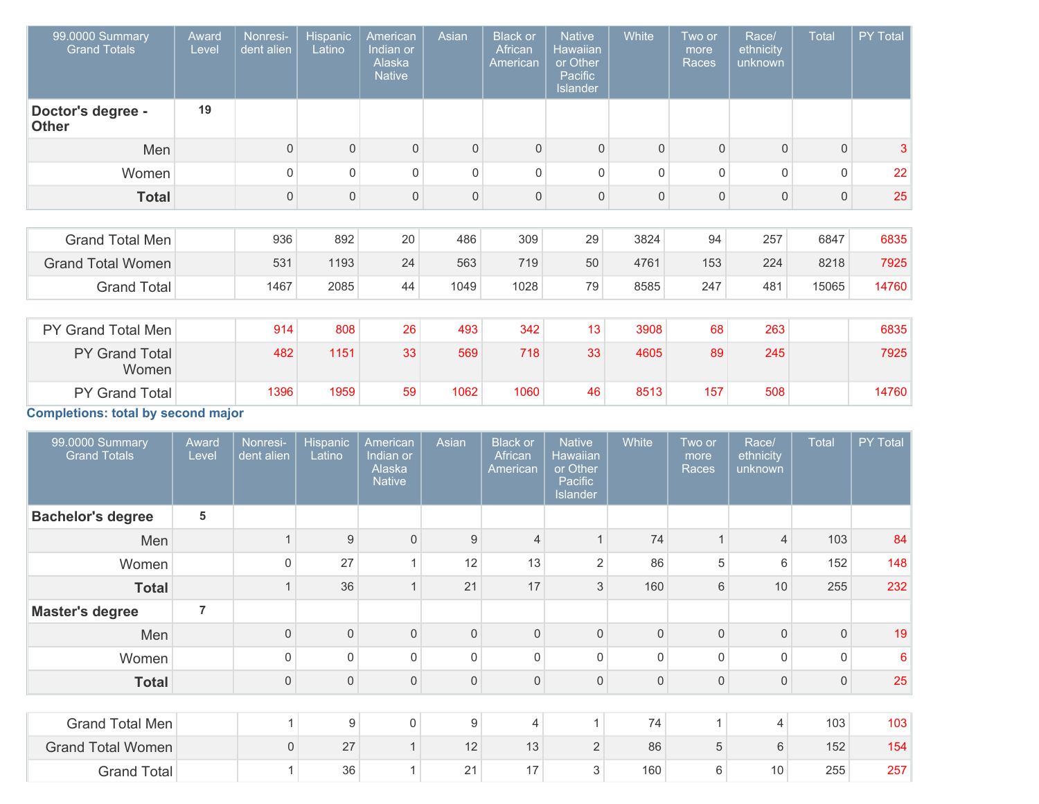| 99.0000 Summary<br><b>Grand Totals</b>    | Award<br>Level | Nonresi-<br>dent alien | Hispanic<br>Latino | American<br>Indian or<br>Alaska<br><b>Native</b> | Asian        | <b>Black or</b><br>African<br>American | <b>Native</b><br>Hawaiian<br>or Other<br>Pacific<br><b>Islander</b> | <b>White</b> | Two or<br>more<br>Races | Race/<br>ethnicity<br>unknown | <b>Total</b> | PY Total |
|-------------------------------------------|----------------|------------------------|--------------------|--------------------------------------------------|--------------|----------------------------------------|---------------------------------------------------------------------|--------------|-------------------------|-------------------------------|--------------|----------|
| Doctor's degree -<br><b>Other</b>         | 19             |                        |                    |                                                  |              |                                        |                                                                     |              |                         |                               |              |          |
| Men                                       |                | $\mathbf 0$            | 0                  | $\mathbf{0}$                                     | $\mathbf{0}$ | $\overline{0}$                         | $\mathbf{0}$                                                        | 0            | $\mathbf{0}$            | $\mathbf{0}$                  | $\mathbf{0}$ | 3        |
| Women                                     |                | 0                      | $\Omega$           | $\Omega$                                         | 0            | $\Omega$                               | $\mathbf 0$                                                         | $\Omega$     | $\Omega$                | $\Omega$                      | $\Omega$     | 22       |
| <b>Total</b>                              |                | $\mathsf{O}\xspace$    | $\mathbf 0$        | $\mathbf{0}$                                     | $\mathbf 0$  | $\mathbf 0$                            | 0                                                                   | $\mathbf 0$  | $\overline{0}$          | 0                             | $\mathbf{0}$ | 25       |
|                                           |                |                        |                    |                                                  |              |                                        |                                                                     |              |                         |                               |              |          |
| <b>Grand Total Men</b>                    |                | 936                    | 892                | 20                                               | 486          | 309                                    | 29                                                                  | 3824         | 94                      | 257                           | 6847         | 6835     |
| <b>Grand Total Women</b>                  |                | 531                    | 1193               | 24                                               | 563          | 719                                    | 50                                                                  | 4761         | 153                     | 224                           | 8218         | 7925     |
| <b>Grand Total</b>                        |                | 1467                   | 2085               | 44                                               | 1049         | 1028                                   | 79                                                                  | 8585         | 247                     | 481                           | 15065        | 14760    |
|                                           |                |                        |                    |                                                  |              |                                        |                                                                     |              |                         |                               |              |          |
| PY Grand Total Men                        |                | 914                    | 808                | 26                                               | 493          | 342                                    | 13                                                                  | 3908         | 68                      | 263                           |              | 6835     |
| PY Grand Total<br>Women                   |                | 482                    | 1151               | 33                                               | 569          | 718                                    | 33                                                                  | 4605         | 89                      | 245                           |              | 7925     |
| PY Grand Total                            |                | 1396                   | 1959               | 59                                               | 1062         | 1060                                   | 46                                                                  | 8513         | 157                     | 508                           |              | 14760    |
| <b>Completions: total by second major</b> |                |                        |                    |                                                  |              |                                        |                                                                     |              |                         |                               |              |          |

| 99.0000 Summary<br><b>Grand Totals</b> | Award<br>Level | Nonresi-<br>dent alien | <b>Hispanic</b><br>Latino | American<br>Indian or<br>Alaska<br><b>Native</b> | Asian        | <b>Black or</b><br>African<br>American | <b>Native</b><br>Hawaiian<br>or Other<br>Pacific<br><b>Islander</b> | White        | Two or<br>more<br>Races | Race/<br>ethnicity<br>unknown | <b>Total</b> | PY Total |
|----------------------------------------|----------------|------------------------|---------------------------|--------------------------------------------------|--------------|----------------------------------------|---------------------------------------------------------------------|--------------|-------------------------|-------------------------------|--------------|----------|
| <b>Bachelor's degree</b>               | 5              |                        |                           |                                                  |              |                                        |                                                                     |              |                         |                               |              |          |
| Men                                    |                |                        | 9                         | $\Omega$                                         | 9            | $\overline{4}$                         | $\overline{1}$                                                      | 74           |                         | $\overline{4}$                | 103          | 84       |
| Women                                  |                | $\mathbf 0$            | 27                        |                                                  | 12           | 13                                     | $\overline{2}$                                                      | 86           | 5                       | 6                             | 152          | 148      |
| <b>Total</b>                           |                |                        | 36                        |                                                  | 21           | 17                                     | 3                                                                   | 160          | 6                       | 10                            | 255          | 232      |
| <b>Master's degree</b>                 | 7              |                        |                           |                                                  |              |                                        |                                                                     |              |                         |                               |              |          |
| Men                                    |                | $\boldsymbol{0}$       | $\Omega$                  | $\Omega$                                         | $\mathbf{0}$ | $\mathbf{0}$                           | $\mathbf 0$                                                         | $\mathbf{0}$ | $\Omega$                | $\mathbf{0}$                  | $\Omega$     | 19       |
| Women                                  |                | $\mathbf 0$            | $\Omega$                  | $\Omega$                                         | $\Omega$     | $\mathbf 0$                            | $\mathbf 0$                                                         | $\Omega$     | $\Omega$                | 0                             | $\Omega$     | 6        |
| <b>Total</b>                           |                | $\boldsymbol{0}$       | $\mathbf 0$               | $\mathbf{0}$                                     | $\mathbf 0$  | $\mathbf{0}$                           | 0                                                                   | $\mathbf 0$  | $\overline{0}$          | 0                             | 0            | 25       |
|                                        |                |                        |                           |                                                  |              |                                        |                                                                     |              |                         |                               |              |          |
| Grand Total Men                        |                | 1                      | 9                         | $\mathbf 0$                                      | 9            | 4                                      |                                                                     | 74           | 1                       | $\overline{4}$                | 103          | 103      |
| <b>Grand Total Women</b>               |                | $\mathsf{O}\xspace$    | 27                        | $\overline{A}$                                   | 12           | 13                                     | $\overline{2}$                                                      | 86           | 5                       | 6                             | 152          | 154      |
| <b>Grand Total</b>                     |                | 1                      | 36                        |                                                  | 21           | 17                                     | 3                                                                   | 160          | 6                       | 10                            | 255          | 257      |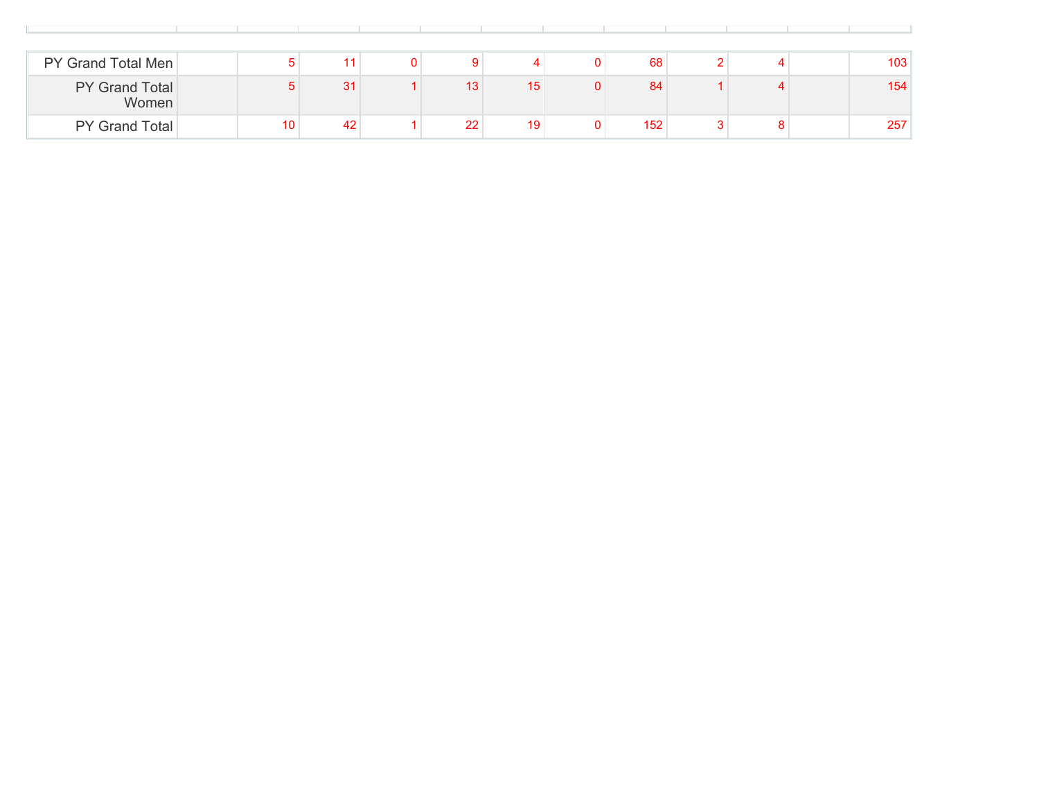| PY Grand Total Men             |                 | 11 |    |    | 68  |  | 103 |
|--------------------------------|-----------------|----|----|----|-----|--|-----|
| <b>PY Grand Total</b><br>Women |                 | 31 | 13 | 15 | 84  |  | 154 |
| <b>PY Grand Total</b>          | 10 <sub>1</sub> | 42 | 22 | 19 | 152 |  | 257 |

the control of the control of the control of the control of the control of the control of the control of the control of the control of the control of the control of the control of the control of the control of the control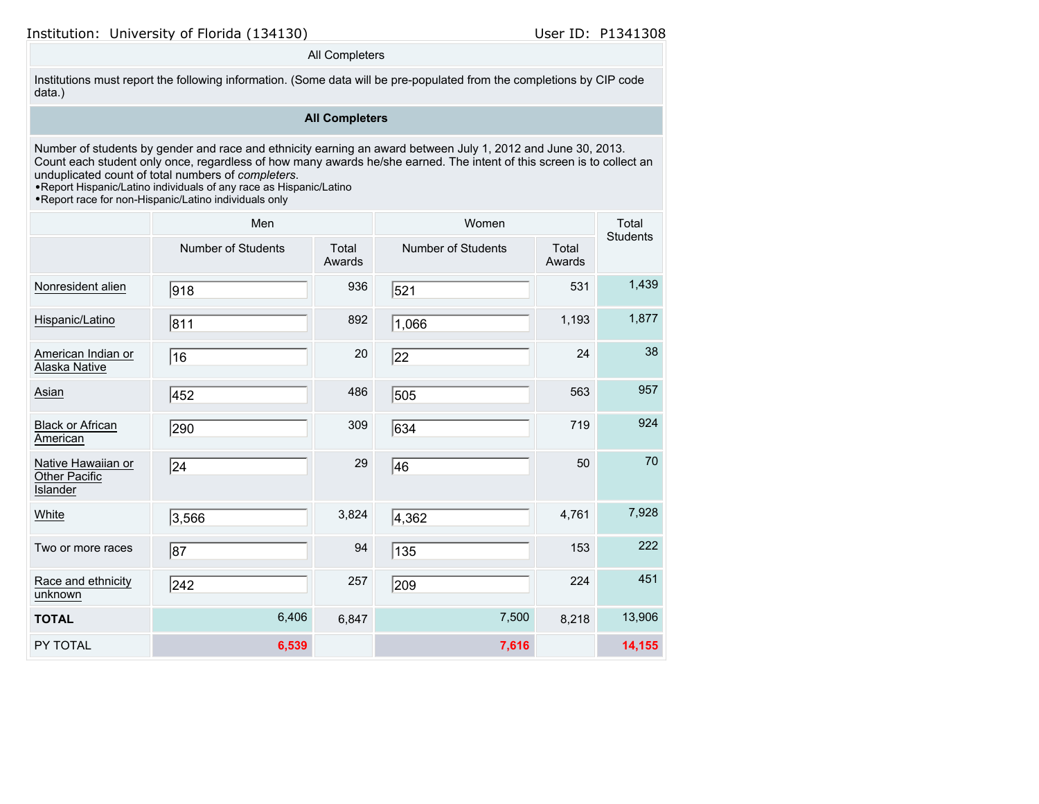## All Completers

Institutions must report the following information. (Some data will be pre-populated from the completions by CIP code data.)

## **All Completers**

Number of students by gender and race and ethnicity earning an award between July 1, 2012 and June 30, 2013. Count each student only once, regardless of how many awards he/she earned. The intent of this screen is to collect an unduplicated count of total numbers of *completers*.

•Report Hispanic/Latino individuals of any race as Hispanic/Latino

|                                                 | Men                       |                 | Women                     |                 | Total<br><b>Students</b> |
|-------------------------------------------------|---------------------------|-----------------|---------------------------|-----------------|--------------------------|
|                                                 | <b>Number of Students</b> | Total<br>Awards | <b>Number of Students</b> | Total<br>Awards |                          |
| Nonresident alien                               | 918                       | 936             | 521                       | 531             | 1,439                    |
| Hispanic/Latino                                 | 811                       | 892             | 1,066                     | 1,193           | 1,877                    |
| American Indian or<br>Alaska Native             | 16                        | 20              | 22                        | 24              | 38                       |
| Asian                                           | 452                       | 486             | 505                       | 563             | 957                      |
| <b>Black or African</b><br>American             | 290                       | 309             | 634                       | 719             | 924                      |
| Native Hawaiian or<br>Other Pacific<br>Islander | 24                        | 29              | 46                        | 50              | 70                       |
| White                                           | 3,566                     | 3,824           | 4,362                     | 4,761           | 7,928                    |
| Two or more races                               | $\overline{87}$           | 94              | 135                       | 153             | 222                      |
| Race and ethnicity<br>unknown                   | 242                       | 257             | 209                       | 224             | 451                      |
| <b>TOTAL</b>                                    | 6,406                     | 6,847           | 7,500                     | 8,218           | 13,906                   |
| PY TOTAL                                        | 6,539                     |                 | 7,616                     |                 | 14,155                   |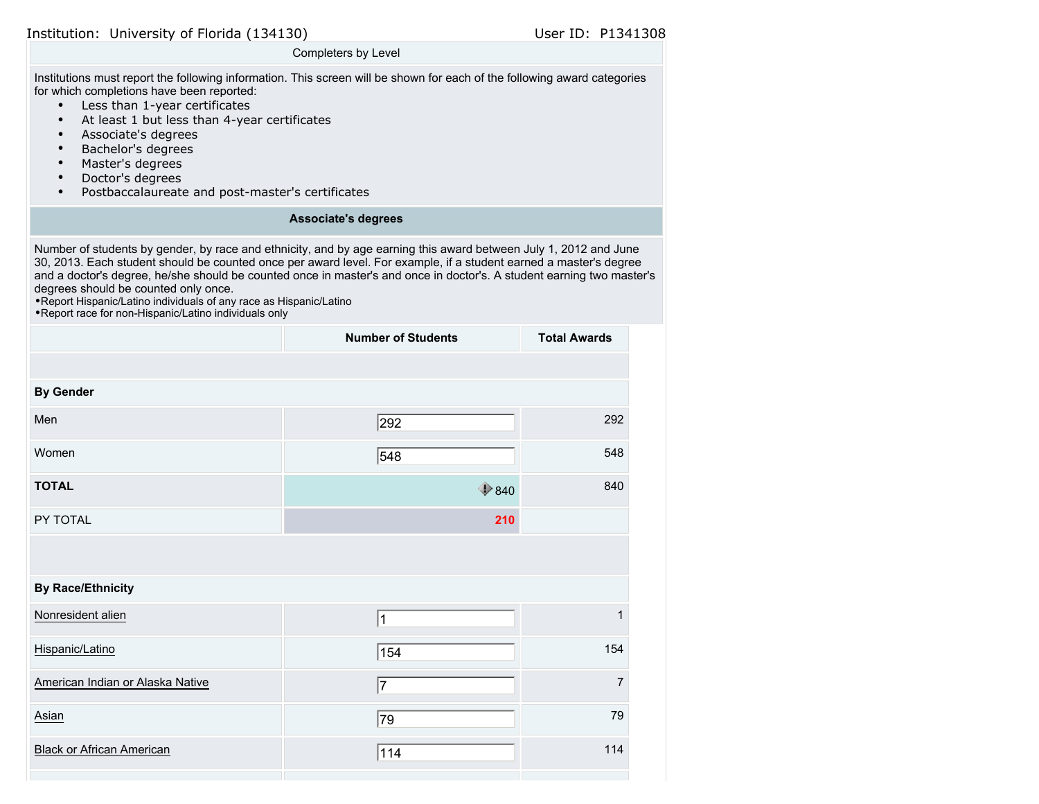#### Completers by Level

Institutions must report the following information. This screen will be shown for each of the following award categories for which completions have been reported:

- Less than 1-year certificates
- At least 1 but less than 4-year certificates
- Associate's degrees
- Bachelor's degrees
- Master's degrees
- Doctor's degrees
- Postbaccalaureate and post-master's certificates

#### **Associate's degrees**

Number of students by gender, by race and ethnicity, and by age earning this award between July 1, 2012 and June 30, 2013. Each student should be counted once per award level. For example, if a student earned a master's degree and a doctor's degree, he/she should be counted once in master's and once in doctor's. A student earning two master's degrees should be counted only once.

•Report Hispanic/Latino individuals of any race as Hispanic/Latino

|                                  | <b>Number of Students</b> | <b>Total Awards</b> |
|----------------------------------|---------------------------|---------------------|
|                                  |                           |                     |
| <b>By Gender</b>                 |                           |                     |
| Men                              | 292                       | 292                 |
| Women                            | 548                       | 548                 |
| <b>TOTAL</b>                     | $\bigcirc$ 840            | 840                 |
| PY TOTAL                         | 210                       |                     |
|                                  |                           |                     |
| <b>By Race/Ethnicity</b>         |                           |                     |
| Nonresident alien                | 1                         | 1                   |
| Hispanic/Latino                  | 154                       | 154                 |
| American Indian or Alaska Native | $\overline{7}$            | $\overline{7}$      |
| Asian                            | 79                        | 79                  |
| <b>Black or African American</b> | 114                       | 114                 |
|                                  |                           |                     |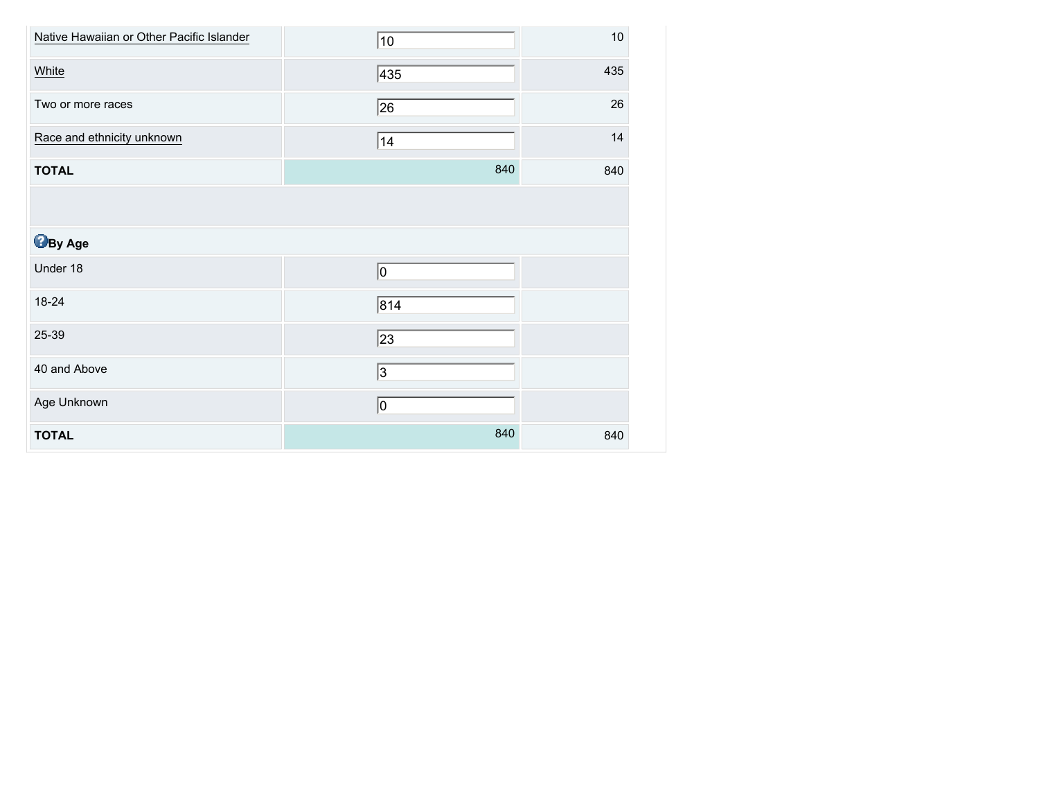| Native Hawaiian or Other Pacific Islander | 10  | $10$ |
|-------------------------------------------|-----|------|
| White                                     | 435 | 435  |
| Two or more races                         | 26  | 26   |
| Race and ethnicity unknown                | 14  | 14   |
| <b>TOTAL</b>                              | 840 | 840  |
|                                           |     |      |
| <b>B</b> By Age                           |     |      |
| Under 18                                  | 10  |      |
| 18-24                                     | 814 |      |
| 25-39                                     | 23  |      |
| 40 and Above                              | 3   |      |
| Age Unknown                               | 10  |      |
| <b>TOTAL</b>                              | 840 | 840  |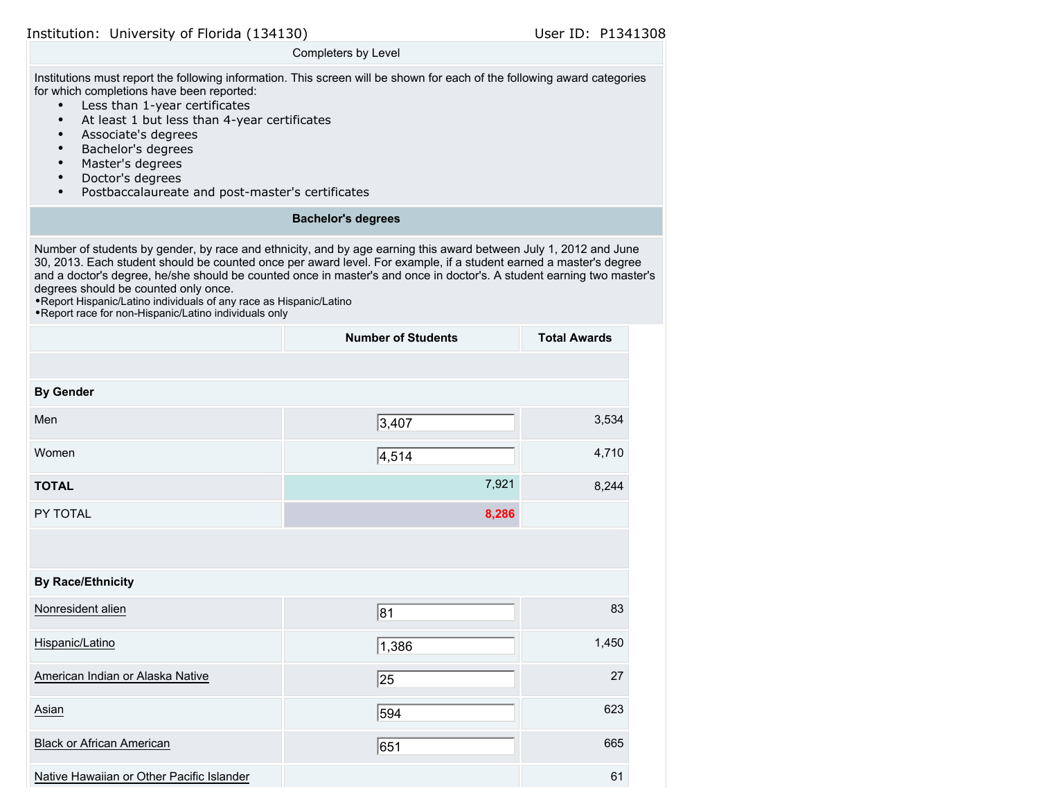#### Completers by Level

Institutions must report the following information. This screen will be shown for each of the following award categories for which completions have been reported:

- Less than 1-year certificates
- At least 1 but less than 4-year certificates
- Associate's degrees
- Bachelor's degrees
- Master's degrees
- Doctor's degrees
- Postbaccalaureate and post-master's certificates

#### **Bachelor's degrees**

Number of students by gender, by race and ethnicity, and by age earning this award between July 1, 2012 and June 30, 2013. Each student should be counted once per award level. For example, if a student earned a master's degree and a doctor's degree, he/she should be counted once in master's and once in doctor's. A student earning two master's degrees should be counted only once.

•Report Hispanic/Latino individuals of any race as Hispanic/Latino

|                                           | <b>Number of Students</b> | <b>Total Awards</b> |
|-------------------------------------------|---------------------------|---------------------|
|                                           |                           |                     |
| <b>By Gender</b>                          |                           |                     |
| Men                                       | 3,407                     | 3,534               |
| Women                                     | 4,514                     | 4,710               |
| <b>TOTAL</b>                              | 7,921                     | 8,244               |
| PY TOTAL                                  | 8,286                     |                     |
|                                           |                           |                     |
| <b>By Race/Ethnicity</b>                  |                           |                     |
| Nonresident alien                         | 81                        | 83                  |
| Hispanic/Latino                           | 1,386                     | 1,450               |
| American Indian or Alaska Native          | 25                        | 27                  |
| Asian                                     | 594                       | 623                 |
| <b>Black or African American</b>          | 651                       | 665                 |
| Native Hawaiian or Other Pacific Islander |                           | 61                  |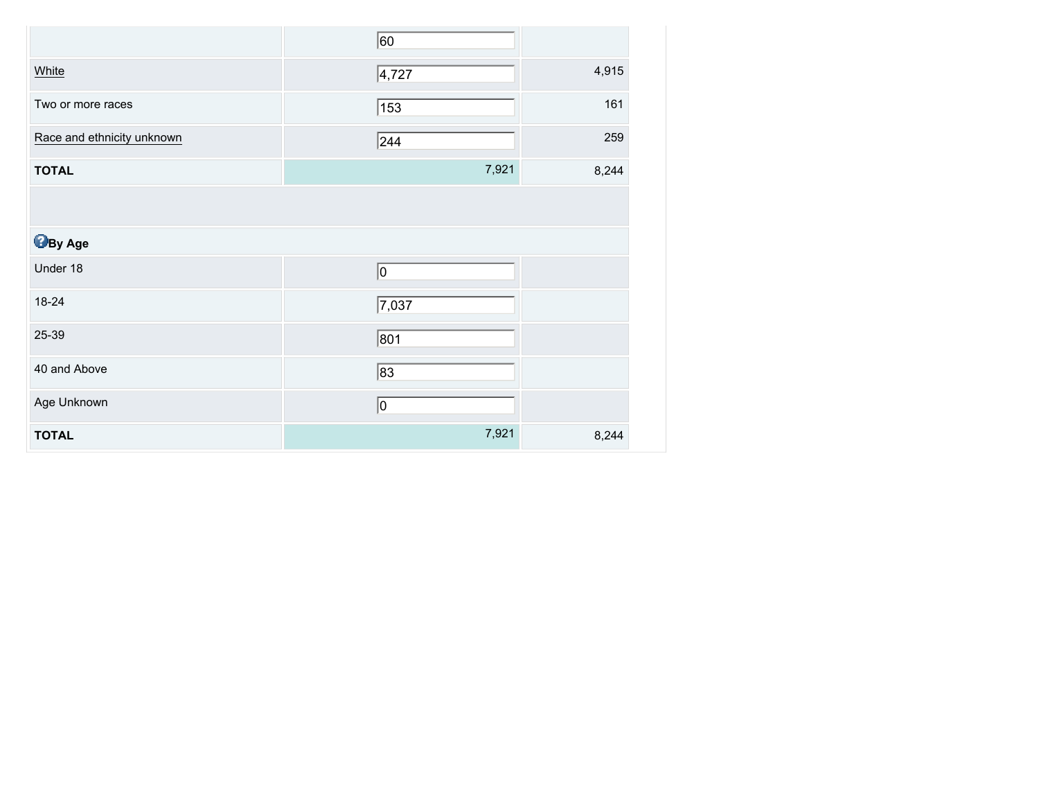|                            | 60    |       |
|----------------------------|-------|-------|
| White                      | 4,727 | 4,915 |
| Two or more races          | 153   | 161   |
| Race and ethnicity unknown | 244   | 259   |
| <b>TOTAL</b>               | 7,921 | 8,244 |
|                            |       |       |
| <b>B</b> By Age            |       |       |
| Under 18                   | 0     |       |
| 18-24                      | 7,037 |       |
| 25-39                      | 801   |       |
| 40 and Above               | 83    |       |
| Age Unknown                | 0     |       |
| <b>TOTAL</b>               | 7,921 | 8,244 |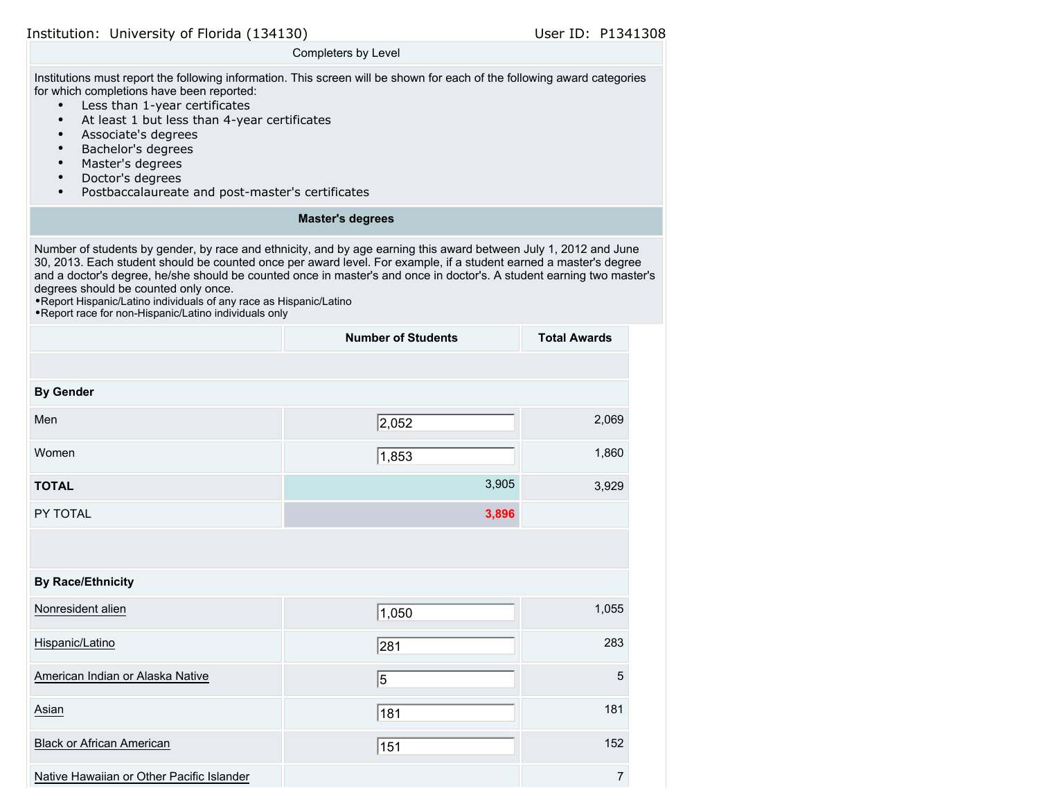#### Completers by Level

Institutions must report the following information. This screen will be shown for each of the following award categories for which completions have been reported:

- Less than 1-year certificates
- At least 1 but less than 4-year certificates
- Associate's degrees
- Bachelor's degrees
- Master's degrees
- Doctor's degrees
- Postbaccalaureate and post-master's certificates

### **Master's degrees**

Number of students by gender, by race and ethnicity, and by age earning this award between July 1, 2012 and June 30, 2013. Each student should be counted once per award level. For example, if a student earned a master's degree and a doctor's degree, he/she should be counted once in master's and once in doctor's. A student earning two master's degrees should be counted only once.

•Report Hispanic/Latino individuals of any race as Hispanic/Latino

|                                           | <b>Number of Students</b> | <b>Total Awards</b> |
|-------------------------------------------|---------------------------|---------------------|
|                                           |                           |                     |
| <b>By Gender</b>                          |                           |                     |
| Men                                       | 2,052                     | 2,069               |
| Women                                     | 1,853                     | 1,860               |
| <b>TOTAL</b>                              | 3,905                     | 3,929               |
| PY TOTAL                                  | 3,896                     |                     |
|                                           |                           |                     |
| <b>By Race/Ethnicity</b>                  |                           |                     |
| Nonresident alien                         | 1,050                     | 1,055               |
| Hispanic/Latino                           | 281                       | 283                 |
| American Indian or Alaska Native          | 5                         | 5                   |
| Asian                                     | 181                       | 181                 |
| <b>Black or African American</b>          | 151                       | 152                 |
| Native Hawaiian or Other Pacific Islander |                           | $\overline{7}$      |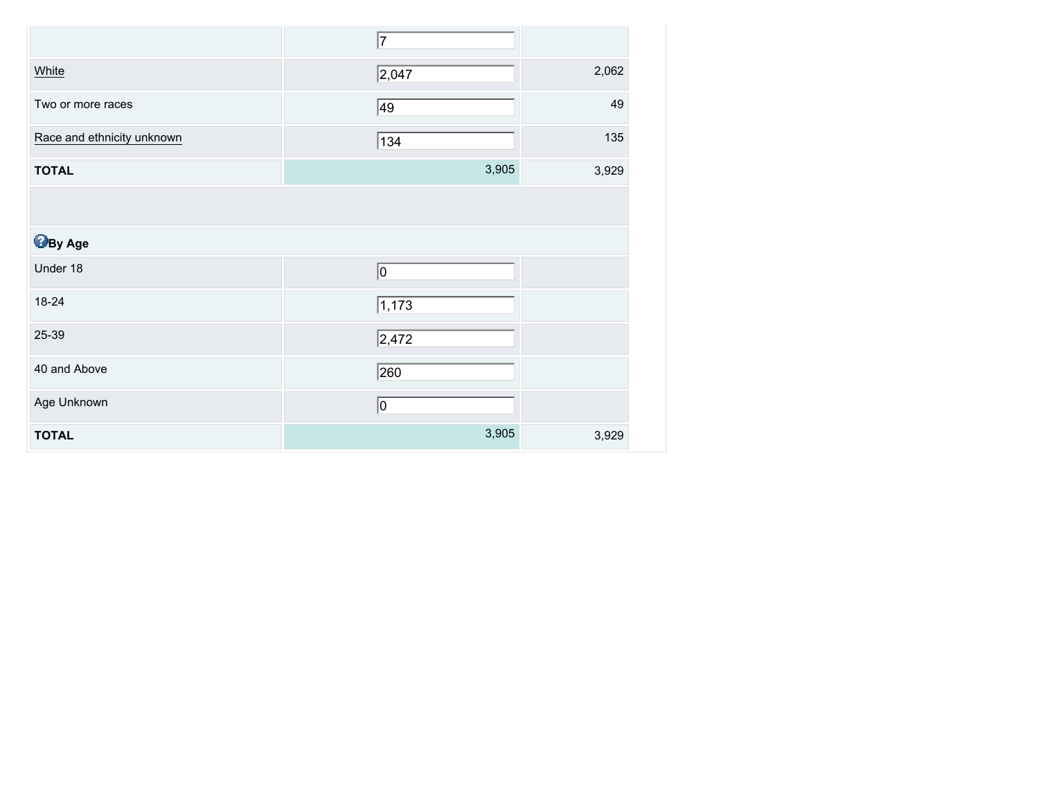|                            | 7              |       |
|----------------------------|----------------|-------|
| White                      | $\sqrt{2,047}$ | 2,062 |
| Two or more races          | 49             | 49    |
| Race and ethnicity unknown | 134            | 135   |
| <b>TOTAL</b>               | 3,905          | 3,929 |
|                            |                |       |
| <b>By Age</b>              |                |       |
| Under 18                   | 0              |       |
| 18-24                      | 1,173          |       |
| 25-39                      | $\sqrt{2,472}$ |       |
| 40 and Above               | 260            |       |
| Age Unknown                | 10             |       |
| <b>TOTAL</b>               | 3,905          | 3,929 |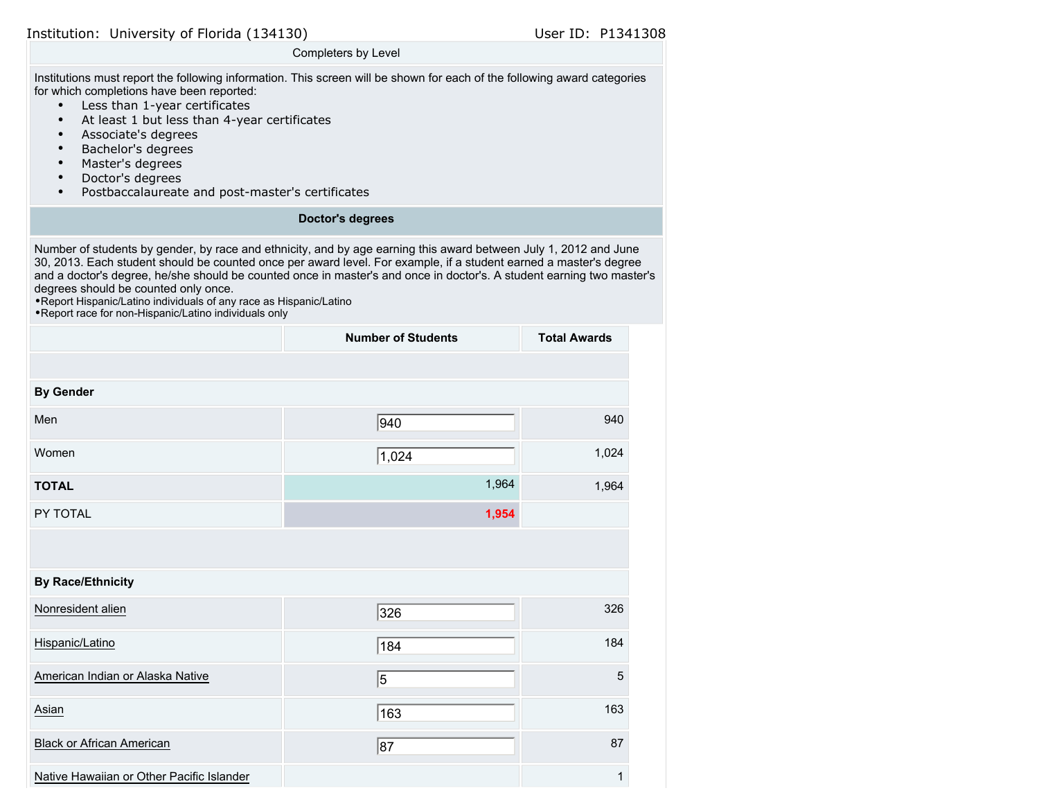#### Completers by Level

Institutions must report the following information. This screen will be shown for each of the following award categories for which completions have been reported:

- Less than 1-year certificates
- At least 1 but less than 4-year certificates
- Associate's degrees
- Bachelor's degrees
- Master's degrees
- Doctor's degrees
- Postbaccalaureate and post-master's certificates

#### **Doctor's degrees**

Number of students by gender, by race and ethnicity, and by age earning this award between July 1, 2012 and June 30, 2013. Each student should be counted once per award level. For example, if a student earned a master's degree and a doctor's degree, he/she should be counted once in master's and once in doctor's. A student earning two master's degrees should be counted only once.

•Report Hispanic/Latino individuals of any race as Hispanic/Latino

|                                           | <b>Number of Students</b> | <b>Total Awards</b> |
|-------------------------------------------|---------------------------|---------------------|
|                                           |                           |                     |
| <b>By Gender</b>                          |                           |                     |
| Men                                       | 940                       | 940                 |
| Women                                     | 1,024                     | 1,024               |
| <b>TOTAL</b>                              | 1,964                     | 1,964               |
| PY TOTAL                                  | 1,954                     |                     |
|                                           |                           |                     |
| <b>By Race/Ethnicity</b>                  |                           |                     |
| Nonresident alien                         | 326                       | 326                 |
| Hispanic/Latino                           | 184                       | 184                 |
| American Indian or Alaska Native          | 5                         | 5                   |
| Asian                                     | 163                       | 163                 |
| <b>Black or African American</b>          | 87                        | 87                  |
| Native Hawaiian or Other Pacific Islander |                           | $\mathbf{1}$        |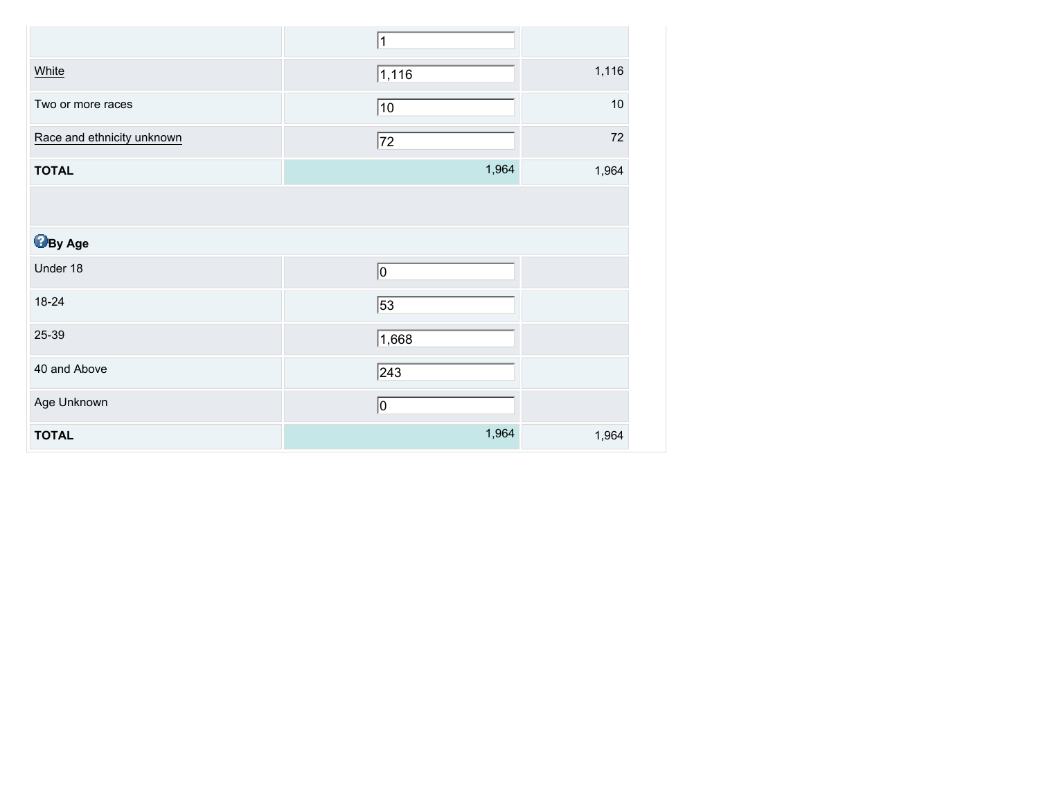|                            | $\mathbf 1$  |        |
|----------------------------|--------------|--------|
| White                      | 1,116        | 1,116  |
| Two or more races          | 10           | $10$   |
| Race and ethnicity unknown | 72           | $72\,$ |
| <b>TOTAL</b>               | 1,964        | 1,964  |
|                            |              |        |
| <b>B</b> By Age            |              |        |
| Under 18                   | O            |        |
| 18-24                      | 53           |        |
| 25-39                      | 1,668        |        |
| 40 and Above               | $\sqrt{243}$ |        |
| Age Unknown                | 0            |        |
| <b>TOTAL</b>               | 1,964        | 1,964  |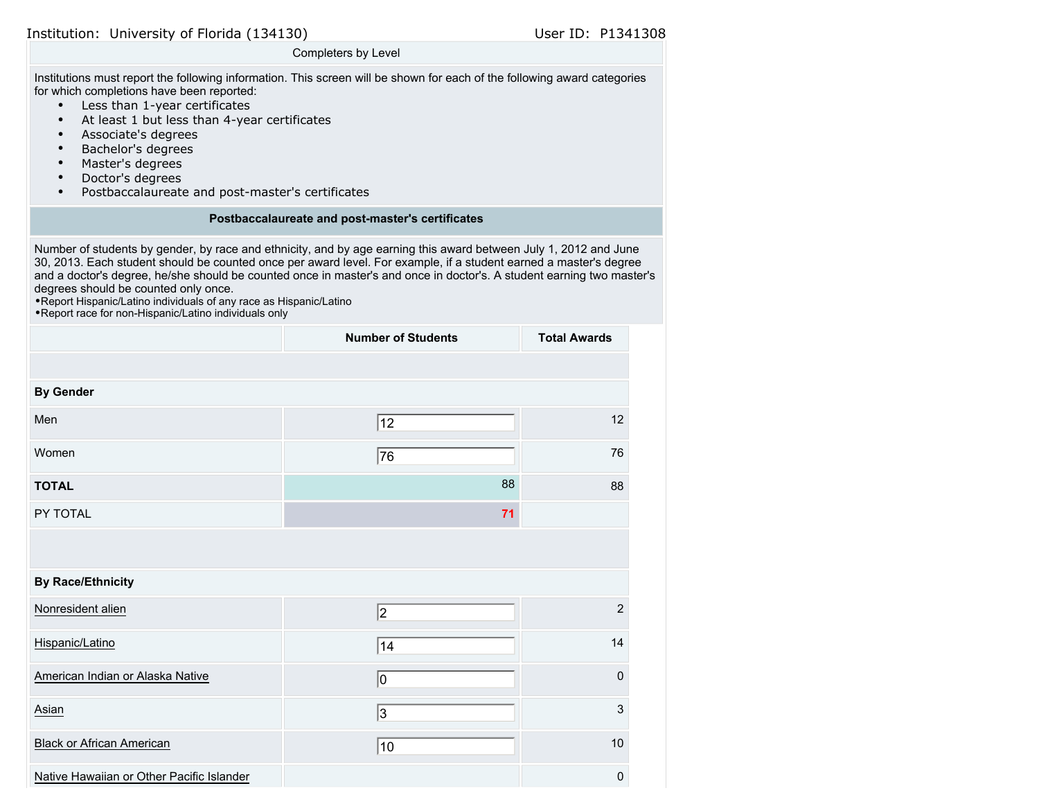#### Completers by Level

Institutions must report the following information. This screen will be shown for each of the following award categories for which completions have been reported:

- Less than 1-year certificates
- At least 1 but less than 4-year certificates
- Associate's degrees
- Bachelor's degrees
- Master's degrees
- Doctor's degrees
- Postbaccalaureate and post-master's certificates

#### **Postbaccalaureate and post-master's certificates**

Number of students by gender, by race and ethnicity, and by age earning this award between July 1, 2012 and June 30, 2013. Each student should be counted once per award level. For example, if a student earned a master's degree and a doctor's degree, he/she should be counted once in master's and once in doctor's. A student earning two master's degrees should be counted only once.

•Report Hispanic/Latino individuals of any race as Hispanic/Latino

|                                           | <b>Number of Students</b> | <b>Total Awards</b> |
|-------------------------------------------|---------------------------|---------------------|
|                                           |                           |                     |
| <b>By Gender</b>                          |                           |                     |
| Men                                       | 12                        | 12                  |
| Women                                     | 76                        | 76                  |
| <b>TOTAL</b>                              | 88                        | 88                  |
| PY TOTAL                                  | 71                        |                     |
|                                           |                           |                     |
| <b>By Race/Ethnicity</b>                  |                           |                     |
| Nonresident alien                         | $\vert$ 2                 | $\overline{2}$      |
| Hispanic/Latino                           | 14                        | 14                  |
| American Indian or Alaska Native          | 10                        | $\pmb{0}$           |
| Asian                                     | 3                         | 3                   |
| <b>Black or African American</b>          | 10                        | 10                  |
| Native Hawaiian or Other Pacific Islander |                           | 0                   |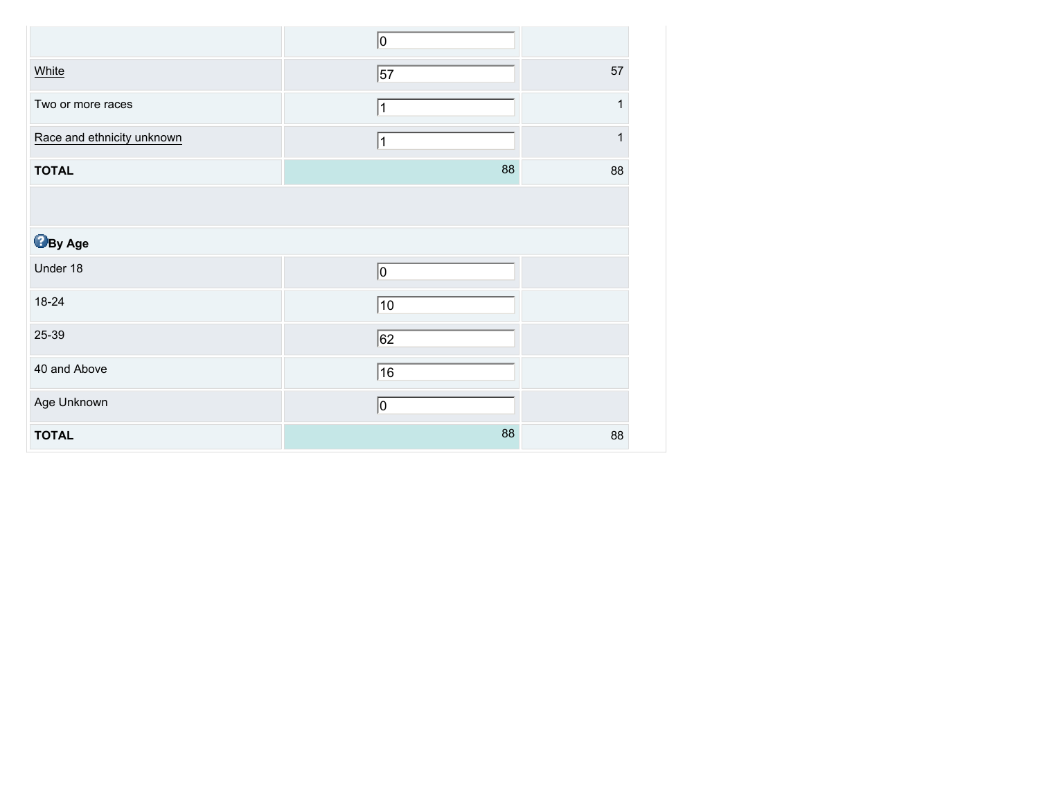|                            | 0  |    |
|----------------------------|----|----|
| White                      | 57 | 57 |
| Two or more races          | 1  | 1  |
| Race and ethnicity unknown | 1  | 1  |
| <b>TOTAL</b>               | 88 | 88 |
|                            |    |    |
| <b>By Age</b>              |    |    |
| Under 18                   | 0  |    |
| 18-24                      | 10 |    |
| 25-39                      | 62 |    |
| 40 and Above               | 16 |    |
| Age Unknown                | 10 |    |
| <b>TOTAL</b>               | 88 | 88 |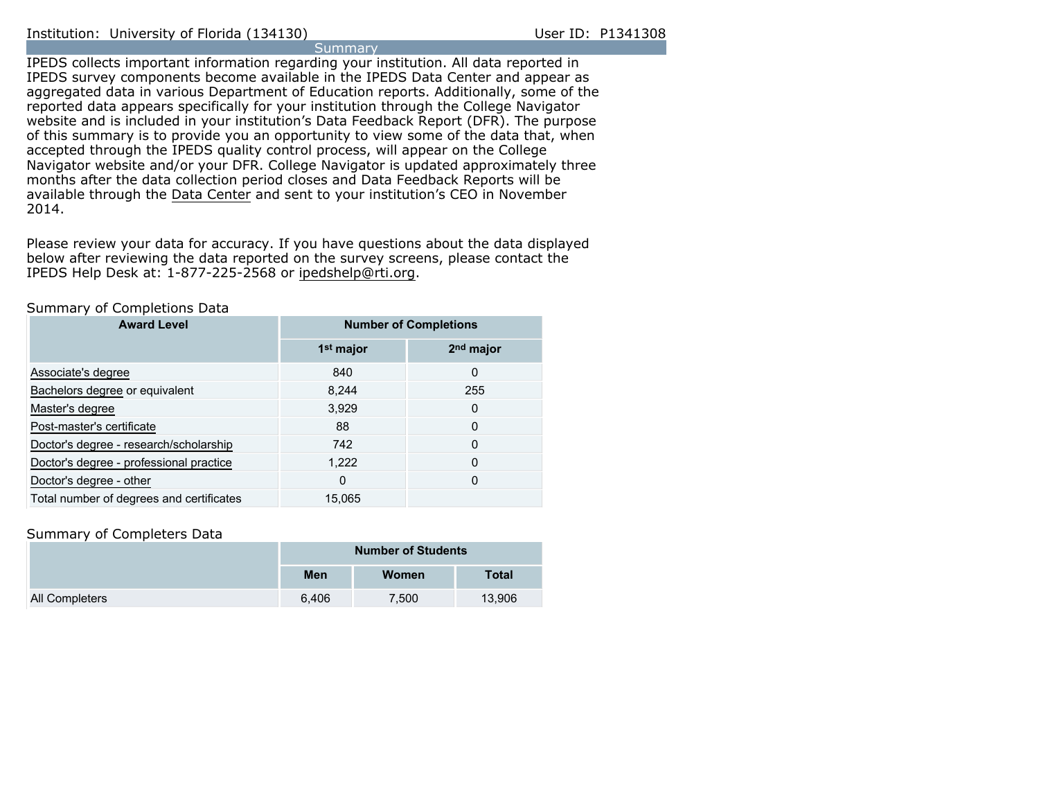**Summary** IPEDS collects important information regarding your institution. All data reported in IPEDS survey components become available in the IPEDS Data Center and appear as aggregated data in various Department of Education reports. Additionally, some of the reported data appears specifically for your institution through the College Navigator website and is included in your institution's Data Feedback Report (DFR). The purpose of this summary is to provide you an opportunity to view some of the data that, when accepted through the IPEDS quality control process, will appear on the College Navigator website and/or your DFR. College Navigator is updated approximately three months after the data collection period closes and Data Feedback Reports will be available through the [Data Center](http://nces.ed.gov/ipeds/datacenter/) and sent to your institution's CEO in November 2014.

Please review your data for accuracy. If you have questions about the data displayed below after reviewing the data reported on the survey screens, please contact the IPEDS Help Desk at: 1-877-225-2568 or ipedshelp@rti.org.

#### Summary of Completions Data

| <b>Award Level</b>                       | <b>Number of Completions</b> |                       |  |
|------------------------------------------|------------------------------|-----------------------|--|
|                                          | 1 <sup>st</sup> major        | 2 <sup>nd</sup> major |  |
| Associate's degree                       | 840                          | 0                     |  |
| Bachelors degree or equivalent           | 8,244                        | 255                   |  |
| Master's degree                          | 3,929                        | 0                     |  |
| Post-master's certificate                | 88                           | 0                     |  |
| Doctor's degree - research/scholarship   | 742                          | 0                     |  |
| Doctor's degree - professional practice  | 1,222                        | 0                     |  |
| Doctor's degree - other                  | $\Omega$                     | 0                     |  |
| Total number of degrees and certificates | 15.065                       |                       |  |

#### Summary of Completers Data

|                | <b>Number of Students</b> |       |              |  |
|----------------|---------------------------|-------|--------------|--|
|                | Men                       | Women | <b>Total</b> |  |
| All Completers | 6.406                     | 7.500 | 13.906       |  |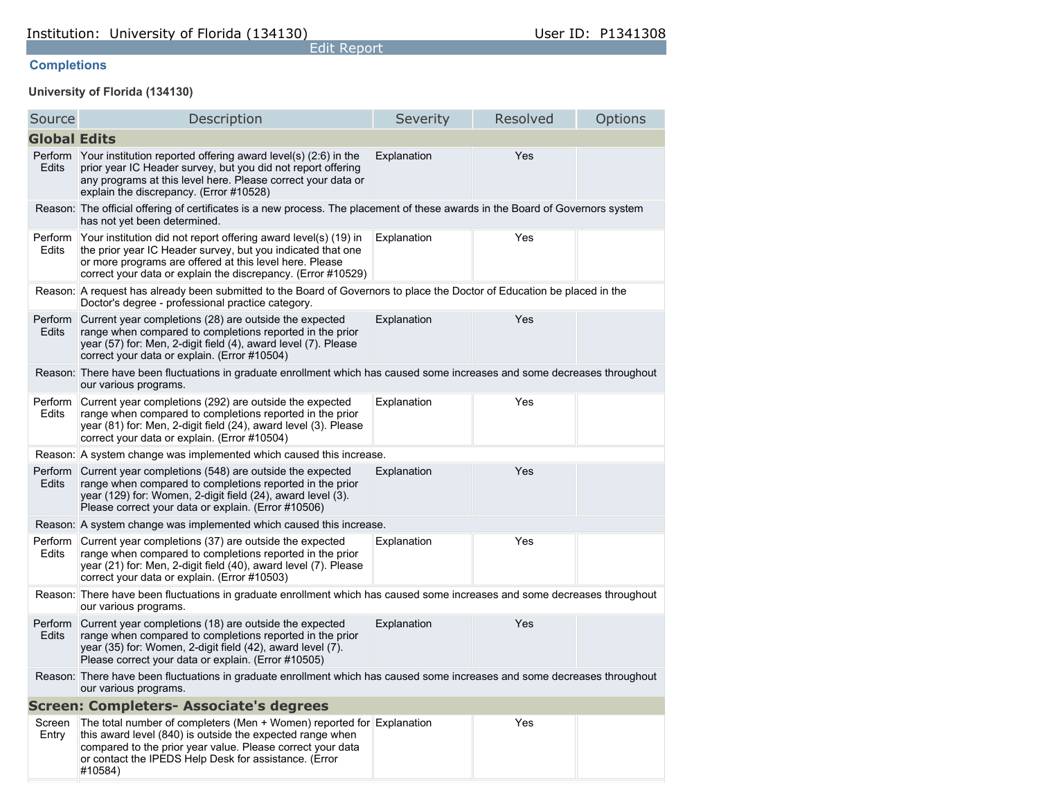## **Completions**

## **University of Florida (134130)**

| Source                                                                                                                                             | Description                                                                                                                                                                                                                                                          | Severity    | Resolved | Options |  |
|----------------------------------------------------------------------------------------------------------------------------------------------------|----------------------------------------------------------------------------------------------------------------------------------------------------------------------------------------------------------------------------------------------------------------------|-------------|----------|---------|--|
| <b>Global Edits</b>                                                                                                                                |                                                                                                                                                                                                                                                                      |             |          |         |  |
| <b>Edits</b>                                                                                                                                       | Perform Your institution reported offering award level(s) (2:6) in the<br>prior year IC Header survey, but you did not report offering<br>any programs at this level here. Please correct your data or<br>explain the discrepancy. (Error #10528)                    | Explanation | Yes      |         |  |
|                                                                                                                                                    | Reason: The official offering of certificates is a new process. The placement of these awards in the Board of Governors system<br>has not yet been determined.                                                                                                       |             |          |         |  |
| Perform<br>Edits                                                                                                                                   | Your institution did not report offering award level(s) (19) in<br>the prior year IC Header survey, but you indicated that one<br>or more programs are offered at this level here. Please<br>correct your data or explain the discrepancy. (Error #10529)            | Explanation | Yes      |         |  |
| Reason:                                                                                                                                            | A request has already been submitted to the Board of Governors to place the Doctor of Education be placed in the<br>Doctor's degree - professional practice category.                                                                                                |             |          |         |  |
| Perform<br><b>Edits</b>                                                                                                                            | Current year completions (28) are outside the expected<br>range when compared to completions reported in the prior<br>year (57) for: Men, 2-digit field (4), award level (7). Please<br>correct your data or explain. (Error #10504)                                 | Explanation | Yes      |         |  |
|                                                                                                                                                    | Reason: There have been fluctuations in graduate enrollment which has caused some increases and some decreases throughout<br>our various programs.                                                                                                                   |             |          |         |  |
| Perform<br>Edits                                                                                                                                   | Current year completions (292) are outside the expected<br>range when compared to completions reported in the prior<br>year (81) for: Men, 2-digit field (24), award level (3). Please<br>correct your data or explain. (Error #10504)                               | Explanation | Yes      |         |  |
|                                                                                                                                                    | Reason: A system change was implemented which caused this increase.                                                                                                                                                                                                  |             |          |         |  |
| Perform<br>Edits                                                                                                                                   | Current year completions (548) are outside the expected<br>range when compared to completions reported in the prior<br>year (129) for: Women, 2-digit field (24), award level (3).<br>Please correct your data or explain. (Error #10506)                            | Explanation | Yes      |         |  |
|                                                                                                                                                    | Reason: A system change was implemented which caused this increase.                                                                                                                                                                                                  |             |          |         |  |
| Perform<br>Edits                                                                                                                                   | Current year completions (37) are outside the expected<br>range when compared to completions reported in the prior<br>year (21) for: Men, 2-digit field (40), award level (7). Please<br>correct your data or explain. (Error #10503)                                | Explanation | Yes      |         |  |
|                                                                                                                                                    | Reason: There have been fluctuations in graduate enrollment which has caused some increases and some decreases throughout<br>our various programs.                                                                                                                   |             |          |         |  |
| Perform<br>Edits                                                                                                                                   | Current year completions (18) are outside the expected<br>range when compared to completions reported in the prior<br>year (35) for: Women, 2-digit field (42), award level (7).<br>Please correct your data or explain. (Error #10505)                              | Explanation | Yes      |         |  |
| Reason: There have been fluctuations in graduate enrollment which has caused some increases and some decreases throughout<br>our various programs. |                                                                                                                                                                                                                                                                      |             |          |         |  |
| <b>Screen: Completers- Associate's degrees</b>                                                                                                     |                                                                                                                                                                                                                                                                      |             |          |         |  |
| Screen<br>Entry                                                                                                                                    | The total number of completers (Men + Women) reported for Explanation<br>this award level (840) is outside the expected range when<br>compared to the prior year value. Please correct your data<br>or contact the IPEDS Help Desk for assistance. (Error<br>#10584) |             | Yes      |         |  |

Edit Report